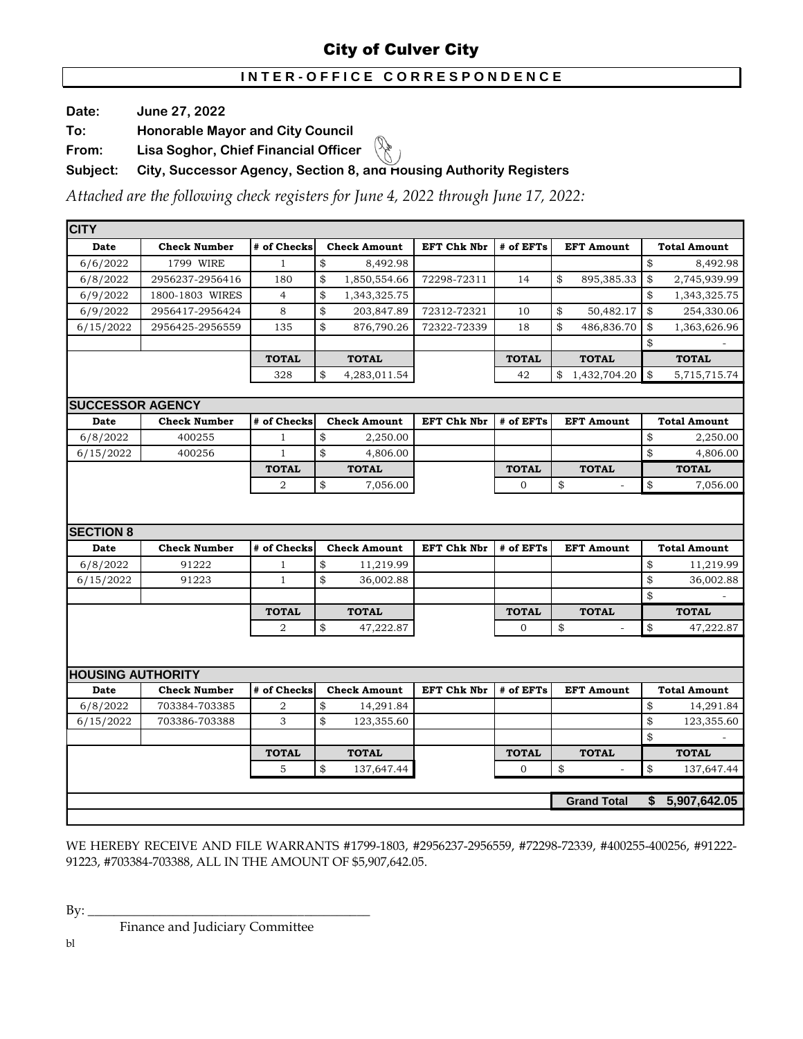# **I N T E R - O F F I C E C O R R E S P O N D E N C E**

**Date: June 27, 2022**

**To: Honorable Mayor and City Council**

**From: Lisa Soghor, Chief Financial Officer** 

**Subject: City, Successor Agency, Section 8, and Housing Authority Registers** 

*Attached are the following check registers for June 4, 2022 through June 17, 2022:*

| <b>CITY</b>              |                     |                |                     |                    |              |                    |                     |
|--------------------------|---------------------|----------------|---------------------|--------------------|--------------|--------------------|---------------------|
| Date                     | <b>Check Number</b> | # of Checks    | <b>Check Amount</b> | <b>EFT Chk Nbr</b> | # of EFTs    | <b>EFT Amount</b>  | <b>Total Amount</b> |
| 6/6/2022                 | 1799 WIRE           | $\mathbf{1}$   | \$<br>8,492.98      |                    |              |                    | \$<br>8,492.98      |
| 6/8/2022                 | 2956237-2956416     | 180            | \$<br>1,850,554.66  | 72298-72311        | 14           | \$<br>895,385.33   | \$<br>2,745,939.99  |
| 6/9/2022                 | 1800-1803 WIRES     | $\overline{4}$ | \$<br>1,343,325.75  |                    |              |                    | \$<br>1,343,325.75  |
| 6/9/2022                 | 2956417-2956424     | 8              | \$<br>203,847.89    | 72312-72321        | 10           | \$<br>50,482.17    | \$<br>254,330.06    |
| 6/15/2022                | 2956425-2956559     | 135            | \$<br>876,790.26    | 72322-72339        | 18           | \$<br>486,836.70   | \$<br>1,363,626.96  |
|                          |                     |                |                     |                    |              |                    | \$                  |
|                          |                     | <b>TOTAL</b>   | <b>TOTAL</b>        |                    | <b>TOTAL</b> | <b>TOTAL</b>       | <b>TOTAL</b>        |
|                          |                     | 328            | \$<br>4,283,011.54  |                    | 42           | \$<br>1,432,704.20 | \$<br>5,715,715.74  |
|                          |                     |                |                     |                    |              |                    |                     |
| <b>SUCCESSOR AGENCY</b>  |                     |                |                     |                    |              |                    |                     |
| <b>Date</b>              | <b>Check Number</b> | # of Checks    | <b>Check Amount</b> | <b>EFT Chk Nbr</b> | # of EFTs    | <b>EFT Amount</b>  | <b>Total Amount</b> |
| 6/8/2022                 | 400255              | $\mathbf{1}$   | \$<br>2,250.00      |                    |              |                    | \$<br>2,250.00      |
| 6/15/2022                | 400256              | $\mathbf{1}$   | \$<br>4,806.00      |                    |              |                    | \$<br>4,806.00      |
|                          |                     | <b>TOTAL</b>   | <b>TOTAL</b>        |                    | <b>TOTAL</b> | <b>TOTAL</b>       | <b>TOTAL</b>        |
|                          |                     | $\overline{a}$ | \$<br>7,056.00      |                    | $\mathbf{0}$ | \$<br>÷,           | \$<br>7,056.00      |
|                          |                     |                |                     |                    |              |                    |                     |
|                          |                     |                |                     |                    |              |                    |                     |
| <b>SECTION 8</b>         |                     |                |                     |                    |              |                    |                     |
| Date                     | <b>Check Number</b> | # of Checks    | <b>Check Amount</b> | <b>EFT Chk Nbr</b> | # of EFTs    | <b>EFT Amount</b>  | <b>Total Amount</b> |
| 6/8/2022                 | 91222               | $\mathbf{1}$   | \$<br>11,219.99     |                    |              |                    | \$<br>11,219.99     |
| 6/15/2022                | 91223               | $\mathbf{1}$   | \$<br>36,002.88     |                    |              |                    | \$<br>36,002.88     |
|                          |                     |                |                     |                    |              |                    | \$                  |
|                          |                     | <b>TOTAL</b>   | <b>TOTAL</b>        |                    | <b>TOTAL</b> | <b>TOTAL</b>       | <b>TOTAL</b>        |
|                          |                     | 2              | \$<br>47,222.87     |                    | $\mathbf{0}$ | \$<br>ä,           | \$<br>47,222.87     |
|                          |                     |                |                     |                    |              |                    |                     |
| <b>HOUSING AUTHORITY</b> |                     |                |                     |                    |              |                    |                     |
| Date                     | <b>Check Number</b> | # of Checks    | <b>Check Amount</b> | EFT Chk Nbr        | # of EFTs    | <b>EFT Amount</b>  | <b>Total Amount</b> |
| 6/8/2022                 | 703384-703385       | $\overline{a}$ | \$<br>14,291.84     |                    |              |                    | \$<br>14,291.84     |
| 6/15/2022                | 703386-703388       | 3              | \$<br>123,355.60    |                    |              |                    | \$<br>123,355.60    |
|                          |                     |                |                     |                    |              |                    | \$                  |
|                          |                     | <b>TOTAL</b>   | <b>TOTAL</b>        |                    | <b>TOTAL</b> | <b>TOTAL</b>       | <b>TOTAL</b>        |
|                          |                     | 5              | \$<br>137,647.44    |                    | $\mathbf{O}$ | \$<br>$\sim$       | \$<br>137,647.44    |
|                          |                     |                |                     |                    |              |                    |                     |
|                          |                     |                |                     |                    |              | <b>Grand Total</b> | \$5,907,642.05      |
|                          |                     |                |                     |                    |              |                    |                     |
|                          |                     |                |                     |                    |              |                    |                     |

WE HEREBY RECEIVE AND FILE WARRANTS #1799-1803, #2956237-2956559, #72298-72339, #400255-400256, #91222- 91223, #703384-703388, ALL IN THE AMOUNT OF \$5,907,642.05.

By: \_\_\_\_\_\_\_\_\_\_\_\_\_\_\_\_\_\_\_\_\_\_\_\_\_\_\_\_\_\_\_\_\_\_\_\_\_\_\_\_\_\_\_

Finance and Judiciary Committee

bl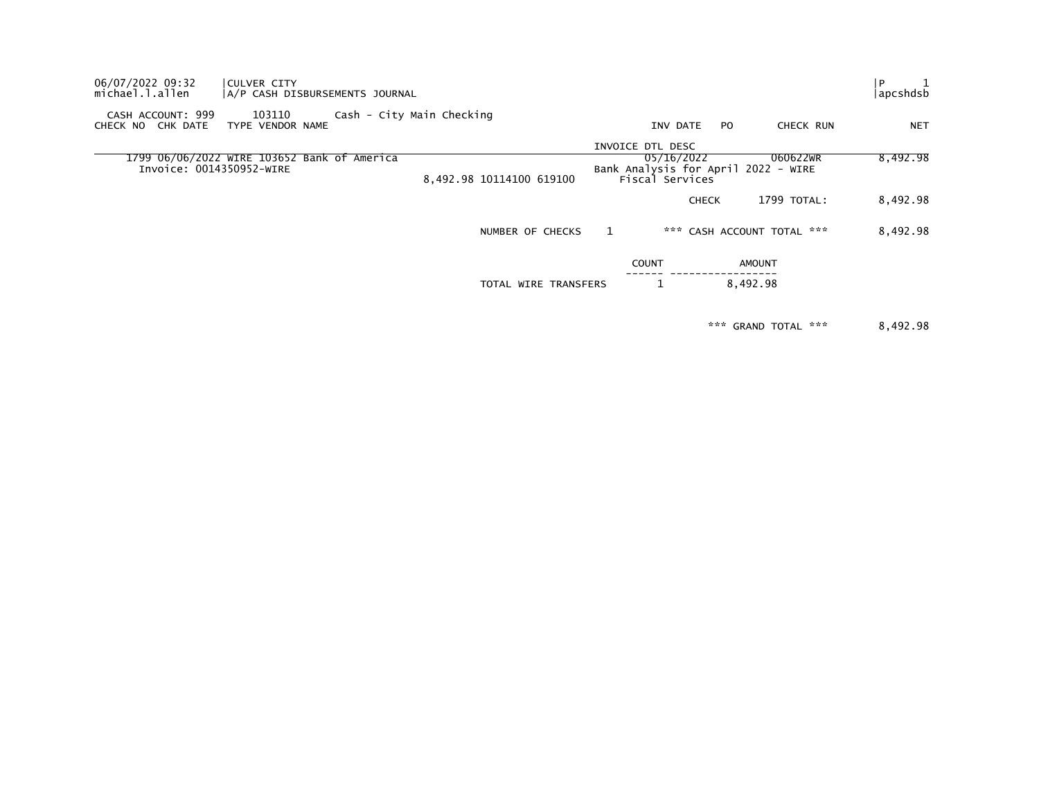| CULVER CITY |                                               |                                                                                                   |                                                       |                                          |                                  |                                               | apcshdsb                                                                                |
|-------------|-----------------------------------------------|---------------------------------------------------------------------------------------------------|-------------------------------------------------------|------------------------------------------|----------------------------------|-----------------------------------------------|-----------------------------------------------------------------------------------------|
| 103110      |                                               |                                                                                                   |                                                       | INV DATE                                 | PO.                              | CHECK RUN                                     | <b>NET</b>                                                                              |
|             |                                               |                                                                                                   |                                                       |                                          |                                  | 060622WR                                      | 8,492.98                                                                                |
|             |                                               |                                                                                                   |                                                       |                                          |                                  | 1799 TOTAL:                                   | 8,492.98                                                                                |
|             |                                               |                                                                                                   |                                                       |                                          |                                  |                                               | 8,492.98                                                                                |
|             |                                               |                                                                                                   |                                                       |                                          |                                  |                                               |                                                                                         |
|             |                                               |                                                                                                   |                                                       |                                          |                                  |                                               |                                                                                         |
|             | CASH ACCOUNT: 999<br>Invoice: 0014350952-WIRE | A/P CASH DISBURSEMENTS JOURNAL<br>TYPE VENDOR NAME<br>1799 06/06/2022 WIRE 103652 Bank of America | Cash - City Main Checking<br>8,492.98 10114100 619100 | NUMBER OF CHECKS<br>TOTAL WIRE TRANSFERS | INVOICE DTL DESC<br><b>COUNT</b> | 05/16/2022<br>Fiscal Services<br><b>CHECK</b> | Bank Analysis for April 2022 - WIRE<br>*** CASH ACCOUNT TOTAL ***<br>AMOUNT<br>8,492.98 |

\*\*\* GRAND TOTAL \*\*\* 8,492.98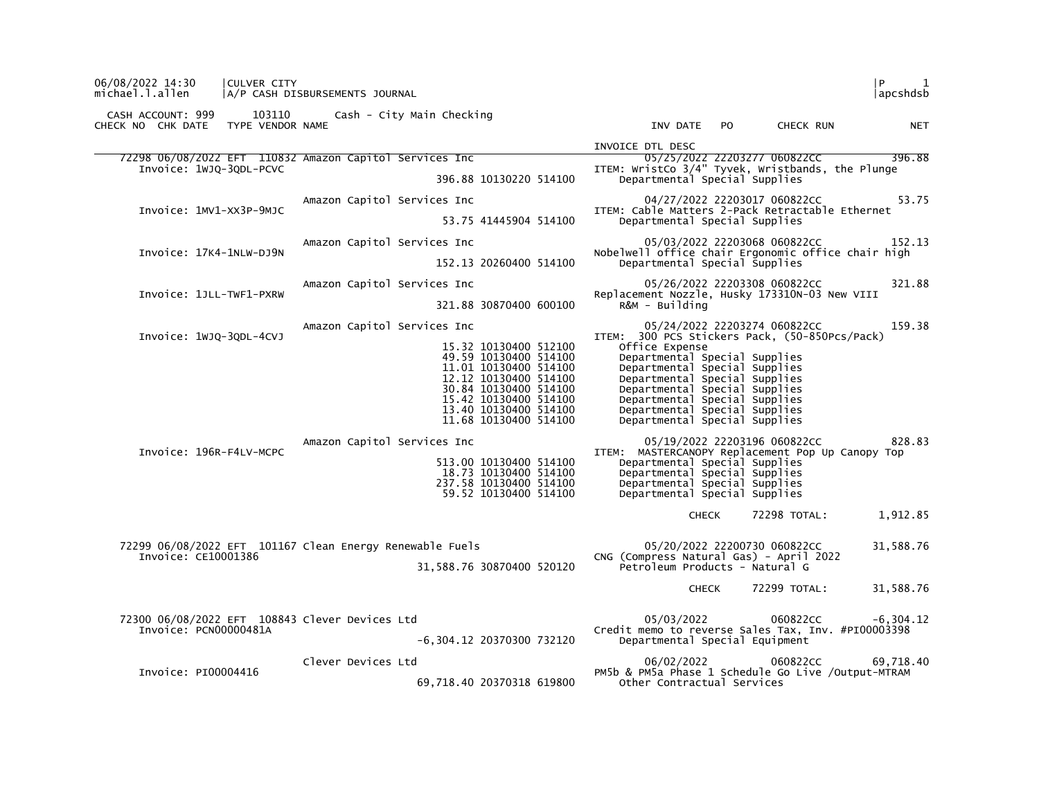| 06/08/2022 14:30<br>CULVER CITY<br>michael.l.allen                                 | A/P CASH DISBURSEMENTS JOURNAL   |                                                                                                                                                                                                      | l P.<br>1<br> apcshdsb                                                                                                                                                                                                                                                                                 |
|------------------------------------------------------------------------------------|----------------------------------|------------------------------------------------------------------------------------------------------------------------------------------------------------------------------------------------------|--------------------------------------------------------------------------------------------------------------------------------------------------------------------------------------------------------------------------------------------------------------------------------------------------------|
| CASH ACCOUNT: 999<br>CHECK NO CHK DATE TYPE VENDOR NAME                            | 103110 Cash - City Main Checking |                                                                                                                                                                                                      | INV DATE PO<br>CHECK RUN<br><b>NET</b>                                                                                                                                                                                                                                                                 |
|                                                                                    |                                  |                                                                                                                                                                                                      | INVOICE DTL DESC                                                                                                                                                                                                                                                                                       |
| 72298 06/08/2022 EFT 110832 Amazon Capitol Services Inc<br>Invoice: 1WJQ-3QDL-PCVC |                                  | 396.88 10130220 514100                                                                                                                                                                               | 05/25/2022 22203277 060822CC 396.88<br>ITEM: WristCo 3/4" Tyvek, Wristbands, the Plunge<br>Departmental Special Supplies                                                                                                                                                                               |
|                                                                                    |                                  |                                                                                                                                                                                                      |                                                                                                                                                                                                                                                                                                        |
| Invoice: 1MV1-XX3P-9MJC                                                            | Amazon Capitol Services Inc      | 53.75 41445904 514100                                                                                                                                                                                | 04/27/2022 22203017 060822CC<br>53.75<br>ITEM: Cable Matters 2-Pack Retractable Ethernet<br>Departmental Special Supplies                                                                                                                                                                              |
|                                                                                    | Amazon Capitol Services Inc      |                                                                                                                                                                                                      | 05/03/2022 22203068 060822CC<br>152.13                                                                                                                                                                                                                                                                 |
| Invoice: 17K4-1NLW-DJ9N                                                            |                                  | 152.13 20260400 514100                                                                                                                                                                               | Nobelwell office chair Ergonomic office chair high<br>Departmental Special Supplies                                                                                                                                                                                                                    |
|                                                                                    | Amazon Capitol Services Inc      |                                                                                                                                                                                                      | 05/26/2022 22203308 060822CC<br>321.88                                                                                                                                                                                                                                                                 |
| Invoice: 1JLL-TWF1-PXRW                                                            |                                  | 321.88 30870400 600100                                                                                                                                                                               | Replacement Nozzle, Husky 173310N-03 New VIII<br>R&M - Building                                                                                                                                                                                                                                        |
|                                                                                    | Amazon Capitol Services Inc      |                                                                                                                                                                                                      | 159.38<br>05/24/2022 22203274 060822CC                                                                                                                                                                                                                                                                 |
| Invoice: 1WJQ-3QDL-4CVJ                                                            |                                  | 15.32 10130400 512100<br>49.59 10130400 514100<br>11.01 10130400 514100<br>12.12 10130400 514100<br>30.84 10130400 514100<br>15.42 10130400 514100<br>13.40 10130400 514100<br>11.68 10130400 514100 | ITEM: 300 PCS Stickers Pack, (50-850Pcs/Pack)<br>Office Expense<br>Departmental Special Supplies<br>Departmental Special Supplies<br>Departmental Special Supplies<br>Departmental Special Supplies<br>Departmental Special Supplies<br>Departmental Special Supplies<br>Departmental Special Supplies |
|                                                                                    | Amazon Capitol Services Inc      |                                                                                                                                                                                                      | 05/19/2022 22203196 060822CC<br>828.83                                                                                                                                                                                                                                                                 |
| Invoice: 196R-F4LV-MCPC                                                            |                                  | 513.00 10130400 514100<br>18.73 10130400 514100<br>237.58 10130400 514100<br>59.52 10130400 514100                                                                                                   | ITEM: MASTERCANOPY Replacement Pop Up Canopy Top<br>Departmental Special Supplies<br>Departmental Special Supplies<br>Departmental Special Supplies<br>Departmental Special Supplies                                                                                                                   |
|                                                                                    |                                  |                                                                                                                                                                                                      | 72298 TOTAL:<br>1,912.85<br><b>CHECK</b>                                                                                                                                                                                                                                                               |
| 72299 06/08/2022 EFT 101167 Clean Energy Renewable Fuels<br>Invoice: CE10001386    |                                  | 31,588.76 30870400 520120                                                                                                                                                                            | 05/20/2022 22200730 060822CC<br>31,588.76<br>CNG (Compress Natural Gas) - April 2022<br>Petroleum Products - Natural G                                                                                                                                                                                 |
|                                                                                    |                                  |                                                                                                                                                                                                      | 31,588.76<br><b>CHECK</b><br>72299 TOTAL:                                                                                                                                                                                                                                                              |
| 72300 06/08/2022 EFT 108843 Clever Devices Ltd<br>Invoice: PCN00000481A            |                                  |                                                                                                                                                                                                      | 05/03/2022 060822CC<br>$-6, 304.12$<br>Credit memo to reverse Sales Tax, Inv. #PI00003398                                                                                                                                                                                                              |
|                                                                                    |                                  | -6,304.12 20370300 732120                                                                                                                                                                            | Departmental Special Equipment                                                                                                                                                                                                                                                                         |
| Invoice: PI00004416                                                                | Clever Devices Ltd               | 69,718.40 20370318 619800                                                                                                                                                                            | 06/02/2022 060822CC<br>69,718.40<br>PM5b & PM5a Phase 1 Schedule Go Live /Output-MTRAM<br>Other Contractual Services                                                                                                                                                                                   |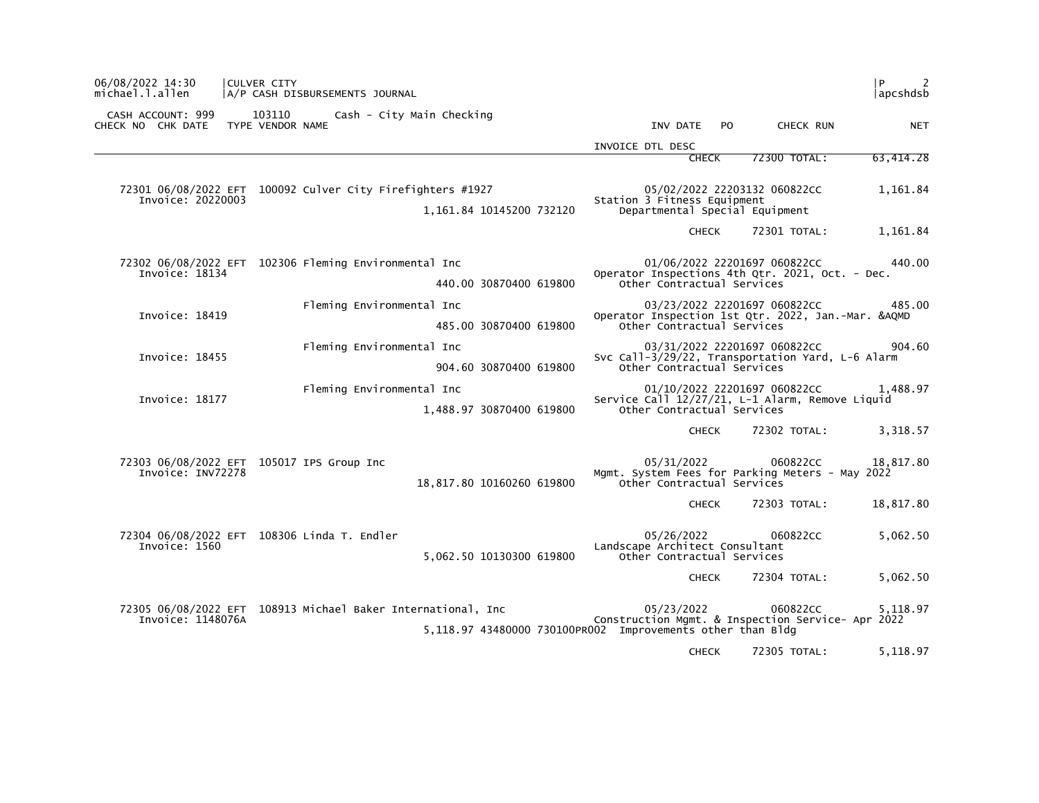| P<br>apcshdsb |                              |     |                                                                                                                               |                           | CULVER CITY<br>A/P CASH DISBURSEMENTS JOURNAL                | 06/08/2022 14:30<br>michael.l.allen                     |
|---------------|------------------------------|-----|-------------------------------------------------------------------------------------------------------------------------------|---------------------------|--------------------------------------------------------------|---------------------------------------------------------|
| <b>NET</b>    | CHECK RUN                    | PO. | INV DATE                                                                                                                      |                           | 103110 Cash - City Main Checking                             | CASH ACCOUNT: 999<br>CHECK NO CHK DATE TYPE VENDOR NAME |
|               |                              |     | INVOICE DTL DESC                                                                                                              |                           |                                                              |                                                         |
| 63,414.28     | 72300 TOTAL:                 |     | <b>CHECK</b>                                                                                                                  |                           |                                                              |                                                         |
| 1,161.84      | 05/02/2022 22203132 060822CC |     | Station 3 Fitness Equipment<br>Departmental Special Equipment                                                                 | 1,161.84 10145200 732120  | 72301 06/08/2022 EFT 100092 Culver City Firefighters #1927   | Invoice: 20220003                                       |
| 1,161.84      | 72301 TOTAL:                 |     | <b>CHECK</b>                                                                                                                  |                           |                                                              |                                                         |
|               |                              |     |                                                                                                                               |                           |                                                              |                                                         |
| 440.00        | 01/06/2022 22201697 060822CC |     | Operator Inspections 4th Qtr. 2021, Oct. - Dec.                                                                               |                           | 72302 06/08/2022 EFT 102306 Fleming Environmental Inc        | Invoice: 18134                                          |
|               |                              |     | Other Contractual Services                                                                                                    | 440.00 30870400 619800    |                                                              |                                                         |
| 485.00        | 03/23/2022 22201697 060822CC |     | Operator Inspection 1st Qtr. 2022, Jan.-Mar. &AQMD                                                                            |                           | Fleming Environmental Inc                                    | Invoice: 18419                                          |
|               |                              |     | Other Contractual Services                                                                                                    | 485.00 30870400 619800    |                                                              |                                                         |
| 904.60        | 03/31/2022 22201697 060822CC |     | Svc Call-3/29/22, Transportation Yard, L-6 Alarm                                                                              |                           | Fleming Environmental Inc                                    | Invoice: 18455                                          |
|               |                              |     | Other Contractual Services                                                                                                    | 904.60 30870400 619800    |                                                              |                                                         |
| 1.488.97      | 01/10/2022 22201697 060822CC |     | Service Call 12/27/21, L-1 Alarm, Remove Liquid<br>Other Contractual Services                                                 | 1,488.97 30870400 619800  | Fleming Environmental Inc                                    | Invoice: 18177                                          |
| 3,318.57      | 72302 TOTAL:                 |     | <b>CHECK</b>                                                                                                                  |                           |                                                              |                                                         |
| 18,817.80     | 060822CC                     |     | 05/31/2022<br>Mgmt. System Fees for Parking Meters - May 2022<br>Other Contractual Services                                   | 18,817.80 10160260 619800 | 72303 06/08/2022 EFT 105017 IPS Group Inc                    | Invoice: INV72278                                       |
| 18,817.80     | 72303 TOTAL:                 |     | <b>CHECK</b>                                                                                                                  |                           |                                                              |                                                         |
| 5,062.50      | 060822CC                     |     | 05/26/2022<br>Landscape Architect Consultant<br>Other Contractual Services                                                    | 5,062.50 10130300 619800  | 72304 06/08/2022 EFT 108306 Linda T. Endler                  | Invoice: 1560                                           |
| 5,062.50      | 72304 TOTAL:                 |     | CHECK                                                                                                                         |                           |                                                              |                                                         |
| 5.118.97      | 060822CC                     |     | 05/23/2022<br>Construction Mgmt. & Inspection Service- Apr 2022<br>5,118.97 43480000 730100PR002 Improvements other than Bldg |                           | 72305 06/08/2022 EFT 108913 Michael Baker International, Inc | Invoice: 1148076A                                       |
| 5,118.97      | 72305 TOTAL:                 |     | <b>CHECK</b>                                                                                                                  |                           |                                                              |                                                         |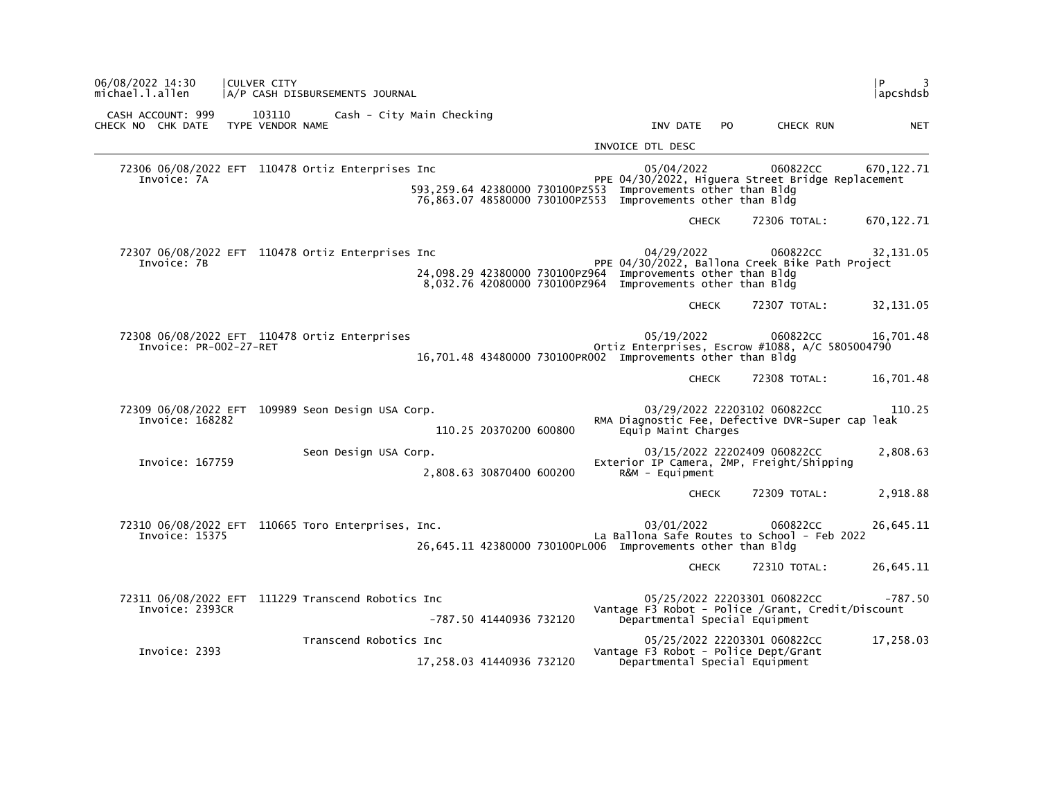| l P<br>3<br>  apcshdsb |                                                                                   |                                                                                                                                           |                          |                           | A/P CASH DISBURSEMENTS JOURNAL                     | <b>CULVER CITY</b>         |                                        | 06/08/2022 14:30<br>michael.l.allen |
|------------------------|-----------------------------------------------------------------------------------|-------------------------------------------------------------------------------------------------------------------------------------------|--------------------------|---------------------------|----------------------------------------------------|----------------------------|----------------------------------------|-------------------------------------|
| <b>NET</b>             | CHECK RUN                                                                         | INV DATE PO                                                                                                                               |                          | Cash - City Main Checking |                                                    | 103110<br>TYPE VENDOR NAME | CASH ACCOUNT: 999<br>CHECK NO CHK DATE |                                     |
|                        |                                                                                   | INVOICE DTL DESC                                                                                                                          |                          |                           |                                                    |                            |                                        |                                     |
| 670,122.71             | 060822CC<br>PPE 04/30/2022, Higuera Street Bridge Replacement                     | 05/04/2022<br>593,259.64 42380000 730100PZ553 Improvements other than Bldg<br>76,863.07 48580000 730100PZ553 Improvements other than Bldg |                          |                           | 72306 06/08/2022 EFT 110478 Ortiz Enterprises Inc  |                            | Invoice: 7A                            |                                     |
| 670, 122.71            | 72306 TOTAL:                                                                      | <b>CHECK</b>                                                                                                                              |                          |                           |                                                    |                            |                                        |                                     |
| 32, 131.05             | 060822CC<br>PPE 04/30/2022, Ballona Creek Bike Path Project                       | 04/29/2022<br>24,098.29 42380000 730100PZ964 Improvements other than Bldg<br>8,032.76 42080000 730100PZ964 Improvements other than Bldg   |                          |                           | 72307 06/08/2022 EFT 110478 Ortiz Enterprises Inc  |                            | Invoice: 7B                            |                                     |
| 32,131.05              | 72307 TOTAL:                                                                      | <b>CHECK</b>                                                                                                                              |                          |                           |                                                    |                            |                                        |                                     |
| 16,701.48              | 060822CC<br>Ortiz Enterprises, Escrow #1088, A/C 5805004790                       | 05/19/2022<br>16,701.48 43480000 730100PR002 Improvements other than Bldg                                                                 |                          |                           | 72308 06/08/2022 EFT 110478 Ortiz Enterprises      |                            | Invoice: PR-002-27-RET                 |                                     |
| 16,701.48              | 72308 TOTAL:                                                                      | <b>CHECK</b>                                                                                                                              |                          |                           |                                                    |                            |                                        |                                     |
| 110.25                 | 03/29/2022 22203102 060822CC<br>RMA Diagnostic Fee, Defective DVR-Super cap leak  | Equip Maint Charges                                                                                                                       | 110.25 20370200 600800   |                           | 72309 06/08/2022 EFT 109989 Seon Design USA Corp.  |                            | Invoice: 168282                        |                                     |
| 2,808.63               | 03/15/2022 22202409 060822CC<br>Exterior IP Camera, 2MP, Freight/Shipping         | R&M - Equipment                                                                                                                           | 2,808.63 30870400 600200 |                           | Seon Design USA Corp.                              |                            | Invoice: 167759                        |                                     |
| 2,918.88               | 72309 TOTAL:                                                                      | <b>CHECK</b>                                                                                                                              |                          |                           |                                                    |                            |                                        |                                     |
| 26,645.11              | 060822CC<br>La Ballona Safe Routes to School - Feb 2022                           | 03/01/2022<br>26,645.11 42380000 730100PL006 Improvements other than Bldg                                                                 |                          |                           | 72310 06/08/2022 EFT 110665 Toro Enterprises, Inc. |                            | Invoice: 15375                         |                                     |
| 26,645.11              | 72310 TOTAL:                                                                      | <b>CHECK</b>                                                                                                                              |                          |                           |                                                    |                            |                                        |                                     |
| $-787.50$              | 05/25/2022 22203301 060822CC<br>Vantage F3 Robot - Police /Grant, Credit/Discount | Departmental Special Equipment                                                                                                            | -787.50 41440936 732120  |                           | 72311 06/08/2022 EFT 111229 Transcend Robotics Inc |                            | Invoice: 2393CR                        |                                     |
| 17,258.03              | 05/25/2022 22203301 060822CC                                                      | Vantage F3 Robot - Police Dept/Grant<br>Departmental Special Equipment                                                                    |                          | 17,258.03 41440936 732120 | Transcend Robotics Inc                             |                            | Invoice: 2393                          |                                     |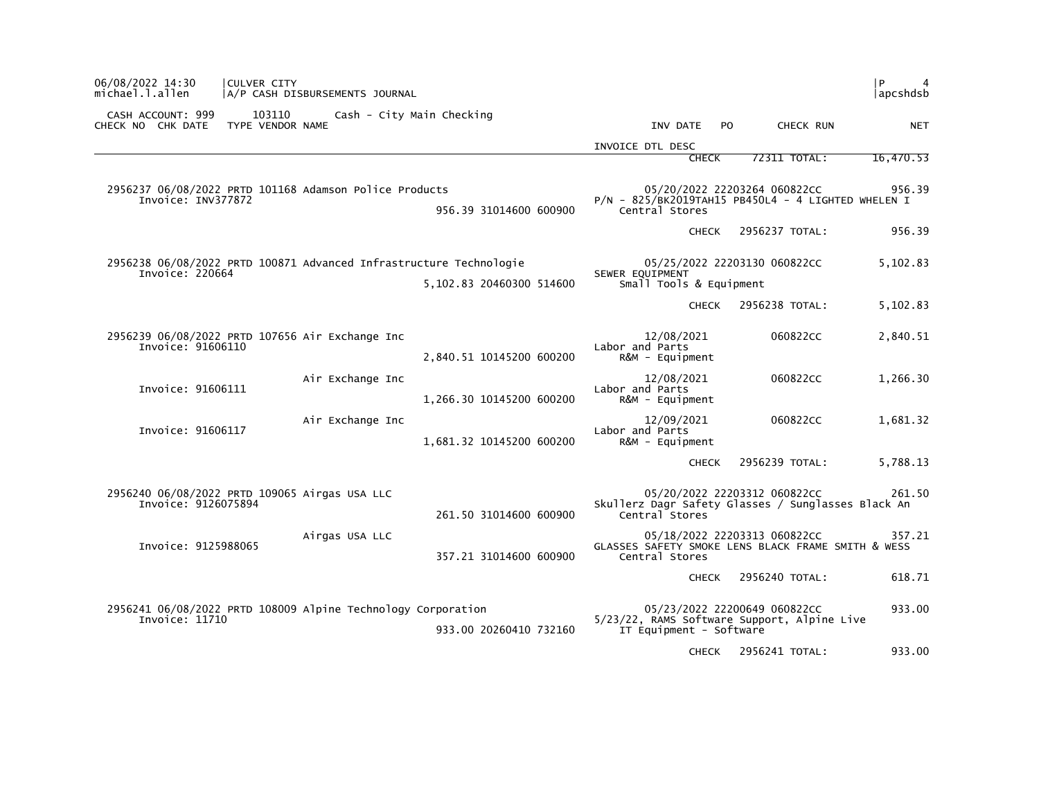| 06/08/2022 14:30<br>michael.l.allen                                            | CULVER CITY                | A/P CASH DISBURSEMENTS JOURNAL |                                                                    |                                                                        |     |                              | P<br>4<br> apcshdsb |
|--------------------------------------------------------------------------------|----------------------------|--------------------------------|--------------------------------------------------------------------|------------------------------------------------------------------------|-----|------------------------------|---------------------|
| CASH ACCOUNT: 999<br>CHECK NO CHK DATE                                         | 103110<br>TYPE VENDOR NAME |                                | Cash - City Main Checking                                          | INV DATE                                                               | PO. | CHECK RUN                    | <b>NET</b>          |
|                                                                                |                            |                                |                                                                    | INVOICE DTL DESC                                                       |     |                              |                     |
|                                                                                |                            |                                |                                                                    | <b>CHECK</b>                                                           |     | 72311 TOTAL:                 | 16,470.53           |
| 2956237 06/08/2022 PRTD 101168 Adamson Police Products<br>Invoice: INV377872   |                            |                                | 956.39 31014600 600900                                             | $P/N - 825/BK2019TAH15 PB450L4 - 4 LIGHTED WHEREN I$<br>Central Stores |     | 05/20/2022 22203264 060822CC | 956.39              |
|                                                                                |                            |                                |                                                                    | <b>CHECK</b>                                                           |     | 2956237 TOTAL:               | 956.39              |
| Invoice: 220664                                                                |                            |                                | 2956238 06/08/2022 PRTD 100871 Advanced Infrastructure Technologie | SEWER EQUIPMENT                                                        |     | 05/25/2022 22203130 060822CC | 5,102.83            |
|                                                                                |                            |                                | 5,102.83 20460300 514600                                           | Small Tools & Equipment                                                |     |                              |                     |
|                                                                                |                            |                                |                                                                    | <b>CHECK</b>                                                           |     | 2956238 TOTAL:               | 5,102.83            |
| 2956239 06/08/2022 PRTD 107656 Air Exchange Inc<br>Invoice: 91606110           |                            |                                | 2,840.51 10145200 600200                                           | 12/08/2021<br>Labor and Parts<br>$R&M - \text{Equi}$ pment             |     | 060822CC                     | 2,840.51            |
| Invoice: 91606111                                                              |                            | Air Exchange Inc               | 1,266.30 10145200 600200                                           | 12/08/2021<br>Labor and Parts<br>R&M - Equipment                       |     | 060822CC                     | 1,266.30            |
| Invoice: 91606117                                                              |                            | Air Exchange Inc               | 1,681.32 10145200 600200                                           | 12/09/2021<br>Labor and Parts<br>$R\&M - \text{Equi}$                  |     | 060822CC                     | 1,681.32            |
|                                                                                |                            |                                |                                                                    | <b>CHECK</b>                                                           |     | 2956239 TOTAL:               | 5,788.13            |
| 2956240 06/08/2022 PRTD 109065 Airgas USA LLC<br>Invoice: 9126075894           |                            |                                | 261.50 31014600 600900                                             | Skullerz Dagr Safety Glasses / Sunglasses Black An<br>Central Stores   |     | 05/20/2022 22203312 060822CC | 261.50              |
| Invoice: 9125988065                                                            |                            | Airgas USA LLC                 | 357.21 31014600 600900                                             | GLASSES SAFETY SMOKE LENS BLACK FRAME SMITH & WESS<br>Central Stores   |     | 05/18/2022 22203313 060822CC | 357.21              |
|                                                                                |                            |                                |                                                                    | <b>CHECK</b>                                                           |     | 2956240 TOTAL:               | 618.71              |
| 2956241 06/08/2022 PRTD 108009 Alpine Technology Corporation<br>Invoice: 11710 |                            |                                | 933.00 20260410 732160                                             | 5/23/22, RAMS Software Support, Alpine Live<br>IT Equipment - Software |     | 05/23/2022 22200649 060822CC | 933.00              |
|                                                                                |                            |                                |                                                                    | <b>CHECK</b>                                                           |     | 2956241 TOTAL:               | 933.00              |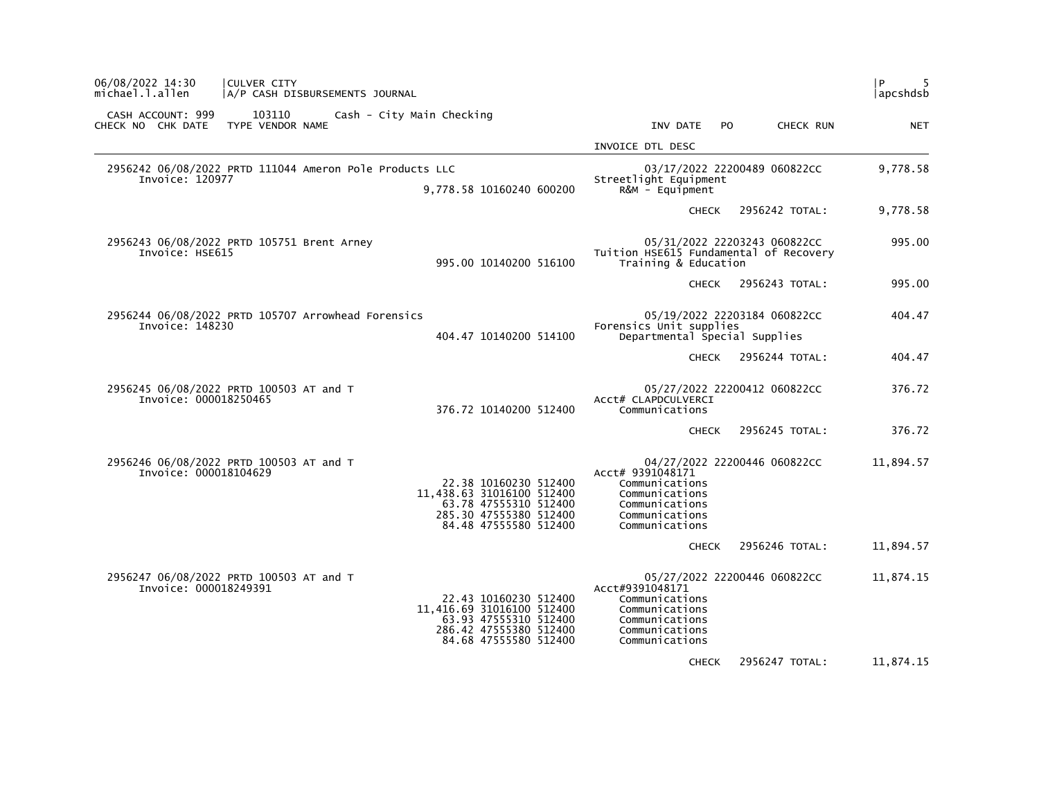| 06/08/2022 14:30<br><b>CULVER CITY</b><br>michael.l.allen<br>A/P CASH DISBURSEMENTS JOURNAL |                                                                                                                                |                                                                                                            |                              | l P<br> apcshdsb |
|---------------------------------------------------------------------------------------------|--------------------------------------------------------------------------------------------------------------------------------|------------------------------------------------------------------------------------------------------------|------------------------------|------------------|
| CASH ACCOUNT: 999<br>103110<br>CHECK NO CHK DATE TYPE VENDOR NAME                           | Cash - City Main Checking                                                                                                      | INV DATE<br>PO.                                                                                            | CHECK RUN                    | <b>NET</b>       |
|                                                                                             |                                                                                                                                | INVOICE DTL DESC                                                                                           |                              |                  |
| 2956242 06/08/2022 PRTD 111044 Ameron Pole Products LLC<br>Invoice: 120977                  | 9.778.58 10160240 600200                                                                                                       | Streetlight Equipment<br>$R&M - \text{Equi}$                                                               | 03/17/2022 22200489 060822CC | 9,778.58         |
|                                                                                             |                                                                                                                                | <b>CHECK</b>                                                                                               | 2956242 TOTAL:               | 9,778.58         |
| 2956243 06/08/2022 PRTD 105751 Brent Arney<br>Invoice: HSE615                               | 995.00 10140200 516100                                                                                                         | Tuition HSE615 Fundamental of Recovery<br>Training & Education                                             | 05/31/2022 22203243 060822CC | 995.00           |
|                                                                                             |                                                                                                                                | <b>CHECK</b>                                                                                               | 2956243 TOTAL:               | 995.00           |
| 2956244 06/08/2022 PRTD 105707 Arrowhead Forensics<br>Invoice: 148230                       | 404.47 10140200 514100                                                                                                         | Forensics Unit supplies<br>Departmental Special Supplies                                                   | 05/19/2022 22203184 060822CC | 404.47           |
|                                                                                             |                                                                                                                                | <b>CHECK</b>                                                                                               | 2956244 TOTAL:               | 404.47           |
| 2956245 06/08/2022 PRTD 100503 AT and T<br>Invoice: 000018250465                            | 376.72 10140200 512400                                                                                                         | ACCt# CLAPDCULVERCI<br>Communications                                                                      | 05/27/2022 22200412 060822CC | 376.72           |
|                                                                                             |                                                                                                                                | <b>CHECK</b>                                                                                               | 2956245 TOTAL:               | 376.72           |
| 2956246 06/08/2022 PRTD 100503 AT and T<br>Invoice: 000018104629                            | 22.38 10160230 512400<br>11,438.63 31016100 512400<br>63.78 47555310 512400<br>285.30 47555380 512400<br>84.48 47555580 512400 | Acct# 9391048171<br>Communications<br>Communications<br>Communications<br>Communications<br>Communications | 04/27/2022 22200446 060822CC | 11,894.57        |
|                                                                                             |                                                                                                                                | <b>CHECK</b>                                                                                               | 2956246 TOTAL:               | 11,894.57        |
| 2956247 06/08/2022 PRTD 100503 AT and T<br>Invoice: 000018249391                            | 22.43 10160230 512400<br>11,416.69 31016100 512400<br>63.93 47555310 512400<br>286.42 47555380 512400<br>84.68 47555580 512400 | ACCt#9391048171<br>Communications<br>Communications<br>Communications<br>Communications<br>Communications  | 05/27/2022 22200446 060822CC | 11,874.15        |
|                                                                                             |                                                                                                                                | <b>CHECK</b>                                                                                               | 2956247 TOTAL:               | 11,874.15        |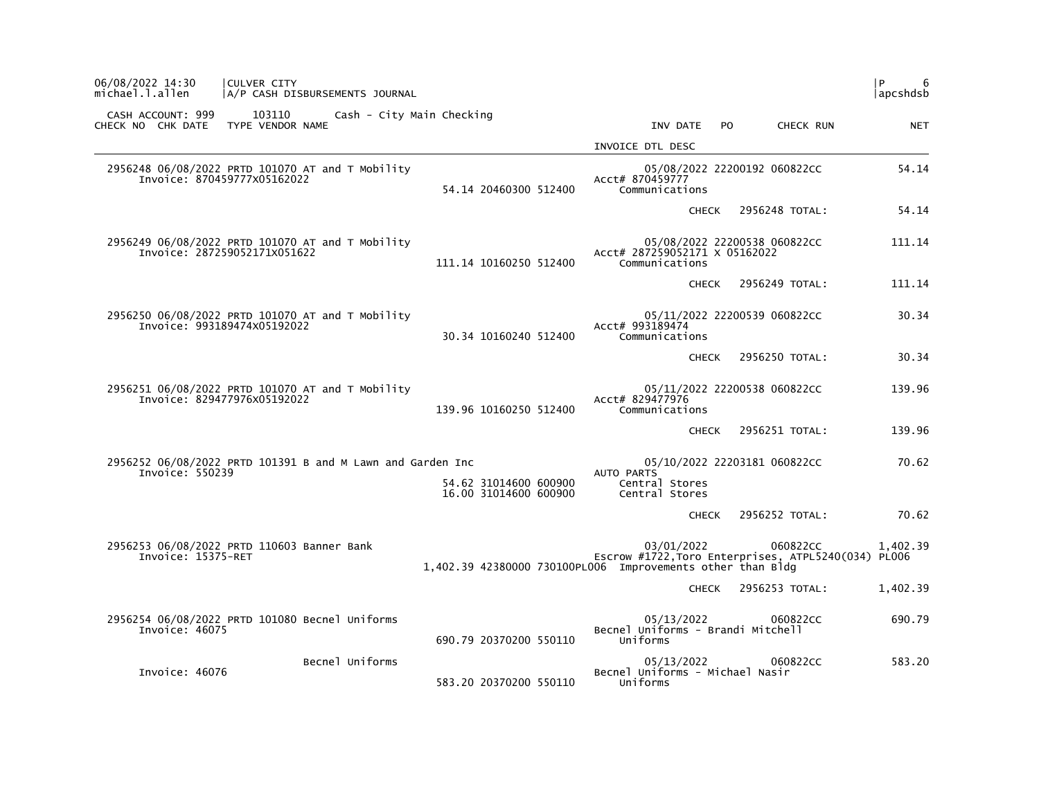| 06/08/2022 14:30<br>michael.l.allen    | CULVER CITY<br> A/P CASH DISBURSEMENTS JOURNAL                                   |                 |                           |                                                |                                                                                                                                 |              |     |                              | l P.<br>6<br> apcshdsb |
|----------------------------------------|----------------------------------------------------------------------------------|-----------------|---------------------------|------------------------------------------------|---------------------------------------------------------------------------------------------------------------------------------|--------------|-----|------------------------------|------------------------|
| CASH ACCOUNT: 999<br>CHECK NO CHK DATE | 103110<br>TYPE VENDOR NAME                                                       |                 | Cash - City Main Checking |                                                | INV DATE                                                                                                                        |              | PO. | CHECK RUN                    | <b>NET</b>             |
|                                        |                                                                                  |                 |                           |                                                | INVOICE DTL DESC                                                                                                                |              |     |                              |                        |
|                                        | 2956248 06/08/2022 PRTD 101070 AT and T Mobility<br>Invoice: 870459777x05162022  |                 |                           | 54.14 20460300 512400                          | Acct# 870459777<br>Communications                                                                                               |              |     | 05/08/2022 22200192 060822CC | 54.14                  |
|                                        |                                                                                  |                 |                           |                                                |                                                                                                                                 |              |     | CHECK 2956248 TOTAL:         | 54.14                  |
|                                        | 2956249 06/08/2022 PRTD 101070 AT and T Mobility<br>Invoice: 287259052171x051622 |                 |                           | 111.14 10160250 512400                         | Acct# 287259052171 X 05162022<br>Communications                                                                                 |              |     | 05/08/2022 22200538 060822CC | 111.14                 |
|                                        |                                                                                  |                 |                           |                                                |                                                                                                                                 | CHECK        |     | 2956249 TOTAL:               | 111.14                 |
|                                        | 2956250 06/08/2022 PRTD 101070 AT and T Mobility<br>Invoice: 993189474X05192022  |                 |                           | 30.34 10160240 512400                          | Acct# 993189474<br>Communications                                                                                               |              |     | 05/11/2022 22200539 060822CC | 30.34                  |
|                                        |                                                                                  |                 |                           |                                                |                                                                                                                                 | CHECK        |     | 2956250 TOTAL:               | 30.34                  |
|                                        | 2956251 06/08/2022 PRTD 101070 AT and T Mobility<br>Invoice: 829477976x05192022  |                 |                           | 139.96 10160250 512400                         | Acct# 829477976<br>Communications                                                                                               |              |     | 05/11/2022 22200538 060822CC | 139.96                 |
|                                        |                                                                                  |                 |                           |                                                |                                                                                                                                 | CHECK        |     | 2956251 TOTAL:               | 139.96                 |
| Invoice: 550239                        | 2956252 06/08/2022 PRTD 101391 B and M Lawn and Garden Inc                       |                 |                           |                                                | AUTO PARTS                                                                                                                      |              |     | 05/10/2022 22203181 060822CC | 70.62                  |
|                                        |                                                                                  |                 |                           | 54.62 31014600 600900<br>16.00 31014600 600900 | Central Stores<br>Central Stores                                                                                                |              |     |                              |                        |
|                                        |                                                                                  |                 |                           |                                                |                                                                                                                                 | <b>CHECK</b> |     | 2956252 TOTAL:               | 70.62                  |
| Invoice: 15375-RET                     | 2956253 06/08/2022 PRTD 110603 Banner Bank                                       |                 |                           |                                                | 03/01/2022<br>Escrow #1722, Toro Enterprises, ATPL5240(034) PL006<br>1,402.39 42380000 730100PL006 Improvements other than Bldg |              |     | 060822CC                     | 1,402.39               |
|                                        |                                                                                  |                 |                           |                                                |                                                                                                                                 | CHECK        |     | 2956253 TOTAL:               | 1,402.39               |
| Invoice: 46075                         | 2956254 06/08/2022 PRTD 101080 Becnel Uniforms                                   |                 |                           | 690.79 20370200 550110                         | 05/13/2022<br>Becnel Uniforms - Brandi Mitchell<br>Uniforms                                                                     |              |     | 060822CC                     | 690.79                 |
| Invoice: 46076                         |                                                                                  | Becnel Uniforms |                           |                                                | 05/13/2022<br>Becnel Uniforms - Michael Nasir                                                                                   |              |     | 060822CC                     | 583.20                 |
|                                        |                                                                                  |                 |                           | 583.20 20370200 550110                         | Uniforms                                                                                                                        |              |     |                              |                        |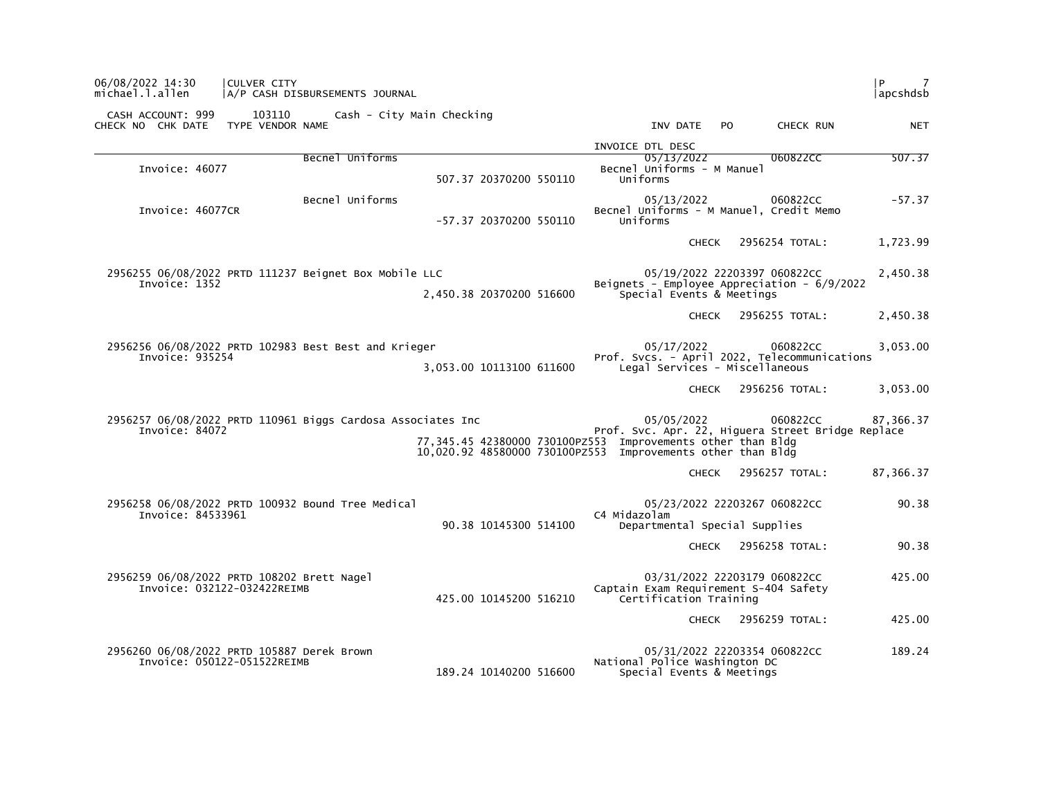| 06/08/2022 14:30<br>michael.l.allen                                           | <b>CULVER CITY</b>         | A/P CASH DISBURSEMENTS JOURNAL |                                                                                                                            |                                                                                |              |     |                              |                      | apcshdsb   |
|-------------------------------------------------------------------------------|----------------------------|--------------------------------|----------------------------------------------------------------------------------------------------------------------------|--------------------------------------------------------------------------------|--------------|-----|------------------------------|----------------------|------------|
| CASH ACCOUNT: 999<br>CHECK NO CHK DATE                                        | 103110<br>TYPE VENDOR NAME | Cash - City Main Checking      |                                                                                                                            |                                                                                | INV DATE     | PO. |                              | CHECK RUN            | <b>NET</b> |
|                                                                               |                            |                                |                                                                                                                            | INVOICE DTL DESC                                                               |              |     |                              |                      |            |
| Invoice: 46077                                                                |                            | Becnel Uniforms                | 507.37 20370200 550110                                                                                                     | Becnel Uniforms - M Manuel<br>Uniforms                                         | 05/13/2022   |     |                              | 060822CC             | 507.37     |
| Invoice: 46077CR                                                              |                            | Becnel Uniforms                | -57.37 20370200 550110                                                                                                     | Becnel Uniforms - M Manuel, Credit Memo<br>Uniforms                            | 05/13/2022   |     |                              | 060822CC             | $-57.37$   |
|                                                                               |                            |                                |                                                                                                                            |                                                                                | <b>CHECK</b> |     |                              | 2956254 TOTAL:       | 1,723.99   |
| 2956255 06/08/2022 PRTD 111237 Beignet Box Mobile LLC<br>Invoice: 1352        |                            |                                | 2,450.38 20370200 516600                                                                                                   | Beignets - Employee Appreciation - $6/9/2022$<br>Special Events & Meetings     |              |     | 05/19/2022 22203397 060822CC |                      | 2,450.38   |
|                                                                               |                            |                                |                                                                                                                            |                                                                                |              |     | CHECK 2956255 TOTAL:         |                      | 2,450.38   |
| 2956256 06/08/2022 PRTD 102983 Best Best and Krieger<br>Invoice: 935254       |                            |                                | 3,053.00 10113100 611600                                                                                                   | Prof. Svcs. - April 2022, Telecommunications<br>Legal Services - Miscellaneous | 05/17/2022   |     |                              | 060822CC             | 3.053.00   |
|                                                                               |                            |                                |                                                                                                                            |                                                                                |              |     |                              | CHECK 2956256 TOTAL: | 3,053.00   |
| 2956257 06/08/2022 PRTD 110961 Biggs Cardosa Associates Inc<br>Invoice: 84072 |                            |                                | 77,345.45 42380000 730100PZ553 Improvements other than Bldg<br>10,020.92 48580000 730100PZ553 Improvements other than Bldg | Prof. Svc. Apr. 22, Higuera Street Bridge Replace                              | 05/05/2022   |     |                              | 060822CC             | 87,366.37  |
|                                                                               |                            |                                |                                                                                                                            |                                                                                | <b>CHECK</b> |     |                              | 2956257 TOTAL:       | 87,366.37  |
| 2956258 06/08/2022 PRTD 100932 Bound Tree Medical<br>Invoice: 84533961        |                            |                                | 90.38 10145300 514100                                                                                                      | C4 Midazolam<br>Departmental Special Supplies                                  |              |     | 05/23/2022 22203267 060822CC |                      | 90.38      |
|                                                                               |                            |                                |                                                                                                                            |                                                                                |              |     | CHECK 2956258 TOTAL:         |                      | 90.38      |
| 2956259 06/08/2022 PRTD 108202 Brett Nagel<br>Invoice: 032122-032422REIMB     |                            |                                | 425.00 10145200 516210                                                                                                     | Captain Exam Requirement S-404 Safety<br>Certification Training                |              |     | 03/31/2022 22203179 060822CC |                      | 425.00     |
|                                                                               |                            |                                |                                                                                                                            |                                                                                |              |     | CHECK 2956259 TOTAL:         |                      | 425.00     |
| 2956260 06/08/2022 PRTD 105887 Derek Brown<br>Invoice: 050122-051522REIMB     |                            |                                | 189.24 10140200 516600                                                                                                     | National Police Washington DC<br>Special Events & Meetings                     |              |     | 05/31/2022 22203354 060822CC |                      | 189.24     |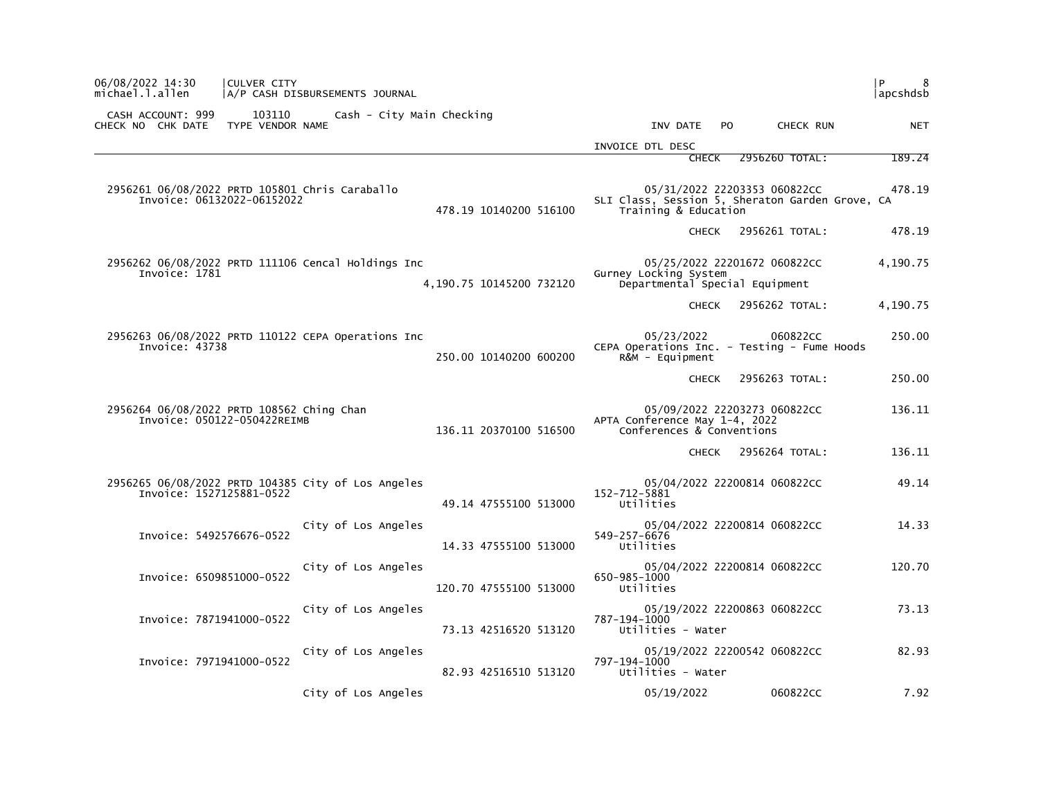| 06/08/2022 14:30<br>michael.l.allen                                          | CULVER CITY                | A/P CASH DISBURSEMENTS JOURNAL                     |                          |                                                            |                                                                                 | l P<br>8<br> apcshdsb |
|------------------------------------------------------------------------------|----------------------------|----------------------------------------------------|--------------------------|------------------------------------------------------------|---------------------------------------------------------------------------------|-----------------------|
| CASH ACCOUNT: 999<br>CHECK NO CHK DATE                                       | 103110<br>TYPE VENDOR NAME | Cash - City Main Checking                          |                          | INV DATE                                                   | CHECK RUN<br>PO.                                                                | NET                   |
|                                                                              |                            |                                                    |                          | INVOICE DTL DESC                                           |                                                                                 |                       |
|                                                                              |                            |                                                    |                          | <b>CHECK</b>                                               | 2956260 TOTAL:                                                                  | 189.24                |
| 2956261 06/08/2022 PRTD 105801 Chris Caraballo<br>Invoice: 06132022-06152022 |                            |                                                    | 478.19 10140200 516100   | Training & Education                                       | 05/31/2022 22203353 060822CC<br>SLI Class, Session 5, Sheraton Garden Grove, CA | 478.19                |
|                                                                              |                            |                                                    |                          | <b>CHECK</b>                                               | 2956261 TOTAL:                                                                  | 478.19                |
| Invoice: 1781                                                                |                            | 2956262 06/08/2022 PRTD 111106 Cencal Holdings Inc | 4,190.75 10145200 732120 | Gurney Locking System                                      | 05/25/2022 22201672 060822CC<br>Departmental Special Equipment                  | 4,190.75              |
|                                                                              |                            |                                                    |                          | <b>CHECK</b>                                               | 2956262 TOTAL:                                                                  | 4,190.75              |
| Invoice: 43738                                                               |                            | 2956263 06/08/2022 PRTD 110122 CEPA Operations Inc | 250.00 10140200 600200   | 05/23/2022<br>$R&M - \text{Equi}$ pment                    | 060822CC<br>CEPA Operations Inc. - Testing - Fume Hoods                         | 250.00                |
|                                                                              |                            |                                                    |                          | <b>CHECK</b>                                               | 2956263 TOTAL:                                                                  | 250.00                |
| 2956264 06/08/2022 PRTD 108562 Ching Chan<br>Invoice: 050122-050422REIMB     |                            |                                                    | 136.11 20370100 516500   | APTA Conference May 1-4, 2022<br>Conferences & Conventions | 05/09/2022 22203273 060822CC                                                    | 136.11                |
|                                                                              |                            |                                                    |                          | CHECK                                                      | 2956264 TOTAL:                                                                  | 136.11                |
| Invoice: 1527125881-0522                                                     |                            | 2956265 06/08/2022 PRTD 104385 City of Los Angeles | 49.14 47555100 513000    | 152-712-5881<br>Utilities                                  | 05/04/2022 22200814 060822CC                                                    | 49.14                 |
| Invoice: 5492576676-0522                                                     |                            | City of Los Angeles                                | 14.33 47555100 513000    | 549-257-6676<br>Utilities                                  | 05/04/2022 22200814 060822CC                                                    | 14.33                 |
| Invoice: 6509851000-0522                                                     |                            | City of Los Angeles                                | 120.70 47555100 513000   | 650-985-1000<br>Utilities                                  | 05/04/2022 22200814 060822CC                                                    | 120.70                |
| Invoice: 7871941000-0522                                                     |                            | City of Los Angeles                                | 73.13 42516520 513120    | 787-194-1000<br>Utilities - Water                          | 05/19/2022 22200863 060822CC                                                    | 73.13                 |
| Invoice: 7971941000-0522                                                     |                            | City of Los Angeles                                | 82.93 42516510 513120    | 797-194-1000<br>Utilities - Water                          | 05/19/2022 22200542 060822CC                                                    | 82.93                 |
|                                                                              |                            | City of Los Angeles                                |                          | 05/19/2022                                                 | 060822CC                                                                        | 7.92                  |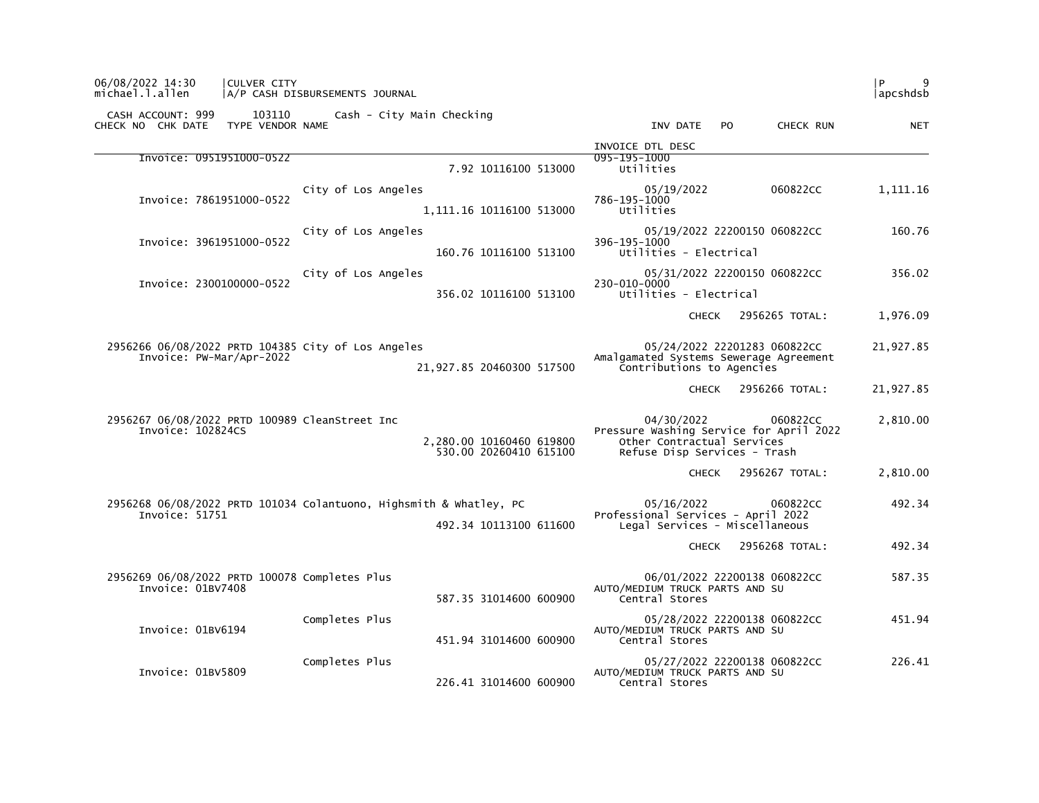| 06/08/2022 14:30<br>michael.l.allen                                 | CULVER CITY | A/P CASH DISBURSEMENTS JOURNAL                                     |                                                    |                                                                                                                                 | 9<br>l P<br> apcshdsb |
|---------------------------------------------------------------------|-------------|--------------------------------------------------------------------|----------------------------------------------------|---------------------------------------------------------------------------------------------------------------------------------|-----------------------|
| CASH ACCOUNT: 999<br>CHECK NO CHK DATE TYPE VENDOR NAME             | 103110      | Cash - City Main Checking                                          |                                                    | INV DATE<br>CHECK RUN<br>PO.                                                                                                    | <b>NET</b>            |
|                                                                     |             |                                                                    |                                                    | INVOICE DTL DESC                                                                                                                |                       |
| Invoice: 0951951000-0522                                            |             |                                                                    | 7.92 10116100 513000                               | 095-195-1000<br>Utilities                                                                                                       |                       |
| Invoice: 7861951000-0522                                            |             | City of Los Angeles                                                | 1,111.16 10116100 513000                           | 05/19/2022<br>060822CC<br>786-195-1000<br>Utilities                                                                             | 1,111.16              |
| Invoice: 3961951000-0522                                            |             | City of Los Angeles                                                | 160.76 10116100 513100                             | 05/19/2022 22200150 060822CC<br>396-195-1000<br>Utilities - Electrical                                                          | 160.76                |
| Invoice: 2300100000-0522                                            |             | City of Los Angeles                                                | 356.02 10116100 513100                             | 05/31/2022 22200150 060822CC<br>230-010-0000<br>Utilities - Electrical                                                          | 356.02                |
|                                                                     |             |                                                                    |                                                    | CHECK 2956265 TOTAL:                                                                                                            | 1,976.09              |
| Invoice: PW-Mar/Apr-2022                                            |             | 2956266 06/08/2022 PRTD 104385 City of Los Angeles                 | 21,927.85 20460300 517500                          | 05/24/2022 22201283 060822CC<br>Amalgamated Systems Sewerage Agreement<br>Contributions to Agencies                             | 21,927.85             |
|                                                                     |             |                                                                    |                                                    | CHECK 2956266 TOTAL:                                                                                                            | 21,927.85             |
| 2956267 06/08/2022 PRTD 100989 CleanStreet Inc<br>Invoice: 102824CS |             |                                                                    | 2,280.00 10160460 619800<br>530.00 20260410 615100 | 04/30/2022<br>060822CC<br>Pressure Washing Service for April 2022<br>Other Contractual Services<br>Refuse Disp Services - Trash | 2,810.00              |
|                                                                     |             |                                                                    |                                                    | CHECK 2956267 TOTAL:                                                                                                            | 2,810.00              |
| Invoice: 51751                                                      |             | 2956268 06/08/2022 PRTD 101034 Colantuono, Highsmith & Whatley, PC | 492.34 10113100 611600                             | 05/16/2022<br>060822CC<br>Professional Services - April 2022<br>Legal Services - Miscellaneous                                  | 492.34                |
|                                                                     |             |                                                                    |                                                    | 2956268 TOTAL:<br><b>CHECK</b>                                                                                                  | 492.34                |
| 2956269 06/08/2022 PRTD 100078 Completes Plus<br>Invoice: 01BV7408  |             |                                                                    | 587.35 31014600 600900                             | 06/01/2022 22200138 060822CC<br>AUTO/MEDIUM TRUCK PARTS AND SU<br>Central Stores                                                | 587.35                |
| Invoice: 01BV6194                                                   |             | Completes Plus                                                     | 451.94 31014600 600900                             | 05/28/2022 22200138 060822CC<br>AUTO/MEDIUM TRUCK PARTS AND SU<br>Central Stores                                                | 451.94                |
| Invoice: 01BV5809                                                   |             | Completes Plus                                                     | 226.41 31014600 600900                             | 05/27/2022 22200138 060822CC<br>AUTO/MEDIUM TRUCK PARTS AND SU<br>Central Stores                                                | 226.41                |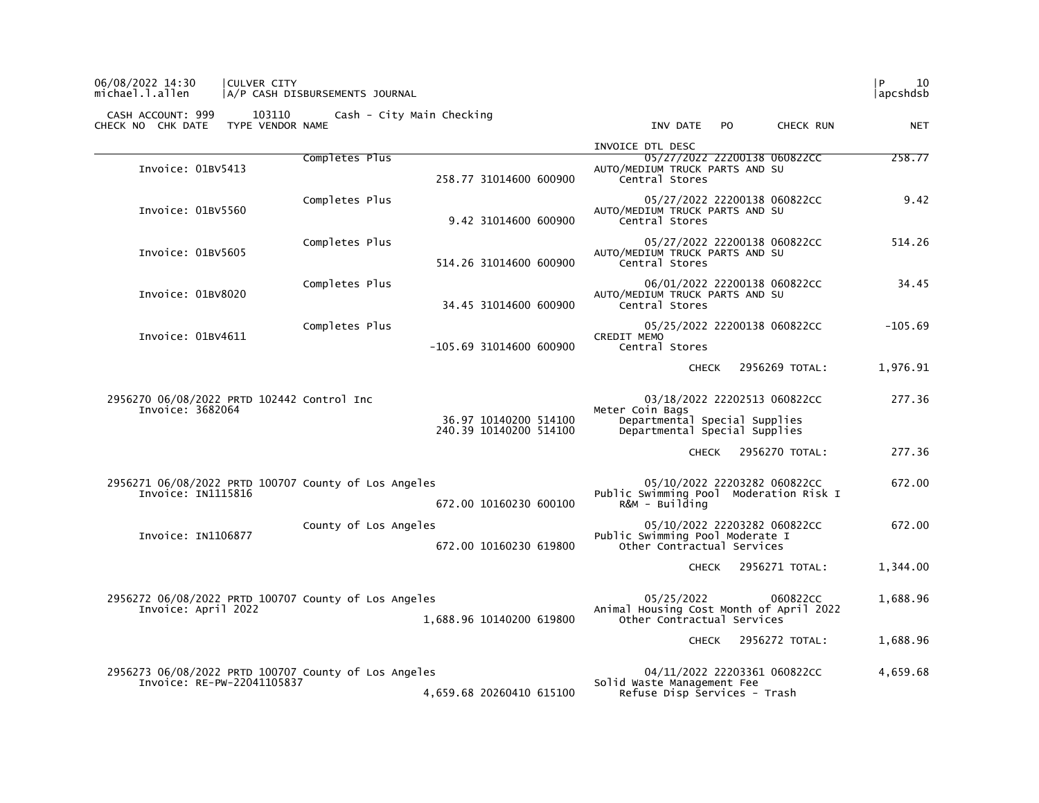## 06/08/2022 14:30 | CULVER CITY | 10 michael.l.allen |A/P CASH DISBURSEMENTS JOURNAL |apcshdsb

|                                                                                    |                       |                                                 | INVOICE DTL DESC                                                                                                  |           |
|------------------------------------------------------------------------------------|-----------------------|-------------------------------------------------|-------------------------------------------------------------------------------------------------------------------|-----------|
| Invoice: 01BV5413                                                                  | Completes Plus        | 258.77 31014600 600900                          | 05/27/2022 22200138 060822CC<br>AUTO/MEDIUM TRUCK PARTS AND SU<br>Central Stores                                  | 258.77    |
| Invoice: 01BV5560                                                                  | Completes Plus        | 9.42 31014600 600900                            | 05/27/2022 22200138 060822CC<br>AUTO/MEDIUM TRUCK PARTS AND SU<br>Central Stores                                  | 9.42      |
| Invoice: 01BV5605                                                                  | Completes Plus        | 514.26 31014600 600900                          | 05/27/2022 22200138 060822CC<br>AUTO/MEDIUM TRUCK PARTS AND SU<br>Central Stores                                  | 514.26    |
| Invoice: 01BV8020                                                                  | Completes Plus        | 34.45 31014600 600900                           | 06/01/2022 22200138 060822CC<br>AUTO/MEDIUM TRUCK PARTS AND SU<br>Central Stores                                  | 34.45     |
| Invoice: 01BV4611                                                                  | Completes Plus        | $-105.69$ 31014600 600900                       | 05/25/2022 22200138 060822CC<br>CREDIT MEMO<br>Central Stores                                                     | $-105.69$ |
|                                                                                    |                       |                                                 | 2956269 TOTAL:<br><b>CHECK</b>                                                                                    | 1,976.91  |
| 2956270 06/08/2022 PRTD 102442 Control Inc<br>Invoice: 3682064                     |                       | 36.97 10140200 514100<br>240.39 10140200 514100 | 03/18/2022 22202513 060822CC<br>Meter Coin Bags<br>Departmental Special Supplies<br>Departmental Special Supplies | 277.36    |
|                                                                                    |                       |                                                 | CHECK 2956270 TOTAL:                                                                                              | 277.36    |
| 2956271 06/08/2022 PRTD 100707 County of Los Angeles<br>Invoice: IN1115816         |                       | 672.00 10160230 600100                          | 05/10/2022 22203282 060822CC<br>Public Swimming Pool Moderation Risk I<br>R&M - Building                          | 672.00    |
| Invoice: IN1106877                                                                 | County of Los Angeles | 672.00 10160230 619800                          | 05/10/2022 22203282 060822CC<br>Public Swimming Pool Moderate I<br>Other Contractual Services                     | 672.00    |
|                                                                                    |                       |                                                 | 2956271 TOTAL:<br>CHECK                                                                                           | 1,344.00  |
| 2956272 06/08/2022 PRTD 100707 County of Los Angeles<br>Invoice: April 2022        |                       | 1,688.96 10140200 619800                        | 05/25/2022<br>060822CC<br>Animal Housing Cost Month of April 2022<br>Other Contractual Services                   | 1,688.96  |
|                                                                                    |                       |                                                 | 2956272 TOTAL:<br>CHECK                                                                                           | 1,688.96  |
| 2956273 06/08/2022 PRTD 100707 County of Los Angeles<br>Invoice: RE-PW-22041105837 |                       | 4,659.68 20260410 615100                        | 04/11/2022 22203361 060822CC<br>Solid Waste Management Fee<br>Refuse Disp Services - Trash                        | 4,659.68  |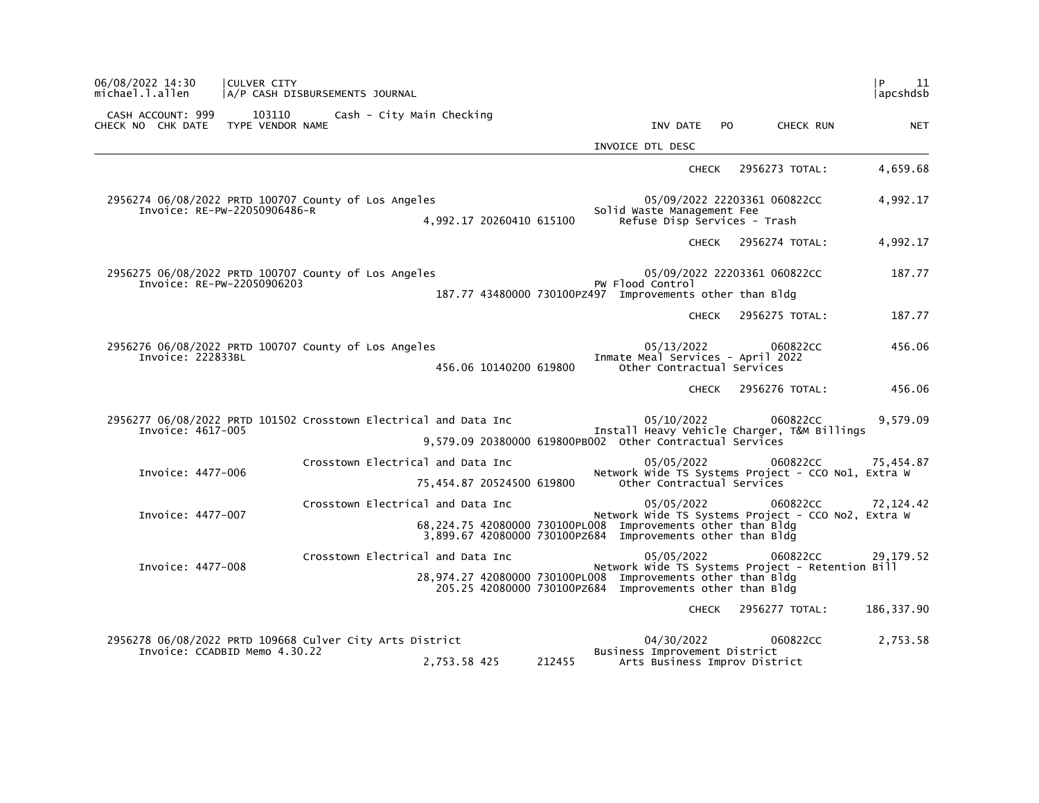| 06/08/2022 14:30<br>michael.l.allen                     | <b>CULVER CITY</b><br>A/P CASH DISBURSEMENTS JOURNAL                                      |                                                                                                                           |        |                                                                               |                              | l P<br>11<br> apcshdsb                                                      |
|---------------------------------------------------------|-------------------------------------------------------------------------------------------|---------------------------------------------------------------------------------------------------------------------------|--------|-------------------------------------------------------------------------------|------------------------------|-----------------------------------------------------------------------------|
| CASH ACCOUNT: 999<br>CHECK NO CHK DATE TYPE VENDOR NAME | 103110 Cash - City Main Checking                                                          |                                                                                                                           |        | INV DATE                                                                      | CHECK RUN<br>PO.             | <b>NET</b>                                                                  |
|                                                         |                                                                                           |                                                                                                                           |        | INVOICE DTL DESC                                                              |                              |                                                                             |
|                                                         |                                                                                           |                                                                                                                           |        | <b>CHECK</b>                                                                  | 2956273 TOTAL:               | 4,659.68                                                                    |
|                                                         | 2956274 06/08/2022 PRTD 100707 County of Los Angeles<br>Invoice: RE-PW-22050906486-R      | 4,992.17 20260410 615100                                                                                                  |        | Solid Waste Management Fee<br>Refuse Disp Services - Trash                    | 05/09/2022 22203361 060822CC | 4,992.17                                                                    |
|                                                         |                                                                                           |                                                                                                                           |        |                                                                               | CHECK 2956274 TOTAL:         | 4,992.17                                                                    |
| Invoice: RE-PW-22050906203                              | 2956275 06/08/2022 PRTD 100707 County of Los Angeles                                      | 187.77 43480000 730100PZ497 Improvements other than Bldg                                                                  |        | PW Flood Control                                                              | 05/09/2022 22203361 060822CC | 187.77                                                                      |
|                                                         |                                                                                           |                                                                                                                           |        | <b>CHECK</b>                                                                  | 2956275 TOTAL:               | 187.77                                                                      |
| Invoice: 222833BL                                       | 2956276 06/08/2022 PRTD 100707 County of Los Angeles                                      | 456.06 10140200 619800                                                                                                    |        | 05/13/2022<br>Inmate Meal Services - April 2022<br>Other Contractual Services | 060822CC                     | 456.06                                                                      |
|                                                         |                                                                                           |                                                                                                                           |        | <b>CHECK</b>                                                                  | 2956276 TOTAL:               | 456.06                                                                      |
| Invoice: 4617-005                                       | 2956277 06/08/2022 PRTD 101502 Crosstown Electrical and Data Inc                          | 9,579.09 20380000 619800PB002 other Contractual Services                                                                  |        | 05/10/2022<br>Install Heavy Vehicle Charger, T&M Billings                     | 060822CC                     | 9,579.09                                                                    |
| Invoice: 4477-006                                       | Crosstown Electrical and Data Inc                                                         | 75,454.87 20524500 619800                                                                                                 |        | 05/05/2022<br>Other Contractual Services                                      |                              | 060822cc<br>75,454.87<br>Network Wide TS Systems Project - CCO No1, Extra W |
| Invoice: 4477-007                                       | Crosstown Electrical and Data Inc                                                         | 68,224.75 42080000 730100PL008 Improvements other than Bldg<br>3,899.67 42080000 730100PZ684 Improvements other than Bldg |        | 05/05/2022                                                                    | 060822CC                     | 72,124.42<br>Network Wide TS Systems Project - CCO No2, Extra W             |
| Invoice: 4477-008                                       | Crosstown Electrical and Data Inc                                                         | 28,974.27 42080000 730100PL008 Improvements other than Bldg<br>205.25 42080000 730100PZ684 Improvements other than Bldg   |        | 05/05/2022<br>Network Wide TS Systems Project - Retention Bill                | 060822CC                     | 29,179.52                                                                   |
|                                                         |                                                                                           |                                                                                                                           |        | <b>CHECK</b>                                                                  | 2956277 TOTAL:               | 186, 337.90                                                                 |
|                                                         | 2956278 06/08/2022 PRTD 109668 Culver City Arts District<br>Invoice: CCADBID Memo 4.30.22 | 2,753.58 425                                                                                                              | 212455 | 04/30/2022<br>Business Improvement District<br>Arts Business Improv District  | 060822CC                     | 2,753.58                                                                    |
|                                                         |                                                                                           |                                                                                                                           |        |                                                                               |                              |                                                                             |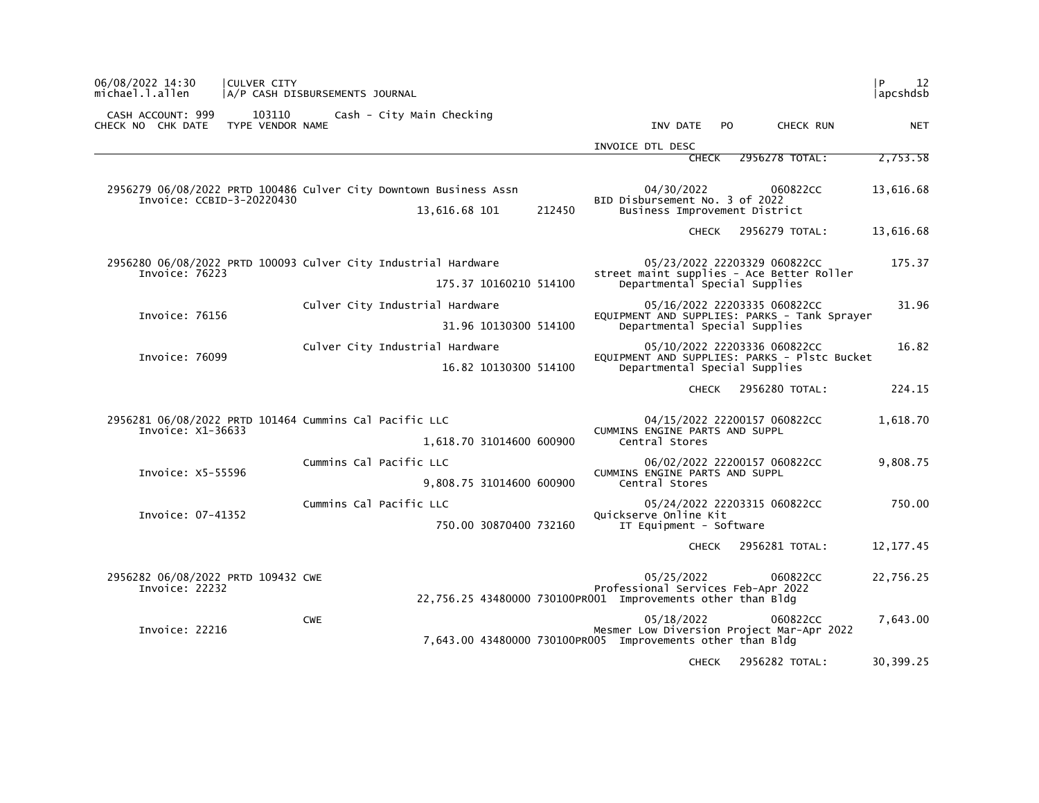| 06/08/2022 14:30<br> CULVER CITY<br>michael.l.allen                         | A/P CASH DISBURSEMENTS JOURNAL                                                               |                                                                                                                                   | l P<br>12<br> apcshdsb |
|-----------------------------------------------------------------------------|----------------------------------------------------------------------------------------------|-----------------------------------------------------------------------------------------------------------------------------------|------------------------|
| CASH ACCOUNT: 999<br>103110<br>TYPE VENDOR NAME<br>CHECK NO CHK DATE        | Cash - City Main Checking                                                                    | INV DATE<br>PO.<br>CHECK RUN                                                                                                      | <b>NET</b>             |
|                                                                             |                                                                                              | INVOICE DTL DESC                                                                                                                  |                        |
|                                                                             |                                                                                              | 2956278 TOTAL:<br><b>CHECK</b>                                                                                                    | 2,753.58               |
| Invoice: CCBID-3-20220430                                                   | 2956279 06/08/2022 PRTD 100486 Culver City Downtown Business Assn<br>13,616.68 101<br>212450 | 04/30/2022<br>060822CC<br>BID Disbursement No. 3 of 2022<br>Business Improvement District                                         | 13,616.68              |
|                                                                             |                                                                                              | 2956279 TOTAL:<br><b>CHECK</b>                                                                                                    | 13,616.68              |
| Invoice: 76223                                                              | 2956280 06/08/2022 PRTD 100093 Culver City Industrial Hardware<br>175.37 10160210 514100     | 05/23/2022 22203329 060822CC<br>street maint supplies - Ace Better Roller<br>Departmental Special Supplies                        | 175.37                 |
| Invoice: 76156                                                              | Culver City Industrial Hardware<br>31.96 10130300 514100                                     | 05/16/2022 22203335 060822CC<br>EQUIPMENT AND SUPPLIES: PARKS - Tank Sprayer<br>Departmental Special Supplies                     | 31.96                  |
| Invoice: 76099                                                              | Culver City Industrial Hardware<br>16.82 10130300 514100                                     | 05/10/2022 22203336 060822CC<br>EQUIPMENT AND SUPPLIES: PARKS - Plstc Bucket<br>Departmental Special Supplies                     | 16.82                  |
|                                                                             |                                                                                              | 2956280 TOTAL:<br><b>CHECK</b>                                                                                                    | 224.15                 |
| 2956281 06/08/2022 PRTD 101464 Cummins Cal Pacific LLC<br>Invoice: X1-36633 | 1,618.70 31014600 600900                                                                     | 04/15/2022 22200157 060822CC<br>CUMMINS ENGINE PARTS AND SUPPL<br>Central Stores                                                  | 1,618.70               |
| Invoice: X5-55596                                                           | Cummins Cal Pacific LLC<br>9,808.75 31014600 600900                                          | 06/02/2022 22200157 060822CC<br>CUMMINS ENGINE PARTS AND SUPPL<br>Central Stores                                                  | 9,808.75               |
| Invoice: 07-41352                                                           | Cummins Cal Pacific LLC<br>750.00 30870400 732160                                            | 05/24/2022 22203315 060822CC<br>Quickserve Online Kit<br>IT Equipment - Software                                                  | 750.00                 |
|                                                                             |                                                                                              | 2956281 TOTAL:<br><b>CHECK</b>                                                                                                    | 12, 177.45             |
| 2956282 06/08/2022 PRTD 109432 CWE<br>Invoice: 22232                        |                                                                                              | 05/25/2022<br>060822CC<br>Professional Services Feb-Apr 2022<br>22,756.25 43480000 730100PR001 Improvements other than Bldg       | 22,756.25              |
| Invoice: 22216                                                              | <b>CWE</b>                                                                                   | 05/18/2022<br>060822CC<br>Mesmer Low Diversion Project Mar-Apr 2022<br>7,643.00 43480000 730100PR005 Improvements other than Bldg | 7,643.00               |
|                                                                             |                                                                                              | <b>CHECK</b><br>2956282 TOTAL:                                                                                                    | 30,399.25              |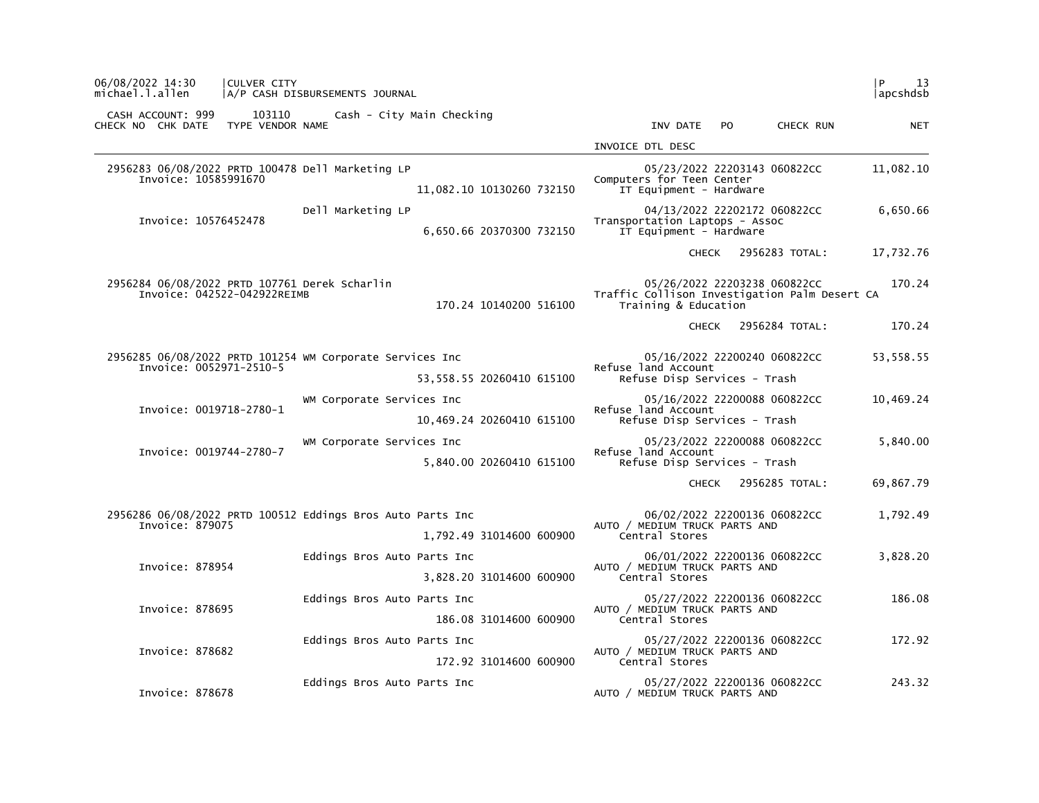| 06/08/2022 14:30<br>CULVER CITY<br>michael.l.allen                                  | A/P CASH DISBURSEMENTS JOURNAL |                           |                                                                       |                              | 13<br>P<br> apcshdsb |
|-------------------------------------------------------------------------------------|--------------------------------|---------------------------|-----------------------------------------------------------------------|------------------------------|----------------------|
| CASH ACCOUNT: 999<br>103110<br>CHECK NO CHK DATE<br>TYPE VENDOR NAME                | Cash - City Main Checking      |                           | INV DATE                                                              | <b>PO</b><br>CHECK RUN       | <b>NET</b>           |
|                                                                                     |                                |                           | INVOICE DTL DESC                                                      |                              |                      |
| 2956283 06/08/2022 PRTD 100478 Dell Marketing LP<br>Invoice: 10585991670            |                                | 11,082.10 10130260 732150 | Computers for Teen Center<br>IT Equipment - Hardware                  | 05/23/2022 22203143 060822CC | 11,082.10            |
| Invoice: 10576452478                                                                | Dell Marketing LP              | 6,650.66 20370300 732150  | Transportation Laptops - Assoc<br>IT Equipment - Hardware             | 04/13/2022 22202172 060822CC | 6,650.66             |
|                                                                                     |                                |                           | <b>CHECK</b>                                                          | 2956283 TOTAL:               | 17,732.76            |
| 2956284 06/08/2022 PRTD 107761 Derek Scharlin<br>Invoice: 042522-042922REIMB        |                                | 170.24 10140200 516100    | Traffic Collison Investigation Palm Desert CA<br>Training & Education | 05/26/2022 22203238 060822CC | 170.24               |
|                                                                                     |                                |                           | <b>CHECK</b>                                                          | 2956284 TOTAL:               | 170.24               |
| 2956285 06/08/2022 PRTD 101254 WM Corporate Services Inc<br>Invoice: 0052971-2510-5 |                                | 53,558.55 20260410 615100 | Refuse land Account<br>Refuse Disp Services - Trash                   | 05/16/2022 22200240 060822CC | 53,558.55            |
| Invoice: 0019718-2780-1                                                             | WM Corporate Services Inc      | 10,469.24 20260410 615100 | Refuse land Account<br>Refuse Disp Services - Trash                   | 05/16/2022 22200088 060822CC | 10,469.24            |
| Invoice: 0019744-2780-7                                                             | WM Corporate Services Inc      | 5,840.00 20260410 615100  | Refuse land Account<br>Refuse Disp Services - Trash                   | 05/23/2022 22200088 060822CC | 5,840.00             |
|                                                                                     |                                |                           | <b>CHECK</b>                                                          | 2956285 TOTAL:               | 69,867.79            |
| 2956286 06/08/2022 PRTD 100512 Eddings Bros Auto Parts Inc<br>Invoice: 879075       |                                | 1,792.49 31014600 600900  | AUTO / MEDIUM TRUCK PARTS AND<br>Central Stores                       | 06/02/2022 22200136 060822CC | 1,792.49             |
| Invoice: 878954                                                                     | Eddings Bros Auto Parts Inc    | 3,828.20 31014600 600900  | AUTO / MEDIUM TRUCK PARTS AND<br>Central Stores                       | 06/01/2022 22200136 060822CC | 3,828.20             |
| Invoice: 878695                                                                     | Eddings Bros Auto Parts Inc    | 186.08 31014600 600900    | AUTO / MEDIUM TRUCK PARTS AND<br>Central Stores                       | 05/27/2022 22200136 060822CC | 186.08               |
| Invoice: 878682                                                                     | Eddings Bros Auto Parts Inc    | 172.92 31014600 600900    | AUTO / MEDIUM TRUCK PARTS AND<br>Central Stores                       | 05/27/2022 22200136 060822CC | 172.92               |
| Invoice: 878678                                                                     | Eddings Bros Auto Parts Inc    |                           | AUTO / MEDIUM TRUCK PARTS AND                                         | 05/27/2022 22200136 060822CC | 243.32               |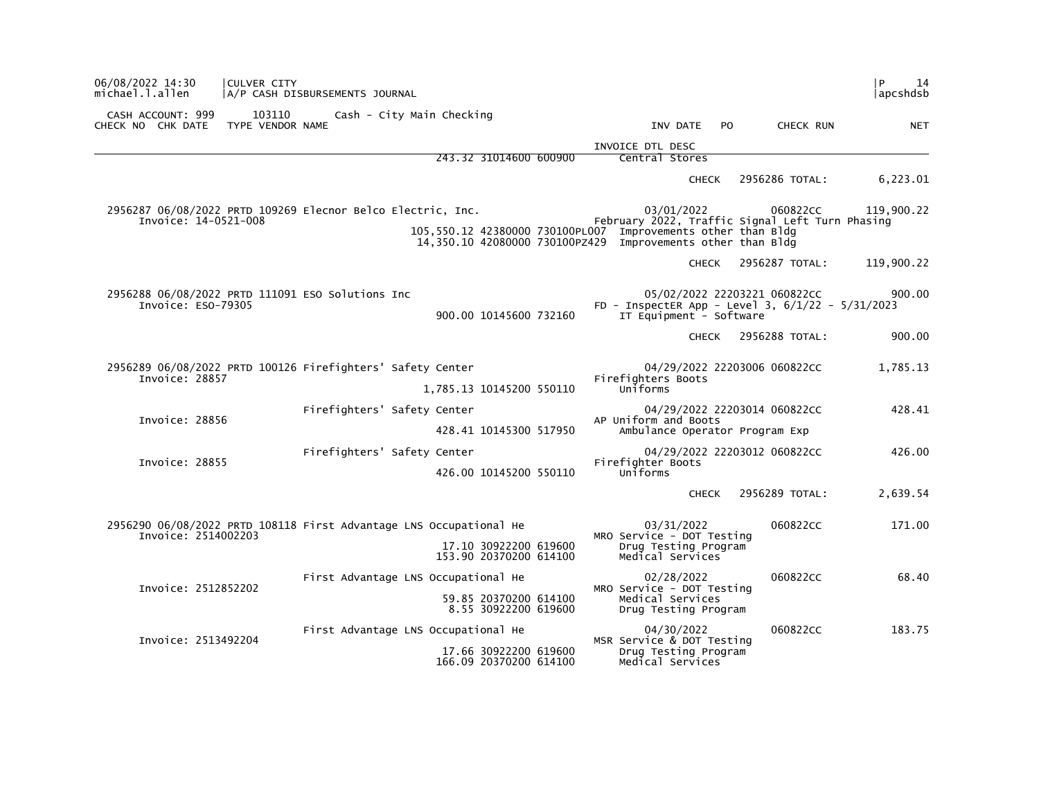| 06/08/2022 14:30<br>michael.l.allen                                                 | CULVER CITY                | A/P CASH DISBURSEMENTS JOURNAL      |  |                                                 |  |                                                                                                                             |              |     |                                                                                      | l P<br>14<br> apcshdsb |
|-------------------------------------------------------------------------------------|----------------------------|-------------------------------------|--|-------------------------------------------------|--|-----------------------------------------------------------------------------------------------------------------------------|--------------|-----|--------------------------------------------------------------------------------------|------------------------|
| CASH ACCOUNT: 999<br>CHECK NO CHK DATE                                              | 103110<br>TYPE VENDOR NAME | Cash - City Main Checking           |  |                                                 |  |                                                                                                                             | INV DATE     | PO. | CHECK RUN                                                                            | <b>NET</b>             |
|                                                                                     |                            |                                     |  |                                                 |  | INVOICE DTL DESC                                                                                                            |              |     |                                                                                      |                        |
|                                                                                     |                            |                                     |  | 243.32 31014600 600900                          |  | Central Stores                                                                                                              |              |     |                                                                                      |                        |
|                                                                                     |                            |                                     |  |                                                 |  |                                                                                                                             | <b>CHECK</b> |     | 2956286 TOTAL:                                                                       | 6,223.01               |
| 2956287 06/08/2022 PRTD 109269 Elecnor Belco Electric, Inc.<br>Invoice: 14-0521-008 |                            |                                     |  |                                                 |  |                                                                                                                             | 03/01/2022   |     | 060822CC<br>February 2022, Traffic Signal Left Turn Phasing                          | 119,900.22             |
|                                                                                     |                            |                                     |  |                                                 |  | 105,550.12 42380000 730100PL007 Improvements other than Bldg<br>14,350.10 42080000 730100PZ429 Improvements other than Bldg |              |     |                                                                                      |                        |
|                                                                                     |                            |                                     |  |                                                 |  |                                                                                                                             | <b>CHECK</b> |     | 2956287 TOTAL:                                                                       | 119,900.22             |
| 2956288 06/08/2022 PRTD 111091 ESO Solutions Inc<br>Invoice: ESO-79305              |                            |                                     |  | 900.00 10145600 732160                          |  | IT Equipment - Software                                                                                                     |              |     | 05/02/2022 22203221 060822CC<br>FD - InspectER App - Level 3, $6/1/22$ - $5/31/2023$ | 900.00                 |
|                                                                                     |                            |                                     |  |                                                 |  |                                                                                                                             | <b>CHECK</b> |     | 2956288 TOTAL:                                                                       | 900.00                 |
| 2956289 06/08/2022 PRTD 100126 Firefighters' Safety Center<br>Invoice: 28857        |                            |                                     |  |                                                 |  | Firefighters Boots                                                                                                          |              |     | 04/29/2022 22203006 060822CC                                                         | 1,785.13               |
|                                                                                     |                            |                                     |  | 1,785.13 10145200 550110                        |  | Uniforms                                                                                                                    |              |     |                                                                                      |                        |
|                                                                                     |                            | Firefighters' Safety Center         |  |                                                 |  |                                                                                                                             |              |     | 04/29/2022 22203014 060822CC                                                         | 428.41                 |
| Invoice: 28856                                                                      |                            |                                     |  | 428.41 10145300 517950                          |  | AP Uniform and Boots                                                                                                        |              |     | Ambulance Operator Program Exp                                                       |                        |
| Invoice: 28855                                                                      |                            | Firefighters' Safety Center         |  |                                                 |  | Firefighter Boots                                                                                                           |              |     | 04/29/2022 22203012 060822CC                                                         | 426.00                 |
|                                                                                     |                            |                                     |  | 426.00 10145200 550110                          |  | Uniforms                                                                                                                    |              |     |                                                                                      |                        |
|                                                                                     |                            |                                     |  |                                                 |  |                                                                                                                             | CHECK        |     | 2956289 TOTAL:                                                                       | 2,639.54               |
| 2956290 06/08/2022 PRTD 108118 First Advantage LNS Occupational He                  |                            |                                     |  |                                                 |  |                                                                                                                             | 03/31/2022   |     | 060822CC                                                                             | 171.00                 |
| Invoice: 2514002203                                                                 |                            |                                     |  | 17.10 30922200 619600<br>153.90 20370200 614100 |  | MRO Service - DOT Testing<br>Drug Testing Program<br>Medical Services                                                       |              |     |                                                                                      |                        |
| Invoice: 2512852202                                                                 |                            | First Advantage LNS Occupational He |  |                                                 |  | MRO Service - DOT Testing                                                                                                   | 02/28/2022   |     | 060822CC                                                                             | 68.40                  |
|                                                                                     |                            |                                     |  | 59.85 20370200 614100<br>8.55 30922200 619600   |  | Medical Services<br>Drug Testing Program                                                                                    |              |     |                                                                                      |                        |
| Invoice: 2513492204                                                                 |                            | First Advantage LNS Occupational He |  |                                                 |  |                                                                                                                             | 04/30/2022   |     | 060822CC                                                                             | 183.75                 |
|                                                                                     |                            |                                     |  | 17.66 30922200 619600<br>166.09 20370200 614100 |  | MSR Service & DOT Testing<br>Drug Testing Program<br>Medical Services                                                       |              |     |                                                                                      |                        |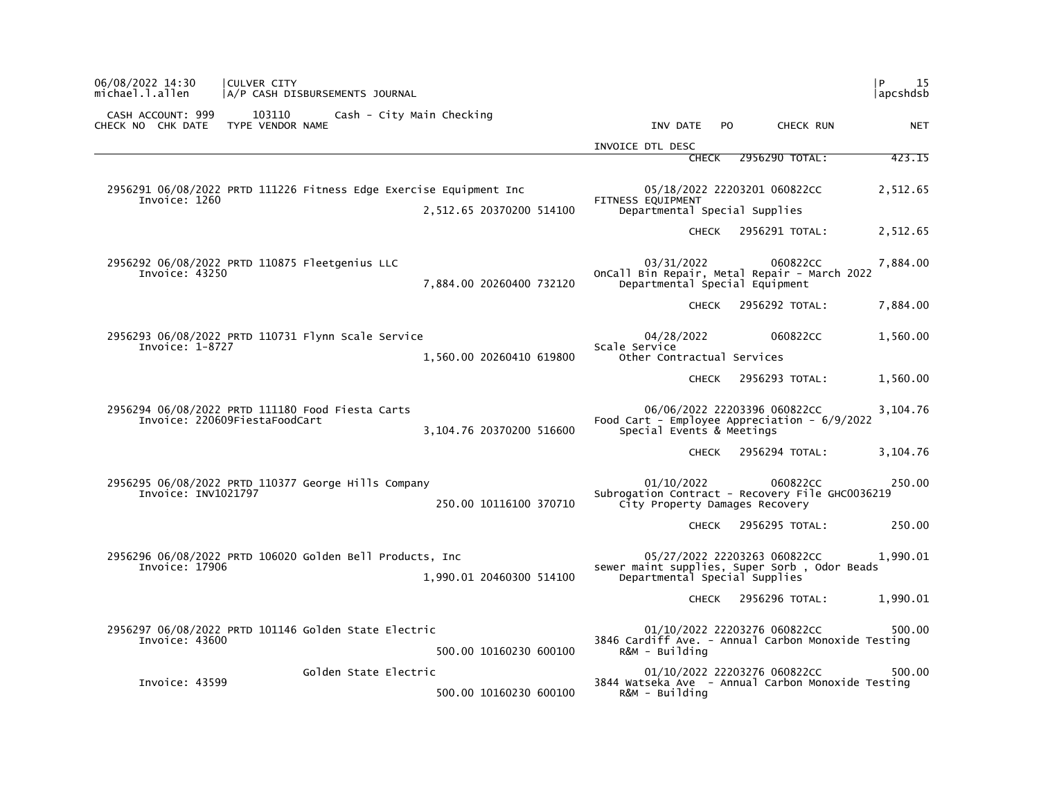| P<br>15<br> apcshdsb |                              |                                                                                                 |                          | 06/08/2022 14:30<br>CULVER CITY<br>michael.l.allen<br>A/P CASH DISBURSEMENTS JOURNAL              |
|----------------------|------------------------------|-------------------------------------------------------------------------------------------------|--------------------------|---------------------------------------------------------------------------------------------------|
| <b>NET</b>           | CHECK RUN                    | INV DATE<br>P <sub>O</sub>                                                                      |                          | CASH ACCOUNT: 999<br>103110<br>Cash - City Main Checking<br>TYPE VENDOR NAME<br>CHECK NO CHK DATE |
|                      |                              | INVOICE DTL DESC                                                                                |                          |                                                                                                   |
| 423.15               | 2956290 TOTAL:               | <b>CHECK</b>                                                                                    |                          |                                                                                                   |
| 2,512.65             | 05/18/2022 22203201 060822CC | FITNESS EQUIPMENT<br>Departmental Special Supplies                                              | 2,512.65 20370200 514100 | 2956291 06/08/2022 PRTD 111226 Fitness Edge Exercise Equipment Inc<br>Invoice: 1260               |
| 2,512.65             | 2956291 TOTAL:               | <b>CHECK</b>                                                                                    |                          |                                                                                                   |
| 7,884.00             | 060822CC                     | 03/31/2022<br>OnCall Bin Repair, Metal Repair - March 2022<br>Departmental Special Equipment    | 7,884.00 20260400 732120 | 2956292 06/08/2022 PRTD 110875 Fleetgenius LLC<br>Invoice: 43250                                  |
| 7,884.00             | 2956292 TOTAL:               | <b>CHECK</b>                                                                                    |                          |                                                                                                   |
| 1,560.00             | 060822CC                     | 04/28/2022<br>Scale Service<br>Other Contractual Services                                       | 1,560.00 20260410 619800 | 2956293 06/08/2022 PRTD 110731 Flynn Scale Service<br>Invoice: $1-8727$                           |
| 1,560.00             | 2956293 TOTAL:               | <b>CHECK</b>                                                                                    |                          |                                                                                                   |
| 3,104.76             | 06/06/2022 22203396 060822CC | Food Cart - Employee Appreciation - 6/9/2022<br>Special Events & Meetings                       | 3,104.76 20370200 516600 | 2956294 06/08/2022 PRTD 111180 Food Fiesta Carts<br>Invoice: 220609FiestaFoodCart                 |
| 3,104.76             | 2956294 TOTAL:               | <b>CHECK</b>                                                                                    |                          |                                                                                                   |
| 250.00               | 060822CC                     | 01/10/2022<br>Subrogation Contract - Recovery File GHC0036219<br>City Property Damages Recovery | 250.00 10116100 370710   | 2956295 06/08/2022 PRTD 110377 George Hills Company<br>Invoice: INV1021797                        |
| 250.00               | 2956295 TOTAL:               | <b>CHECK</b>                                                                                    |                          |                                                                                                   |
| 1,990.01             | 05/27/2022 22203263 060822CC | sewer maint supplies, Super Sorb, Odor Beads<br>Departmental Special Supplies                   | 1,990.01 20460300 514100 | 2956296 06/08/2022 PRTD 106020 Golden Bell Products, Inc<br>Invoice: 17906                        |
| 1,990.01             | 2956296 TOTAL:               | <b>CHECK</b>                                                                                    |                          |                                                                                                   |
| 500.00               | 01/10/2022 22203276 060822CC | 3846 Cardiff Ave. - Annual Carbon Monoxide Testing<br>R&M - Building                            | 500.00 10160230 600100   | 2956297 06/08/2022 PRTD 101146 Golden State Electric<br>Invoice: 43600                            |
| 500.00               | 01/10/2022 22203276 060822CC | 3844 Watseka Ave - Annual Carbon Monoxide Testing<br>R&M - Building                             | 500.00 10160230 600100   | Golden State Electric<br>Invoice: 43599                                                           |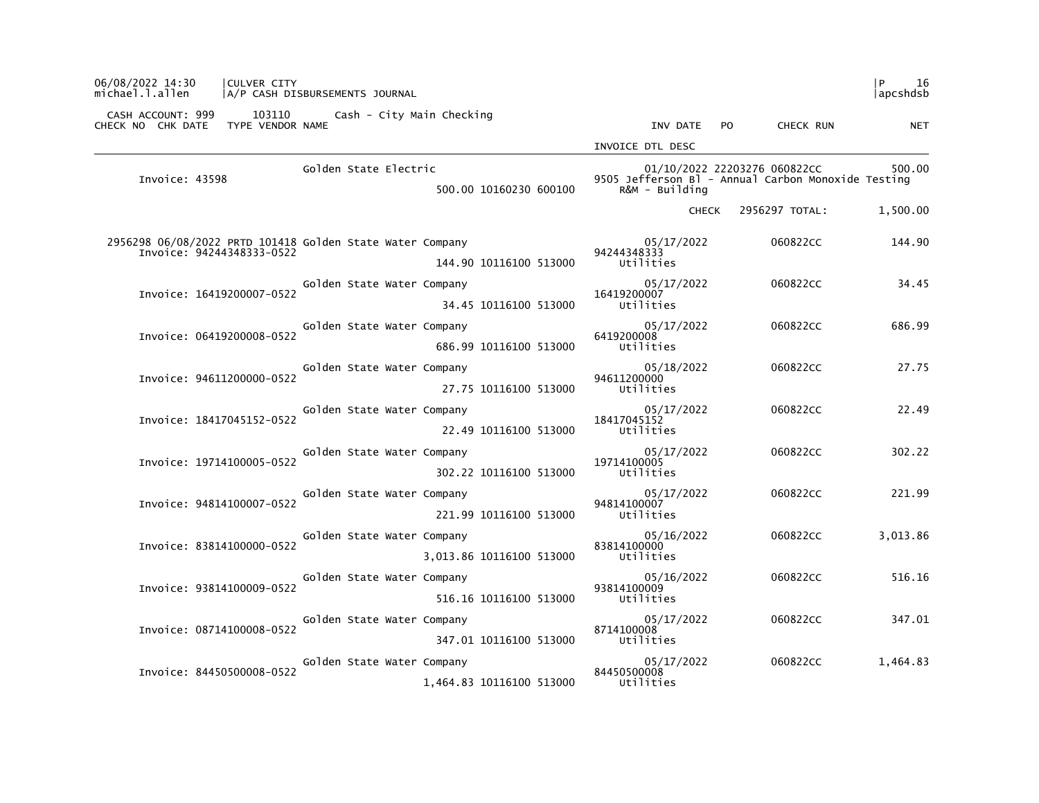| 06/08/2022 14:30<br>CULVER CITY<br>michael.l.allen                                     | A/P CASH DISBURSEMENTS JOURNAL                         |                                        |                                                                                    | l P<br>16<br> apcshdsb |
|----------------------------------------------------------------------------------------|--------------------------------------------------------|----------------------------------------|------------------------------------------------------------------------------------|------------------------|
| CASH ACCOUNT: 999<br>103110<br>TYPE VENDOR NAME<br>CHECK NO CHK DATE                   | Cash - City Main Checking                              | INV DATE<br>PO.                        | CHECK RUN                                                                          | <b>NET</b>             |
|                                                                                        |                                                        | INVOICE DTL DESC                       |                                                                                    |                        |
| Invoice: 43598                                                                         | Golden State Electric<br>500.00 10160230 600100        | $R&M - Building$                       | 01/10/2022 22203276 060822CC<br>9505 Jefferson B1 - Annual Carbon Monoxide Testing | 500.00                 |
|                                                                                        |                                                        | <b>CHECK</b>                           | 2956297 TOTAL:                                                                     | 1,500.00               |
| 2956298 06/08/2022 PRTD 101418 Golden State Water Company<br>Invoice: 94244348333-0522 | 144.90 10116100 513000                                 | 05/17/2022<br>94244348333<br>Utilities | 060822CC                                                                           | 144.90                 |
| Invoice: 16419200007-0522                                                              | Golden State Water Company<br>34.45 10116100 513000    | 05/17/2022<br>16419200007<br>Utilities | 060822CC                                                                           | 34.45                  |
| Invoice: 06419200008-0522                                                              | Golden State Water Company<br>686.99 10116100 513000   | 05/17/2022<br>6419200008<br>Utilities  | 060822CC                                                                           | 686.99                 |
| Invoice: 94611200000-0522                                                              | Golden State Water Company<br>27.75 10116100 513000    | 05/18/2022<br>94611200000<br>Utilities | 060822CC                                                                           | 27.75                  |
| Invoice: 18417045152-0522                                                              | Golden State Water Company<br>22.49 10116100 513000    | 05/17/2022<br>18417045152<br>Utilities | 060822CC                                                                           | 22.49                  |
| Invoice: 19714100005-0522                                                              | Golden State Water Company<br>302.22 10116100 513000   | 05/17/2022<br>19714100005<br>Utilities | 060822CC                                                                           | 302.22                 |
| Invoice: 94814100007-0522                                                              | Golden State Water Company<br>221.99 10116100 513000   | 05/17/2022<br>94814100007<br>Utilities | 060822CC                                                                           | 221.99                 |
| Invoice: 83814100000-0522                                                              | Golden State Water Company<br>3,013.86 10116100 513000 | 05/16/2022<br>83814100000<br>Utilities | 060822CC                                                                           | 3.013.86               |
| Invoice: 93814100009-0522                                                              | Golden State Water Company<br>516.16 10116100 513000   | 05/16/2022<br>93814100009<br>Utilities | 060822CC                                                                           | 516.16                 |
| Invoice: 08714100008-0522                                                              | Golden State Water Company<br>347.01 10116100 513000   | 05/17/2022<br>8714100008<br>Utilities  | 060822CC                                                                           | 347.01                 |
| Invoice: 84450500008-0522                                                              | Golden State Water Company<br>1,464.83 10116100 513000 | 05/17/2022<br>84450500008<br>Utilities | 060822CC                                                                           | 1,464.83               |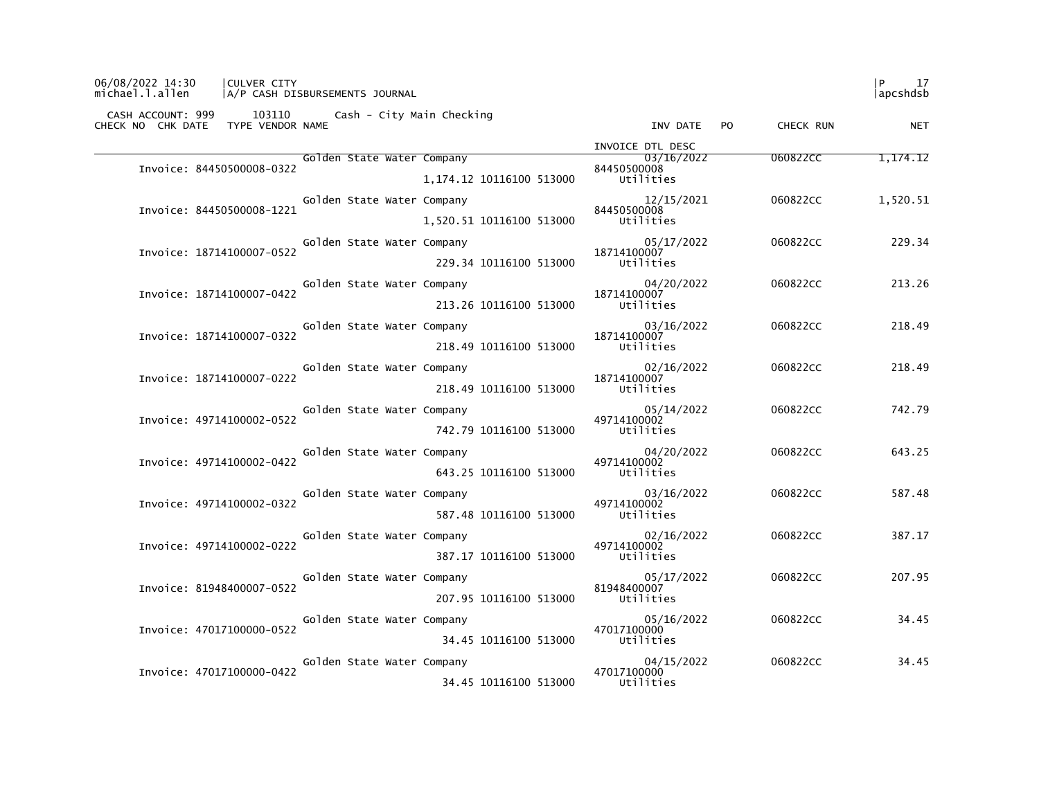| 06/08/2022 14:30<br><b>CULVER CITY</b><br>michael.l.allen<br> A/P CASH DISBURSEMENTS JOURNAL |                                                    | l P<br>17<br>lapcshdsb |
|----------------------------------------------------------------------------------------------|----------------------------------------------------|------------------------|
| CASH ACCOUNT: 999 103110 Cash - City Main Checking<br>TYPE VENDOR NAME<br>CHECK NO CHK DATE  | INV DATE PO<br>CHECK RUN                           | <b>NET</b>             |
|                                                                                              | INVOICE DTL DESC                                   |                        |
| Golden State Water Company<br>Invoice: 84450500008-0322                                      | 03/16/2022<br>060822CC<br>84450500008              | 1,174.12               |
|                                                                                              | Utilities<br>1.174.12 10116100 513000              |                        |
| Golden State Water Company<br>Invoice: 84450500008-1221                                      | 12/15/2021<br>060822CC<br>84450500008              | 1,520.51               |
|                                                                                              | 1,520.51 10116100 513000<br>Utilities              |                        |
| Golden State Water Company                                                                   | 05/17/2022<br>060822CC                             | 229.34                 |
| Invoice: 18714100007-0522                                                                    | 18714100007<br>Utilities<br>229.34 10116100 513000 |                        |
| Golden State Water Company                                                                   | 04/20/2022<br>060822CC                             | 213.26                 |
| Invoice: 18714100007-0422                                                                    | 18714100007<br>213.26 10116100 513000<br>Utilities |                        |
| Golden State Water Company                                                                   | 03/16/2022<br>060822CC                             | 218.49                 |
| Invoice: 18714100007-0322                                                                    | 18714100007<br>218.49 10116100 513000<br>Utilities |                        |
| Golden State Water Company                                                                   | 02/16/2022<br>060822CC                             | 218.49                 |
| Invoice: 18714100007-0222                                                                    | 18714100007<br>Utilities                           |                        |
|                                                                                              | 218.49 10116100 513000                             |                        |
| Golden State Water Company<br>Invoice: 49714100002-0522                                      | 05/14/2022<br>060822CC<br>49714100002              | 742.79                 |
|                                                                                              | 742.79 10116100 513000<br>Utilities                |                        |
| Golden State Water Company<br>Invoice: 49714100002-0422                                      | 04/20/2022<br>060822CC<br>49714100002              | 643.25                 |
|                                                                                              | 643.25 10116100 513000<br>Utilities                |                        |
| Golden State Water Company<br>Invoice: 49714100002-0322                                      | 03/16/2022<br>060822CC<br>49714100002              | 587.48                 |
|                                                                                              | 587.48 10116100 513000<br>Utilities                |                        |
| Golden State Water Company                                                                   | 02/16/2022<br>060822CC<br>49714100002              | 387.17                 |
| Invoice: 49714100002-0222                                                                    | Utilities<br>387.17 10116100 513000                |                        |
| Golden State Water Company                                                                   | 05/17/2022<br>060822CC                             | 207.95                 |
| Invoice: 81948400007-0522                                                                    | 81948400007<br>207.95 10116100 513000<br>Utilities |                        |
| Golden State Water Company                                                                   | 05/16/2022<br>060822CC                             | 34.45                  |
| Invoice: 47017100000-0522                                                                    | 47017100000<br>34.45 10116100 513000<br>Utilities  |                        |
| Golden State Water Company                                                                   | 04/15/2022<br>060822CC                             | 34.45                  |
| Invoice: 47017100000-0422                                                                    | 47017100000<br>34.45 10116100 513000<br>Utilities  |                        |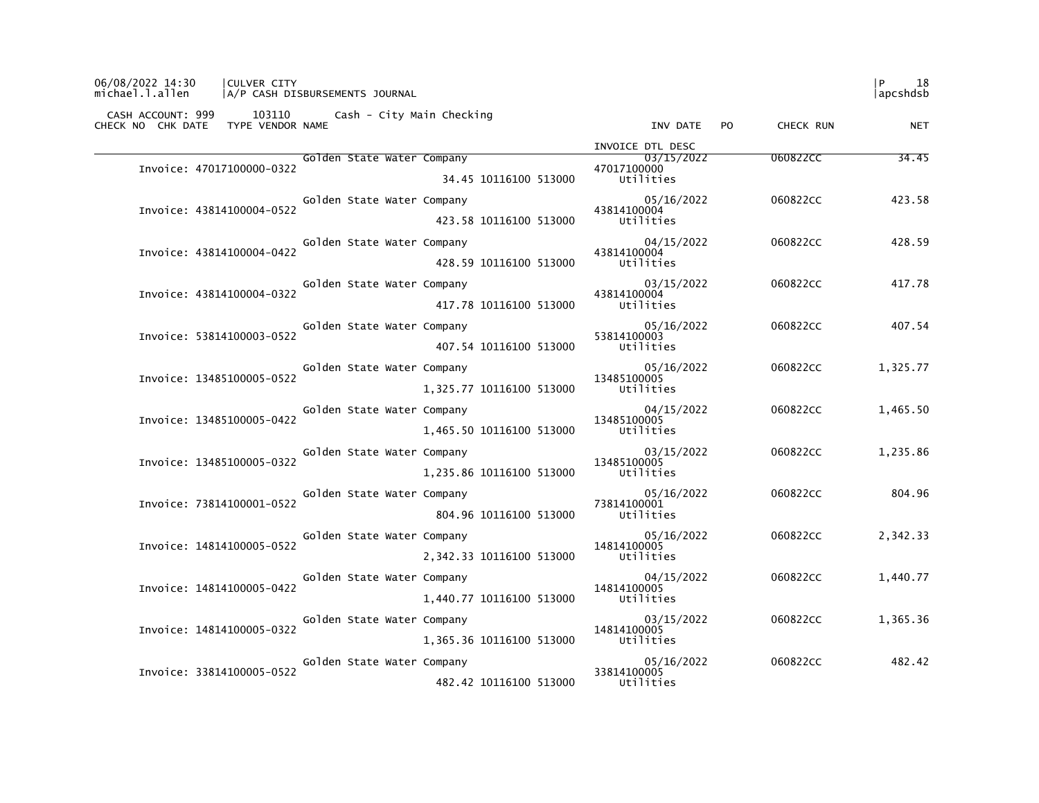| 06/08/2022 14:30<br>CULVER CITY<br>michael.l.allen                                       | A/P CASH DISBURSEMENTS JOURNAL                                   |                                            |                     | 18<br>l P<br> apcshdsb |
|------------------------------------------------------------------------------------------|------------------------------------------------------------------|--------------------------------------------|---------------------|------------------------|
| CASH ACCOUNT: 999 103110 Cash - City Main Checking<br>CHECK NO CHK DATE TYPE VENDOR NAME |                                                                  | INV DATE PO                                | CHECK RUN           | <b>NET</b>             |
|                                                                                          |                                                                  | INVOICE DTL DESC                           |                     |                        |
| Invoice: 47017100000-0322                                                                | Golden State Water Company<br>34.45 10116100 513000              | 03/15/2022<br>47017100000<br>Utilities     | 060822CC            | 34.45                  |
| Invoice: 43814100004-0522                                                                | Golden State Water Company<br>423.58 10116100 513000             | 05/16/2022<br>43814100004<br>Utilities     | 060822cc            | 423.58                 |
| Invoice: 43814100004-0422                                                                | Golden State Water Company<br>428.59 10116100 513000             | 04/15/2022<br>43814100004<br>Utilities     | 060822CC            | 428.59                 |
| Invoice: 43814100004-0322                                                                | Golden State Water Company<br>417.78 10116100 513000             | 03/15/2022<br>43814100004<br>Utilities     | 060822CC            | 417.78                 |
| Invoice: 53814100003-0522                                                                | Golden State Water Company<br>407.54 10116100 513000 Utilities   | $05/16/2022$<br>53814100003<br>53814100003 | 060822CC            | 407.54                 |
| Invoice: 13485100005-0522                                                                | Golden State Water Company<br>1,325.77 10116100 513000 Utilities | 05/16/2022<br>13485100005                  | 060822CC            | 1,325.77               |
| Invoice: 13485100005-0422                                                                | Golden State Water Company<br>1,465.50 10116100 513000 Utilities | 04/15/2022<br>13485100005                  | 060822CC            | 1,465.50               |
| Invoice: 13485100005-0322                                                                | Golden State Water Company<br>1,235.86 10116100 513000 Utilities | 03/15/2022<br>13485100005                  | 060822CC            | 1,235.86               |
| Invoice: 73814100001-0522                                                                | Golden State Water Company<br>804.96 10116100 513000             | 05/16/2022<br>73814100001<br>Utilities     | 060822CC            | 804.96                 |
| Invoice: 14814100005-0522                                                                | Golden State Water Company<br>2,342.33 10116100 513000 Utilities | 05/16/2022<br>14814100005                  | 060822CC            | 2,342.33               |
| Invoice: 14814100005-0422                                                                | Golden State Water Company<br>1,440.77 10116100 513000           | 04/15/2022<br>14814100005<br>Utilities     | 060822CC            | 1,440.77               |
| Invoice: 14814100005-0322                                                                | Golden State Water Company<br>1,365.36 10116100 513000           | 03/15/2022<br>14814100005<br>Utilities     | 060822CC            | 1,365.36               |
| Invoice: 33814100005-0522                                                                | Golden State Water Company<br>482.42 10116100 513000             | 33814100005<br>Utilities                   | 05/16/2022 060822CC | 482.42                 |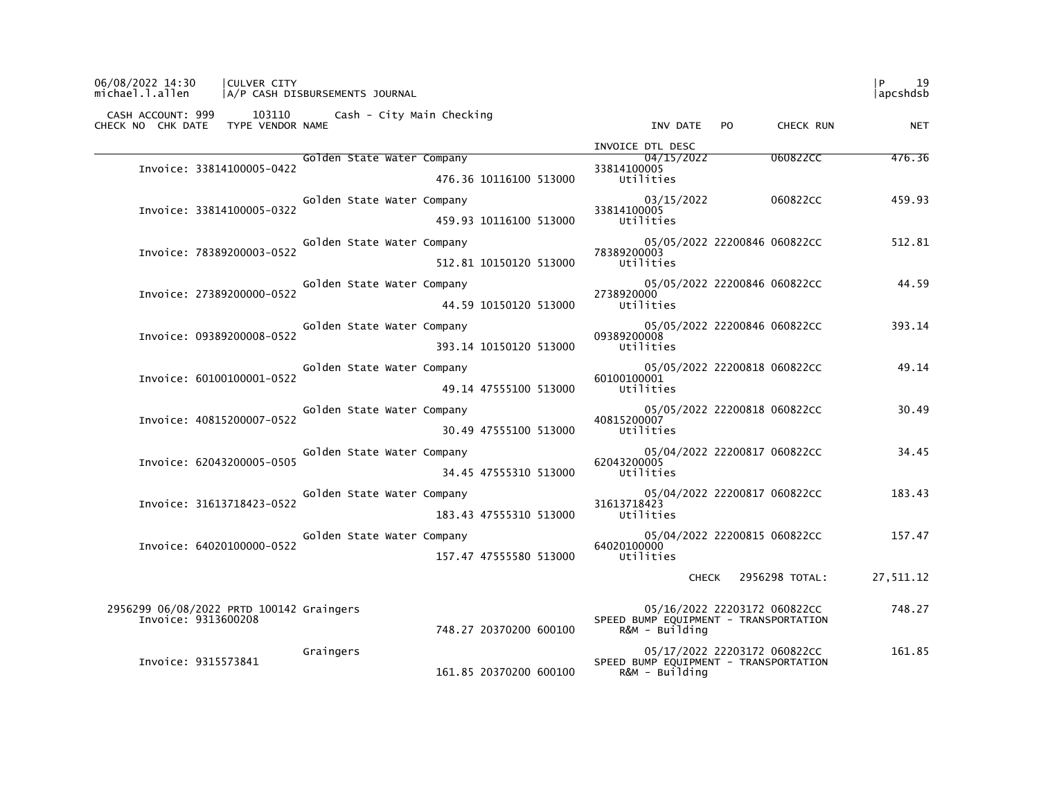| 06/08/2022 14:30<br>michael.l.allen | CULVER CITY                              | A/P CASH DISBURSEMENTS JOURNAL                     |                        |                                                         |                      | -19<br> apcshdsb |
|-------------------------------------|------------------------------------------|----------------------------------------------------|------------------------|---------------------------------------------------------|----------------------|------------------|
| CHECK NO CHK DATE TYPE VENDOR NAME  |                                          | CASH ACCOUNT: 999 103110 Cash - City Main Checking |                        | INV DATE PO                                             | CHECK RUN            | <b>NET</b>       |
|                                     |                                          |                                                    |                        | INVOICE DTL DESC                                        |                      |                  |
|                                     | Invoice: 33814100005-0422                | Golden State Water Company                         |                        | 04/15/2022<br>33814100005                               | 060822CC             | 476.36           |
|                                     |                                          |                                                    | 476.36 10116100 513000 | Utilities                                               |                      |                  |
|                                     | Invoice: 33814100005-0322                | Golden State Water Company                         |                        | 03/15/2022<br>33814100005                               | 060822CC             | 459.93           |
|                                     |                                          |                                                    | 459.93 10116100 513000 | Utilities                                               |                      |                  |
|                                     | Invoice: 78389200003-0522                | Golden State Water Company                         |                        | 05/05/2022 22200846 060822CC<br>78389200003             |                      | 512.81           |
|                                     |                                          |                                                    | 512.81 10150120 513000 | Utilities                                               |                      |                  |
|                                     |                                          | Golden State Water Company                         |                        | 05/05/2022 22200846 060822CC                            |                      | 44.59            |
|                                     | Invoice: 27389200000-0522                |                                                    | 44.59 10150120 513000  | 2738920000<br>Utilities                                 |                      |                  |
|                                     |                                          | Golden State Water Company                         |                        | 05/05/2022 22200846 060822CC                            |                      | 393.14           |
|                                     | Invoice: 09389200008-0522                |                                                    | 393.14 10150120 513000 | 09389200008<br>Utilities                                |                      |                  |
|                                     |                                          | Golden State Water Company                         |                        | 05/05/2022 22200818 060822CC                            |                      | 49.14            |
|                                     | Invoice: 60100100001-0522                |                                                    | 49.14 47555100 513000  | 60100100001<br>Utilities                                |                      |                  |
|                                     |                                          | Golden State Water Company                         |                        | 05/05/2022 22200818 060822CC                            |                      | 30.49            |
|                                     | Invoice: 40815200007-0522                |                                                    | 30.49 47555100 513000  | 40815200007<br>Utilities                                |                      |                  |
|                                     |                                          | Golden State Water Company                         |                        | 05/04/2022 22200817 060822CC                            |                      | 34.45            |
|                                     | Invoice: 62043200005-0505                |                                                    | 34.45 47555310 513000  | 62043200005<br>Utilities                                |                      |                  |
|                                     |                                          | Golden State Water Company                         |                        | 05/04/2022 22200817 060822CC                            |                      | 183.43           |
|                                     | Invoice: 31613718423-0522                |                                                    | 183.43 47555310 513000 | 31613718423<br>utilities                                |                      |                  |
|                                     |                                          | Golden State Water Company                         |                        | 05/04/2022 22200815 060822CC                            |                      | 157.47           |
|                                     | Invoice: 64020100000-0522                |                                                    | 157.47 47555580 513000 | 64020100000<br>Utilities                                |                      |                  |
|                                     |                                          |                                                    |                        |                                                         |                      |                  |
|                                     |                                          |                                                    |                        |                                                         | CHECK 2956298 TOTAL: | 27,511.12        |
|                                     | 2956299 06/08/2022 PRTD 100142 Graingers |                                                    |                        | 05/16/2022 22203172 060822CC                            |                      | 748.27           |
| Invoice: 9313600208                 |                                          |                                                    | 748.27 20370200 600100 | SPEED BUMP EQUIPMENT - TRANSPORTATION<br>R&M - Building |                      |                  |
|                                     |                                          | Graingers                                          |                        | 05/17/2022 22203172 060822CC                            |                      | 161.85           |
| Invoice: 9315573841                 |                                          |                                                    | 161.85 20370200 600100 | SPEED BUMP EQUIPMENT - TRANSPORTATION<br>R&M - Building |                      |                  |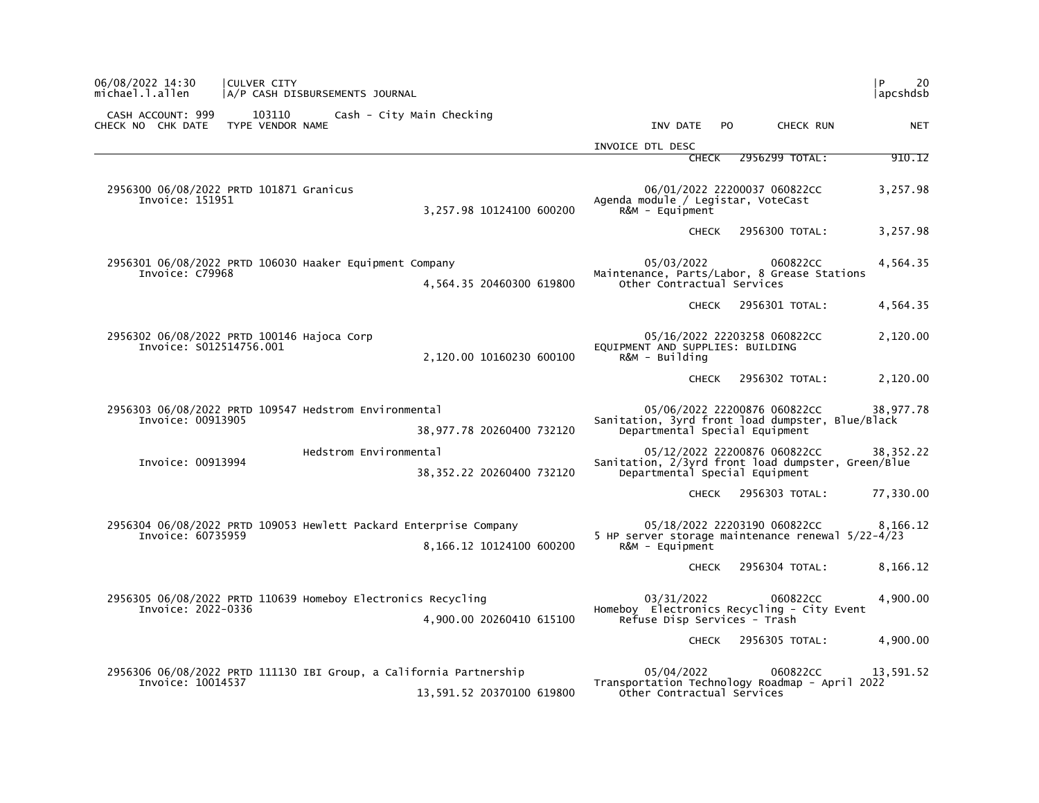| 06/08/2022 14:30<br>CULVER CITY<br>michael.l.allen<br>A/P CASH DISBURSEMENTS JOURNAL                                 | 20<br>l P<br> apcshdsb                                                                                                              |
|----------------------------------------------------------------------------------------------------------------------|-------------------------------------------------------------------------------------------------------------------------------------|
| CASH ACCOUNT: 999<br>103110<br>Cash - City Main Checking<br>TYPE VENDOR NAME<br>CHECK NO CHK DATE                    | INV DATE<br>PO.<br>CHECK RUN<br><b>NET</b>                                                                                          |
|                                                                                                                      | INVOICE DTL DESC                                                                                                                    |
|                                                                                                                      | 910.12<br>2956299 TOTAL:<br><b>CHECK</b>                                                                                            |
| 2956300 06/08/2022 PRTD 101871 Granicus<br>Invoice: 151951<br>3,257.98 10124100 600200                               | 06/01/2022 22200037 060822CC<br>3,257.98<br>Agenda module / Legistar, VoteCast<br>$R\&M - \text{Equi}$                              |
|                                                                                                                      | 2956300 TOTAL:<br>3,257.98<br><b>CHECK</b>                                                                                          |
| 2956301 06/08/2022 PRTD 106030 Haaker Equipment Company<br>Invoice: C79968<br>4,564.35 20460300 619800               | 05/03/2022<br>4,564.35<br>060822CC<br>Maintenance, Parts/Labor, 8 Grease Stations<br>Other Contractual Services                     |
|                                                                                                                      | 2956301 TOTAL:<br>4,564.35<br><b>CHECK</b>                                                                                          |
| 2956302 06/08/2022 PRTD 100146 Hajoca Corp<br>Invoice: S012514756.001<br>2,120.00 10160230 600100                    | 05/16/2022 22203258 060822CC<br>2,120.00<br>EQUIPMENT AND SUPPLIES: BUILDING<br>R&M - Building                                      |
|                                                                                                                      | 2,120.00<br>2956302 TOTAL:<br>CHECK                                                                                                 |
| 2956303 06/08/2022 PRTD 109547 Hedstrom Environmental<br>Invoice: 00913905<br>38,977.78 20260400 732120              | 05/06/2022 22200876 060822CC<br>38,977.78<br>Sanitation, 3yrd front load dumpster, Blue/Black<br>Departmental Special Equipment     |
| Hedstrom Environmental<br>Invoice: 00913994<br>38, 352.22 20260400 732120                                            | 05/12/2022 22200876 060822CC<br>38, 352. 22<br>Sanitation, 2/3yrd front load dumpster, Green/Blue<br>Departmental Special Equipment |
|                                                                                                                      | 2956303 TOTAL:<br>77,330.00<br><b>CHECK</b>                                                                                         |
| 2956304 06/08/2022 PRTD 109053 Hewlett Packard Enterprise Company<br>Invoice: 60735959<br>8,166.12 10124100 600200   | 05/18/2022 22203190 060822CC<br>8,166.12<br>5 HP server storage maintenance renewal 5/22-4/23<br>$R\&M - \text{Equi}$               |
|                                                                                                                      | 2956304 TOTAL:<br>8,166.12<br><b>CHECK</b>                                                                                          |
| 2956305 06/08/2022 PRTD 110639 Homeboy Electronics Recycling<br>Invoice: 2022-0336<br>4,900.00 20260410 615100       | 03/31/2022<br>060822CC<br>4,900.00<br>Homeboy Electronics Recycling - City Event<br>Refuse Disp Services - Trash                    |
|                                                                                                                      | 4,900.00<br><b>CHECK</b><br>2956305 TOTAL:                                                                                          |
| 2956306 06/08/2022 PRTD 111130 IBI Group, a California Partnership<br>Invoice: 10014537<br>13,591.52 20370100 619800 | 05/04/2022<br>13,591.52<br>060822CC<br>Transportation Technology Roadmap - April 2022<br>Other Contractual Services                 |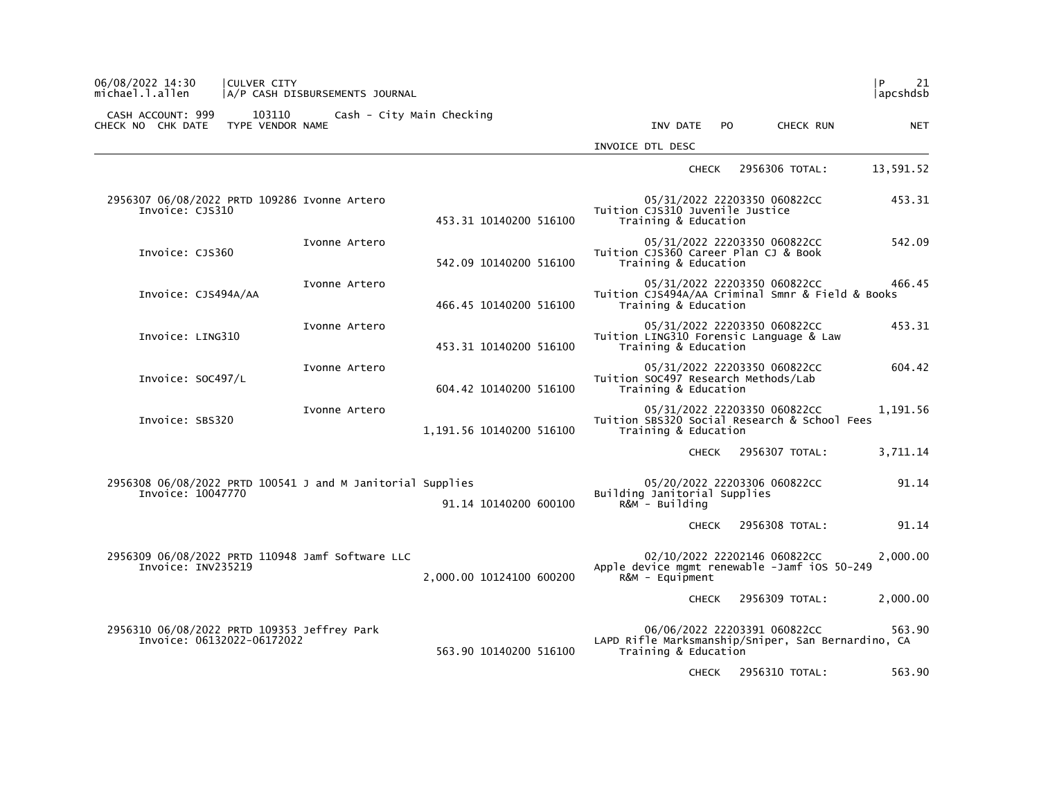| 06/08/2022 14:30<br>michael.l.allen                                             | CULVER CITY                | A/P CASH DISBURSEMENTS JOURNAL |                          |                                                                            |     |                              | l P<br>21<br> apcshdsb |
|---------------------------------------------------------------------------------|----------------------------|--------------------------------|--------------------------|----------------------------------------------------------------------------|-----|------------------------------|------------------------|
| CASH ACCOUNT: 999<br>CHECK NO CHK DATE                                          | 103110<br>TYPE VENDOR NAME | Cash - City Main Checking      |                          | INV DATE                                                                   | PO. | <b>CHECK RUN</b>             | <b>NET</b>             |
|                                                                                 |                            |                                |                          | INVOICE DTL DESC                                                           |     |                              |                        |
|                                                                                 |                            |                                |                          | <b>CHECK</b>                                                               |     | 2956306 TOTAL:               | 13,591.52              |
| 2956307 06/08/2022 PRTD 109286 Ivonne Artero<br>Invoice: CJS310                 |                            |                                | 453.31 10140200 516100   | Tuition CJS310 Juvenile Justice<br>Training & Education                    |     | 05/31/2022 22203350 060822CC | 453.31                 |
| Invoice: CJS360                                                                 |                            | Ivonne Artero                  | 542.09 10140200 516100   | Tuition CJS360 Career Plan CJ & Book<br>Training & Education               |     | 05/31/2022 22203350 060822CC | 542.09                 |
| Invoice: CJS494A/AA                                                             |                            | Ivonne Artero                  | 466.45 10140200 516100   | Tuition CJS494A/AA Criminal Smnr & Field & Books<br>Training & Education   |     | 05/31/2022 22203350 060822CC | 466.45                 |
| Invoice: LING310                                                                |                            | Ivonne Artero                  | 453.31 10140200 516100   | Tuition LING310 Forensic Language & Law<br>Training & Education            |     | 05/31/2022 22203350 060822CC | 453.31                 |
| Invoice: SOC497/L                                                               |                            | Ivonne Artero                  | 604.42 10140200 516100   | Tuition SOC497 Research Methods/Lab<br>Training & Education                |     | 05/31/2022 22203350 060822CC | 604.42                 |
| Invoice: SBS320                                                                 |                            | Ivonne Artero                  | 1,191.56 10140200 516100 | Tuition SBS320 Social Research & School Fees<br>Training & Education       |     | 05/31/2022 22203350 060822CC | 1,191.56               |
|                                                                                 |                            |                                |                          | <b>CHECK</b>                                                               |     | 2956307 TOTAL:               | 3,711.14               |
| 2956308 06/08/2022 PRTD 100541 J and M Janitorial Supplies<br>Invoice: 10047770 |                            |                                | 91.14 10140200 600100    | Building Janitorial Supplies<br>$R\&M - Building$                          |     | 05/20/2022 22203306 060822CC | 91.14                  |
|                                                                                 |                            |                                |                          | <b>CHECK</b>                                                               |     | 2956308 TOTAL:               | 91.14                  |
| 2956309 06/08/2022 PRTD 110948 Jamf Software LLC<br>Invoice: INV235219          |                            |                                | 2,000.00 10124100 600200 | Apple device mgmt renewable -Jamf iOS 50-249<br>$R&M - \text{Equi}$        |     | 02/10/2022 22202146 060822CC | 2.000.00               |
|                                                                                 |                            |                                |                          | <b>CHECK</b>                                                               |     | 2956309 TOTAL:               | 2,000.00               |
| 2956310 06/08/2022 PRTD 109353 Jeffrey Park<br>Invoice: 06132022-06172022       |                            |                                | 563.90 10140200 516100   | LAPD Rifle Marksmanship/Sniper, San Bernardino, CA<br>Training & Education |     | 06/06/2022 22203391 060822CC | 563.90                 |
|                                                                                 |                            |                                |                          | <b>CHECK</b>                                                               |     | 2956310 TOTAL:               | 563.90                 |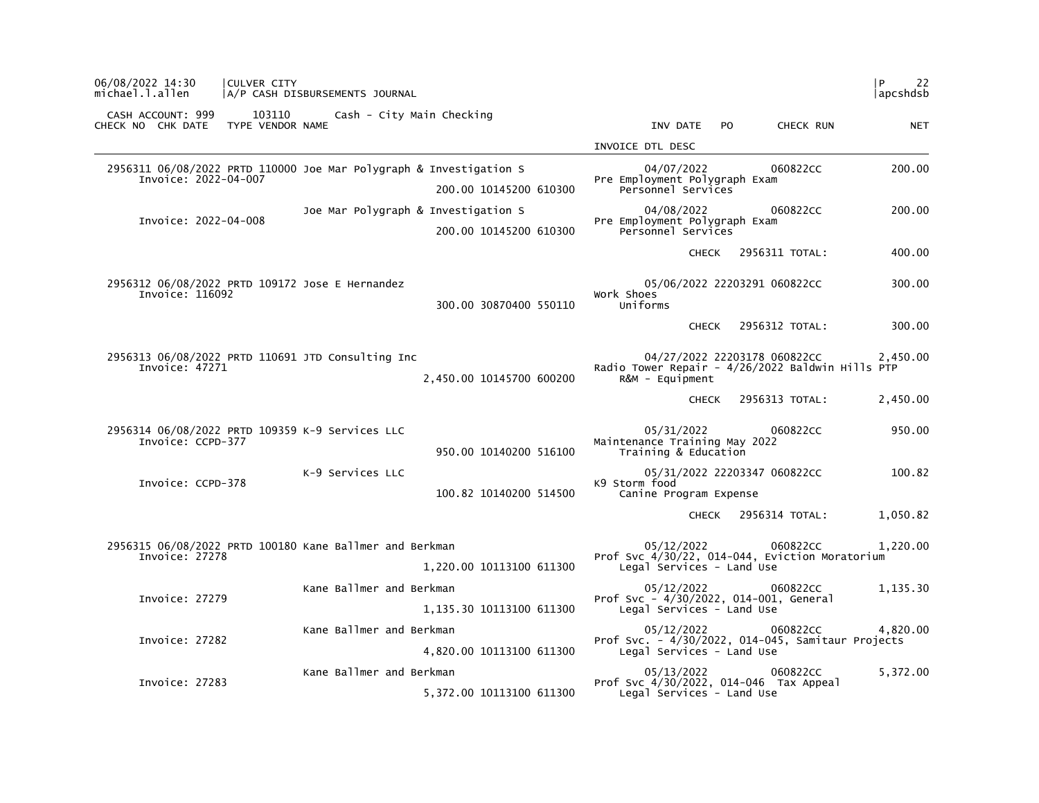| P<br>22<br> apcshdsb |                |                                                                                                          |                                                                                              | A/P CASH DISBURSEMENTS JOURNAL                          | CULVER CITY                |                                        | 06/08/2022 14:30<br>michael.l.allen |
|----------------------|----------------|----------------------------------------------------------------------------------------------------------|----------------------------------------------------------------------------------------------|---------------------------------------------------------|----------------------------|----------------------------------------|-------------------------------------|
| <b>NET</b>           | CHECK RUN      | INV DATE<br>P <sub>O</sub>                                                                               | Cash - City Main Checking                                                                    |                                                         | 103110<br>TYPE VENDOR NAME | CASH ACCOUNT: 999<br>CHECK NO CHK DATE |                                     |
|                      |                | INVOICE DTL DESC                                                                                         |                                                                                              |                                                         |                            |                                        |                                     |
| 200.00               | 060822CC       | 04/07/2022<br>Pre Employment Polygraph Exam<br>Personnel Services                                        | 2956311 06/08/2022 PRTD 110000 Joe Mar Polygraph & Investigation S<br>200.00 10145200 610300 |                                                         |                            | Invoice: 2022-04-007                   |                                     |
| 200.00               | 060822CC       | 04/08/2022<br>Pre Employment Polygraph Exam<br>Personnel Services                                        | Joe Mar Polygraph & Investigation S<br>200.00 10145200 610300                                |                                                         |                            | Invoice: 2022-04-008                   |                                     |
| 400.00               | 2956311 TOTAL: | <b>CHECK</b>                                                                                             |                                                                                              |                                                         |                            |                                        |                                     |
| 300.00               |                | 05/06/2022 22203291 060822CC<br>Work Shoes<br>Uniforms                                                   | 300.00 30870400 550110                                                                       | 2956312 06/08/2022 PRTD 109172 Jose E Hernandez         |                            | Invoice: 116092                        |                                     |
| 300.00               | 2956312 TOTAL: | <b>CHECK</b>                                                                                             |                                                                                              |                                                         |                            |                                        |                                     |
| 2,450.00             |                | 04/27/2022 22203178 060822CC<br>Radio Tower Repair - 4/26/2022 Baldwin Hills PTP<br>$R\&M - \text{Equi}$ | 2,450.00 10145700 600200                                                                     | 2956313 06/08/2022 PRTD 110691 JTD Consulting Inc       |                            | Invoice: 47271                         |                                     |
| 2,450.00             | 2956313 TOTAL: | <b>CHECK</b>                                                                                             |                                                                                              |                                                         |                            |                                        |                                     |
| 950.00               | 060822CC       | 05/31/2022<br>Maintenance Training May 2022<br>Training & Education                                      | 950.00 10140200 516100                                                                       | 2956314 06/08/2022 PRTD 109359 K-9 Services LLC         |                            | Invoice: CCPD-377                      |                                     |
| 100.82               |                | 05/31/2022 22203347 060822CC<br>K9 Storm food<br>Canine Program Expense                                  | 100.82 10140200 514500                                                                       | K-9 Services LLC                                        |                            | Invoice: CCPD-378                      |                                     |
| 1,050.82             | 2956314 TOTAL: | <b>CHECK</b>                                                                                             |                                                                                              |                                                         |                            |                                        |                                     |
| 1,220.00             | 060822CC       | 05/12/2022<br>Prof Svc 4/30/22, 014-044, Eviction Moratorium<br>Legal Services - Land Use                | 1,220.00 10113100 611300                                                                     | 2956315 06/08/2022 PRTD 100180 Kane Ballmer and Berkman |                            | Invoice: 27278                         |                                     |
| 1,135.30             | 060822CC       | 05/12/2022<br>Prof Svc - 4/30/2022, 014-001, General<br>Legal Services - Land Use                        | 1,135.30 10113100 611300                                                                     | Kane Ballmer and Berkman                                |                            | Invoice: 27279                         |                                     |
| 4,820.00             | 060822CC       | 05/12/2022<br>Prof Svc. - 4/30/2022, 014-045, Samitaur Projects<br>Legal Services - Land Use             | 4,820.00 10113100 611300                                                                     | Kane Ballmer and Berkman                                |                            | Invoice: 27282                         |                                     |
| 5,372.00             | 060822CC       | 05/13/2022<br>Prof Svc 4/30/2022, 014-046 Tax Appeal<br>Legal Services - Land Use                        | 5,372.00 10113100 611300                                                                     | Kane Ballmer and Berkman                                |                            | Invoice: 27283                         |                                     |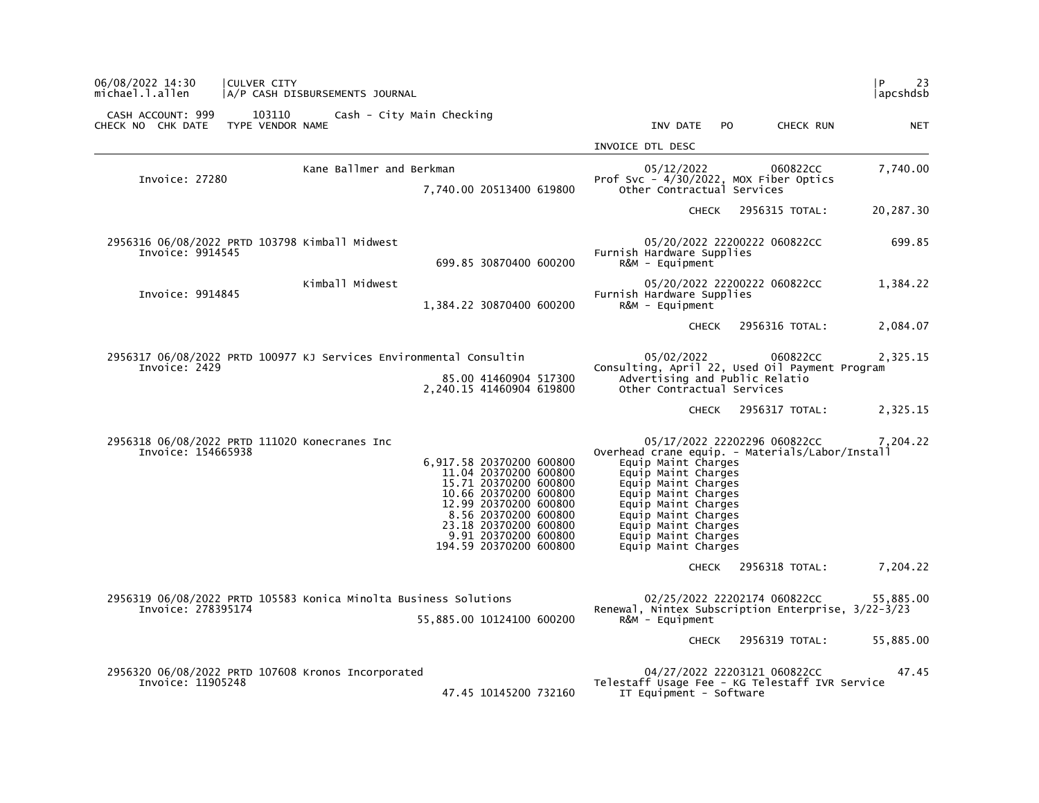| 06/08/2022 14:30<br><b>CULVER CITY</b><br>michael.l.allen               | A/P CASH DISBURSEMENTS JOURNAL                                                                                                                                                                                                  | l P<br>23<br> apcshdsb                                                                                                                                                                                                                                                                                     |
|-------------------------------------------------------------------------|---------------------------------------------------------------------------------------------------------------------------------------------------------------------------------------------------------------------------------|------------------------------------------------------------------------------------------------------------------------------------------------------------------------------------------------------------------------------------------------------------------------------------------------------------|
| CASH ACCOUNT: 999<br>103110<br>CHECK NO CHK DATE TYPE VENDOR NAME       | Cash - City Main Checking                                                                                                                                                                                                       | INV DATE PO<br>CHECK RUN<br><b>NET</b>                                                                                                                                                                                                                                                                     |
|                                                                         |                                                                                                                                                                                                                                 | INVOICE DTL DESC                                                                                                                                                                                                                                                                                           |
| Invoice: 27280                                                          | Kane Ballmer and Berkman                                                                                                                                                                                                        | 7,740.00<br>05/12/2022<br>060822CC<br>Prof Svc $-4/30/2022$ , MOX Fiber Optics                                                                                                                                                                                                                             |
|                                                                         | 7,740.00 20513400 619800                                                                                                                                                                                                        | Other Contractual Services                                                                                                                                                                                                                                                                                 |
|                                                                         |                                                                                                                                                                                                                                 | CHECK 2956315 TOTAL:<br>20,287.30                                                                                                                                                                                                                                                                          |
| 2956316 06/08/2022 PRTD 103798 Kimball Midwest<br>Invoice: 9914545      | 699.85 30870400 600200                                                                                                                                                                                                          | 699.85<br>05/20/2022 22200222 060822CC<br>Furnish Hardware Supplies<br>$R&M - \text{Equi}$                                                                                                                                                                                                                 |
| Invoice: 9914845                                                        | Kimball Midwest<br>1,384.22 30870400 600200                                                                                                                                                                                     | 05/20/2022 22200222 060822CC<br>1,384.22<br>Furnish Hardware Supplies<br>$R\&M - \text{Equi}$                                                                                                                                                                                                              |
|                                                                         |                                                                                                                                                                                                                                 | 2956316 TOTAL:<br>2,084.07<br>CHECK                                                                                                                                                                                                                                                                        |
|                                                                         | 2956317 06/08/2022 PRTD 100977 KJ Services Environmental Consultin                                                                                                                                                              | 2,325.15<br>05/02/2022<br>060822CC                                                                                                                                                                                                                                                                         |
| Invoice: 2429                                                           | 85.00 41460904 517300<br>2,240.15 41460904 619800                                                                                                                                                                               | Consulting, April 22, Used Oil Payment Program<br>Advertising and Public Relatio<br>Other Contractual Services                                                                                                                                                                                             |
|                                                                         |                                                                                                                                                                                                                                 | 2,325.15<br>CHECK 2956317 TOTAL:                                                                                                                                                                                                                                                                           |
| 2956318 06/08/2022 PRTD 111020 Konecranes Inc<br>Invoice: 154665938     | 6,917.58 20370200 600800<br>11.04 20370200 600800<br>15.71 20370200 600800<br>10.66 20370200 600800<br>12.99 20370200 600800<br>8.56 20370200 600800<br>23.18 20370200 600800<br>9.91 20370200 600800<br>194.59 20370200 600800 | 05/17/2022 22202296 060822CC<br>7,204.22<br>Overhead crane equip. - Materials/Labor/Install<br>Equip Maint Charges<br>Equip Maint Charges<br>Equip Maint Charges<br>Equip Maint Charges<br>Equip Maint Charges<br>Equip Maint Charges<br>Equip Maint Charges<br>Equip Maint Charges<br>Equip Maint Charges |
|                                                                         |                                                                                                                                                                                                                                 | CHECK 2956318 TOTAL:<br>7,204.22                                                                                                                                                                                                                                                                           |
| Invoice: 278395174                                                      | 2956319 06/08/2022 PRTD 105583 Konica Minolta Business Solutions<br>55,885.00 10124100 600200                                                                                                                                   | 02/25/2022 22202174 060822CC<br>55,885.00<br>Renewal, Nintex Subscription Enterprise, 3/22-3/23<br>$R\&M - \text{Equi}$                                                                                                                                                                                    |
|                                                                         |                                                                                                                                                                                                                                 | 2956319 TOTAL:<br>55,885.00<br><b>CHECK</b>                                                                                                                                                                                                                                                                |
| 2956320 06/08/2022 PRTD 107608 Kronos Incorporated<br>Invoice: 11905248 | 47.45 10145200 732160                                                                                                                                                                                                           | 04/27/2022 22203121 060822CC<br>47.45<br>Telestaff Usage Fee - KG Telestaff IVR Service<br>IT Equipment - Software                                                                                                                                                                                         |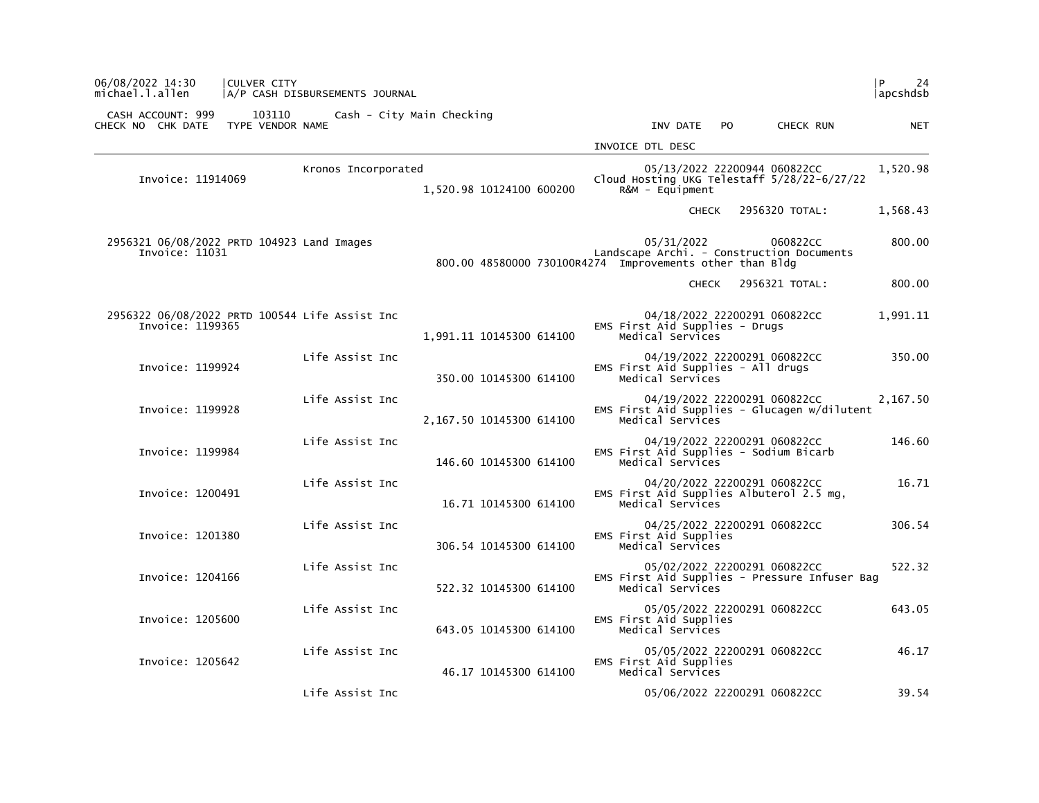| 06/08/2022 14:30<br>michael.l.allen                                | <b>CULVER CITY</b>         | A/P CASH DISBURSEMENTS JOURNAL |                                                          |                                                        |                                                                               | l P<br>24<br> apcshdsb |
|--------------------------------------------------------------------|----------------------------|--------------------------------|----------------------------------------------------------|--------------------------------------------------------|-------------------------------------------------------------------------------|------------------------|
| CASH ACCOUNT: 999<br>CHECK NO CHK DATE                             | 103110<br>TYPE VENDOR NAME |                                | Cash - City Main Checking                                | INV DATE                                               | <b>PO</b><br>CHECK RUN                                                        | <b>NET</b>             |
|                                                                    |                            |                                |                                                          | INVOICE DTL DESC                                       |                                                                               |                        |
| Invoice: 11914069                                                  |                            | Kronos Incorporated            | 1,520.98 10124100 600200                                 | $R\&M - \text{Equi}$                                   | 05/13/2022 22200944 060822CC<br>Cloud Hosting UKG Telestaff 5/28/22-6/27/22   | 1,520.98               |
|                                                                    |                            |                                |                                                          | <b>CHECK</b>                                           | 2956320 TOTAL:                                                                | 1,568.43               |
| 2956321 06/08/2022 PRTD 104923 Land Images<br>Invoice: 11031       |                            |                                | 800.00 48580000 730100R4274 Improvements other than Bldg | 05/31/2022                                             | 060822CC<br>Landscape Archi. - Construction Documents                         | 800.00                 |
|                                                                    |                            |                                |                                                          | <b>CHECK</b>                                           | 2956321 TOTAL:                                                                | 800.00                 |
| 2956322 06/08/2022 PRTD 100544 Life Assist Inc<br>Invoice: 1199365 |                            |                                | 1,991.11 10145300 614100                                 | EMS First Aid Supplies - Drugs<br>Medical Services     | 04/18/2022 22200291 060822CC                                                  | 1,991.11               |
| Invoice: 1199924                                                   |                            | Life Assist Inc                | 350.00 10145300 614100                                   | EMS First Aid Supplies - All drugs<br>Medical Services | 04/19/2022 22200291 060822CC                                                  | 350.00                 |
| Invoice: 1199928                                                   |                            | Life Assist Inc                | 2,167.50 10145300 614100                                 | Medical Services                                       | 04/19/2022 22200291 060822CC<br>EMS First Aid Supplies - Glucagen w/dilutent  | 2,167.50               |
| Invoice: 1199984                                                   |                            | Life Assist Inc                | 146.60 10145300 614100                                   | Medical Services                                       | 04/19/2022 22200291 060822CC<br>EMS First Aid Supplies - Sodium Bicarb        | 146.60                 |
| Invoice: 1200491                                                   |                            | Life Assist Inc                | 16.71 10145300 614100                                    | Medical Services                                       | 04/20/2022 22200291 060822CC<br>EMS First Aid Supplies Albuterol 2.5 mg,      | 16.71                  |
| Invoice: 1201380                                                   |                            | Life Assist Inc                | 306.54 10145300 614100                                   | EMS First Aid Supplies<br>Medical Services             | 04/25/2022 22200291 060822CC                                                  | 306.54                 |
| Invoice: 1204166                                                   |                            | Life Assist Inc                | 522.32 10145300 614100                                   | Medical Services                                       | 05/02/2022 22200291 060822CC<br>EMS First Aid Supplies - Pressure Infuser Bag | 522.32                 |
| Invoice: 1205600                                                   |                            | Life Assist Inc                | 643.05 10145300 614100                                   | EMS First Aid Supplies<br>Medical Services             | 05/05/2022 22200291 060822CC                                                  | 643.05                 |
| Invoice: 1205642                                                   |                            | Life Assist Inc                | 46.17 10145300 614100                                    | EMS First Aid Supplies<br>Medical Services             | 05/05/2022 22200291 060822CC                                                  | 46.17                  |
|                                                                    |                            | Life Assist Inc                |                                                          |                                                        | 05/06/2022 22200291 060822CC                                                  | 39.54                  |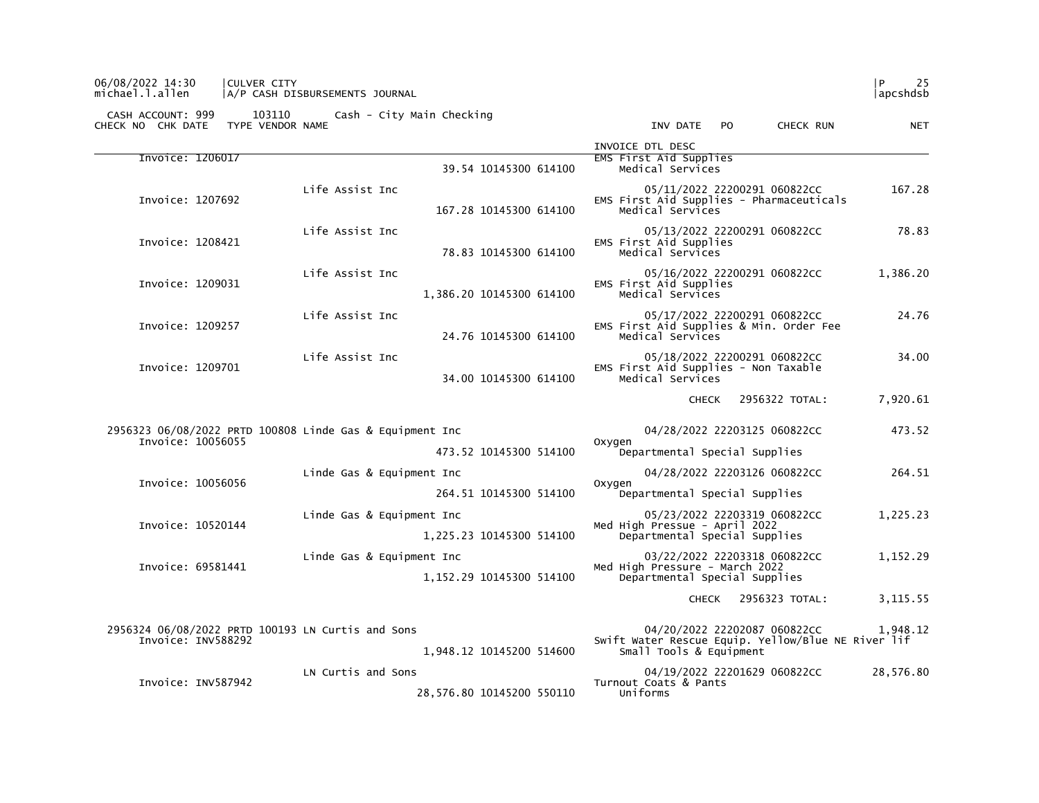| 103110<br>CASH ACCOUNT: 999<br>TYPE VENDOR NAME<br>CHECK NO CHK DATE          | Cash - City Main Checking |                           | INV DATE                                                                                                      | <b>PO</b> | CHECK RUN      | <b>NET</b> |
|-------------------------------------------------------------------------------|---------------------------|---------------------------|---------------------------------------------------------------------------------------------------------------|-----------|----------------|------------|
|                                                                               |                           |                           | INVOICE DTL DESC                                                                                              |           |                |            |
| Invoice: 1206017                                                              |                           | 39.54 10145300 614100     | EMS First Aid Supplies<br>Medical Services                                                                    |           |                |            |
| Invoice: 1207692                                                              | Life Assist Inc           | 167.28 10145300 614100    | 05/11/2022 22200291 060822CC<br>EMS First Aid Supplies - Pharmaceuticals<br>Medical Services                  |           |                | 167.28     |
| Invoice: 1208421                                                              | Life Assist Inc           | 78.83 10145300 614100     | 05/13/2022 22200291 060822CC<br>EMS First Aid Supplies<br>Medical Services                                    |           |                | 78.83      |
| Invoice: 1209031                                                              | Life Assist Inc           | 1,386.20 10145300 614100  | 05/16/2022 22200291 060822CC<br>EMS First Aid Supplies<br>Medical Services                                    |           |                | 1,386.20   |
| Invoice: 1209257                                                              | Life Assist Inc           | 24.76 10145300 614100     | 05/17/2022 22200291 060822CC<br>EMS First Aid Supplies & Min. Order Fee<br>Medical Services                   |           |                | 24.76      |
| Invoice: 1209701                                                              | Life Assist Inc           | 34.00 10145300 614100     | 05/18/2022 22200291 060822CC<br>EMS First Aid Supplies - Non Taxable<br>Medical Services                      |           |                | 34.00      |
|                                                                               |                           |                           | <b>CHECK</b>                                                                                                  |           | 2956322 TOTAL: | 7,920.61   |
| 2956323 06/08/2022 PRTD 100808 Linde Gas & Equipment Inc<br>Invoice: 10056055 |                           |                           | 04/28/2022 22203125 060822CC                                                                                  |           |                | 473.52     |
|                                                                               |                           | 473.52 10145300 514100    | Oxygen<br>Departmental Special Supplies                                                                       |           |                |            |
|                                                                               | Linde Gas & Equipment Inc |                           | 04/28/2022 22203126 060822CC                                                                                  |           |                | 264.51     |
| Invoice: 10056056                                                             |                           | 264.51 10145300 514100    | Oxvaen<br>Departmental Special Supplies                                                                       |           |                |            |
| Invoice: 10520144                                                             | Linde Gas & Equipment Inc | 1,225.23 10145300 514100  | 05/23/2022 22203319 060822CC<br>Med High Pressue - April 2022<br>Departmental Special Supplies                |           |                | 1,225.23   |
|                                                                               | Linde Gas & Equipment Inc |                           | 03/22/2022 22203318 060822CC                                                                                  |           |                | 1,152.29   |
| Invoice: 69581441                                                             |                           | 1,152.29 10145300 514100  | Med High Pressure - March 2022<br>Departmental Special Supplies                                               |           |                |            |
|                                                                               |                           |                           | CHECK                                                                                                         |           | 2956323 TOTAL: | 3, 115.55  |
| 2956324 06/08/2022 PRTD 100193 LN Curtis and Sons<br>Invoice: INV588292       |                           | 1,948.12 10145200 514600  | 04/20/2022 22202087 060822CC<br>Swift Water Rescue Equip. Yellow/Blue NE River lif<br>Small Tools & Equipment |           |                | 1,948.12   |
| Invoice: INV587942                                                            | LN Curtis and Sons        | 28.576.80 10145200 550110 | 04/19/2022 22201629 060822CC<br>Turnout Coats & Pants<br>Uniforms                                             |           |                | 28,576.80  |

# 06/08/2022 14:30 |CULVER CITY |P 25 michael.l.allen |A/P CASH DISBURSEMENTS JOURNAL |apcshdsb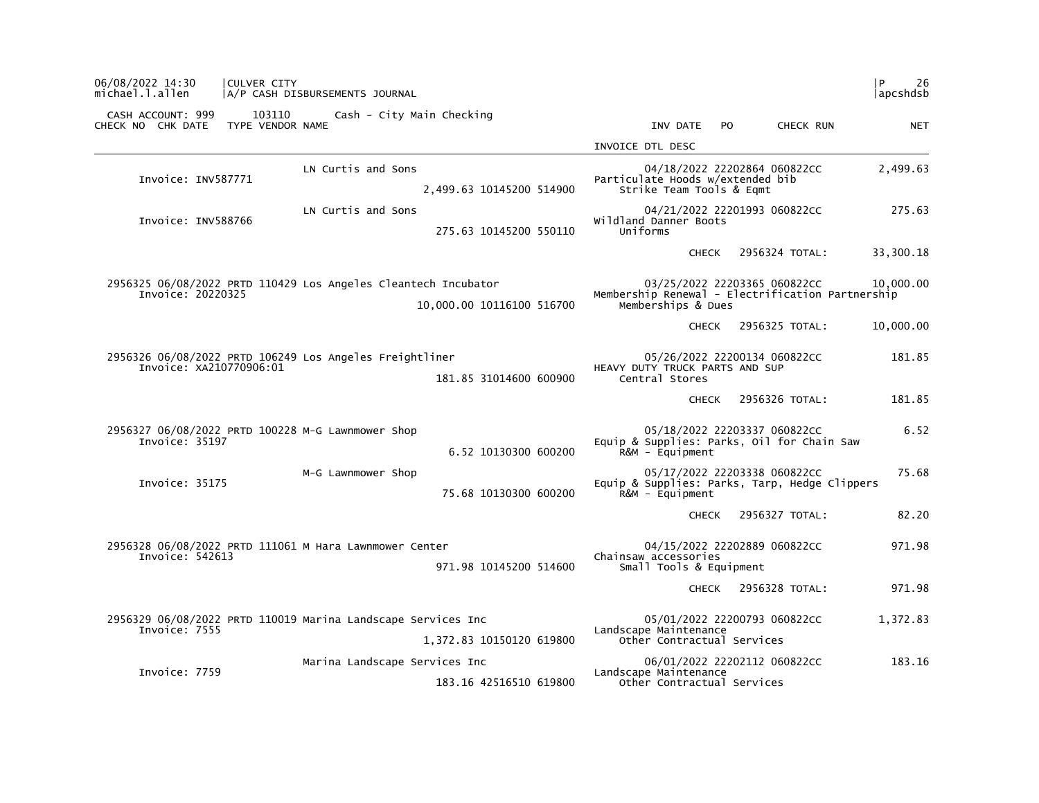| l P.<br>26<br> apcshdsb |                              |     |                                                                        |                           | A/P CASH DISBURSEMENTS JOURNAL                                 | <b>CULVER CITY</b>         | 06/08/2022 14:30<br>michael.l.allen    |
|-------------------------|------------------------------|-----|------------------------------------------------------------------------|---------------------------|----------------------------------------------------------------|----------------------------|----------------------------------------|
| <b>NET</b>              | CHECK RUN                    | PO. | INV DATE                                                               |                           | Cash - City Main Checking                                      | 103110<br>TYPE VENDOR NAME | CASH ACCOUNT: 999<br>CHECK NO CHK DATE |
|                         |                              |     | INVOICE DTL DESC                                                       |                           |                                                                |                            |                                        |
| 2,499.63                | 04/18/2022 22202864 060822CC |     | Particulate Hoods w/extended bib<br>Strike Team Tools & Eqmt           | 2,499.63 10145200 514900  | LN Curtis and Sons                                             |                            | Invoice: INV587771                     |
| 275.63                  | 04/21/2022 22201993 060822CC |     | wildland Danner Boots<br>Uniforms                                      | 275.63 10145200 550110    | LN Curtis and Sons                                             |                            | Invoice: INV588766                     |
| 33,300.18               | 2956324 TOTAL:               |     | <b>CHECK</b>                                                           |                           |                                                                |                            |                                        |
| 10,000.00               | 03/25/2022 22203365 060822CC |     | Membership Renewal - Electrification Partnership<br>Memberships & Dues | 10,000.00 10116100 516700 | 2956325 06/08/2022 PRTD 110429 Los Angeles Cleantech Incubator |                            | Invoice: 20220325                      |
| 10,000.00               | 2956325 TOTAL:               |     | <b>CHECK</b>                                                           |                           |                                                                |                            |                                        |
| 181.85                  | 05/26/2022 22200134 060822CC |     | HEAVY DUTY TRUCK PARTS AND SUP<br>Central Stores                       | 181.85 31014600 600900    | 2956326 06/08/2022 PRTD 106249 Los Angeles Freightliner        |                            | Invoice: XA210770906:01                |
| 181.85                  | 2956326 TOTAL:               |     | <b>CHECK</b>                                                           |                           |                                                                |                            |                                        |
| 6.52                    | 05/18/2022 22203337 060822CC |     | Equip & Supplies: Parks, Oil for Chain Saw<br>R&M - Equipment          | 6.52 10130300 600200      | 2956327 06/08/2022 PRTD 100228 M-G Lawnmower Shop              |                            | Invoice: 35197                         |
| 75.68                   | 05/17/2022 22203338 060822CC |     | Equip & Supplies: Parks, Tarp, Hedge Clippers<br>$R\&M - \text{Equi}$  | 75.68 10130300 600200     | M-G Lawnmower Shop                                             |                            | Invoice: 35175                         |
| 82.20                   | 2956327 TOTAL:               |     | <b>CHECK</b>                                                           |                           |                                                                |                            |                                        |
| 971.98                  | 04/15/2022 22202889 060822CC |     | Chainsaw accessories<br>Small Tools & Equipment                        | 971.98 10145200 514600    | 2956328 06/08/2022 PRTD 111061 M Hara Lawnmower Center         |                            | Invoice: 542613                        |
| 971.98                  | 2956328 TOTAL:               |     | <b>CHECK</b>                                                           |                           |                                                                |                            |                                        |
| 1,372.83                | 05/01/2022 22200793 060822CC |     |                                                                        |                           | 2956329 06/08/2022 PRTD 110019 Marina Landscape Services Inc   |                            | Invoice: 7555                          |
|                         |                              |     | Landscape Maintenance<br>Other Contractual Services                    | 1,372.83 10150120 619800  |                                                                |                            |                                        |
| 183.16                  | 06/01/2022 22202112 060822CC |     | Landscape Maintenance                                                  |                           | Marina Landscape Services Inc                                  |                            | Invoice: 7759                          |
|                         |                              |     | Other Contractual Services                                             | 183.16 42516510 619800    |                                                                |                            |                                        |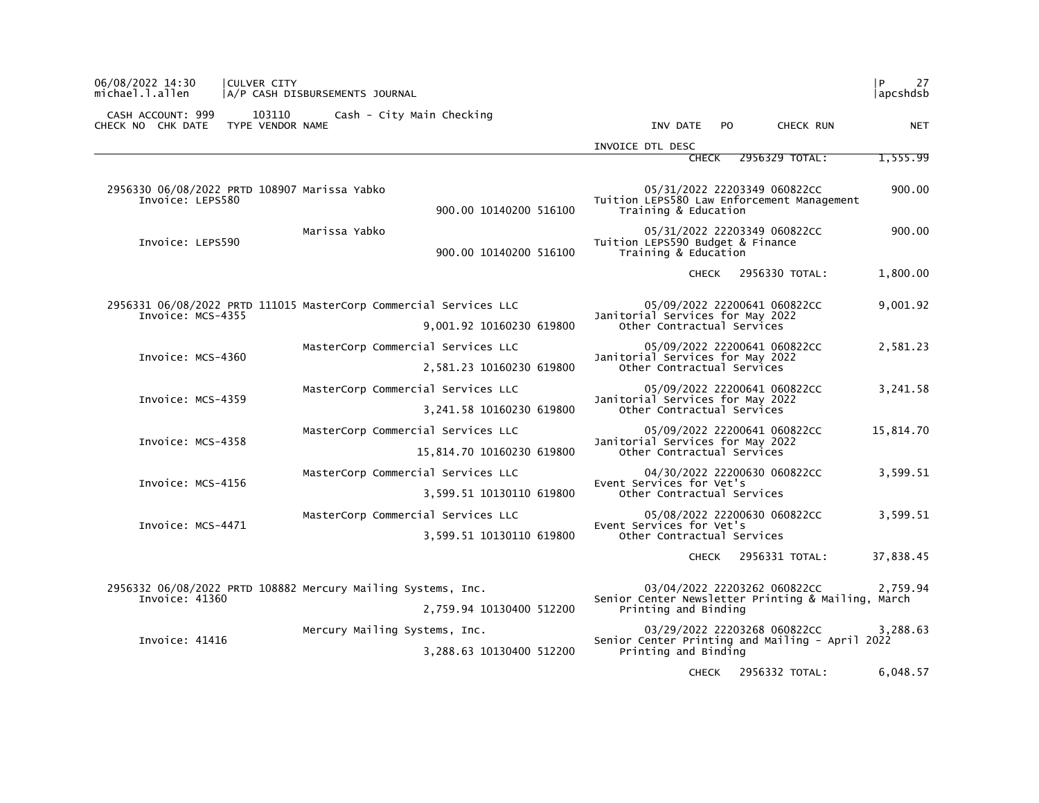| 06/08/2022 14:30<br>michael.l.allen                              | CULVER CITY                | A/P CASH DISBURSEMENTS JOURNAL                                    |                           | l P<br> apcshdsb                                               |     |                                                                            |                |
|------------------------------------------------------------------|----------------------------|-------------------------------------------------------------------|---------------------------|----------------------------------------------------------------|-----|----------------------------------------------------------------------------|----------------|
| CASH ACCOUNT: 999<br>CHECK NO CHK DATE                           | 103110<br>TYPE VENDOR NAME | Cash - City Main Checking                                         |                           | INV DATE                                                       | PO. | CHECK RUN                                                                  | <b>NET</b>     |
|                                                                  |                            |                                                                   |                           | INVOICE DTL DESC                                               |     |                                                                            |                |
|                                                                  |                            |                                                                   |                           | <b>CHECK</b>                                                   |     | 2956329 TOTAL:                                                             | 1,555.99       |
| 2956330 06/08/2022 PRTD 108907 Marissa Yabko<br>Invoice: LEPS580 |                            |                                                                   | 900.00 10140200 516100    | Training & Education                                           |     | 05/31/2022 22203349 060822CC<br>Tuition LEPS580 Law Enforcement Management | 900.00         |
| Invoice: LEPS590                                                 |                            | Marissa Yabko                                                     | 900.00 10140200 516100    | Tuition LEPS590 Budget & Finance<br>Training & Education       |     | 05/31/2022 22203349 060822CC                                               | 900.00         |
|                                                                  |                            |                                                                   |                           | <b>CHECK</b>                                                   |     | 2956330 TOTAL:                                                             | 1,800.00       |
| Invoice: MCS-4355                                                |                            | 2956331 06/08/2022 PRTD 111015 MasterCorp Commercial Services LLC | 9,001.92 10160230 619800  | Janitorial Services for May 2022<br>Other Contractual Services |     | 05/09/2022 22200641 060822CC                                               | 9,001.92       |
|                                                                  |                            | MasterCorp Commercial Services LLC                                |                           |                                                                |     | 05/09/2022 22200641 060822CC                                               | 2,581.23       |
| Invoice: MCS-4360                                                |                            |                                                                   | 2,581.23 10160230 619800  | Janitorial Services for May 2022<br>Other Contractual Services |     |                                                                            |                |
|                                                                  |                            | MasterCorp Commercial Services LLC                                |                           |                                                                |     | 05/09/2022 22200641 060822CC                                               | 3,241.58       |
| Invoice: MCS-4359                                                |                            |                                                                   | 3,241.58 10160230 619800  | Janitorial Services for May 2022<br>Other Contractual Services |     |                                                                            |                |
|                                                                  |                            | MasterCorp Commercial Services LLC                                |                           |                                                                |     | 05/09/2022 22200641 060822CC                                               | 15,814.70      |
| Invoice: MCS-4358                                                |                            |                                                                   | 15,814.70 10160230 619800 | Janitorial Services for May 2022<br>Other Contractual Services |     |                                                                            |                |
|                                                                  |                            | MasterCorp Commercial Services LLC                                |                           |                                                                |     | 04/30/2022 22200630 060822CC                                               | 3,599.51       |
| Invoice: MCS-4156                                                |                            |                                                                   | 3,599.51 10130110 619800  | Event Services for Vet's<br>Other Contractual Services         |     |                                                                            |                |
|                                                                  |                            | MasterCorp Commercial Services LLC                                |                           |                                                                |     | 05/08/2022 22200630 060822CC                                               | 3,599.51       |
| Invoice: MCS-4471                                                |                            |                                                                   | 3,599.51 10130110 619800  | Event Services for Vet's<br>Other Contractual Services         |     |                                                                            |                |
|                                                                  |                            |                                                                   |                           | <b>CHECK</b>                                                   |     | 2956331 TOTAL:                                                             | 37,838.45      |
|                                                                  |                            | 2956332 06/08/2022 PRTD 108882 Mercury Mailing Systems, Inc.      |                           |                                                                |     | 03/04/2022 22203262 060822CC                                               | 2,759.94       |
| Invoice: 41360                                                   |                            |                                                                   | 2,759.94 10130400 512200  | Printing and Binding                                           |     | Senior Center Newsletter Printing & Mailing, March                         |                |
|                                                                  |                            | Mercury Mailing Systems, Inc.                                     |                           |                                                                |     | 03/29/2022 22203268 060822CC                                               | 3,288.63       |
| Invoice: 41416                                                   |                            |                                                                   | 3,288.63 10130400 512200  | Printing and Binding                                           |     | Senior Center Printing and Mailing - April 2022                            |                |
|                                                                  |                            |                                                                   |                           |                                                                |     | $CUTEC$ $C10ECD22.7T11.$                                                   | $C$ $0A0$ $E7$ |

CHECK 2956332 TOTAL: 6,048.57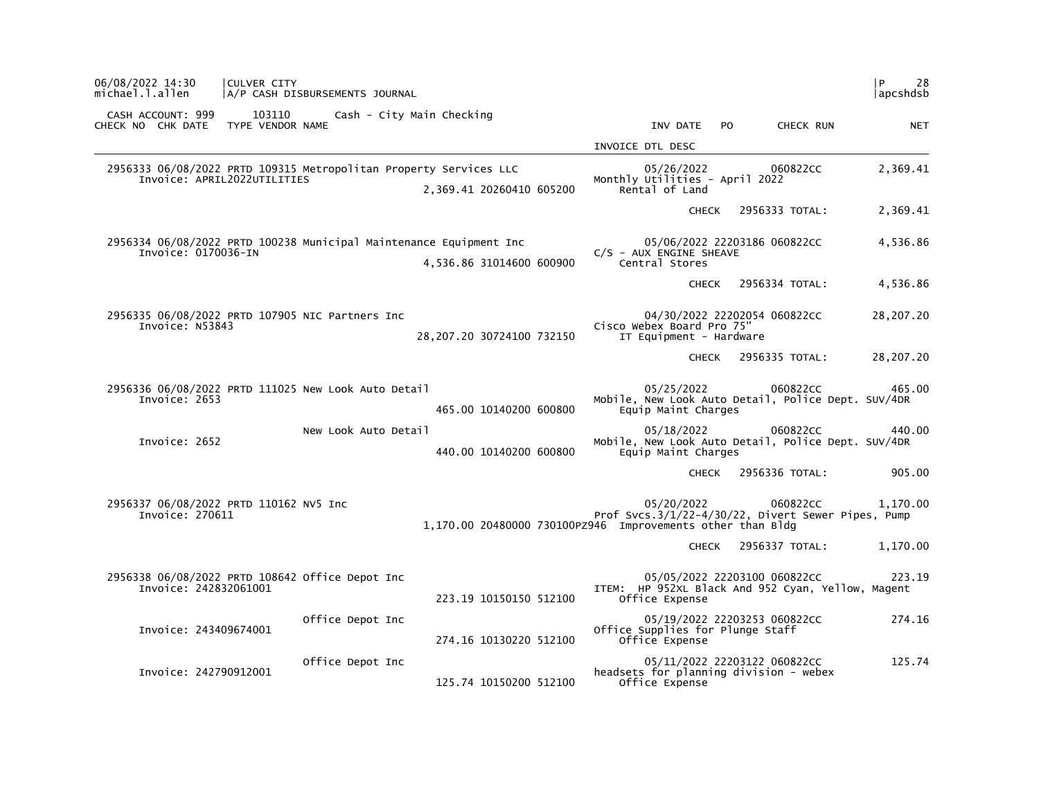| 06/08/2022 14:30<br>michael.l.allen                       | CULVER CITY<br>A/P CASH DISBURSEMENTS JOURNAL                      |                           |                                                                                                                                            | P.<br>28<br> apcshdsb |
|-----------------------------------------------------------|--------------------------------------------------------------------|---------------------------|--------------------------------------------------------------------------------------------------------------------------------------------|-----------------------|
| CASH ACCOUNT: 999<br>CHECK NO CHK DATE                    | 103110<br>TYPE VENDOR NAME                                         | Cash - City Main Checking | INV DATE<br>PO.<br>CHECK RUN                                                                                                               | <b>NET</b>            |
|                                                           |                                                                    |                           | INVOICE DTL DESC                                                                                                                           |                       |
| Invoice: APRIL2022UTILITIES                               | 2956333 06/08/2022 PRTD 109315 Metropolitan Property Services LLC  | 2,369.41 20260410 605200  | 05/26/2022<br>060822CC<br>Monthly Utilities - April 2022<br>Rental of Land                                                                 | 2,369.41              |
|                                                           |                                                                    |                           | 2956333 TOTAL:<br><b>CHECK</b>                                                                                                             | 2,369.41              |
| Invoice: 0170036-IN                                       | 2956334 06/08/2022 PRTD 100238 Municipal Maintenance Equipment Inc | 4,536.86 31014600 600900  | 05/06/2022 22203186 060822CC<br>$C/S$ - AUX ENGINE SHEAVE<br>Central Stores                                                                | 4,536.86              |
|                                                           |                                                                    |                           | 2956334 TOTAL:<br><b>CHECK</b>                                                                                                             | 4,536.86              |
| Invoice: N53843                                           | 2956335 06/08/2022 PRTD 107905 NIC Partners Inc                    | 28,207.20 30724100 732150 | 04/30/2022 22202054 060822CC<br>Cisco Webex Board Pro 75"<br>IT Equipment - Hardware                                                       | 28,207.20             |
|                                                           |                                                                    |                           | 2956335 TOTAL:<br>CHECK                                                                                                                    | 28,207.20             |
| Invoice: 2653                                             | 2956336 06/08/2022 PRTD 111025 New Look Auto Detail                | 465.00 10140200 600800    | 05/25/2022<br>060822CC<br>Mobile, New Look Auto Detail, Police Dept. SUV/4DR<br>Equip Maint Charges                                        | 465.00                |
| Invoice: 2652                                             | New Look Auto Detail                                               | 440.00 10140200 600800    | 05/18/2022<br>060822CC<br>Mobile, New Look Auto Detail, Police Dept. SUV/4DR<br>Equip Maint Charges                                        | 440.00                |
|                                                           |                                                                    |                           | CHECK 2956336 TOTAL:                                                                                                                       | 905.00                |
| 2956337 06/08/2022 PRTD 110162 NV5 Inc<br>Invoice: 270611 |                                                                    |                           | 05/20/2022<br>060822CC<br>Prof Svcs.3/1/22-4/30/22, Divert Sewer Pipes, Pump<br>1,170.00 20480000 730100PZ946 Improvements other than Bldg | 1.170.00              |
|                                                           |                                                                    |                           | 2956337 TOTAL:<br><b>CHECK</b>                                                                                                             | 1,170.00              |
| Invoice: 242832061001                                     | 2956338 06/08/2022 PRTD 108642 Office Depot Inc                    | 223.19 10150150 512100    | 05/05/2022 22203100 060822CC<br>ITEM: HP 952XL Black And 952 Cyan, Yellow, Magent<br>Office Expense                                        | 223.19                |
| Invoice: 243409674001                                     | Office Depot Inc                                                   | 274.16 10130220 512100    | 05/19/2022 22203253 060822CC<br>Office Supplies for Plunge Staff<br>Office Expense                                                         | 274.16                |
| Invoice: 242790912001                                     | Office Depot Inc                                                   | 125.74 10150200 512100    | 05/11/2022 22203122 060822CC<br>headsets for planning division - webex<br>Office Expense                                                   | 125.74                |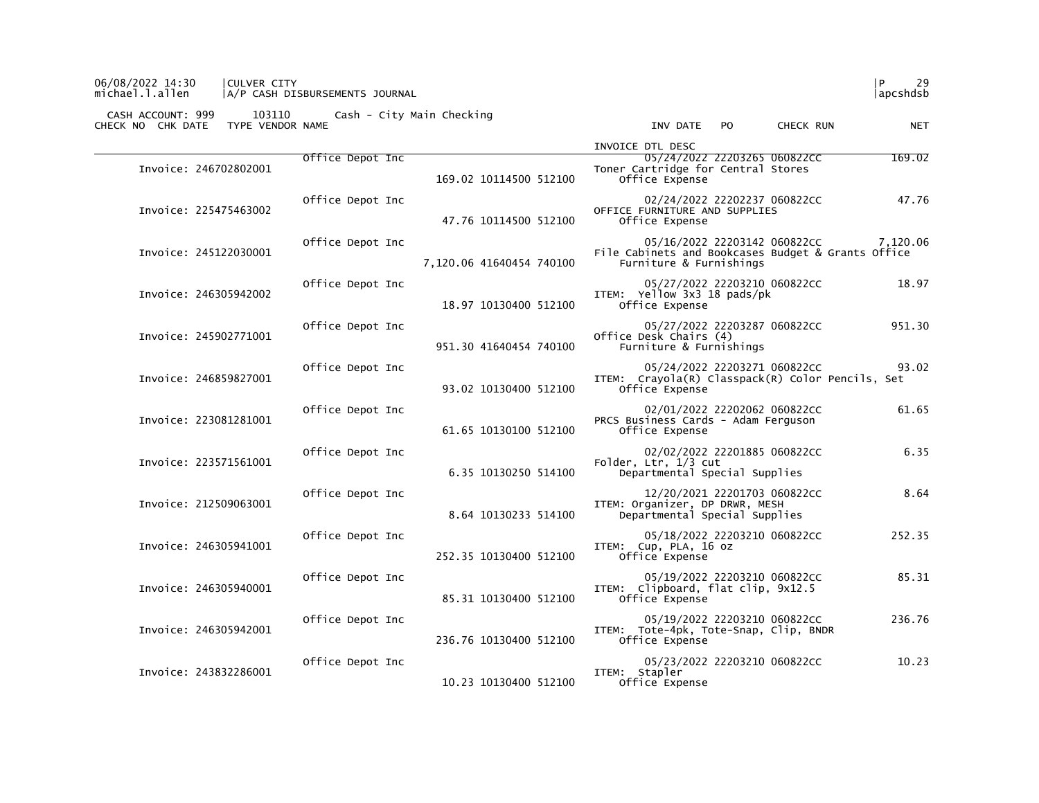### 06/08/2022 14:30 |CULVER CITY |P 29 michael.l.allen |A/P CASH DISBURSEMENTS JOURNAL |apcshdsb

 CASH ACCOUNT: 999 103110 Cash - City Main Checking CHECK NO CHK DATE TYPE VENDOR NAME INV DATE PO CHECK RUN NET

|          | INVOICE DTL DESC                                                                                              |                          |                  |                       |
|----------|---------------------------------------------------------------------------------------------------------------|--------------------------|------------------|-----------------------|
| 169.02   | 05/24/2022 22203265 060822CC<br>Toner Cartridge for Central Stores<br>Office Expense                          | 169.02 10114500 512100   | Office Depot Inc | Invoice: 246702802001 |
| 47.76    | 02/24/2022 22202237 060822CC<br>OFFICE FURNITURE AND SUPPLIES<br>Office Expense                               | 47.76 10114500 512100    | Office Depot Inc | Invoice: 225475463002 |
| 7,120.06 | 05/16/2022 22203142 060822CC<br>File Cabinets and Bookcases Budget & Grants Office<br>Furniture & Furnishings | 7,120.06 41640454 740100 | Office Depot Inc | Invoice: 245122030001 |
| 18.97    | 05/27/2022 22203210 060822CC<br>ITEM: Yellow 3x3 18 pads/pk<br>Office Expense                                 | 18.97 10130400 512100    | Office Depot Inc | Invoice: 246305942002 |
| 951.30   | 05/27/2022 22203287 060822CC<br>Office Desk Chairs (4)<br>Furniture & Furnishings                             | 951.30 41640454 740100   | Office Depot Inc | Invoice: 245902771001 |
| 93.02    | 05/24/2022 22203271 060822CC<br>ITEM: Crayola(R) Classpack(R) Color Pencils, Set<br>Office Expense            | 93.02 10130400 512100    | Office Depot Inc | Invoice: 246859827001 |
| 61.65    | 02/01/2022 22202062 060822CC<br>PRCS Business Cards - Adam Ferguson<br>Office Expense                         | 61.65 10130100 512100    | Office Depot Inc | Invoice: 223081281001 |
| 6.35     | 02/02/2022 22201885 060822CC<br>Folder, Ltr, 1/3 cut<br>Departmental Special Supplies                         | 6.35 10130250 514100     | Office Depot Inc | Invoice: 223571561001 |
| 8.64     | 12/20/2021 22201703 060822CC<br>ITEM: Organizer, DP DRWR, MESH<br>Departmental Special Supplies               | 8.64 10130233 514100     | Office Depot Inc | Invoice: 212509063001 |
| 252.35   | 05/18/2022 22203210 060822CC<br>ITEM: Cup, PLA, 16 oz<br>Office Expense                                       | 252.35 10130400 512100   | Office Depot Inc | Invoice: 246305941001 |
| 85.31    | 05/19/2022 22203210 060822CC<br>ITEM: Clipboard, flat clip, 9x12.5<br>Office Expense                          | 85.31 10130400 512100    | Office Depot Inc | Invoice: 246305940001 |
| 236.76   | 05/19/2022 22203210 060822CC<br>ITEM: Tote-4pk, Tote-Snap, Clip, BNDR<br>Office Expense                       | 236.76 10130400 512100   | Office Depot Inc | Invoice: 246305942001 |
| 10.23    | 05/23/2022 22203210 060822CC<br>ITEM: Stapler<br>Office Expense                                               | 10.23 10130400 512100    | Office Depot Inc | Invoice: 243832286001 |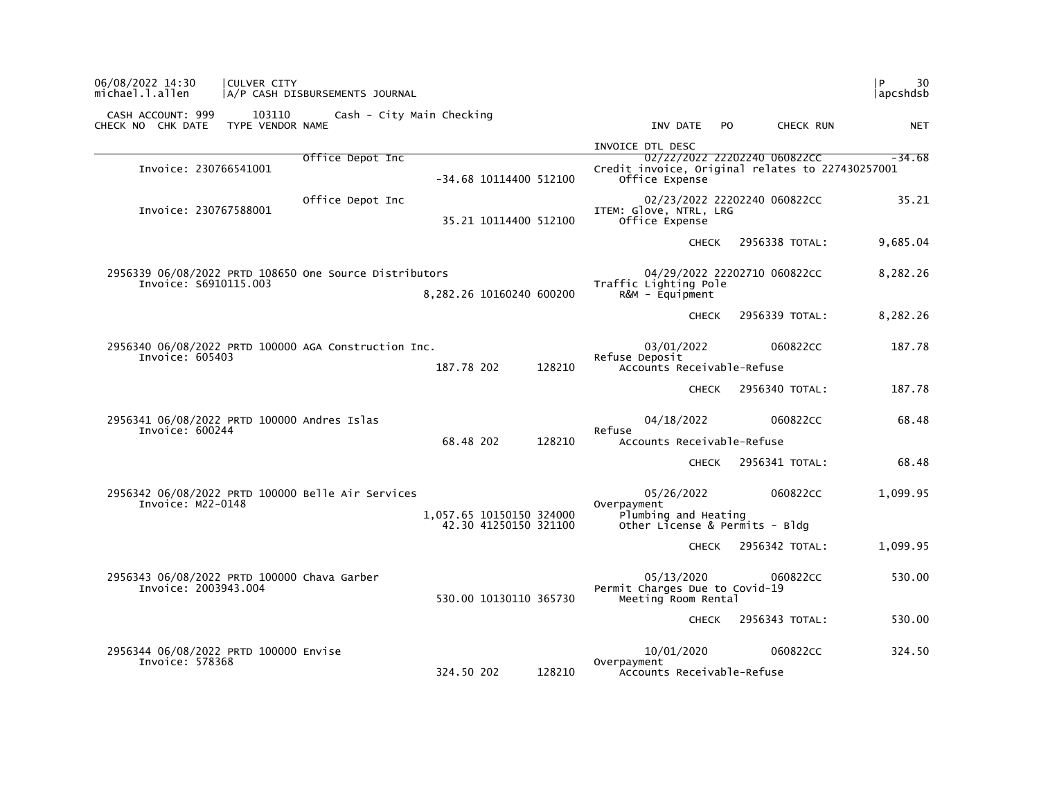| 06/08/2022 14:30<br>michael.l.allen                                             | CULVER CITY                | A/P CASH DISBURSEMENTS JOURNAL |                           |        |                                                                                        |                              | 30<br>l P<br> apcshdsb  |
|---------------------------------------------------------------------------------|----------------------------|--------------------------------|---------------------------|--------|----------------------------------------------------------------------------------------|------------------------------|-------------------------|
| CASH ACCOUNT: 999<br>CHECK NO CHK DATE                                          | 103110<br>TYPE VENDOR NAME |                                | Cash - City Main Checking |        | INV DATE                                                                               | PO.                          | CHECK RUN<br><b>NET</b> |
| Invoice: 230766541001                                                           |                            | Office Depot Inc               | -34.68 10114400 512100    |        | INVOICE DTL DESC<br>Credit invoice, Original relates to 227430257001<br>Office Expense | 02/22/2022 22202240 060822CC | $-34.68$                |
| Invoice: 230767588001                                                           |                            | Office Depot Inc               | 35.21 10114400 512100     |        | ITEM: Glove, NTRL, LRG<br>Office Expense                                               | 02/23/2022 22202240 060822CC | 35.21                   |
|                                                                                 |                            |                                |                           |        | <b>CHECK</b>                                                                           | 2956338 TOTAL:               | 9,685.04                |
| 2956339 06/08/2022 PRTD 108650 One Source Distributors<br>Invoice: S6910115.003 |                            |                                | 8,282.26 10160240 600200  |        | Traffic Lighting Pole<br>$R&M - \text{Equi}$ pment                                     | 04/29/2022 22202710 060822CC | 8,282.26                |
|                                                                                 |                            |                                |                           |        | <b>CHECK</b>                                                                           | 2956339 TOTAL:               | 8,282.26                |
| 2956340 06/08/2022 PRTD 100000 AGA Construction Inc.<br>Invoice: 605403         |                            |                                | 187.78 202                | 128210 | 03/01/2022<br>Refuse Deposit<br>Accounts Receivable-Refuse                             |                              | 060822CC<br>187.78      |
|                                                                                 |                            |                                |                           |        | <b>CHECK</b>                                                                           | 2956340 TOTAL:               | 187.78                  |
| 2956341 06/08/2022 PRTD 100000 Andres Islas<br>Invoice: 600244                  |                            |                                |                           |        | 04/18/2022<br>Refuse                                                                   |                              | 060822CC<br>68.48       |
|                                                                                 |                            |                                | 68.48 202                 | 128210 | Accounts Receivable-Refuse<br><b>CHECK</b>                                             | 2956341 TOTAL:               | 68.48                   |
| 2956342 06/08/2022 PRTD 100000 Belle Air Services<br>Invoice: M22-0148          |                            |                                | 1,057.65 10150150 324000  |        | 05/26/2022<br>Overpayment<br>Plumbing and Heating                                      |                              | 060822CC<br>1,099.95    |
|                                                                                 |                            |                                | 42.30 41250150 321100     |        | Other License & Permits - Bldg<br><b>CHECK</b>                                         | 2956342 TOTAL:               | 1,099.95                |
| 2956343 06/08/2022 PRTD 100000 Chava Garber<br>Invoice: 2003943.004             |                            |                                | 530.00 10130110 365730    |        | 05/13/2020<br>Permit Charges Due to Covid-19<br>Meeting Room Rental                    |                              | 060822CC<br>530.00      |
|                                                                                 |                            |                                |                           |        | <b>CHECK</b>                                                                           | 2956343 TOTAL:               | 530.00                  |
| 2956344 06/08/2022 PRTD 100000 Envise<br>Invoice: 578368                        |                            |                                | 324.50 202                | 128210 | 10/01/2020<br>Overpayment<br>Accounts Receivable-Refuse                                |                              | 060822CC<br>324.50      |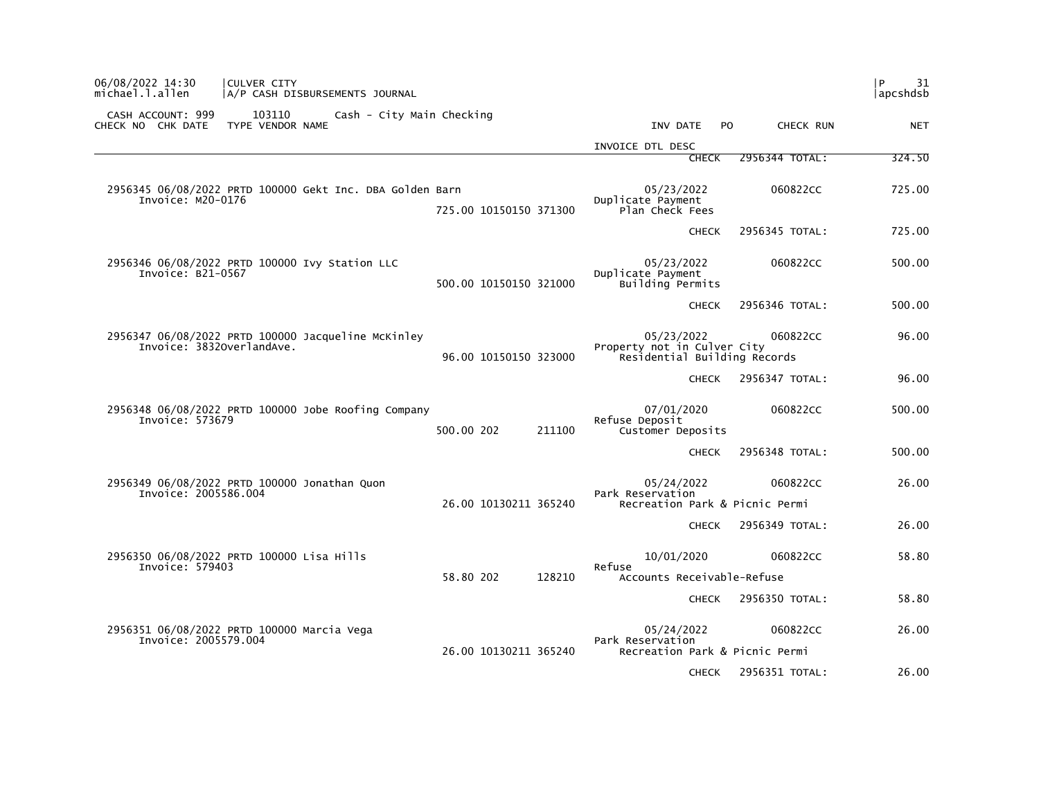| P<br>31<br>apcshdsb |                |                                                                           |                        | 06/08/2022 14:30<br>CULVER CITY<br>michael.l.allen<br>A/P CASH DISBURSEMENTS JOURNAL              |
|---------------------|----------------|---------------------------------------------------------------------------|------------------------|---------------------------------------------------------------------------------------------------|
| <b>NET</b>          | CHECK RUN      | INV DATE<br>P <sub>O</sub>                                                |                        | 103110<br>CASH ACCOUNT: 999<br>Cash - City Main Checking<br>CHECK NO CHK DATE<br>TYPE VENDOR NAME |
|                     |                | INVOICE DTL DESC                                                          |                        |                                                                                                   |
| 324.50              | 2956344 TOTAL: | <b>CHECK</b>                                                              |                        |                                                                                                   |
| 725.00              | 060822CC       | 05/23/2022<br>Duplicate Payment<br>Plan Check Fees                        | 725.00 10150150 371300 | 2956345 06/08/2022 PRTD 100000 Gekt Inc. DBA Golden Barn<br>Invoice: M20-0176                     |
| 725.00              | 2956345 TOTAL: | <b>CHECK</b>                                                              |                        |                                                                                                   |
| 500.00              | 060822CC       | 05/23/2022<br>Duplicate Payment<br>Building Permits                       | 500.00 10150150 321000 | 2956346 06/08/2022 PRTD 100000 Ivy Station LLC<br>Invoice: B21-0567                               |
| 500.00              | 2956346 TOTAL: | <b>CHECK</b>                                                              |                        |                                                                                                   |
| 96.00               | 060822CC       | 05/23/2022<br>Property not in Culver City<br>Residential Building Records | 96.00 10150150 323000  | 2956347 06/08/2022 PRTD 100000 Jacqueline McKinley<br>Invoice: 38320verlandAve.                   |
| 96.00               | 2956347 TOTAL: | <b>CHECK</b>                                                              |                        |                                                                                                   |
| 500.00              | 060822CC       | 07/01/2020<br>Refuse Deposit<br>Customer Deposits                         | 500.00 202<br>211100   | 2956348 06/08/2022 PRTD 100000 Jobe Roofing Company<br>Invoice: 573679                            |
| 500.00              | 2956348 TOTAL: | <b>CHECK</b>                                                              |                        |                                                                                                   |
| 26.00               | 060822CC       | 05/24/2022<br>Park Reservation<br>Recreation Park & Picnic Permi          | 26.00 10130211 365240  | 2956349 06/08/2022 PRTD 100000 Jonathan Quon<br>Invoice: 2005586.004                              |
| 26.00               | 2956349 TOTAL: | <b>CHECK</b>                                                              |                        |                                                                                                   |
| 58.80               | 060822CC       | 10/01/2020<br>Refuse                                                      |                        | 2956350 06/08/2022 PRTD 100000 Lisa Hills<br>Invoice: 579403                                      |
|                     |                | Accounts Receivable-Refuse                                                | 58.80 202<br>128210    |                                                                                                   |
| 58.80               | 2956350 TOTAL: | <b>CHECK</b>                                                              |                        |                                                                                                   |
| 26.00               | 060822CC       | 05/24/2022<br>Park Reservation<br>Recreation Park & Picnic Permi          | 26.00 10130211 365240  | 2956351 06/08/2022 PRTD 100000 Marcia Vega<br>Invoice: 2005579.004                                |
| 26.00               | 2956351 TOTAL: | <b>CHECK</b>                                                              |                        |                                                                                                   |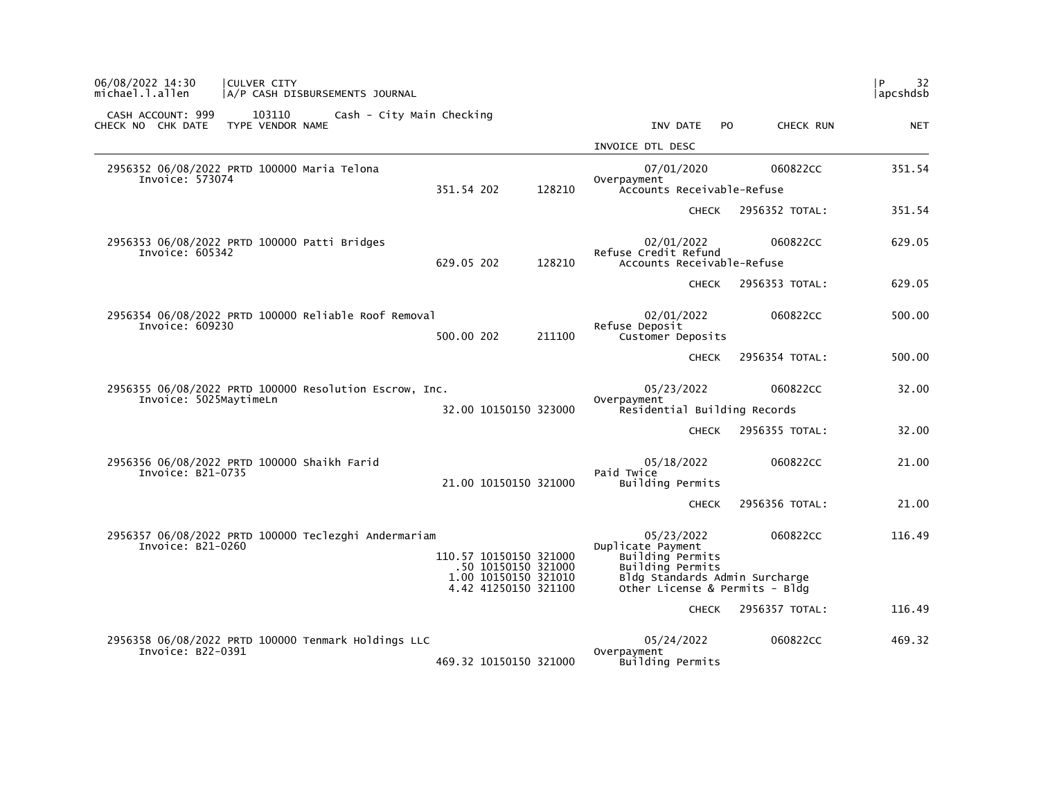| 06/08/2022 14:30<br><b>CULVER CITY</b><br>michael.l.allen<br>A/P CASH DISBURSEMENTS JOURNAL       |                                               |        |                                                                         |                      | 32<br>l P<br> apcshdsb |
|---------------------------------------------------------------------------------------------------|-----------------------------------------------|--------|-------------------------------------------------------------------------|----------------------|------------------------|
| CASH ACCOUNT: 999<br>103110<br>Cash - City Main Checking<br>TYPE VENDOR NAME<br>CHECK NO CHK DATE |                                               |        | INV DATE<br><b>PO</b>                                                   | CHECK RUN            | <b>NET</b>             |
|                                                                                                   |                                               |        | INVOICE DTL DESC                                                        |                      |                        |
| 2956352 06/08/2022 PRTD 100000 Maria Telona<br>Invoice: 573074                                    | 351.54 202                                    | 128210 | 07/01/2020<br>Overpayment<br>Accounts Receivable-Refuse                 | 060822CC             | 351.54                 |
|                                                                                                   |                                               |        |                                                                         | CHECK 2956352 TOTAL: | 351.54                 |
| 2956353 06/08/2022 PRTD 100000 Patti Bridges<br>Invoice: 605342                                   | 629.05 202                                    | 128210 | 02/01/2022<br>Refuse Credit Refund<br>Accounts Receivable-Refuse        | 060822CC             | 629.05                 |
|                                                                                                   |                                               |        | <b>CHECK</b>                                                            | 2956353 TOTAL:       | 629.05                 |
| 2956354 06/08/2022 PRTD 100000 Reliable Roof Removal<br>Invoice: 609230                           | 500.00 202                                    | 211100 | 02/01/2022<br>Refuse Deposit<br>Customer Deposits                       | 060822CC             | 500.00                 |
|                                                                                                   |                                               |        | <b>CHECK</b>                                                            | 2956354 TOTAL:       | 500.00                 |
| 2956355 06/08/2022 PRTD 100000 Resolution Escrow, Inc.<br>Invoice: 5025MaytimeLn                  | 32.00 10150150 323000                         |        | 05/23/2022<br>Overpayment<br>Residential Building Records               | 060822CC             | 32.00                  |
|                                                                                                   |                                               |        | <b>CHECK</b>                                                            | 2956355 TOTAL:       | 32.00                  |
| 2956356 06/08/2022 PRTD 100000 Shaikh Farid<br>Invoice: B21-0735                                  | 21.00 10150150 321000                         |        | 05/18/2022<br>Paid Twice<br>Building Permits                            | 060822CC             | 21.00                  |
|                                                                                                   |                                               |        | <b>CHECK</b>                                                            | 2956356 TOTAL:       | 21.00                  |
| 2956357 06/08/2022 PRTD 100000 Teclezghi Andermariam<br>Invoice: B21-0260                         | 110.57 10150150 321000<br>.50 10150150 321000 |        | 05/23/2022<br>Duplicate Payment<br>Building Permits<br>Building Permits | 060822CC             | 116.49                 |
|                                                                                                   | 1.00 10150150 321010<br>4.42 41250150 321100  |        | Bldg Standards Admin Surcharge<br>Other License & Permits - Bldg        |                      |                        |
|                                                                                                   |                                               |        | <b>CHECK</b>                                                            | 2956357 TOTAL:       | 116.49                 |
| 2956358 06/08/2022 PRTD 100000 Tenmark Holdings LLC<br>Invoice: B22-0391                          |                                               |        | 05/24/2022<br>Overpayment                                               | 060822CC             | 469.32                 |
|                                                                                                   | 469.32 10150150 321000                        |        | Building Permits                                                        |                      |                        |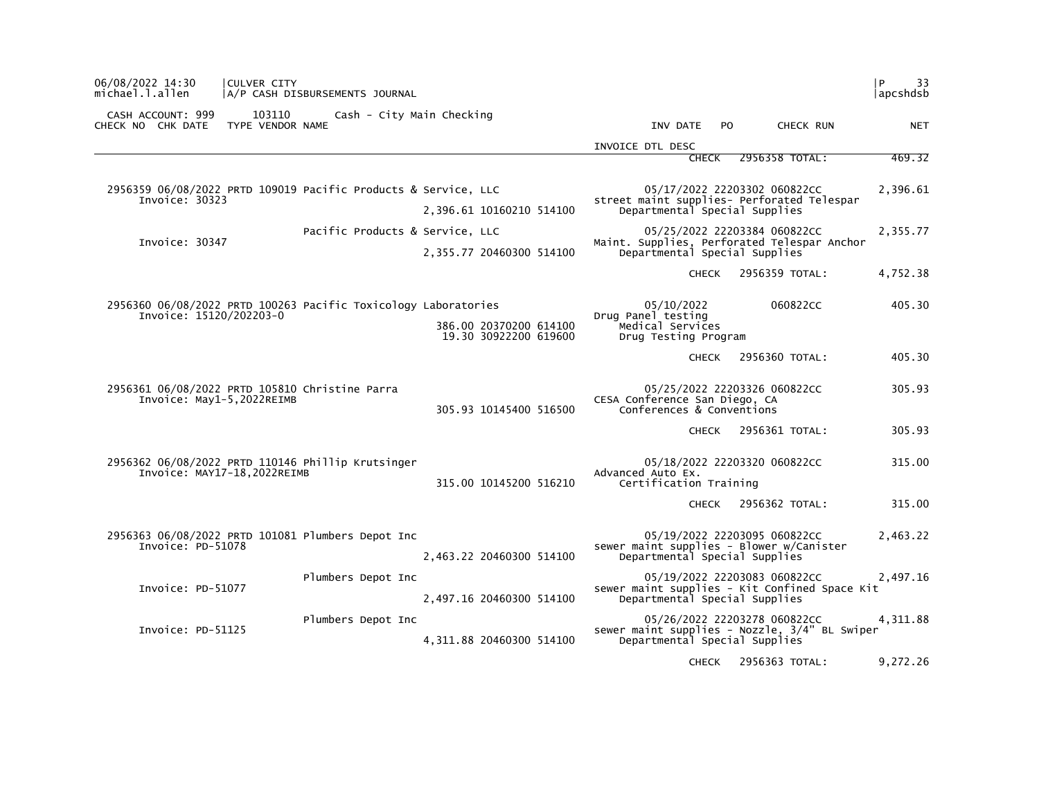| 06/08/2022 14:30<br><b>CULVER CITY</b><br>michael.l.allen<br>A/P CASH DISBURSEMENTS JOURNAL |                                                 |                                                                |                                                                               | 33<br>l P<br> apcshdsb |  |
|---------------------------------------------------------------------------------------------|-------------------------------------------------|----------------------------------------------------------------|-------------------------------------------------------------------------------|------------------------|--|
| CASH ACCOUNT: 999<br>103110<br>CHECK NO CHK DATE<br>TYPE VENDOR NAME                        | Cash - City Main Checking                       | INV DATE                                                       | CHECK RUN<br>PO.                                                              | <b>NET</b>             |  |
|                                                                                             |                                                 | INVOICE DTL DESC                                               |                                                                               |                        |  |
|                                                                                             |                                                 | CHECK                                                          | 2956358 TOTAL:                                                                | 469.32                 |  |
| 2956359 06/08/2022 PRTD 109019 Pacific Products & Service, LLC<br>Invoice: 30323            |                                                 |                                                                | 05/17/2022 22203302 060822CC<br>street maint supplies- Perforated Telespar    | 2,396.61               |  |
|                                                                                             | 2,396.61 10160210 514100                        | Departmental Special Supplies                                  |                                                                               |                        |  |
| Invoice: 30347                                                                              | Pacific Products & Service, LLC                 |                                                                | 05/25/2022 22203384 060822CC<br>Maint. Supplies, Perforated Telespar Anchor   | 2,355.77               |  |
|                                                                                             | 2,355.77 20460300 514100                        | Departmental Special Supplies                                  |                                                                               |                        |  |
|                                                                                             |                                                 | <b>CHECK</b>                                                   | 2956359 TOTAL:                                                                | 4,752.38               |  |
| 2956360 06/08/2022 PRTD 100263 Pacific Toxicology Laboratories                              |                                                 | 05/10/2022                                                     | 060822CC                                                                      | 405.30                 |  |
| Invoice: 15120/202203-0                                                                     | 386.00 20370200 614100<br>19.30 30922200 619600 | Drug Panel testing<br>Medical Services<br>Drug Testing Program |                                                                               |                        |  |
|                                                                                             |                                                 | <b>CHECK</b>                                                   | 2956360 TOTAL:                                                                | 405.30                 |  |
| 2956361 06/08/2022 PRTD 105810 Christine Parra<br>Invoice: May1-5.2022REIMB                 | 305.93 10145400 516500                          | CESA Conference San Diego, CA<br>Conferences & Conventions     | 05/25/2022 22203326 060822CC                                                  | 305.93                 |  |
|                                                                                             |                                                 | CHECK                                                          | 2956361 TOTAL:                                                                | 305.93                 |  |
| 2956362 06/08/2022 PRTD 110146 Phillip Krutsinger<br>Invoice: MAY17-18, 2022REIMB           | 315.00 10145200 516210                          | Advanced Auto Ex.<br>Certification Training                    | 05/18/2022 22203320 060822CC                                                  | 315.00                 |  |
|                                                                                             |                                                 | <b>CHECK</b>                                                   | 2956362 TOTAL:                                                                | 315.00                 |  |
| 2956363 06/08/2022 PRTD 101081 Plumbers Depot Inc<br>Invoice: PD-51078                      | 2,463.22 20460300 514100                        | Departmental Special Supplies                                  | 05/19/2022 22203095 060822CC<br>sewer maint supplies - Blower w/Canister      | 2,463.22               |  |
| Plumbers Depot Inc<br>Invoice: PD-51077                                                     | 2,497.16 20460300 514100                        | Departmental Special Supplies                                  | 05/19/2022 22203083 060822CC<br>sewer maint supplies - Kit Confined Space Kit | 2.497.16               |  |
| Plumbers Depot Inc<br>Invoice: PD-51125                                                     | 4,311.88 20460300 514100                        | Departmental Special Supplies                                  | 05/26/2022 22203278 060822CC<br>sewer maint supplies - Nozzle, 3/4" BL Swiper | 4,311.88               |  |
|                                                                                             |                                                 | <b>CHECK</b>                                                   | 2956363 TOTAL:                                                                | 9,272.26               |  |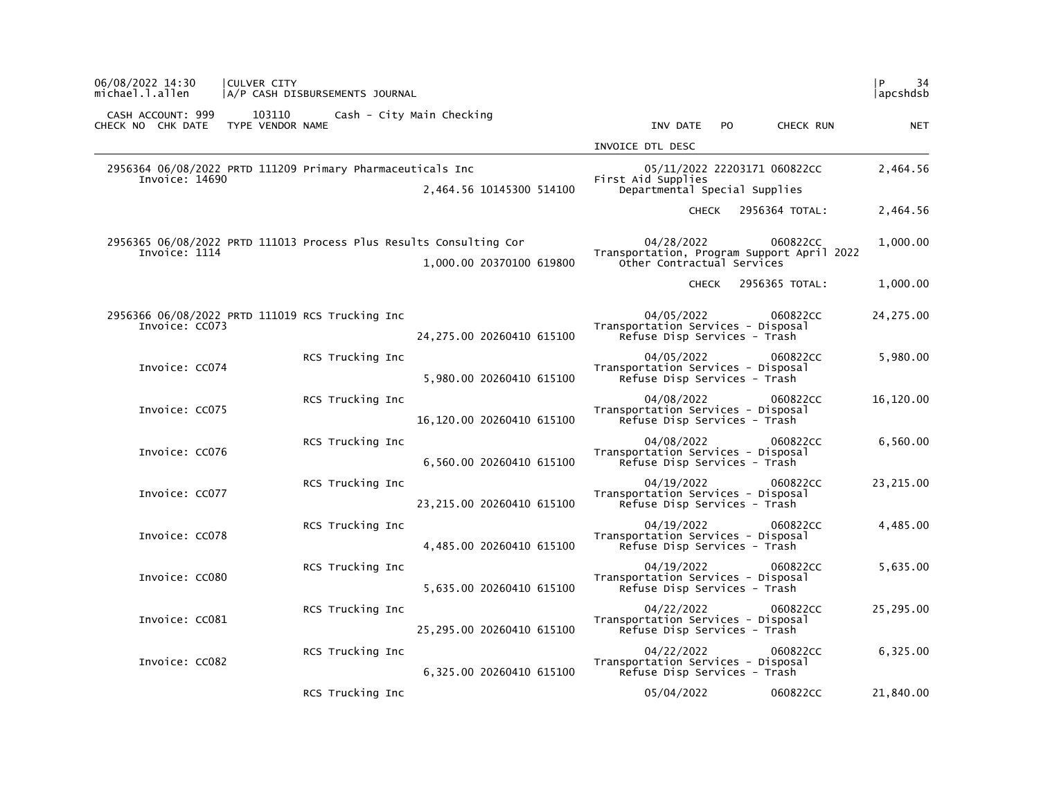| P<br>34<br> apcshdsb |                      |                                                                                        |                            | A/P CASH DISBURSEMENTS JOURNAL                                     | CULVER CITY                | 06/08/2022 14:30<br>michael.l.allen    |  |
|----------------------|----------------------|----------------------------------------------------------------------------------------|----------------------------|--------------------------------------------------------------------|----------------------------|----------------------------------------|--|
| <b>NET</b>           | CHECK RUN            | INV DATE<br><b>PO</b>                                                                  |                            | Cash - City Main Checking                                          | 103110<br>TYPE VENDOR NAME | CASH ACCOUNT: 999<br>CHECK NO CHK DATE |  |
|                      |                      | INVOICE DTL DESC                                                                       |                            |                                                                    |                            |                                        |  |
| 2,464.56             |                      | 05/11/2022 22203171 060822CC<br>First Aid Supplies<br>Departmental Special Supplies    | 2,464.56 10145300 514100   | 2956364 06/08/2022 PRTD 111209 Primary Pharmaceuticals Inc         |                            | Invoice: 14690                         |  |
| 2,464.56             | CHECK 2956364 TOTAL: |                                                                                        |                            |                                                                    |                            |                                        |  |
| 1,000.00             | 060822CC             | 04/28/2022<br>Transportation, Program Support April 2022<br>Other Contractual Services | 1,000.00 20370100 619800   | 2956365 06/08/2022 PRTD 111013 Process Plus Results Consulting Cor |                            | Invoice: 1114                          |  |
| 1,000.00             | 2956365 TOTAL:       | <b>CHECK</b>                                                                           |                            |                                                                    |                            |                                        |  |
| 24,275.00            | 060822CC             | 04/05/2022<br>Transportation Services - Disposal<br>Refuse Disp Services - Trash       | 24, 275.00 20260410 615100 | 2956366 06/08/2022 PRTD 111019 RCS Trucking Inc                    |                            | Invoice: CC073                         |  |
| 5,980.00             | 060822CC             | 04/05/2022<br>Transportation Services - Disposal<br>Refuse Disp Services - Trash       | 5,980.00 20260410 615100   | RCS Trucking Inc                                                   |                            | Invoice: CC074                         |  |
| 16,120.00            | 060822CC             | 04/08/2022<br>Transportation Services - Disposal<br>Refuse Disp Services - Trash       | 16,120.00 20260410 615100  | RCS Trucking Inc                                                   |                            | Invoice: CC075                         |  |
| 6,560.00             | 060822CC             | 04/08/2022<br>Transportation Services - Disposal<br>Refuse Disp Services - Trash       | 6,560.00 20260410 615100   | RCS Trucking Inc                                                   |                            | Invoice: CC076                         |  |
| 23, 215.00           | 060822CC             | 04/19/2022<br>Transportation Services - Disposal<br>Refuse Disp Services - Trash       | 23, 215.00 20260410 615100 | RCS Trucking Inc                                                   |                            | Invoice: CC077                         |  |
| 4,485.00             | 060822CC             | 04/19/2022<br>Transportation Services - Disposal<br>Refuse Disp Services - Trash       | 4,485.00 20260410 615100   | RCS Trucking Inc                                                   |                            | Invoice: CC078                         |  |
| 5,635.00             | 060822CC             | 04/19/2022<br>Transportation Services - Disposal<br>Refuse Disp Services - Trash       | 5,635.00 20260410 615100   | RCS Trucking Inc                                                   |                            | Invoice: CC080                         |  |
| 25,295.00            | 060822CC             | 04/22/2022<br>Transportation Services - Disposal<br>Refuse Disp Services - Trash       | 25,295.00 20260410 615100  | RCS Trucking Inc                                                   |                            | Invoice: CC081                         |  |
| 6,325.00             | 060822CC             | 04/22/2022<br>Transportation Services - Disposal<br>Refuse Disp Services - Trash       | 6,325.00 20260410 615100   | RCS Trucking Inc                                                   |                            | Invoice: CC082                         |  |
| 21,840.00            | 060822CC             | 05/04/2022                                                                             |                            | RCS Trucking Inc                                                   |                            |                                        |  |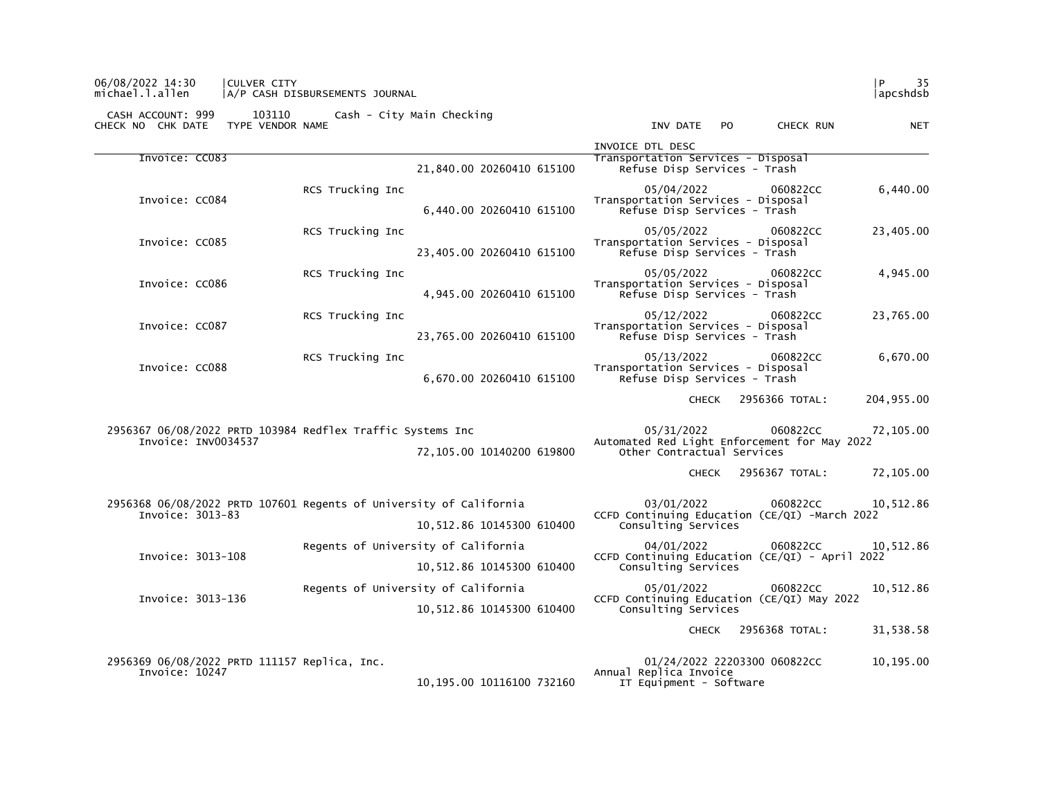| 06/08/2022 14:30 | <b>CULVER CITY</b>             |          |  |
|------------------|--------------------------------|----------|--|
| michael.l.allen  | A/P CASH DISBURSEMENTS JOURNAL | apcshdsb |  |

| 103110<br>CASH ACCOUNT: 999<br>TYPE VENDOR NAME<br>CHECK NO CHK DATE              | Cash - City Main Checking                                          | <b>NET</b><br>INV DATE<br>P <sub>O</sub><br>CHECK RUN                                                     |
|-----------------------------------------------------------------------------------|--------------------------------------------------------------------|-----------------------------------------------------------------------------------------------------------|
|                                                                                   |                                                                    | INVOICE DTL DESC                                                                                          |
| Invoice: CC083                                                                    | 21,840.00 20260410 615100                                          | Transportation Services - Disposal<br>Refuse Disp Services - Trash                                        |
| Invoice: CC084                                                                    | RCS Trucking Inc<br>6,440.00 20260410 615100                       | 05/04/2022<br>060822CC<br>6,440.00<br>Transportation Services - Disposal<br>Refuse Disp Services - Trash  |
| Invoice: CC085                                                                    | RCS Trucking Inc<br>23,405.00 20260410 615100                      | 23,405.00<br>05/05/2022<br>060822CC<br>Transportation Services - Disposal<br>Refuse Disp Services - Trash |
| Invoice: CC086                                                                    | RCS Trucking Inc<br>4,945.00 20260410 615100                       | 05/05/2022<br>4,945.00<br>060822CC<br>Transportation Services - Disposal<br>Refuse Disp Services - Trash  |
| Invoice: CC087                                                                    | RCS Trucking Inc<br>23,765.00 20260410 615100                      | 05/12/2022<br>060822CC<br>23,765.00<br>Transportation Services - Disposal<br>Refuse Disp Services - Trash |
| Invoice: CC088                                                                    | RCS Trucking Inc<br>6,670.00 20260410 615100                       | 05/13/2022<br>060822CC<br>6,670.00<br>Transportation Services - Disposal<br>Refuse Disp Services - Trash  |
|                                                                                   |                                                                    | 204,955.00<br>2956366 TOTAL:<br><b>CHECK</b>                                                              |
| 2956367 06/08/2022 PRTD 103984 Redflex Traffic Systems Inc<br>Invoice: INV0034537 |                                                                    | 05/31/2022<br>060822CC<br>72,105.00<br>Automated Red Light Enforcement for May 2022                       |
|                                                                                   | 72,105.00 10140200 619800                                          | Other Contractual Services                                                                                |
|                                                                                   |                                                                    | 2956367 TOTAL:<br>72,105.00<br><b>CHECK</b>                                                               |
| Invoice: 3013-83                                                                  | 2956368 06/08/2022 PRTD 107601 Regents of University of California | 03/01/2022<br>060822CC<br>10,512.86<br>CCFD Continuing Education (CE/QI) -March 2022                      |
|                                                                                   | 10,512.86 10145300 610400                                          | Consulting Services                                                                                       |
| Invoice: 3013-108                                                                 | Regents of University of California                                | 10,512.86<br>04/01/2022<br>060822CC<br>CCFD Continuing Education (CE/QI) - April 2022                     |
|                                                                                   | 10,512.86 10145300 610400                                          | Consulting Services                                                                                       |
|                                                                                   | Regents of University of California                                | 05/01/2022<br>10,512.86<br>060822CC                                                                       |
| Invoice: 3013-136                                                                 | 10,512.86 10145300 610400                                          | CCFD Continuing Education (CE/QI) May 2022<br>Consulting Services                                         |
|                                                                                   |                                                                    | 2956368 TOTAL:<br>31,538.58<br><b>CHECK</b>                                                               |
| 2956369 06/08/2022 PRTD 111157 Replica, Inc.<br>Invoice: 10247                    | 10,195.00 10116100 732160                                          | 01/24/2022 22203300 060822CC<br>10,195.00<br>Annual Replica Invoice<br>IT Equipment - Software            |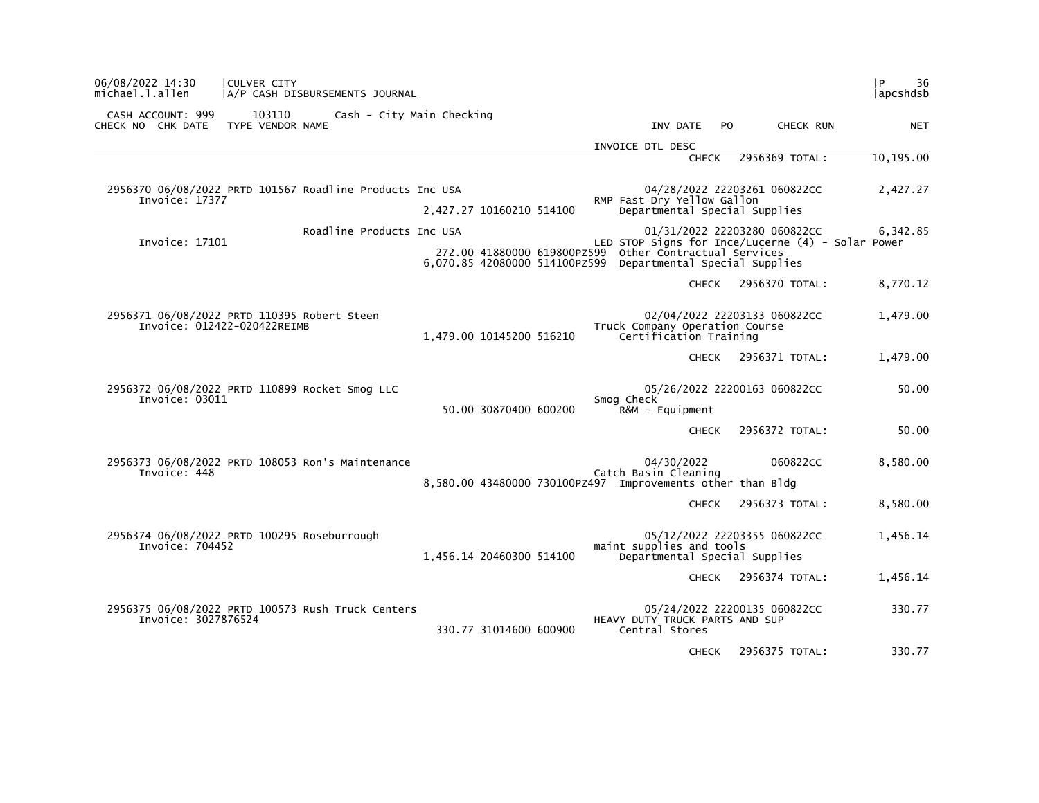| 06/08/2022 14:30<br>michael.l.allen                                        | <b>CULVER CITY</b>         | A/P CASH DISBURSEMENTS JOURNAL                   |                          |  |                                                                                                                       |              |                |                              | P<br>36<br>apcshdsb                                           |
|----------------------------------------------------------------------------|----------------------------|--------------------------------------------------|--------------------------|--|-----------------------------------------------------------------------------------------------------------------------|--------------|----------------|------------------------------|---------------------------------------------------------------|
| CASH ACCOUNT: 999<br>CHECK NO CHK DATE                                     | 103110<br>TYPE VENDOR NAME | Cash - City Main Checking                        |                          |  | INV DATE                                                                                                              |              | P <sub>O</sub> | CHECK RUN                    | <b>NET</b>                                                    |
|                                                                            |                            |                                                  |                          |  | INVOICE DTL DESC                                                                                                      |              |                |                              |                                                               |
|                                                                            |                            |                                                  |                          |  |                                                                                                                       | <b>CHECK</b> |                | 2956369 TOTAL:               | 10,195.00                                                     |
| 2956370 06/08/2022 PRTD 101567 Roadline Products Inc USA<br>Invoice: 17377 |                            |                                                  | 2,427.27 10160210 514100 |  | RMP Fast Dry Yellow Gallon<br>Departmental Special Supplies                                                           |              |                | 04/28/2022 22203261 060822CC | 2,427.27                                                      |
| Invoice: 17101                                                             |                            | Roadline Products Inc USA                        |                          |  | 272.00 41880000 619800PZ599 other Contractual Services<br>6,070.85 42080000 514100PZ599 Departmental Special Supplies |              |                | 01/31/2022 22203280 060822CC | 6,342.85<br>LED STOP Signs for Ince/Lucerne (4) - Solar Power |
|                                                                            |                            |                                                  |                          |  |                                                                                                                       | <b>CHECK</b> |                | 2956370 TOTAL:               | 8,770.12                                                      |
| 2956371 06/08/2022 PRTD 110395 Robert Steen<br>Invoice: 012422-020422REIMB |                            |                                                  | 1,479.00 10145200 516210 |  | Truck Company Operation Course<br>Certification Training                                                              |              |                | 02/04/2022 22203133 060822CC | 1,479.00                                                      |
|                                                                            |                            |                                                  |                          |  |                                                                                                                       | <b>CHECK</b> |                | 2956371 TOTAL:               | 1,479.00                                                      |
| 2956372 06/08/2022 PRTD 110899 Rocket Smog LLC<br>Invoice: 03011           |                            |                                                  | 50.00 30870400 600200    |  | Smog Check<br>R&M - Equipment                                                                                         |              |                | 05/26/2022 22200163 060822CC | 50.00                                                         |
|                                                                            |                            |                                                  |                          |  |                                                                                                                       | <b>CHECK</b> |                | 2956372 TOTAL:               | 50.00                                                         |
| Invoice: 448                                                               |                            | 2956373 06/08/2022 PRTD 108053 Ron's Maintenance |                          |  | 04/30/2022<br>Catch Basin Cleaning<br>8,580.00 43480000 730100PZ497 Improvements other than Bldg                      |              |                | 060822CC                     | 8,580.00                                                      |
|                                                                            |                            |                                                  |                          |  |                                                                                                                       | <b>CHECK</b> |                | 2956373 TOTAL:               | 8,580.00                                                      |
| 2956374 06/08/2022 PRTD 100295 Roseburrough<br>Invoice: 704452             |                            |                                                  | 1,456.14 20460300 514100 |  | maint supplies and tools<br>Departmental Special Supplies                                                             |              |                | 05/12/2022 22203355 060822CC | 1,456.14                                                      |
|                                                                            |                            |                                                  |                          |  |                                                                                                                       | <b>CHECK</b> |                | 2956374 TOTAL:               | 1,456.14                                                      |
| 2956375 06/08/2022 PRTD 100573 Rush Truck Centers<br>Invoice: 3027876524   |                            |                                                  | 330.77 31014600 600900   |  | HEAVY DUTY TRUCK PARTS AND SUP<br>Central Stores                                                                      |              |                | 05/24/2022 22200135 060822CC | 330.77                                                        |
|                                                                            |                            |                                                  |                          |  |                                                                                                                       | <b>CHECK</b> |                | 2956375 TOTAL:               | 330.77                                                        |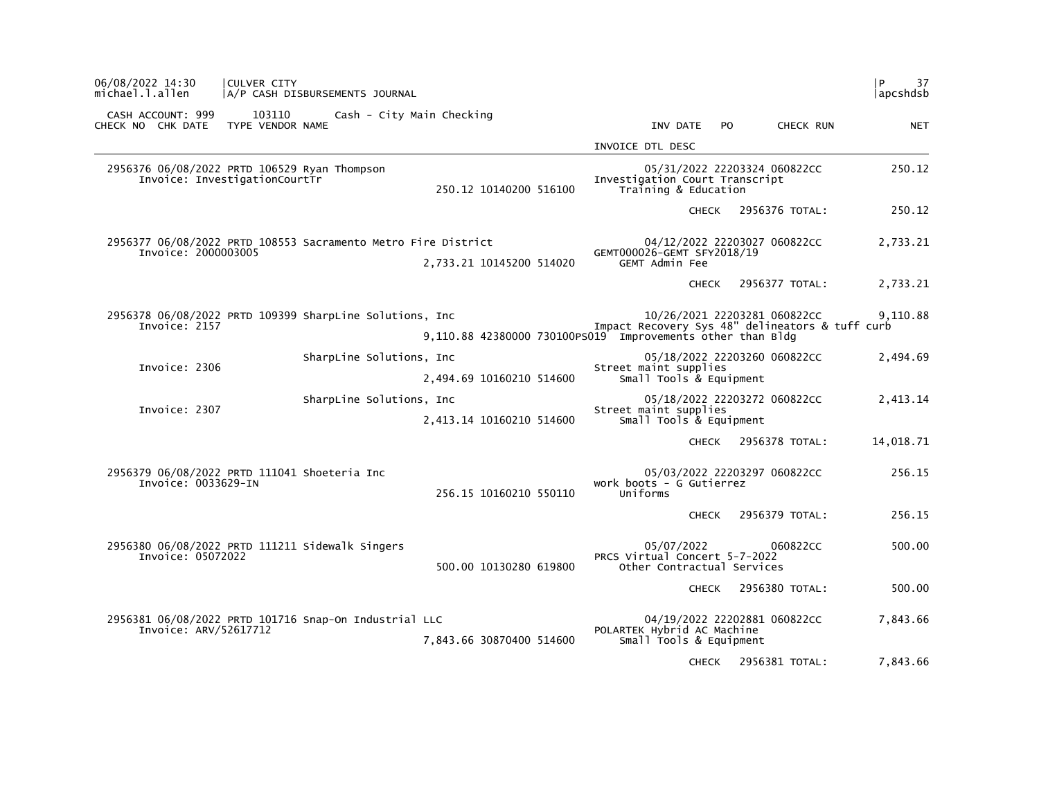| 06/08/2022 14:30<br>michael.l.allen                                                  | CULVER CITY<br>A/P CASH DISBURSEMENTS JOURNAL |                          |                           |                          |                                                            |                                          |              |                              | l P<br>37<br> apcshdsb                                      |  |
|--------------------------------------------------------------------------------------|-----------------------------------------------|--------------------------|---------------------------|--------------------------|------------------------------------------------------------|------------------------------------------|--------------|------------------------------|-------------------------------------------------------------|--|
| CASH ACCOUNT: 999<br>CHECK NO CHK DATE                                               | 103110<br>TYPE VENDOR NAME                    |                          | Cash - City Main Checking |                          |                                                            | INV DATE                                 | PO.          | CHECK RUN                    | <b>NET</b>                                                  |  |
|                                                                                      |                                               |                          |                           |                          | INVOICE DTL DESC                                           |                                          |              |                              |                                                             |  |
| 2956376 06/08/2022 PRTD 106529 Ryan Thompson<br>Invoice: InvestigationCourtTr        |                                               |                          |                           | 250.12 10140200 516100   | Investigation Court Transcript                             | Training & Education                     |              | 05/31/2022 22203324 060822CC | 250.12                                                      |  |
|                                                                                      |                                               |                          |                           |                          |                                                            |                                          | <b>CHECK</b> | 2956376 TOTAL:               | 250.12                                                      |  |
| 2956377 06/08/2022 PRTD 108553 Sacramento Metro Fire District<br>Invoice: 2000003005 |                                               |                          |                           | 2,733.21 10145200 514020 | GEMT000026-GEMT SFY2018/19                                 | <b>GEMT Admin Fee</b>                    |              | 04/12/2022 22203027 060822CC | 2,733.21                                                    |  |
|                                                                                      |                                               |                          |                           |                          |                                                            |                                          |              | CHECK 2956377 TOTAL:         | 2,733.21                                                    |  |
| 2956378 06/08/2022 PRTD 109399 SharpLine Solutions, Inc<br>Invoice: 2157             |                                               |                          |                           |                          | 9,110.88 42380000 730100PS019 Improvements other than Bldg |                                          |              | 10/26/2021 22203281 060822CC | 9,110.88<br>Impact Recovery Sys 48" delineators & tuff curb |  |
| Invoice: 2306                                                                        |                                               | SharpLine Solutions, Inc |                           | 2,494.69 10160210 514600 | Street maint supplies                                      | Small Tools & Equipment                  |              | 05/18/2022 22203260 060822CC | 2,494.69                                                    |  |
| Invoice: 2307                                                                        |                                               | SharpLine Solutions, Inc |                           | 2,413.14 10160210 514600 | Street maint supplies                                      | Small Tools & Equipment                  |              | 05/18/2022 22203272 060822CC | 2,413.14                                                    |  |
|                                                                                      |                                               |                          |                           |                          |                                                            |                                          |              | CHECK 2956378 TOTAL:         | 14,018.71                                                   |  |
| 2956379 06/08/2022 PRTD 111041 Shoeteria Inc<br>Invoice: 0033629-IN                  |                                               |                          |                           | 256.15 10160210 550110   | work boots - G Gutierrez<br>Uniforms                       |                                          |              | 05/03/2022 22203297 060822CC | 256.15                                                      |  |
|                                                                                      |                                               |                          |                           |                          |                                                            |                                          |              | CHECK 2956379 TOTAL:         | 256.15                                                      |  |
| 2956380 06/08/2022 PRTD 111211 Sidewalk Singers<br>Invoice: 05072022                 |                                               |                          |                           | 500.00 10130280 619800   | PRCS Virtual Concert 5-7-2022                              | 05/07/2022<br>Other Contractual Services |              | 060822CC                     | 500.00                                                      |  |
|                                                                                      |                                               |                          |                           |                          |                                                            |                                          | CHECK        | 2956380 TOTAL:               | 500.00                                                      |  |
| 2956381 06/08/2022 PRTD 101716 Snap-On Industrial LLC<br>Invoice: ARV/52617712       |                                               |                          |                           | 7,843.66 30870400 514600 | POLARTEK Hybrid AC Machine                                 | Small Tools & Equipment                  |              | 04/19/2022 22202881 060822CC | 7,843.66                                                    |  |
|                                                                                      |                                               |                          |                           |                          |                                                            |                                          |              | CHECK 2956381 TOTAL:         | 7.843.66                                                    |  |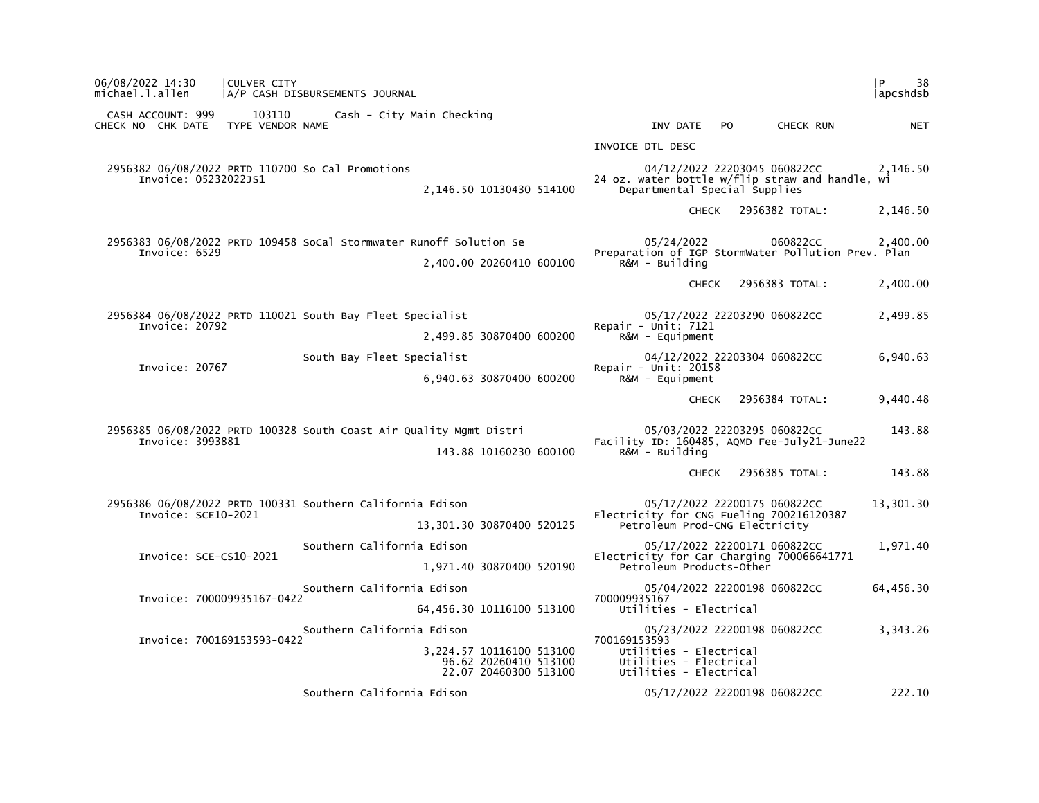| 06/08/2022 14:30<br>michael.l.allen    | CULVER CITY                | A/P CASH DISBURSEMENTS JOURNAL                                     |                                                                            |                                                                                            |              |                                                                                 | 38<br>P<br>  apcshdsb |
|----------------------------------------|----------------------------|--------------------------------------------------------------------|----------------------------------------------------------------------------|--------------------------------------------------------------------------------------------|--------------|---------------------------------------------------------------------------------|-----------------------|
| CASH ACCOUNT: 999<br>CHECK NO CHK DATE | 103110<br>TYPE VENDOR NAME | Cash - City Main Checking                                          |                                                                            | INV DATE                                                                                   | PO.          | CHECK RUN                                                                       | <b>NET</b>            |
|                                        |                            |                                                                    |                                                                            | INVOICE DTL DESC                                                                           |              |                                                                                 |                       |
| Invoice: 05232022JS1                   |                            | 2956382 06/08/2022 PRTD 110700 So Cal Promotions                   | 2,146.50 10130430 514100                                                   | Departmental Special Supplies                                                              |              | 04/12/2022 22203045 060822CC<br>24 oz. water bottle w/flip straw and handle, wi | 2,146.50              |
|                                        |                            |                                                                    |                                                                            |                                                                                            | <b>CHECK</b> | 2956382 TOTAL:                                                                  | 2,146.50              |
| Invoice: 6529                          |                            | 2956383 06/08/2022 PRTD 109458 SoCal Stormwater Runoff Solution Se |                                                                            | 05/24/2022                                                                                 |              | 060822CC<br>Preparation of IGP StormWater Pollution Prev. Plan                  | 2,400.00              |
|                                        |                            |                                                                    | 2,400.00 20260410 600100                                                   | R&M - Building                                                                             |              |                                                                                 |                       |
|                                        |                            |                                                                    |                                                                            |                                                                                            | <b>CHECK</b> | 2956383 TOTAL:                                                                  | 2,400.00              |
| Invoice: 20792                         |                            | 2956384 06/08/2022 PRTD 110021 South Bay Fleet Specialist          |                                                                            | Repair - Unit: $7121$                                                                      |              | 05/17/2022 22203290 060822CC                                                    | 2,499.85              |
|                                        |                            |                                                                    | 2,499.85 30870400 600200                                                   | R&M - Equipment                                                                            |              |                                                                                 |                       |
| Invoice: 20767                         |                            | South Bay Fleet Specialist                                         |                                                                            | Repair - Unit: $20158$                                                                     |              | 04/12/2022 22203304 060822CC                                                    | 6,940.63              |
|                                        |                            |                                                                    | 6,940.63 30870400 600200                                                   | $R\&M - \text{Equi}$                                                                       |              |                                                                                 |                       |
|                                        |                            |                                                                    |                                                                            |                                                                                            | <b>CHECK</b> | 2956384 TOTAL:                                                                  | 9,440.48              |
|                                        |                            | 2956385 06/08/2022 PRTD 100328 South Coast Air Quality Mgmt Distri |                                                                            |                                                                                            |              | 05/03/2022 22203295 060822CC                                                    | 143.88                |
| Invoice: 3993881                       |                            |                                                                    | 143.88 10160230 600100                                                     | R&M - Building                                                                             |              | Facility ID: 160485, AQMD Fee-July21-June22                                     |                       |
|                                        |                            |                                                                    |                                                                            |                                                                                            | <b>CHECK</b> | 2956385 TOTAL:                                                                  | 143.88                |
| Invoice: SCE10-2021                    |                            | 2956386 06/08/2022 PRTD 100331 Southern California Edison          |                                                                            | Electricity for CNG Fueling 700216120387                                                   |              | 05/17/2022 22200175 060822CC                                                    | 13,301.30             |
|                                        |                            |                                                                    | 13,301.30 30870400 520125                                                  | Petroleum Prod-CNG Electricity                                                             |              |                                                                                 |                       |
| Invoice: SCE-CS10-2021                 |                            | Southern California Edison                                         |                                                                            |                                                                                            |              | 05/17/2022 22200171 060822CC                                                    | 1,971.40              |
|                                        |                            |                                                                    | 1,971.40 30870400 520190                                                   | Petroleum Products-Other                                                                   |              | Electricity for Car Charging 700066641771                                       |                       |
| Invoice: 700009935167-0422             |                            | Southern California Edison                                         |                                                                            | 700009935167                                                                               |              | 05/04/2022 22200198 060822CC                                                    | 64,456.30             |
|                                        |                            |                                                                    | 64,456.30 10116100 513100                                                  | Utilities - Electrical                                                                     |              |                                                                                 |                       |
|                                        |                            | Southern California Edison                                         |                                                                            |                                                                                            |              | 05/23/2022 22200198 060822CC                                                    | 3,343.26              |
| Invoice: 700169153593-0422             |                            |                                                                    | 3,224.57 10116100 513100<br>96.62 20260410 513100<br>22.07 20460300 513100 | 700169153593<br>Utilities - Electrical<br>Utilities - Electrical<br>Utilities - Electrical |              |                                                                                 |                       |
|                                        |                            | Southern California Edison                                         |                                                                            |                                                                                            |              | 05/17/2022 22200198 060822CC                                                    | 222.10                |
|                                        |                            |                                                                    |                                                                            |                                                                                            |              |                                                                                 |                       |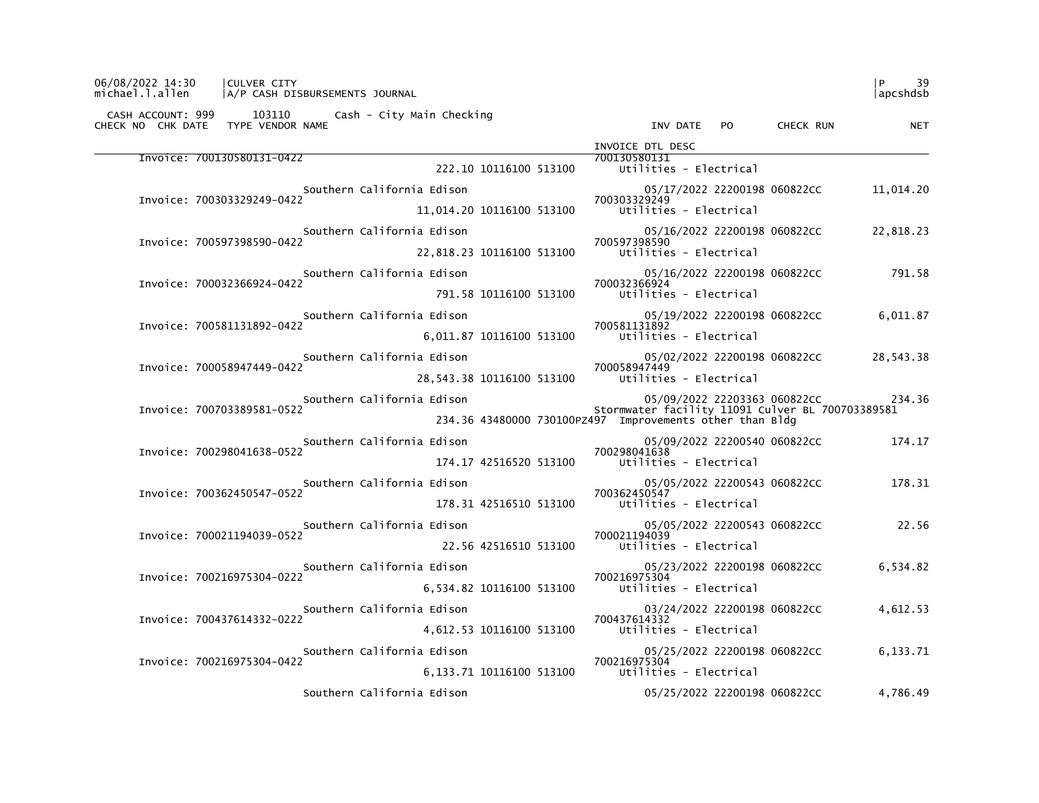| CHECK NO CHK DATE TYPE VENDOR NAME | CASH ACCOUNT: 999 103110 Cash - City Main Checking | INV DATE PO CHECK RUN                                                            | <b>NET</b> |
|------------------------------------|----------------------------------------------------|----------------------------------------------------------------------------------|------------|
|                                    |                                                    | INVOICE DTL DESC                                                                 |            |
| Invoice: 700130580131-0422         | 222.10 10116100 513100                             | 700130580131<br>Utilities - Electrical                                           |            |
|                                    | Southern California Edison                         | 05/17/2022 22200198 060822CC                                                     | 11,014.20  |
| Invoice: 700303329249-0422         | 11,014.20 10116100 513100                          | 700303329249<br>Utilities - Electrical                                           |            |
|                                    | Southern California Edison                         | 05/16/2022 22200198 060822CC                                                     | 22,818.23  |
| Invoice: 700597398590-0422         | 22,818.23 10116100 513100                          | 700597398590<br>Utilities - Electrical                                           |            |
|                                    | Southern California Edison                         | 05/16/2022 22200198 060822CC                                                     | 791.58     |
| Invoice: 700032366924-0422         | 791.58 10116100 513100                             | 700032366924<br>Utilities - Electrical                                           |            |
| Invoice: 700581131892-0422         | Southern California Edison                         | 05/19/2022 22200198 060822CC<br>700581131892                                     | 6,011.87   |
|                                    |                                                    | 6,011.87 10116100 513100 Utilities - Electrical                                  |            |
| Invoice: 700058947449-0422         | Southern California Edison                         | 05/02/2022 22200198 060822CC<br>700058947449                                     | 28,543.38  |
|                                    | 28,543.38 10116100 513100                          | Utilities - Electrical                                                           |            |
| Invoice: 700703389581-0522         | Southern California Edison                         | 05/09/2022 22203363 060822CC<br>Stormwater facility 11091 Culver BL 700703389581 | 234.36     |
|                                    |                                                    | 234.36 43480000 730100PZ497 Improvements other than Bldg                         |            |
| Invoice: 700298041638-0522         | Southern California Edison                         | 05/09/2022 22200540 060822CC<br>700298041638                                     | 174.17     |
|                                    | 174.17 42516520 513100                             | Utilities - Electrical                                                           |            |
| Invoice: 700362450547-0522         | Southern California Edison                         | 05/05/2022 22200543 060822CC<br>700362450547                                     | 178.31     |
|                                    | 178.31 42516510 513100                             | Utilities - Electrical                                                           |            |
| Invoice: 700021194039-0522         | Southern California Edison                         | 05/05/2022 22200543 060822CC<br>700021194039                                     | 22.56      |
|                                    | 22.56 42516510 513100                              | Utilities - Electrical                                                           |            |
| Invoice: 700216975304-0222         | Southern California Edison                         | 05/23/2022 22200198 060822CC<br>700216975304                                     | 6,534.82   |
|                                    | 6,534.82 10116100 513100                           | Utilities - Electrical                                                           |            |
| Invoice: 700437614332-0222         | Southern California Edison                         | 03/24/2022 22200198 060822CC<br>700437614332                                     | 4,612.53   |
|                                    | 4,612.53 10116100 513100                           | Utilities - Electrical                                                           |            |
| Invoice: 700216975304-0422         | Southern California Edison                         | 05/25/2022 22200198 060822CC<br>700216975304                                     | 6,133.71   |
|                                    | 6,133.71 10116100 513100                           | Utilities - Electrical                                                           |            |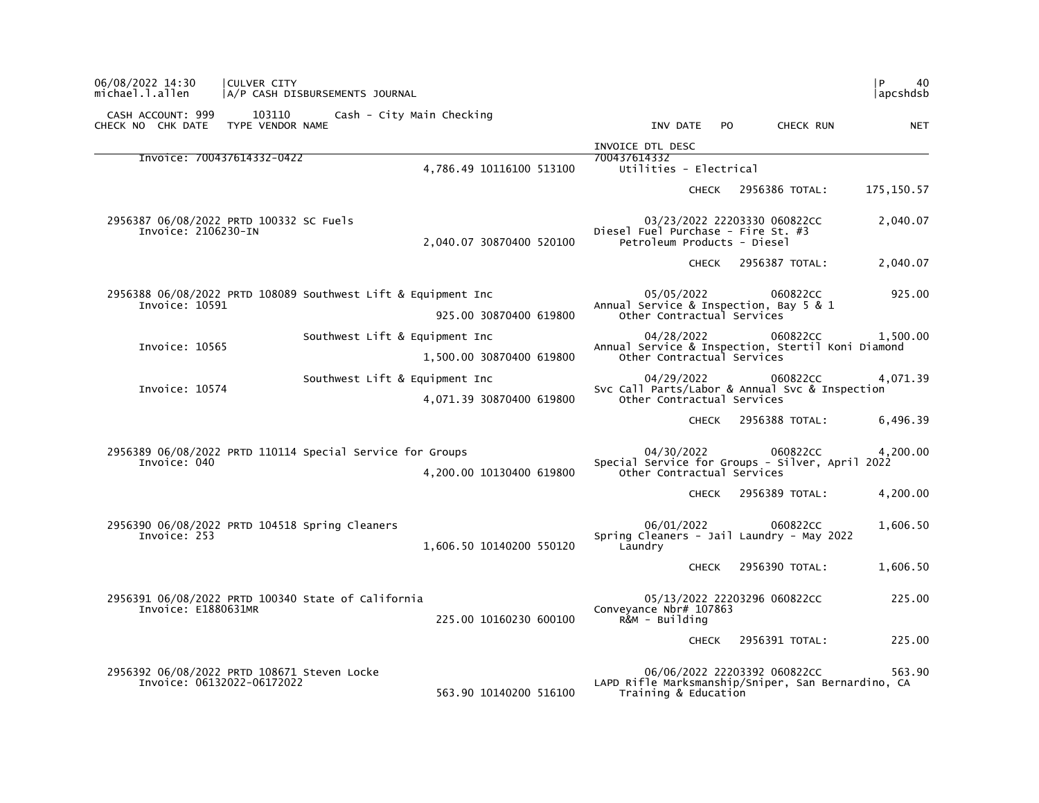| 06/08/2022 14:30<br>CULVER CITY<br>michael.l.allen<br>A/P CASH DISBURSEMENTS JOURNAL              |                          |                                                                                                            |     |                | l P<br>40<br>  apcshdsb |
|---------------------------------------------------------------------------------------------------|--------------------------|------------------------------------------------------------------------------------------------------------|-----|----------------|-------------------------|
| CASH ACCOUNT: 999<br>103110<br>Cash - City Main Checking<br>TYPE VENDOR NAME<br>CHECK NO CHK DATE |                          | INV DATE                                                                                                   | PO. | CHECK RUN      | <b>NET</b>              |
|                                                                                                   |                          | INVOICE DTL DESC                                                                                           |     |                |                         |
| Invoice: 700437614332-0422                                                                        | 4,786.49 10116100 513100 | 700437614332<br>Utilities - Electrical                                                                     |     |                |                         |
|                                                                                                   |                          | <b>CHECK</b>                                                                                               |     | 2956386 TOTAL: | 175, 150.57             |
| 2956387 06/08/2022 PRTD 100332 SC Fuels<br>Invoice: 2106230-IN                                    | 2,040.07 30870400 520100 | 03/23/2022 22203330 060822CC<br>Diesel Fuel Purchase - Fire St. #3<br>Petroleum Products - Diesel          |     |                | 2,040.07                |
|                                                                                                   |                          | <b>CHECK</b>                                                                                               |     | 2956387 TOTAL: | 2,040.07                |
| 2956388 06/08/2022 PRTD 108089 Southwest Lift & Equipment Inc<br>Invoice: 10591                   | 925.00 30870400 619800   | 05/05/2022<br>Annual Service & Inspection, Bay 5 & 1<br>Other Contractual Services                         |     | 060822CC       | 925.00                  |
| Southwest Lift & Equipment Inc<br>Invoice: 10565                                                  | 1,500.00 30870400 619800 | 04/28/2022<br>Annual Service & Inspection, Stertil Koni Diamond<br>Other Contractual Services              |     | 060822CC       | 1.500.00                |
| Southwest Lift & Equipment Inc<br>Invoice: 10574                                                  | 4,071.39 30870400 619800 | 04/29/2022<br>Svc Call Parts/Labor & Annual Svc & Inspection<br>Other Contractual Services                 |     | 060822CC       | 4,071.39                |
|                                                                                                   |                          | <b>CHECK</b>                                                                                               |     | 2956388 TOTAL: | 6,496.39                |
| 2956389 06/08/2022 PRTD 110114 Special Service for Groups<br>Invoice: 040                         | 4,200.00 10130400 619800 | 04/30/2022<br>Special Service for Groups - Silver, April 2022<br>Other Contractual Services                |     | 060822CC       | 4,200.00                |
|                                                                                                   |                          | <b>CHECK</b>                                                                                               |     | 2956389 TOTAL: | 4,200.00                |
| 2956390 06/08/2022 PRTD 104518 Spring Cleaners<br>Invoice: 253                                    | 1,606.50 10140200 550120 | 06/01/2022<br>Spring Cleaners - Jail Laundry - May 2022<br>Laundry                                         |     | 060822CC       | 1,606.50                |
|                                                                                                   |                          | <b>CHECK</b>                                                                                               |     | 2956390 TOTAL: | 1,606.50                |
| 2956391 06/08/2022 PRTD 100340 State of California<br>Invoice: E1880631MR                         | 225.00 10160230 600100   | 05/13/2022 22203296 060822CC<br>Conveyance Nbr# 107863<br>R&M - Building                                   |     |                | 225.00                  |
|                                                                                                   |                          | <b>CHECK</b>                                                                                               |     | 2956391 TOTAL: | 225.00                  |
| 2956392 06/08/2022 PRTD 108671 Steven Locke<br>Invoice: 06132022-06172022                         | 563.90 10140200 516100   | 06/06/2022 22203392 060822CC<br>LAPD Rifle Marksmanship/Sniper, San Bernardino, CA<br>Training & Education |     |                | 563.90                  |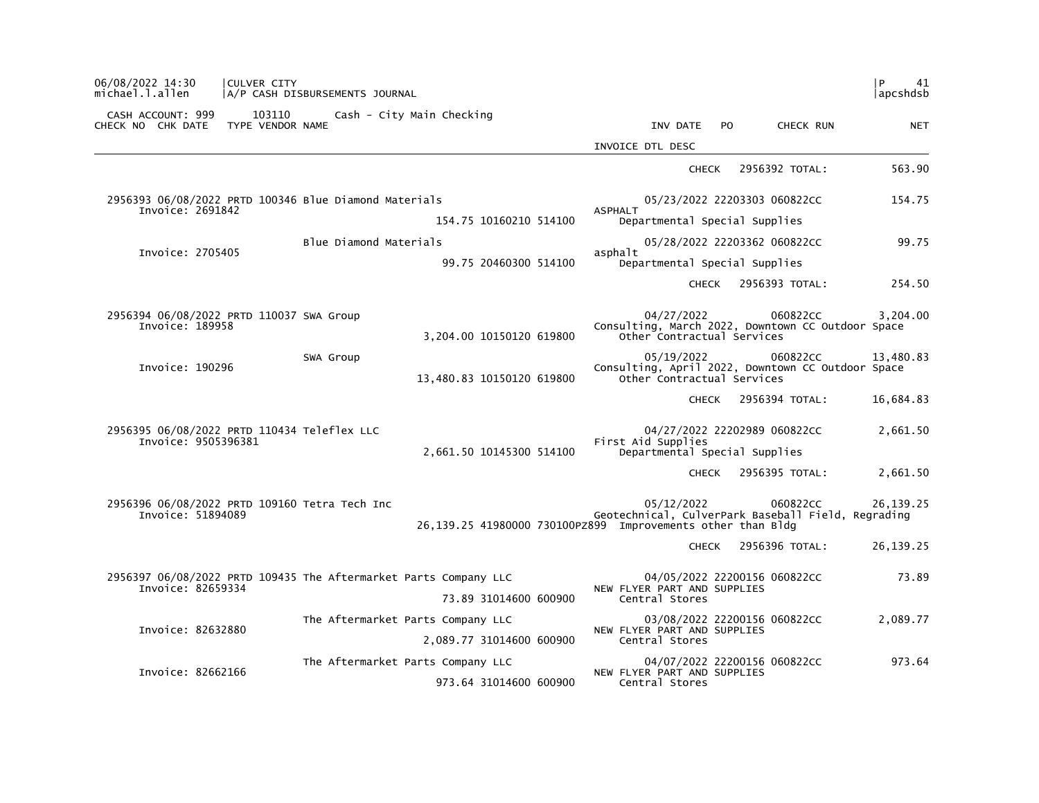| l P<br>41<br> apcshdsb |                                                                |                                                                           |                                                                  | A/P CASH DISBURSEMENTS JOURNAL                        | CULVER CITY                | 06/08/2022 14:30<br>michael.l.allen                                |
|------------------------|----------------------------------------------------------------|---------------------------------------------------------------------------|------------------------------------------------------------------|-------------------------------------------------------|----------------------------|--------------------------------------------------------------------|
| <b>NET</b>             | CHECK RUN                                                      | INV DATE<br><b>PO</b>                                                     | Cash - City Main Checking                                        |                                                       | 103110<br>TYPE VENDOR NAME | CASH ACCOUNT: 999<br>CHECK NO CHK DATE                             |
|                        |                                                                | INVOICE DTL DESC                                                          |                                                                  |                                                       |                            |                                                                    |
| 563.90                 | 2956392 TOTAL:                                                 | <b>CHECK</b>                                                              |                                                                  |                                                       |                            |                                                                    |
| 154.75                 | 05/23/2022 22203303 060822CC                                   | <b>ASPHALT</b>                                                            |                                                                  | 2956393 06/08/2022 PRTD 100346 Blue Diamond Materials |                            | Invoice: 2691842                                                   |
|                        |                                                                | Departmental Special Supplies                                             | 154.75 10160210 514100                                           |                                                       |                            |                                                                    |
| 99.75                  | 05/28/2022 22203362 060822CC                                   |                                                                           |                                                                  | Blue Diamond Materials                                |                            |                                                                    |
|                        |                                                                | asphalt<br>Departmental Special Supplies                                  | 99.75 20460300 514100                                            |                                                       |                            | Invoice: 2705405                                                   |
| 254.50                 | 2956393 TOTAL:                                                 | <b>CHECK</b>                                                              |                                                                  |                                                       |                            |                                                                    |
| 3,204.00               | 060822CC<br>Consulting, March 2022, Downtown CC Outdoor Space  | 04/27/2022<br>Other Contractual Services                                  | 3,204.00 10150120 619800                                         |                                                       |                            | 2956394 06/08/2022 PRTD 110037 SWA Group<br>Invoice: 189958        |
| 13,480.83              | 060822CC<br>Consulting, April 2022, Downtown CC Outdoor Space  | 05/19/2022<br>Other Contractual Services                                  | 13,480.83 10150120 619800                                        | SWA Group                                             |                            | Invoice: 190296                                                    |
| 16,684.83              | 2956394 TOTAL:                                                 | <b>CHECK</b>                                                              |                                                                  |                                                       |                            |                                                                    |
| 2,661.50               | 04/27/2022 22202989 060822CC                                   | First Aid Supplies<br>Departmental Special Supplies                       | 2,661.50 10145300 514100                                         |                                                       |                            | 2956395 06/08/2022 PRTD 110434 Teleflex LLC<br>Invoice: 9505396381 |
| 2,661.50               | 2956395 TOTAL:                                                 | <b>CHECK</b>                                                              |                                                                  |                                                       |                            |                                                                    |
| 26, 139. 25            | 060822CC<br>Geotechnical, CulverPark Baseball Field, Regrading | 05/12/2022<br>26,139.25 41980000 730100PZ899 Improvements other than Bldg |                                                                  | 2956396 06/08/2022 PRTD 109160 Tetra Tech Inc         |                            | Invoice: 51894089                                                  |
| 26, 139. 25            | 2956396 TOTAL:                                                 | <b>CHECK</b>                                                              |                                                                  |                                                       |                            |                                                                    |
| 73.89                  | 04/05/2022 22200156 060822CC                                   |                                                                           | 2956397 06/08/2022 PRTD 109435 The Aftermarket Parts Company LLC |                                                       |                            |                                                                    |
|                        |                                                                | NEW FLYER PART AND SUPPLIES<br>Central Stores                             | 73.89 31014600 600900                                            |                                                       |                            | Invoice: 82659334                                                  |
| 2,089.77               | 03/08/2022 22200156 060822CC                                   |                                                                           | The Aftermarket Parts Company LLC                                |                                                       |                            |                                                                    |
|                        |                                                                | NEW FLYER PART AND SUPPLIES<br>Central Stores                             | 2,089.77 31014600 600900                                         |                                                       |                            | Invoice: 82632880                                                  |
| 973.64                 | 04/07/2022 22200156 060822CC                                   | NEW FLYER PART AND SUPPLIES<br>Central Stores                             | The Aftermarket Parts Company LLC<br>973.64 31014600 600900      |                                                       |                            | Invoice: 82662166                                                  |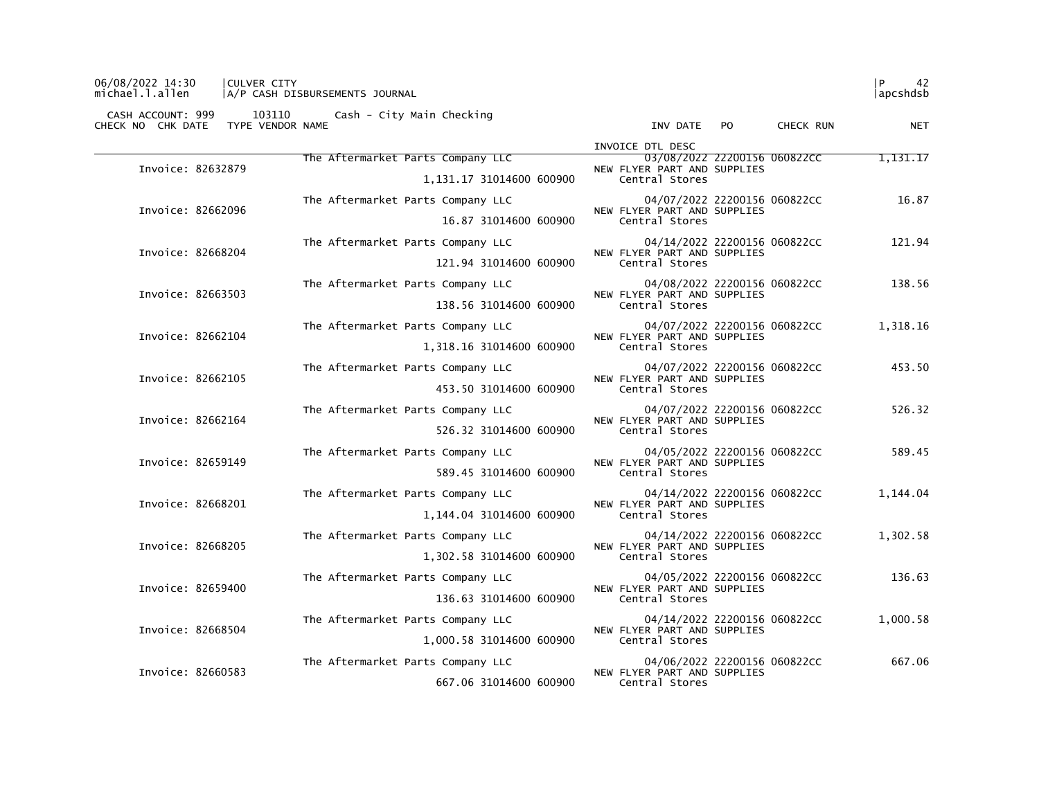## 06/08/2022 14:30 |CULVER CITY |P 42 michael.l.allen |A/P CASH DISBURSEMENTS JOURNAL |apcshdsb

|                   |                                   | INVOICE DTL DESC                                            |          |
|-------------------|-----------------------------------|-------------------------------------------------------------|----------|
| Invoice: 82632879 | The Aftermarket Parts Company LLC | 03/08/2022 22200156 060822CC<br>NEW FLYER PART AND SUPPLIES | 1,131.17 |
|                   | 1,131.17 31014600 600900          | Central Stores                                              |          |
| Invoice: 82662096 | The Aftermarket Parts Company LLC | 04/07/2022 22200156 060822CC<br>NEW FLYER PART AND SUPPLIES | 16.87    |
|                   | 16.87 31014600 600900             | Central Stores                                              |          |
| Invoice: 82668204 | The Aftermarket Parts Company LLC | 04/14/2022 22200156 060822CC<br>NEW FLYER PART AND SUPPLIES | 121.94   |
|                   | 121.94 31014600 600900            | Central Stores                                              |          |
| Invoice: 82663503 | The Aftermarket Parts Company LLC | 04/08/2022 22200156 060822CC<br>NEW FLYER PART AND SUPPLIES | 138.56   |
|                   | 138.56 31014600 600900            | Central Stores                                              |          |
| Invoice: 82662104 | The Aftermarket Parts Company LLC | 04/07/2022 22200156 060822CC<br>NEW FLYER PART AND SUPPLIES | 1,318.16 |
|                   | 1,318.16 31014600 600900          | Central Stores                                              |          |
| Invoice: 82662105 | The Aftermarket Parts Company LLC | 04/07/2022 22200156 060822CC<br>NEW FLYER PART AND SUPPLIES | 453.50   |
|                   | 453.50 31014600 600900            | Central Stores                                              |          |
| Invoice: 82662164 | The Aftermarket Parts Company LLC | 04/07/2022 22200156 060822CC<br>NEW FLYER PART AND SUPPLIES | 526.32   |
|                   | 526.32 31014600 600900            | Central Stores                                              |          |
| Invoice: 82659149 | The Aftermarket Parts Company LLC | 04/05/2022 22200156 060822CC<br>NEW FLYER PART AND SUPPLIES | 589.45   |
|                   | 589.45 31014600 600900            | Central Stores                                              |          |
| Invoice: 82668201 | The Aftermarket Parts Company LLC | 04/14/2022 22200156 060822CC<br>NEW FLYER PART AND SUPPLIES | 1,144.04 |
|                   | 1,144.04 31014600 600900          | Central Stores                                              |          |
| Invoice: 82668205 | The Aftermarket Parts Company LLC | 04/14/2022 22200156 060822CC                                | 1,302.58 |
|                   | 1,302.58 31014600 600900          | NEW FLYER PART AND SUPPLIES<br>Central Stores               |          |
| Invoice: 82659400 | The Aftermarket Parts Company LLC | 04/05/2022 22200156 060822CC                                | 136.63   |
|                   | 136.63 31014600 600900            | NEW FLYER PART AND SUPPLIES<br>Central Stores               |          |
| Invoice: 82668504 | The Aftermarket Parts Company LLC | 04/14/2022 22200156 060822CC<br>NEW FLYER PART AND SUPPLIES | 1.000.58 |
|                   | 1,000.58 31014600 600900          | Central Stores                                              |          |
| Invoice: 82660583 | The Aftermarket Parts Company LLC | 04/06/2022 22200156 060822CC                                | 667.06   |
|                   | 667.06 31014600 600900            | NEW FLYER PART AND SUPPLIES<br>Central Stores               |          |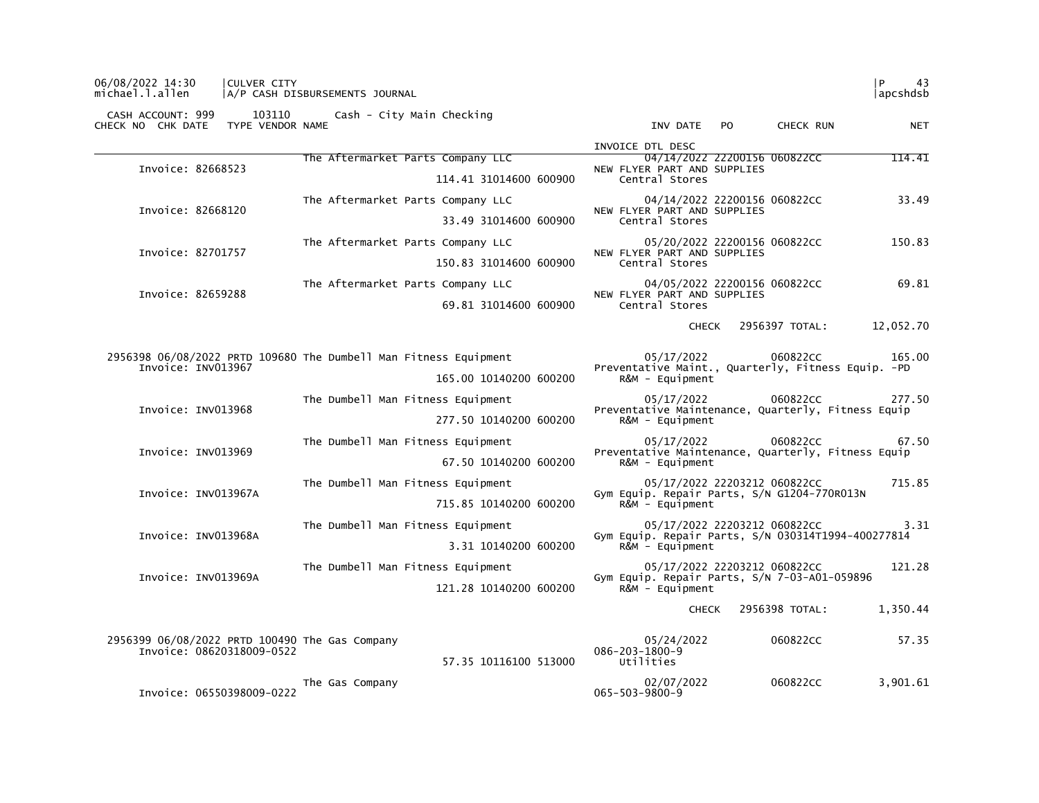| michael.l.allen                        |                                                                             | A/P CASH DISBURSEMENTS JOURNAL                                   |                        |                                                                                   |                              | apcshdsb   |
|----------------------------------------|-----------------------------------------------------------------------------|------------------------------------------------------------------|------------------------|-----------------------------------------------------------------------------------|------------------------------|------------|
| CASH ACCOUNT: 999<br>CHECK NO CHK DATE | 103110<br>TYPE VENDOR NAME                                                  | Cash - City Main Checking                                        |                        | INV DATE PO                                                                       | CHECK RUN                    | <b>NET</b> |
|                                        |                                                                             |                                                                  |                        | INVOICE DTL DESC                                                                  |                              | 114.41     |
| Invoice: 82668523                      |                                                                             | The Aftermarket Parts Company LLC                                | 114.41 31014600 600900 | NEW FLYER PART AND SUPPLIES<br>Central Stores                                     | 04/14/2022 22200156 060822CC |            |
|                                        |                                                                             | The Aftermarket Parts Company LLC                                |                        |                                                                                   | 04/14/2022 22200156 060822CC | 33.49      |
| Invoice: 82668120                      |                                                                             |                                                                  | 33.49 31014600 600900  | NEW FLYER PART AND SUPPLIES<br>Central Stores                                     |                              |            |
|                                        |                                                                             | The Aftermarket Parts Company LLC                                |                        |                                                                                   | 05/20/2022 22200156 060822CC | 150.83     |
| Invoice: 82701757                      |                                                                             |                                                                  | 150.83 31014600 600900 | NEW FLYER PART AND SUPPLIES<br>Central Stores                                     |                              |            |
|                                        |                                                                             | The Aftermarket Parts Company LLC                                |                        |                                                                                   | 04/05/2022 22200156 060822CC | 69.81      |
| Invoice: 82659288                      |                                                                             |                                                                  | 69.81 31014600 600900  | NEW FLYER PART AND SUPPLIES<br>Central Stores                                     |                              |            |
|                                        |                                                                             |                                                                  |                        | CHECK                                                                             | 2956397 TOTAL:               | 12,052.70  |
|                                        |                                                                             | 2956398 06/08/2022 PRTD 109680 The Dumbell Man Fitness Equipment |                        | 05/17/2022                                                                        | 060822CC                     | 165.00     |
|                                        | Invoice: INV013967                                                          |                                                                  | 165.00 10140200 600200 | Preventative Maint., Quarterly, Fitness Equip. - PD<br>$R\&M - \text{Equi}$ pment |                              |            |
|                                        |                                                                             | The Dumbell Man Fitness Equipment                                |                        | 05/17/2022                                                                        | 060822CC                     | 277.50     |
|                                        | Invoice: INV013968                                                          |                                                                  | 277.50 10140200 600200 | Preventative Maintenance, Quarterly, Fitness Equip<br>$R&M - \text{Equi}$ pment   |                              |            |
|                                        |                                                                             | The Dumbell Man Fitness Equipment                                |                        | 05/17/2022                                                                        | 060822CC                     | 67.50      |
|                                        | Invoice: INV013969                                                          |                                                                  | 67.50 10140200 600200  | Preventative Maintenance, Quarterly, Fitness Equip<br>$R\&M - \text{Equi}$        |                              |            |
|                                        |                                                                             | The Dumbell Man Fitness Equipment                                |                        |                                                                                   | 05/17/2022 22203212 060822CC | 715.85     |
|                                        | Invoice: INV013967A                                                         |                                                                  | 715.85 10140200 600200 | Gym Equip. Repair Parts, S/N G1204-770R013N<br>$R\&M - \text{Equi}$               |                              |            |
|                                        |                                                                             | The Dumbell Man Fitness Equipment                                |                        |                                                                                   | 05/17/2022 22203212 060822CC | 3.31       |
|                                        | Invoice: INV013968A                                                         |                                                                  | 3.31 10140200 600200   | Gym Equip. Repair Parts, S/N 030314T1994-400277814<br>$R\&M - \text{Equi}$        |                              |            |
|                                        | Invoice: INV013969A                                                         | The Dumbell Man Fitness Equipment                                |                        |                                                                                   | 05/17/2022 22203212 060822CC | 121.28     |
|                                        |                                                                             |                                                                  | 121.28 10140200 600200 | Gym Equip. Repair Parts, S/N 7-03-A01-059896<br>$R\&M - \text{Equi}$              |                              |            |
|                                        |                                                                             |                                                                  |                        | <b>CHECK</b>                                                                      | 2956398 TOTAL:               | 1,350.44   |
|                                        | 2956399 06/08/2022 PRTD 100490 The Gas Company<br>Invoice: 08620318009-0522 |                                                                  | 57.35 10116100 513000  | 05/24/2022<br>$086 - 203 - 1800 - 9$<br>Utilities                                 | 060822CC                     | 57.35      |
|                                        | Invoice: 06550398009-0222                                                   | The Gas Company                                                  |                        | 02/07/2022<br>$065 - 503 - 9800 - 9$                                              | 060822CC                     | 3,901.61   |

06/08/2022 14:30 |CULVER CITY |P 43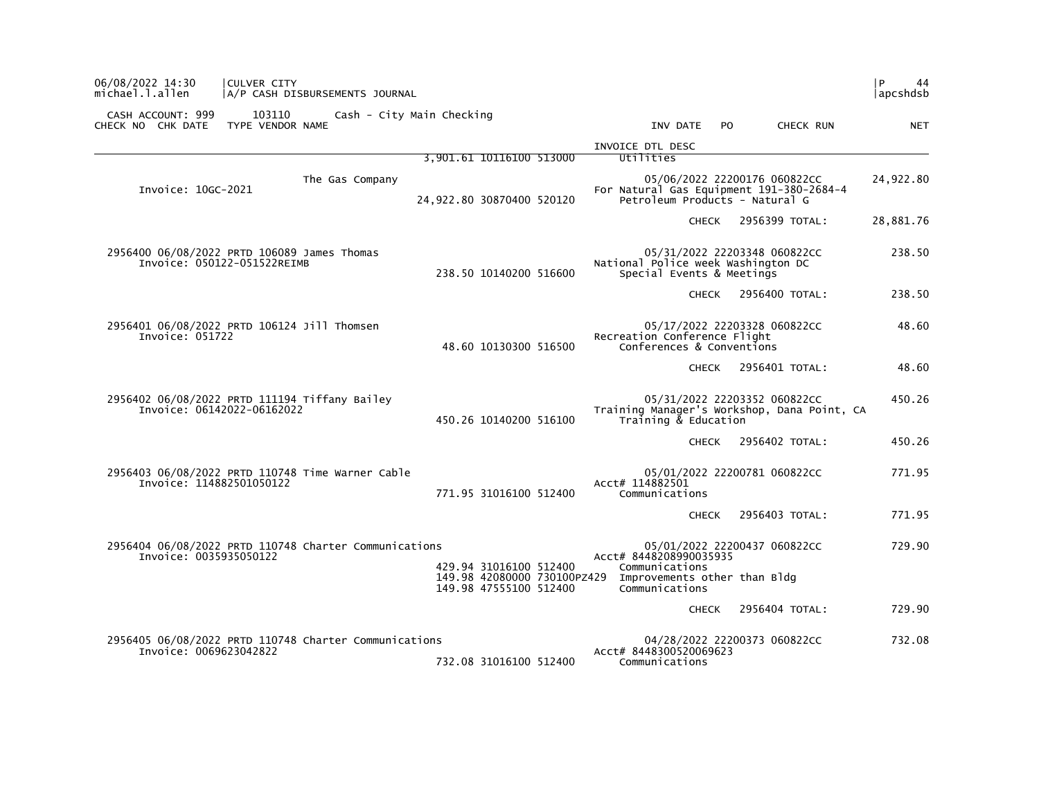| 06/08/2022 14:30<br>michael.l.allen                                             | CULVER CITY                 | A/P CASH DISBURSEMENTS JOURNAL |                                                       |                                          |                                |     |                                                                             | P.<br>44<br> apcshdsb |
|---------------------------------------------------------------------------------|-----------------------------|--------------------------------|-------------------------------------------------------|------------------------------------------|--------------------------------|-----|-----------------------------------------------------------------------------|-----------------------|
| CASH ACCOUNT: 999<br>CHECK NO CHK DATE                                          | 103110<br>TYPE VENDOR NAME  | Cash - City Main Checking      |                                                       |                                          | INV DATE                       | PO. | CHECK RUN                                                                   | <b>NET</b>            |
|                                                                                 |                             |                                |                                                       | INVOICE DTL DESC                         |                                |     |                                                                             |                       |
|                                                                                 |                             |                                | 3,901.61 10116100 513000                              | Utilities                                |                                |     |                                                                             |                       |
| Invoice: 10GC-2021                                                              |                             | The Gas Company                | 24,922.80 30870400 520120                             |                                          | Petroleum Products - Natural G |     | 05/06/2022 22200176 060822CC<br>For Natural Gas Equipment 191-380-2684-4    | 24,922.80             |
|                                                                                 |                             |                                |                                                       |                                          | <b>CHECK</b>                   |     | 2956399 TOTAL:                                                              | 28,881.76             |
| 2956400 06/08/2022 PRTD 106089 James Thomas                                     | Invoice: 050122-051522REIMB |                                | 238.50 10140200 516600                                | National Police week Washington DC       | Special Events & Meetings      |     | 05/31/2022 22203348 060822CC                                                | 238.50                |
|                                                                                 |                             |                                |                                                       |                                          | <b>CHECK</b>                   |     | 2956400 TOTAL:                                                              | 238.50                |
| 2956401 06/08/2022 PRTD 106124 Jill Thomsen<br>Invoice: 051722                  |                             |                                | 48.60 10130300 516500                                 | Recreation Conference Flight             | Conferences & Conventions      |     | 05/17/2022 22203328 060822CC                                                | 48.60                 |
|                                                                                 |                             |                                |                                                       |                                          | <b>CHECK</b>                   |     | 2956401 TOTAL:                                                              | 48.60                 |
| 2956402 06/08/2022 PRTD 111194 Tiffany Bailey                                   | Invoice: 06142022-06162022  |                                | 450.26 10140200 516100                                |                                          | Training & Education           |     | 05/31/2022 22203352 060822CC<br>Training Manager's Workshop, Dana Point, CA | 450.26                |
|                                                                                 |                             |                                |                                                       |                                          | <b>CHECK</b>                   |     | 2956402 TOTAL:                                                              | 450.26                |
| 2956403 06/08/2022 PRTD 110748 Time Warner Cable<br>Invoice: 114882501050122    |                             |                                | 771.95 31016100 512400                                | Acct# 114882501<br>Communications        |                                |     | 05/01/2022 22200781 060822CC                                                | 771.95                |
|                                                                                 |                             |                                |                                                       |                                          | <b>CHECK</b>                   |     | 2956403 TOTAL:                                                              | 771.95                |
| 2956404 06/08/2022 PRTD 110748 Charter Communications<br>Invoice: 0035935050122 |                             |                                | 429.94 31016100 512400                                | Acct# 8448208990035935<br>Communications |                                |     | 05/01/2022 22200437 060822CC                                                | 729.90                |
|                                                                                 |                             |                                | 149.98 42080000 730100PZ429<br>149.98 47555100 512400 | Communications                           | Improvements other than Bldg   |     |                                                                             |                       |
|                                                                                 |                             |                                |                                                       |                                          | <b>CHECK</b>                   |     | 2956404 TOTAL:                                                              | 729.90                |
| 2956405 06/08/2022 PRTD 110748 Charter Communications<br>Invoice: 0069623042822 |                             |                                | 732.08 31016100 512400                                | Acct# 8448300520069623<br>Communications |                                |     | 04/28/2022 22200373 060822CC                                                | 732.08                |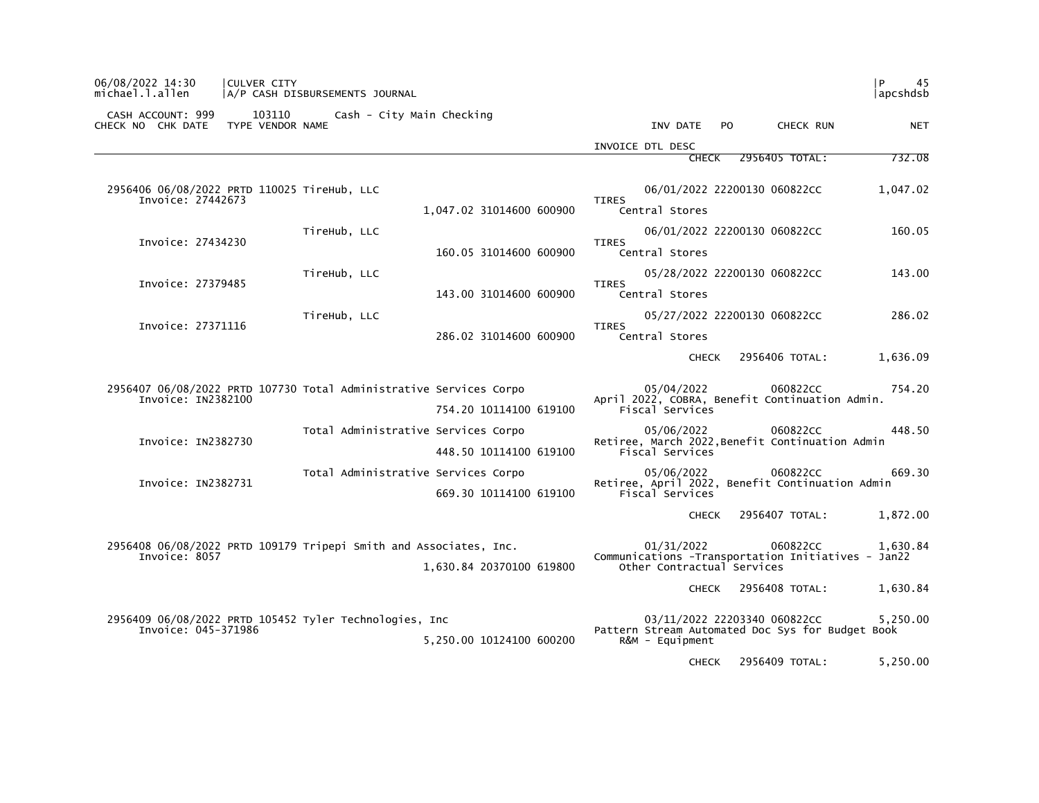| CASH ACCOUNT: 999<br>103110                                      | Cash - City Main Checking                                          |                                                                                           |  |  |  |  |
|------------------------------------------------------------------|--------------------------------------------------------------------|-------------------------------------------------------------------------------------------|--|--|--|--|
| CHECK NO CHK DATE<br>TYPE VENDOR NAME                            |                                                                    | INV DATE<br>PO.<br>CHECK RUN<br><b>NET</b>                                                |  |  |  |  |
|                                                                  |                                                                    | INVOICE DTL DESC<br>2956405 TOTAL:<br>732.08<br><b>CHECK</b>                              |  |  |  |  |
|                                                                  |                                                                    |                                                                                           |  |  |  |  |
| 2956406 06/08/2022 PRTD 110025 TireHub, LLC<br>Invoice: 27442673 |                                                                    | 06/01/2022 22200130 060822CC<br>1,047.02<br><b>TIRES</b>                                  |  |  |  |  |
|                                                                  | 1,047.02 31014600 600900                                           | Central Stores                                                                            |  |  |  |  |
| Invoice: 27434230                                                | TireHub, LLC                                                       | 06/01/2022 22200130 060822CC<br>160.05<br><b>TIRES</b>                                    |  |  |  |  |
|                                                                  | 160.05 31014600 600900                                             | Central Stores                                                                            |  |  |  |  |
|                                                                  | TireHub, LLC                                                       | 05/28/2022 22200130 060822CC<br>143.00                                                    |  |  |  |  |
| Invoice: 27379485                                                | 143.00 31014600 600900                                             | <b>TIRES</b><br>Central Stores                                                            |  |  |  |  |
|                                                                  | TireHub, LLC                                                       | 05/27/2022 22200130 060822CC<br>286.02                                                    |  |  |  |  |
| Invoice: 27371116                                                | 286.02 31014600 600900                                             | <b>TIRES</b><br>Central Stores                                                            |  |  |  |  |
|                                                                  |                                                                    | 2956406 TOTAL:<br>1,636.09<br><b>CHECK</b>                                                |  |  |  |  |
|                                                                  | 2956407 06/08/2022 PRTD 107730 Total Administrative Services Corpo | 05/04/2022<br>060822CC<br>754.20                                                          |  |  |  |  |
| Invoice: IN2382100                                               | 754.20 10114100 619100                                             | April 2022, COBRA, Benefit Continuation Admin.<br>Fiscal Services                         |  |  |  |  |
|                                                                  | Total Administrative Services Corpo                                | 05/06/2022<br>060822CC<br>448.50                                                          |  |  |  |  |
| Invoice: IN2382730                                               | 448.50 10114100 619100                                             | Retiree, March 2022, Benefit Continuation Admin<br>Fiscal Services                        |  |  |  |  |
|                                                                  | Total Administrative Services Corpo                                | 060822CC<br>669.30<br>05/06/2022                                                          |  |  |  |  |
| Invoice: IN2382731                                               | 669.30 10114100 619100                                             | Retiree, April 2022, Benefit Continuation Admin<br>Fiscal Services                        |  |  |  |  |
|                                                                  |                                                                    | 2956407 TOTAL:<br>1,872.00<br><b>CHECK</b>                                                |  |  |  |  |
| Invoice: 8057                                                    | 2956408 06/08/2022 PRTD 109179 Tripepi Smith and Associates, Inc.  | 01/31/2022<br>060822CC<br>1,630.84<br>Communications - Transportation Initiatives - Jan22 |  |  |  |  |
|                                                                  | 1,630.84 20370100 619800                                           | Other Contractual Services                                                                |  |  |  |  |
|                                                                  |                                                                    | 2956408 TOTAL:<br>1,630.84<br><b>CHECK</b>                                                |  |  |  |  |
| 2956409 06/08/2022 PRTD 105452 Tyler Technologies, Inc           |                                                                    | 03/11/2022 22203340 060822CC<br>5,250.00                                                  |  |  |  |  |
| Invoice: 045-371986                                              |                                                                    | Pattern Stream Automated Doc Sys for Budget Book                                          |  |  |  |  |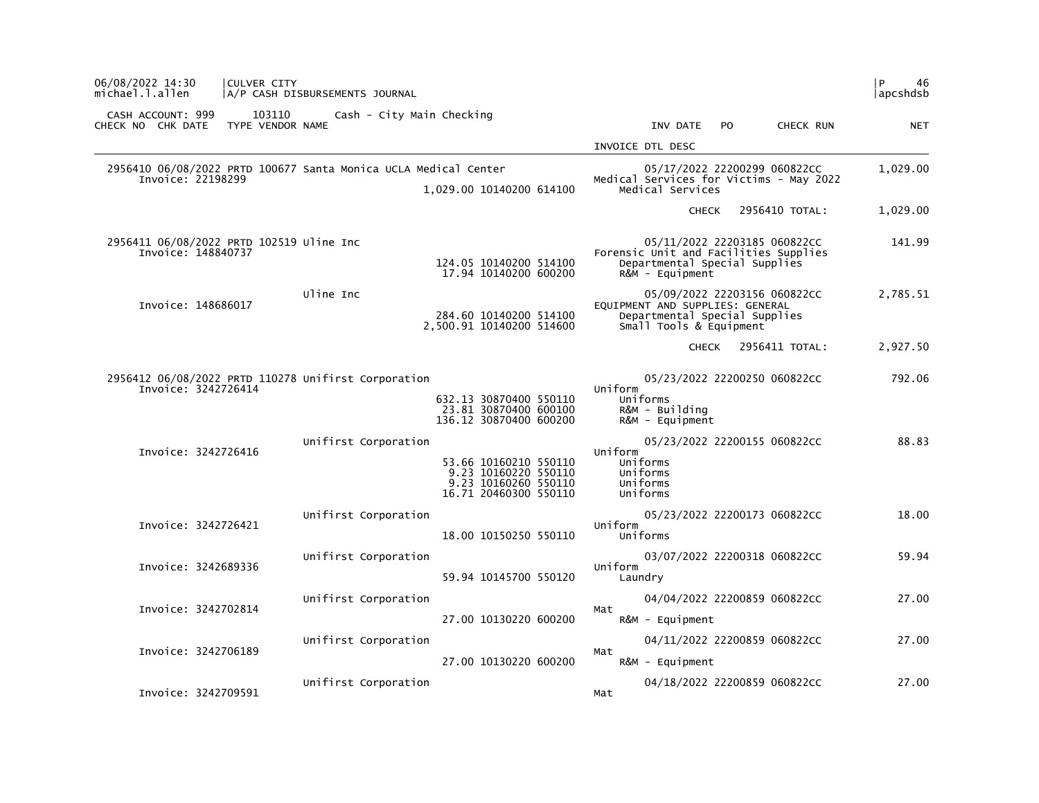| 06/08/2022 14:30<br>CULVER CITY<br>michael.l.allen                         | A/P CASH DISBURSEMENTS JOURNAL                                                                                         |                                                                                                                                | <b>P</b><br>46<br> apcshdsb |
|----------------------------------------------------------------------------|------------------------------------------------------------------------------------------------------------------------|--------------------------------------------------------------------------------------------------------------------------------|-----------------------------|
| CASH ACCOUNT: 999<br>103110<br>TYPE VENDOR NAME<br>CHECK NO CHK DATE       | Cash - City Main Checking                                                                                              | CHECK RUN<br>INV DATE<br>PO.                                                                                                   | <b>NET</b>                  |
|                                                                            |                                                                                                                        | INVOICE DTL DESC                                                                                                               |                             |
| Invoice: 22198299                                                          | 2956410 06/08/2022 PRTD 100677 Santa Monica UCLA Medical Center<br>1,029.00 10140200 614100                            | 05/17/2022 22200299 060822CC<br>Medical Services for Victims - May 2022<br>Medical Services                                    | 1,029.00                    |
|                                                                            |                                                                                                                        | 2956410 TOTAL:<br><b>CHECK</b>                                                                                                 | 1,029.00                    |
| 2956411 06/08/2022 PRTD 102519 Uline Inc<br>Invoice: 148840737             | 124.05 10140200 514100<br>17.94 10140200 600200                                                                        | 05/11/2022 22203185 060822CC<br>Forensic Unit and Facilities Supplies<br>Departmental Special Supplies<br>$R\&M - \text{Equi}$ | 141.99                      |
| Invoice: 148686017                                                         | Uline Inc<br>284.60 10140200 514100<br>2,500.91 10140200 514600                                                        | 05/09/2022 22203156 060822CC<br>EQUIPMENT AND SUPPLIES: GENERAL<br>Departmental Special Supplies<br>Small Tools & Equipment    | 2,785.51                    |
|                                                                            |                                                                                                                        | 2956411 TOTAL:<br><b>CHECK</b>                                                                                                 | 2,927.50                    |
| 2956412 06/08/2022 PRTD 110278 Unifirst Corporation<br>Invoice: 3242726414 | 632.13 30870400 550110<br>23.81 30870400 600100<br>136.12 30870400 600200                                              | 05/23/2022 22200250 060822CC<br>Uniform<br>Uniforms<br>R&M - Building<br>$R\&M - \text{Equi}$                                  | 792.06                      |
| Invoice: 3242726416                                                        | Unifirst Corporation<br>53.66 10160210 550110<br>9.23 10160220 550110<br>9.23 10160260 550110<br>16.71 20460300 550110 | 05/23/2022 22200155 060822CC<br>Uniform<br>Uniforms<br>Uniforms<br>Uniforms<br>Uniforms                                        | 88.83                       |
| Invoice: 3242726421                                                        | Unifirst Corporation<br>18.00 10150250 550110                                                                          | 05/23/2022 22200173 060822CC<br>Uniform<br>Uniforms                                                                            | 18.00                       |
| Invoice: 3242689336                                                        | Unifirst Corporation<br>59.94 10145700 550120                                                                          | 03/07/2022 22200318 060822CC<br>Uniform<br>Laundry                                                                             | 59.94                       |
| Invoice: 3242702814                                                        | Unifirst Corporation<br>27.00 10130220 600200                                                                          | 04/04/2022 22200859 060822CC<br>Mat<br>R&M - Equipment                                                                         | 27.00                       |
| Invoice: 3242706189                                                        | Unifirst Corporation<br>27.00 10130220 600200                                                                          | 04/11/2022 22200859 060822CC<br>Mat<br>$R\&M - \text{Equi}$                                                                    | 27.00                       |
| Invoice: 3242709591                                                        | Unifirst Corporation                                                                                                   | 04/18/2022 22200859 060822CC<br>Mat                                                                                            | 27.00                       |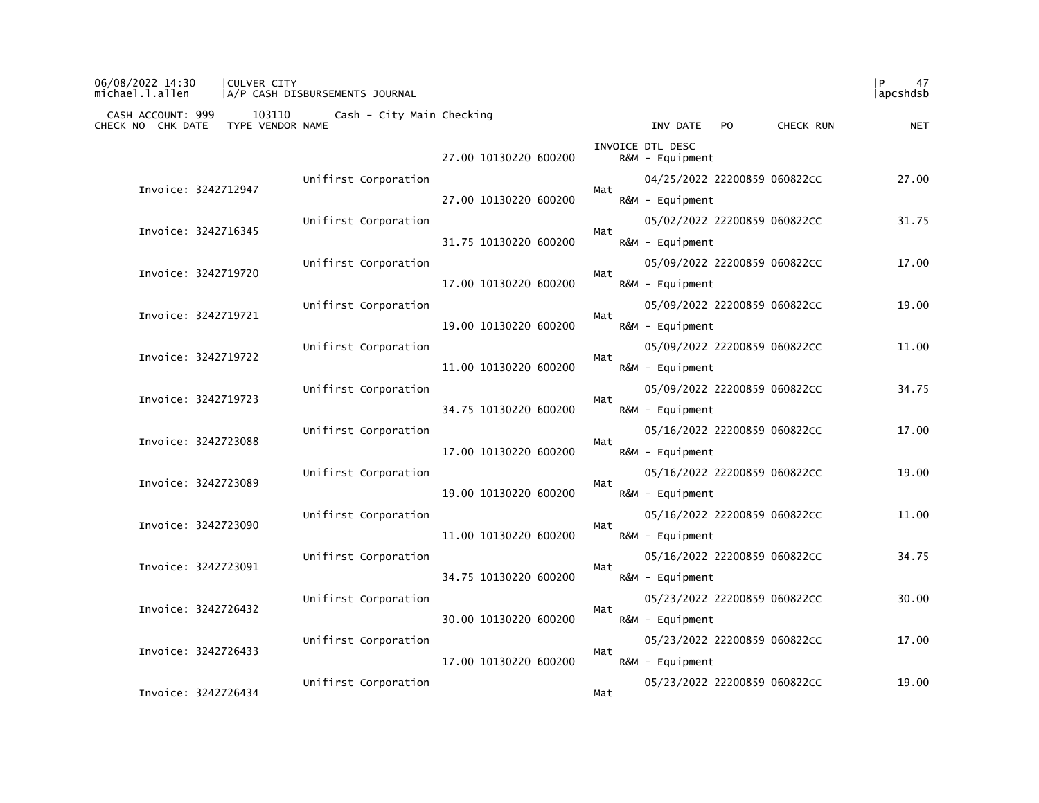## 06/08/2022 14:30 |CULVER CITY |P 47 michael.l.allen |A/P CASH DISBURSEMENTS JOURNAL |apcshdsb

|                     |                      |                       | INVOICE DTL DESC                    |       |
|---------------------|----------------------|-----------------------|-------------------------------------|-------|
|                     |                      | 27.00 10130220 600200 | R&M - Equipment                     |       |
| Invoice: 3242712947 | Unifirst Corporation |                       | 04/25/2022 22200859 060822CC<br>Mat | 27.00 |
|                     |                      | 27.00 10130220 600200 | $R&M - \text{Equi}$ pment           |       |
| Invoice: 3242716345 | Unifirst Corporation |                       | 05/02/2022 22200859 060822CC<br>Mat | 31.75 |
|                     |                      | 31.75 10130220 600200 | $R&M - \text{Equi}$                 |       |
| Invoice: 3242719720 | Unifirst Corporation |                       | 05/09/2022 22200859 060822CC<br>Mat | 17.00 |
|                     |                      | 17.00 10130220 600200 | $R&M - \text{Equi}$ pment           |       |
| Invoice: 3242719721 | Unifirst Corporation |                       | 05/09/2022 22200859 060822CC<br>Mat | 19.00 |
|                     |                      | 19.00 10130220 600200 | $R&M - \text{Equi}$ pment           |       |
| Invoice: 3242719722 | Unifirst Corporation |                       | 05/09/2022 22200859 060822CC        | 11.00 |
|                     |                      | 11.00 10130220 600200 | Mat<br>R&M - Equipment              |       |
| Invoice: 3242719723 | Unifirst Corporation |                       | 05/09/2022 22200859 060822CC        | 34.75 |
|                     |                      | 34.75 10130220 600200 | Mat<br>R&M - Equipment              |       |
| Invoice: 3242723088 | Unifirst Corporation |                       | 05/16/2022 22200859 060822CC        | 17.00 |
|                     |                      | 17.00 10130220 600200 | Mat<br>R&M - Equipment              |       |
|                     | Unifirst Corporation |                       | 05/16/2022 22200859 060822CC        | 19.00 |
| Invoice: 3242723089 |                      | 19.00 10130220 600200 | Mat<br>R&M - Equipment              |       |
|                     | Unifirst Corporation |                       | 05/16/2022 22200859 060822CC        | 11.00 |
| Invoice: 3242723090 |                      | 11.00 10130220 600200 | Mat<br>R&M - Equipment              |       |
|                     | Unifirst Corporation |                       | 05/16/2022 22200859 060822CC        | 34.75 |
| Invoice: 3242723091 |                      | 34.75 10130220 600200 | Mat<br>R&M - Equipment              |       |
|                     | Unifirst Corporation |                       | 05/23/2022 22200859 060822CC        | 30.00 |
| Invoice: 3242726432 |                      | 30.00 10130220 600200 | Mat<br>$R&M - \text{Equi}$ pment    |       |
|                     | Unifirst Corporation |                       | 05/23/2022 22200859 060822CC        | 17.00 |
| Invoice: 3242726433 |                      | 17.00 10130220 600200 | Mat<br>R&M - Equipment              |       |
|                     | Unifirst Corporation |                       | 05/23/2022 22200859 060822CC        | 19.00 |
| Invoice: 3242726434 |                      |                       | Mat                                 |       |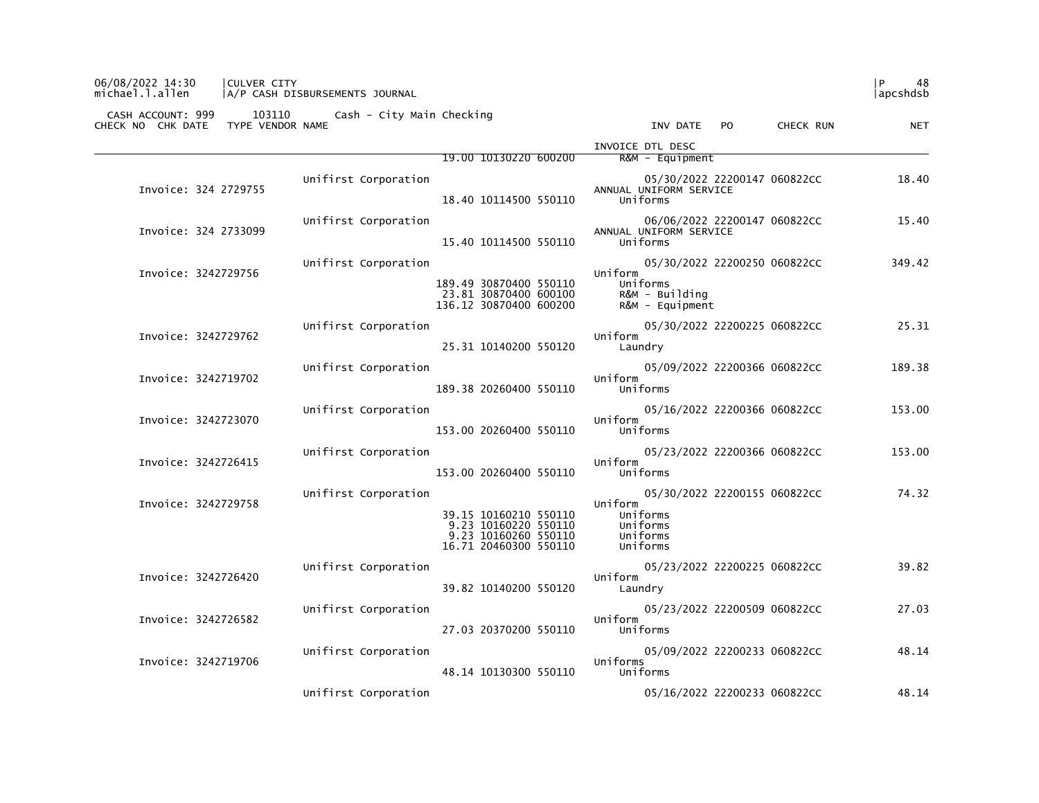| CASH ACCOUNT: 999<br>103110<br>TYPE VENDOR NAME<br>CHECK NO CHK DATE | Cash - City Main Checking |                                                                                                | INV DATE<br>PO.                                                                          | CHECK RUN | <b>NET</b> |
|----------------------------------------------------------------------|---------------------------|------------------------------------------------------------------------------------------------|------------------------------------------------------------------------------------------|-----------|------------|
|                                                                      |                           | 19.00 10130220 600200                                                                          | INVOICE DTL DESC<br>$R&M - \text{Equi}$ pment                                            |           |            |
| Invoice: 324 2729755                                                 | Unifirst Corporation      | 18.40 10114500 550110                                                                          | 05/30/2022 22200147 060822CC<br>ANNUAL UNIFORM SERVICE<br>Uniforms                       |           | 18.40      |
| Invoice: 324 2733099                                                 | Unifirst Corporation      | 15.40 10114500 550110                                                                          | 06/06/2022 22200147 060822CC<br>ANNUAL UNIFORM SERVICE<br>Uniforms                       |           | 15.40      |
| Invoice: 3242729756                                                  | Unifirst Corporation      | 189.49 30870400 550110<br>23.81 30870400 600100<br>136.12 30870400 600200                      | 05/30/2022 22200250 060822CC<br>Uniform<br>Uniforms<br>R&M - Building<br>R&M - Equipment |           | 349.42     |
| Invoice: 3242729762                                                  | Unifirst Corporation      | 25.31 10140200 550120                                                                          | 05/30/2022 22200225 060822CC<br>Uniform<br>Laundry                                       |           | 25.31      |
| Invoice: 3242719702                                                  | Unifirst Corporation      | 189.38 20260400 550110                                                                         | 05/09/2022 22200366 060822CC<br>Uniform<br>Uniforms                                      |           | 189.38     |
| Invoice: 3242723070                                                  | Unifirst Corporation      | 153.00 20260400 550110                                                                         | 05/16/2022 22200366 060822CC<br>Uniform<br>Uniforms                                      |           | 153.00     |
| Invoice: 3242726415                                                  | Unifirst Corporation      | 153.00 20260400 550110                                                                         | 05/23/2022 22200366 060822CC<br>Uniform<br>Uniforms                                      |           | 153.00     |
| Invoice: 3242729758                                                  | Unifirst Corporation      | 39.15 10160210 550110<br>9.23 10160220 550110<br>9.23 10160260 550110<br>16.71 20460300 550110 | 05/30/2022 22200155 060822CC<br>Uniform<br>Uniforms<br>Uniforms<br>Uniforms<br>Uniforms  |           | 74.32      |
| Invoice: 3242726420                                                  | Unifirst Corporation      | 39.82 10140200 550120                                                                          | 05/23/2022 22200225 060822CC<br>Uniform<br>Laundry                                       |           | 39.82      |
| Invoice: 3242726582                                                  | Unifirst Corporation      | 27.03 20370200 550110                                                                          | 05/23/2022 22200509 060822CC<br>Uniform<br>Uniforms                                      |           | 27.03      |
| Invoice: 3242719706                                                  | Unifirst Corporation      |                                                                                                | 05/09/2022 22200233 060822CC<br>Uniforms                                                 |           | 48.14      |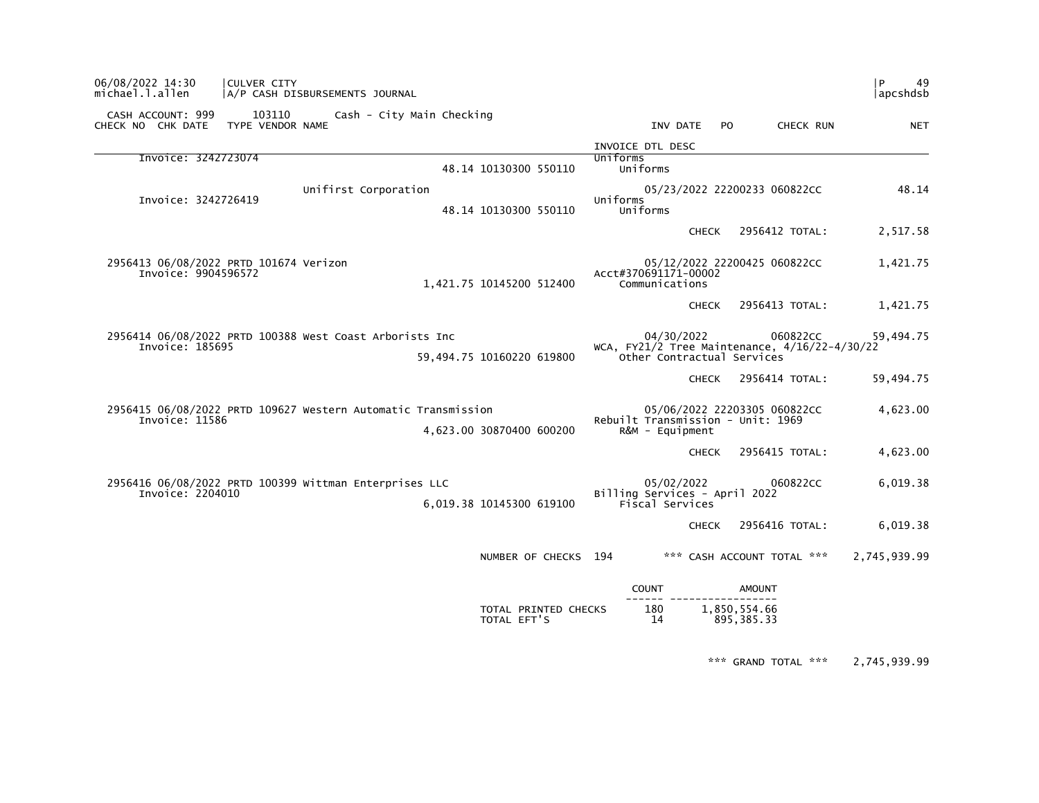| P<br>49<br>apcshdsb |                                                           |                                                                                      |              |                                        |                                                               | A/P CASH DISBURSEMENTS JOURNAL                          | CULVER CITY                            | 06/08/2022 14:30<br>michael.l.allen    |  |
|---------------------|-----------------------------------------------------------|--------------------------------------------------------------------------------------|--------------|----------------------------------------|---------------------------------------------------------------|---------------------------------------------------------|----------------------------------------|----------------------------------------|--|
| <b>NET</b>          | CHECK RUN                                                 | PO.                                                                                  |              | INV DATE                               |                                                               | Cash - City Main Checking                               | 103110<br>TYPE VENDOR NAME             | CASH ACCOUNT: 999<br>CHECK NO CHK DATE |  |
|                     |                                                           |                                                                                      |              | INVOICE DTL DESC                       |                                                               |                                                         |                                        |                                        |  |
|                     |                                                           |                                                                                      |              | Uniforms<br>Uniforms                   | 48.14 10130300 550110                                         |                                                         |                                        | Invoice: 3242723074                    |  |
| 48.14               |                                                           | 05/23/2022 22200233 060822CC                                                         |              | Uniforms<br>Uniforms                   | 48.14 10130300 550110                                         | Unifirst Corporation                                    |                                        | Invoice: 3242726419                    |  |
| 2,517.58            | 2956412 TOTAL:                                            |                                                                                      | <b>CHECK</b> |                                        |                                                               |                                                         |                                        |                                        |  |
| 1,421.75            |                                                           | 05/12/2022 22200425 060822CC                                                         |              | Acct#370691171-00002<br>Communications | 1,421.75 10145200 512400                                      |                                                         | 2956413 06/08/2022 PRTD 101674 Verizon | Invoice: 9904596572                    |  |
| 1,421.75            | 2956413 TOTAL:                                            |                                                                                      | <b>CHECK</b> |                                        |                                                               |                                                         |                                        |                                        |  |
| 59,494.75           | 060822CC<br>WCA, FY21/2 Tree Maintenance, 4/16/22-4/30/22 | Other Contractual Services                                                           |              | 04/30/2022                             | 59,494.75 10160220 619800                                     | 2956414 06/08/2022 PRTD 100388 West Coast Arborists Inc |                                        | Invoice: 185695                        |  |
| 59,494.75           | 2956414 TOTAL:                                            |                                                                                      | <b>CHECK</b> |                                        |                                                               |                                                         |                                        |                                        |  |
| 4,623.00            |                                                           | 05/06/2022 22203305 060822CC<br>Rebuilt Transmission - Unit: 1969<br>R&M - Equipment |              | 4,623.00 30870400 600200               | 2956415 06/08/2022 PRTD 109627 Western Automatic Transmission |                                                         | Invoice: 11586                         |                                        |  |
| 4,623.00            | 2956415 TOTAL:                                            |                                                                                      | <b>CHECK</b> |                                        |                                                               |                                                         |                                        |                                        |  |
| 6,019.38            | 060822CC                                                  | Billing Services - April 2022                                                        |              | 05/02/2022<br>Fiscal Services          | 6,019.38 10145300 619100                                      | 2956416 06/08/2022 PRTD 100399 Wittman Enterprises LLC  |                                        | Invoice: 2204010                       |  |
| 6,019.38            | 2956416 TOTAL:                                            |                                                                                      | <b>CHECK</b> |                                        |                                                               |                                                         |                                        |                                        |  |
| 2,745,939.99        | *** CASH ACCOUNT TOTAL ***                                |                                                                                      |              |                                        | NUMBER OF CHECKS 194                                          |                                                         |                                        |                                        |  |
|                     |                                                           | <b>AMOUNT</b>                                                                        |              | <b>COUNT</b>                           |                                                               |                                                         |                                        |                                        |  |
|                     |                                                           | 1,850,554.66<br>895, 385.33                                                          |              | 180<br>14                              | TOTAL PRINTED CHECKS<br>TOTAL EFT'S                           |                                                         |                                        |                                        |  |

\*\*\* GRAND TOTAL \*\*\* 2,745,939.99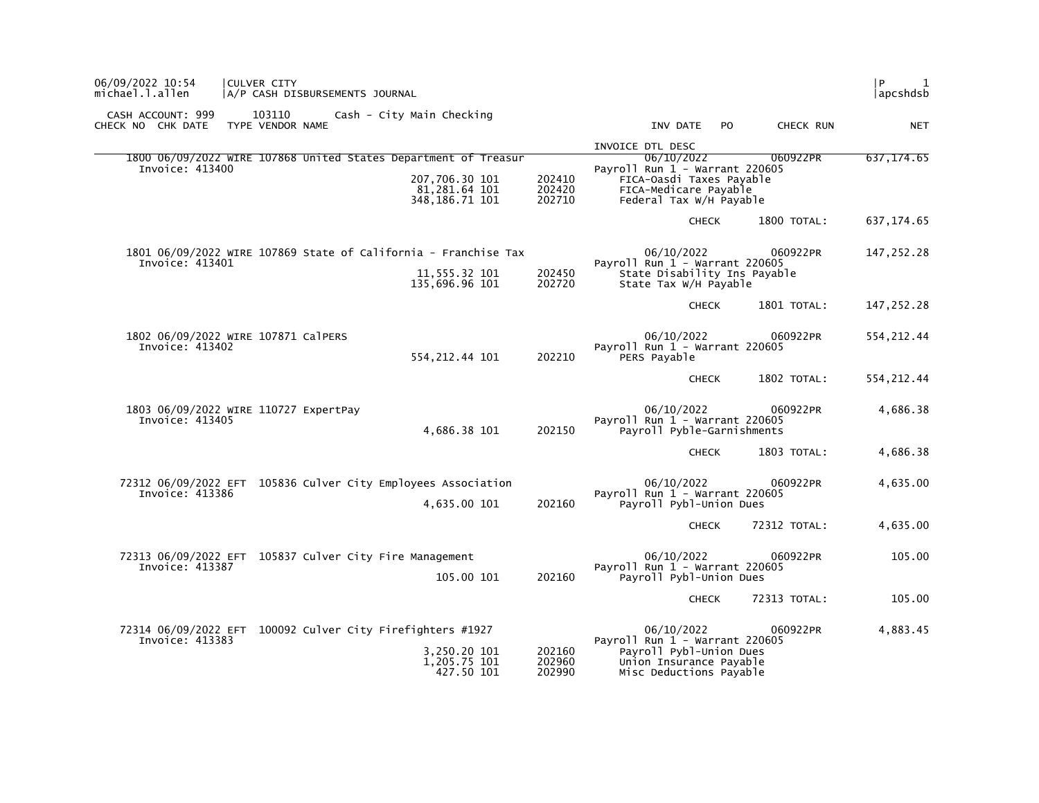| 06/09/2022 10:54<br> CULVER CITY<br>michael.l.allen<br>A/P CASH DISBURSEMENTS JOURNAL                                                                                   |                                                                                                                                           | l P<br>$\mathbf{1}$<br> apcshdsb |
|-------------------------------------------------------------------------------------------------------------------------------------------------------------------------|-------------------------------------------------------------------------------------------------------------------------------------------|----------------------------------|
| CASH ACCOUNT: 999<br>103110<br>Cash - City Main Checking<br>CHECK NO CHK DATE<br>TYPE VENDOR NAME                                                                       | INV DATE<br>CHECK RUN<br>PO.                                                                                                              | <b>NET</b>                       |
|                                                                                                                                                                         | INVOICE DTL DESC                                                                                                                          |                                  |
| 1800 06/09/2022 WIRE 107868 United States Department of Treasur<br>Invoice: 413400<br>207,706.30 101<br>202410<br>81,281.64 101<br>202420<br>348, 186. 71 101<br>202710 | 06/10/2022<br>060922PR<br>Payroll Run 1 - Warrant 220605<br>FICA-Oasdi Taxes Payable<br>FICA-Medicare Payable<br>Federal Tax W/H Payable  | 637, 174.65                      |
|                                                                                                                                                                         | <b>CHECK</b><br>1800 TOTAL:                                                                                                               | 637, 174.65                      |
| 1801 06/09/2022 WIRE 107869 State of California - Franchise Tax<br>Invoice: 413401<br>11,555.32 101<br>202450<br>135,696.96 101<br>202720                               | 06/10/2022<br>060922PR<br>Pavroll Run $1$ - Warrant 220605<br>State Disability Ins Payable<br>State Tax W/H Payable                       | 147,252.28                       |
|                                                                                                                                                                         | <b>CHECK</b><br>1801 TOTAL:                                                                                                               | 147,252.28                       |
| 1802 06/09/2022 WIRE 107871 CalPERS<br>Invoice: 413402<br>202210<br>554, 212.44 101                                                                                     | 06/10/2022<br>060922PR<br>Payroll Run 1 - Warrant 220605<br>PERS Payable                                                                  | 554, 212.44                      |
|                                                                                                                                                                         | 1802 TOTAL:<br><b>CHECK</b>                                                                                                               | 554, 212.44                      |
| 1803 06/09/2022 WIRE 110727 ExpertPay<br>Invoice: 413405<br>4,686.38 101<br>202150                                                                                      | 06/10/2022<br>060922PR<br>Payroll Run $1$ - Warrant 220605<br>Payroll Pyble-Garnishments                                                  | 4,686.38                         |
|                                                                                                                                                                         | 1803 TOTAL:<br><b>CHECK</b>                                                                                                               | 4,686.38                         |
| 72312 06/09/2022 EFT 105836 Culver City Employees Association<br>Invoice: 413386<br>202160<br>4,635.00 101                                                              | 06/10/2022<br>060922PR<br>Payroll Run $1$ - Warrant 220605<br>Payroll Pybl-Union Dues                                                     | 4,635.00                         |
|                                                                                                                                                                         | 72312 TOTAL:<br><b>CHECK</b>                                                                                                              | 4,635.00                         |
| 72313 06/09/2022 EFT 105837 Culver City Fire Management<br>Invoice: 413387<br>105.00 101<br>202160                                                                      | 06/10/2022<br>060922PR<br>Payroll Run 1 - Warrant 220605<br>Payroll Pybl-Union Dues                                                       | 105.00                           |
|                                                                                                                                                                         | 72313 TOTAL:<br><b>CHECK</b>                                                                                                              | 105.00                           |
| 72314 06/09/2022 EFT 100092 Culver City Firefighters #1927<br>Invoice: 413383<br>3,250.20 101<br>202160<br>1,205.75 101<br>202960<br>202990<br>427.50 101               | 06/10/2022<br>060922PR<br>Payroll Run 1 - Warrant 220605<br>Payroll Pybl-Union Dues<br>Union Insurance Payable<br>Misc Deductions Payable | 4,883.45                         |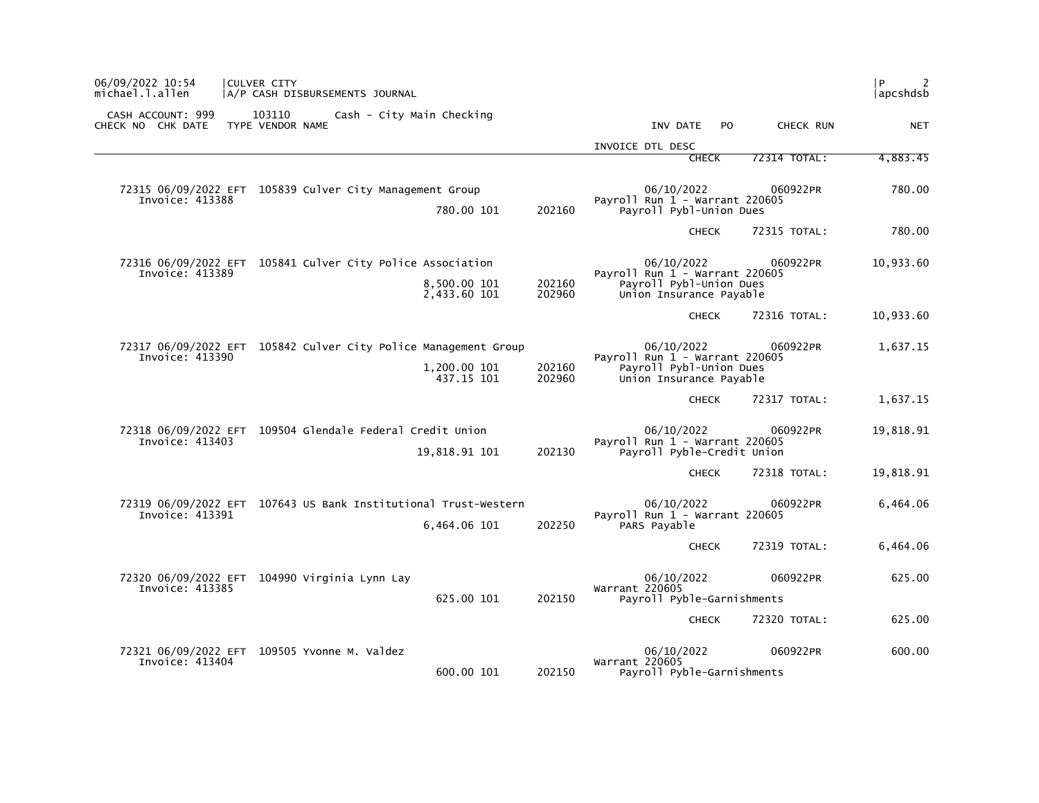| <b>CULVER CITY</b><br>A/P CASH DISBURSEMENTS JOURNAL |                                                                                                                                                                                                                                                                                                                                                                                                                                                                                   |                              |          | l P<br> apcshdsb                                                                                                                                                                                                                                                                                                                                                                                                                                                                                                                                                                                                                                                                                                     |
|------------------------------------------------------|-----------------------------------------------------------------------------------------------------------------------------------------------------------------------------------------------------------------------------------------------------------------------------------------------------------------------------------------------------------------------------------------------------------------------------------------------------------------------------------|------------------------------|----------|----------------------------------------------------------------------------------------------------------------------------------------------------------------------------------------------------------------------------------------------------------------------------------------------------------------------------------------------------------------------------------------------------------------------------------------------------------------------------------------------------------------------------------------------------------------------------------------------------------------------------------------------------------------------------------------------------------------------|
| 103110<br>TYPE VENDOR NAME                           |                                                                                                                                                                                                                                                                                                                                                                                                                                                                                   | INV DATE                     |          | <b>NET</b>                                                                                                                                                                                                                                                                                                                                                                                                                                                                                                                                                                                                                                                                                                           |
|                                                      |                                                                                                                                                                                                                                                                                                                                                                                                                                                                                   | INVOICE DTL DESC             |          | 4,883.45                                                                                                                                                                                                                                                                                                                                                                                                                                                                                                                                                                                                                                                                                                             |
|                                                      |                                                                                                                                                                                                                                                                                                                                                                                                                                                                                   |                              |          |                                                                                                                                                                                                                                                                                                                                                                                                                                                                                                                                                                                                                                                                                                                      |
|                                                      | 202160                                                                                                                                                                                                                                                                                                                                                                                                                                                                            | 06/10/2022                   |          | 780.00                                                                                                                                                                                                                                                                                                                                                                                                                                                                                                                                                                                                                                                                                                               |
|                                                      |                                                                                                                                                                                                                                                                                                                                                                                                                                                                                   |                              |          | 780.00                                                                                                                                                                                                                                                                                                                                                                                                                                                                                                                                                                                                                                                                                                               |
|                                                      | 202160<br>202960                                                                                                                                                                                                                                                                                                                                                                                                                                                                  | 06/10/2022                   |          | 10,933.60                                                                                                                                                                                                                                                                                                                                                                                                                                                                                                                                                                                                                                                                                                            |
|                                                      |                                                                                                                                                                                                                                                                                                                                                                                                                                                                                   |                              |          | 10,933.60                                                                                                                                                                                                                                                                                                                                                                                                                                                                                                                                                                                                                                                                                                            |
|                                                      | 202160<br>202960                                                                                                                                                                                                                                                                                                                                                                                                                                                                  | 06/10/2022                   |          | 1,637.15                                                                                                                                                                                                                                                                                                                                                                                                                                                                                                                                                                                                                                                                                                             |
|                                                      |                                                                                                                                                                                                                                                                                                                                                                                                                                                                                   |                              |          | 1,637.15                                                                                                                                                                                                                                                                                                                                                                                                                                                                                                                                                                                                                                                                                                             |
|                                                      | 202130                                                                                                                                                                                                                                                                                                                                                                                                                                                                            | 06/10/2022                   |          | 19,818.91                                                                                                                                                                                                                                                                                                                                                                                                                                                                                                                                                                                                                                                                                                            |
|                                                      |                                                                                                                                                                                                                                                                                                                                                                                                                                                                                   |                              |          | 19,818.91                                                                                                                                                                                                                                                                                                                                                                                                                                                                                                                                                                                                                                                                                                            |
|                                                      | 202250                                                                                                                                                                                                                                                                                                                                                                                                                                                                            | 06/10/2022<br>PARS Payable   |          | 6,464.06                                                                                                                                                                                                                                                                                                                                                                                                                                                                                                                                                                                                                                                                                                             |
|                                                      |                                                                                                                                                                                                                                                                                                                                                                                                                                                                                   |                              |          | 6,464.06                                                                                                                                                                                                                                                                                                                                                                                                                                                                                                                                                                                                                                                                                                             |
| 72320 06/09/2022 EFT 104990 Virginia Lynn Lay        | 202150                                                                                                                                                                                                                                                                                                                                                                                                                                                                            | 06/10/2022<br>Warrant 220605 |          | 625.00                                                                                                                                                                                                                                                                                                                                                                                                                                                                                                                                                                                                                                                                                                               |
|                                                      |                                                                                                                                                                                                                                                                                                                                                                                                                                                                                   |                              |          | 625.00                                                                                                                                                                                                                                                                                                                                                                                                                                                                                                                                                                                                                                                                                                               |
| 72321 06/09/2022 EFT 109505 Yvonne M. Valdez         |                                                                                                                                                                                                                                                                                                                                                                                                                                                                                   | 06/10/2022                   | 060922PR | 600.00                                                                                                                                                                                                                                                                                                                                                                                                                                                                                                                                                                                                                                                                                                               |
|                                                      | Cash - City Main Checking<br>72315 06/09/2022 EFT 105839 Culver City Management Group<br>780.00 101<br>72316 06/09/2022 EFT 105841 Culver City Police Association<br>8,500.00 101<br>2,433.60 101<br>72317 06/09/2022 EFT 105842 Culver City Police Management Group<br>1,200.00 101<br>437.15 101<br>72318 06/09/2022 EFT 109504 Glendale Federal Credit Union<br>19,818.91 101<br>72319 06/09/2022 EFT 107643 US Bank Institutional Trust-Western<br>6,464.06 101<br>625.00 101 |                              |          | P <sub>O</sub><br>CHECK RUN<br>72314 TOTAL:<br><b>CHECK</b><br>060922PR<br>Payroll Run 1 - Warrant 220605<br>Payroll Pybl-Union Dues<br><b>CHECK</b><br>72315 TOTAL:<br>060922PR<br>Payroll Run 1 - Warrant 220605<br>Payroll Pybl-Union Dues<br>Union Insurance Payable<br><b>CHECK</b><br>72316 TOTAL:<br>060922PR<br>Payroll Run $1$ - Warrant 220605<br>Payroll Pybl-Union Dues<br>Union Insurance Payable<br>72317 TOTAL:<br><b>CHECK</b><br>060922PR<br>Payroll Run $1$ - Warrant 220605<br>Payroll Pyble-Credit Union<br>72318 TOTAL:<br><b>CHECK</b><br>060922PR<br>Payroll Run 1 - Warrant 220605<br>72319 TOTAL:<br><b>CHECK</b><br>060922PR<br>Payroll Pyble-Garnishments<br>72320 TOTAL:<br><b>CHECK</b> |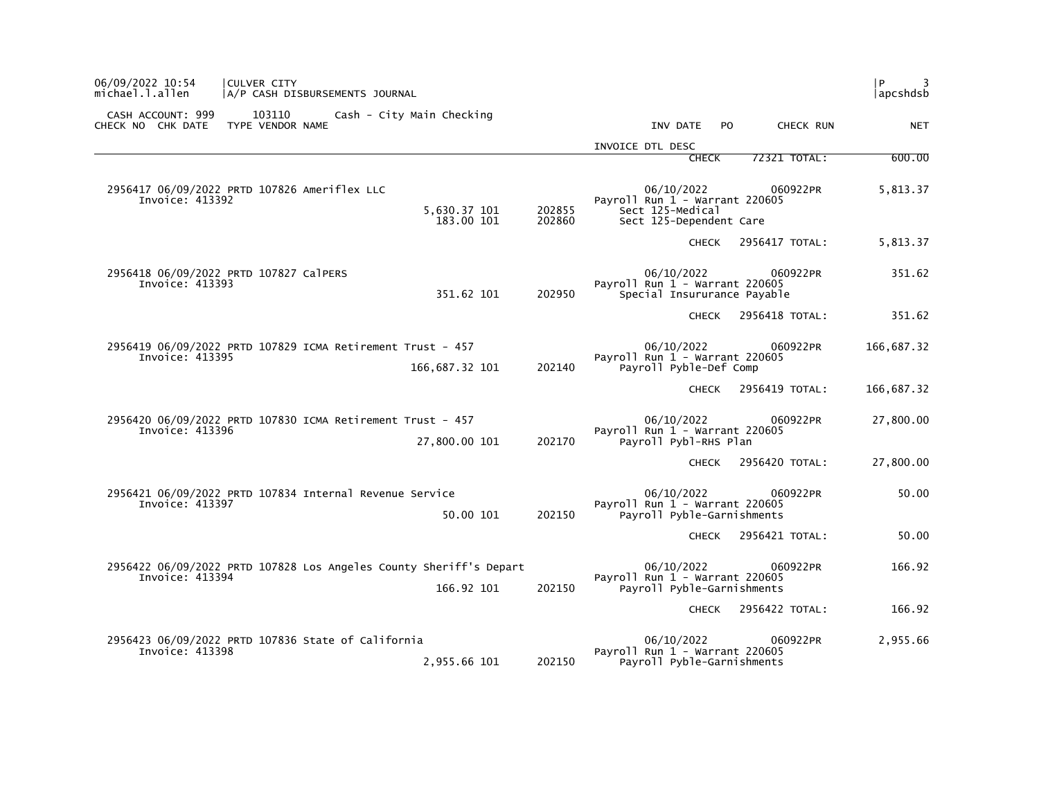| 06/09/2022 10:54<br>michael.l.allen    | CULVER CITY<br> A/P CASH DISBURSEMENTS JOURNAL                               |                                |                                                                                                           | l P.<br>3<br> apcshdsb |
|----------------------------------------|------------------------------------------------------------------------------|--------------------------------|-----------------------------------------------------------------------------------------------------------|------------------------|
| CASH ACCOUNT: 999<br>CHECK NO CHK DATE | 103110<br>Cash - City Main Checking<br>TYPE VENDOR NAME                      |                                | CHECK RUN<br>INV DATE<br>PO.                                                                              | <b>NET</b>             |
|                                        |                                                                              |                                | INVOICE DTL DESC                                                                                          |                        |
|                                        |                                                                              |                                | <b>CHECK</b><br>72321 TOTAL:                                                                              | 600.00                 |
| Invoice: 413392                        | 2956417 06/09/2022 PRTD 107826 Ameriflex LLC<br>5,630.37 101                 | 202855<br>183.00 101<br>202860 | 060922PR<br>06/10/2022<br>Payroll Run $1$ - Warrant 220605<br>Sect 125-Medical<br>Sect 125-Dependent Care | 5,813.37               |
|                                        |                                                                              |                                | 2956417 TOTAL:<br><b>CHECK</b>                                                                            | 5,813.37               |
| Invoice: 413393                        | 2956418 06/09/2022 PRTD 107827 CalPERS                                       | 351.62 101<br>202950           | 06/10/2022<br>060922PR<br>Payroll Run $1$ - Warrant 220605<br>Special Insururance Payable                 | 351.62                 |
|                                        |                                                                              |                                | 2956418 TOTAL:<br><b>CHECK</b>                                                                            | 351.62                 |
| Invoice: 413395                        | 2956419 06/09/2022 PRTD 107829 ICMA Retirement Trust - 457<br>166,687.32 101 | 202140                         | 06/10/2022<br>060922PR<br>Payroll Run 1 - Warrant 220605<br>Payroll Pyble-Def Comp                        | 166,687.32             |
|                                        |                                                                              |                                | 2956419 TOTAL:<br><b>CHECK</b>                                                                            | 166,687.32             |
| Invoice: 413396                        | 2956420 06/09/2022 PRTD 107830 ICMA Retirement Trust - 457<br>27,800.00 101  | 202170                         | 06/10/2022<br>060922PR<br>Payroll Run $1$ - Warrant 220605<br>Payroll Pybl-RHS Plan                       | 27,800.00              |
|                                        |                                                                              |                                | 2956420 TOTAL:<br><b>CHECK</b>                                                                            | 27,800.00              |
| Invoice: 413397                        | 2956421 06/09/2022 PRTD 107834 Internal Revenue Service                      | 50.00 101<br>202150            | 06/10/2022<br>060922PR<br>Payroll Run $1$ - Warrant 220605<br>Payroll Pyble-Garnishments                  | 50.00                  |
|                                        |                                                                              |                                | 2956421 TOTAL:<br><b>CHECK</b>                                                                            | 50.00                  |
| Invoice: 413394                        | 2956422 06/09/2022 PRTD 107828 Los Angeles County Sheriff's Depart           | 166.92 101<br>202150           | 06/10/2022<br>060922PR<br>Payroll Run $1$ - Warrant 220605<br>Payroll Pyble-Garnishments                  | 166.92                 |
|                                        |                                                                              |                                | 2956422 TOTAL:<br><b>CHECK</b>                                                                            | 166.92                 |
| Invoice: 413398                        | 2956423 06/09/2022 PRTD 107836 State of California<br>2,955.66 101           | 202150                         | 06/10/2022<br>060922PR<br>Payroll Run 1 - Warrant 220605<br>Payroll Pyble-Garnishments                    | 2,955.66               |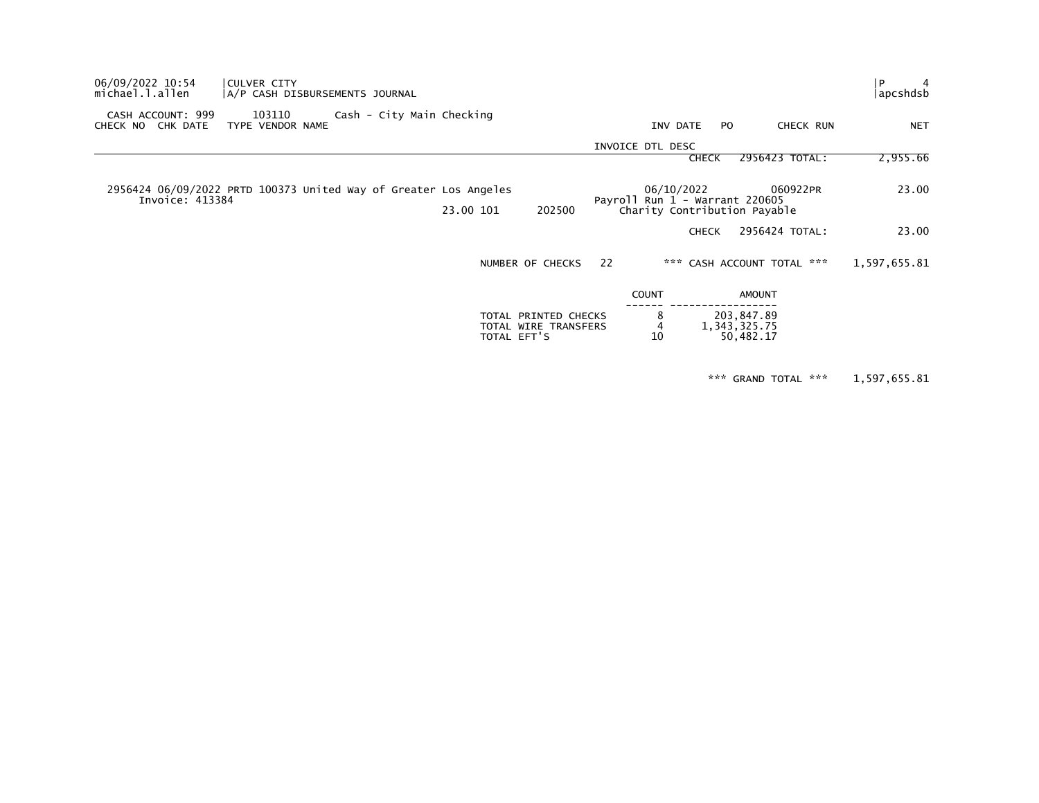| 06/09/2022 10:54<br>michael.l.allen                                                 | CULVER CITY<br> A/P CASH DISBURSEMENTS JOURNAL |                           |             |                                              |    |                                                |              |                                           | $\overline{4}$<br>. P<br> apcshdsb |  |
|-------------------------------------------------------------------------------------|------------------------------------------------|---------------------------|-------------|----------------------------------------------|----|------------------------------------------------|--------------|-------------------------------------------|------------------------------------|--|
| CASH ACCOUNT: 999<br>CHECK NO CHK DATE                                              | 103110<br>TYPE VENDOR NAME                     | Cash - City Main Checking |             |                                              |    | INV DATE                                       | PO.          | CHECK RUN                                 | <b>NET</b>                         |  |
|                                                                                     |                                                |                           |             |                                              |    | INVOICE DTL DESC                               |              |                                           |                                    |  |
|                                                                                     |                                                |                           |             |                                              |    |                                                | <b>CHECK</b> | 2956423 TOTAL:                            | 2,955.66                           |  |
| 2956424 06/09/2022 PRTD 100373 United Way of Greater Los Angeles<br>Invoice: 413384 |                                                |                           |             |                                              |    | 06/10/2022<br>Payroll Run $1$ - Warrant 220605 |              | 060922PR                                  | 23.00                              |  |
|                                                                                     |                                                |                           | 23.00 101   | 202500                                       |    |                                                |              | Charity Contribution Payable              |                                    |  |
|                                                                                     |                                                |                           |             |                                              |    |                                                | <b>CHECK</b> | 2956424 TOTAL:                            | 23.00                              |  |
|                                                                                     |                                                |                           |             | NUMBER OF CHECKS                             | 22 |                                                |              | *** CASH ACCOUNT TOTAL ***                | 1,597,655.81                       |  |
|                                                                                     |                                                |                           |             |                                              |    | <b>COUNT</b>                                   |              | AMOUNT                                    |                                    |  |
|                                                                                     |                                                |                           | TOTAL EFT'S | TOTAL PRINTED CHECKS<br>TOTAL WIRE TRANSFERS |    | 8<br>10                                        |              | 203,847.89<br>1, 343, 325.75<br>50,482.17 |                                    |  |
|                                                                                     |                                                |                           |             |                                              |    |                                                |              |                                           |                                    |  |

\*\*\* GRAND TOTAL \*\*\* 1,597,655.81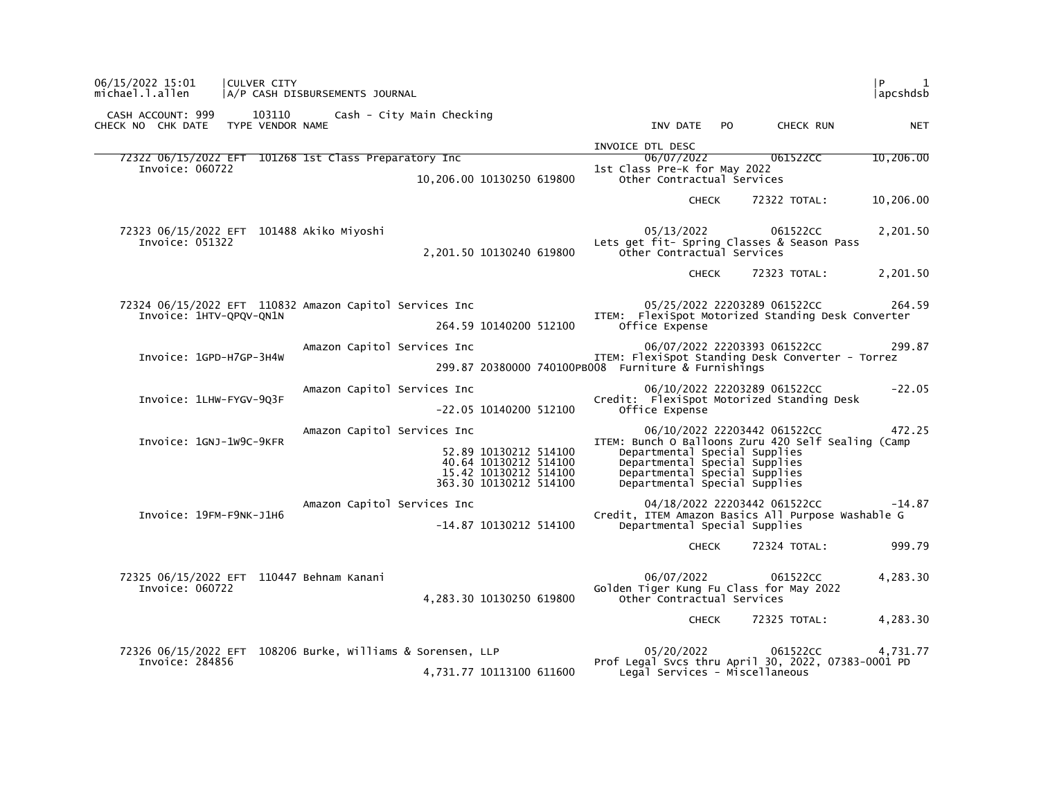| 06/15/2022 15:01<br><b>CULVER CITY</b><br>michael.l.allen                          | A/P CASH DISBURSEMENTS JOURNAL                                                                                                   | l P<br>1<br> apcshdsb                                                                                                                                                                                                            |
|------------------------------------------------------------------------------------|----------------------------------------------------------------------------------------------------------------------------------|----------------------------------------------------------------------------------------------------------------------------------------------------------------------------------------------------------------------------------|
| CASH ACCOUNT: 999<br>103110<br>CHECK NO CHK DATE TYPE VENDOR NAME                  | Cash - City Main Checking                                                                                                        | INV DATE PO<br>CHECK RUN<br><b>NET</b>                                                                                                                                                                                           |
| 72322 06/15/2022 EFT 101268 1st Class Preparatory Inc<br>Invoice: 060722           | 10,206.00 10130250 619800                                                                                                        | INVOICE DTL DESC<br>06/07/2022<br>061522CC<br>10,206.00<br>1st Class Pre-K for May 2022<br>Other Contractual Services                                                                                                            |
|                                                                                    |                                                                                                                                  | 10,206.00<br>72322 TOTAL:<br><b>CHECK</b>                                                                                                                                                                                        |
| 72323 06/15/2022 EFT 101488 Akiko Miyoshi<br>Invoice: 051322                       | 2,201.50 10130240 619800                                                                                                         | 05/13/2022<br>2,201.50<br>061522CC<br>Lets get fit- Spring Classes & Season Pass<br>Other Contractual Services                                                                                                                   |
|                                                                                    |                                                                                                                                  | 2,201.50<br>72323 TOTAL:<br><b>CHECK</b>                                                                                                                                                                                         |
| 72324 06/15/2022 EFT 110832 Amazon Capitol Services Inc<br>Invoice: 1HTV-QPQV-QN1N | 264.59 10140200 512100                                                                                                           | 05/25/2022 22203289 061522CC<br>264.59<br>ITEM: FlexiSpot Motorized Standing Desk Converter<br>Office Expense                                                                                                                    |
| Invoice: 1GPD-H7GP-3H4W                                                            | Amazon Capitol Services Inc                                                                                                      | 06/07/2022 22203393 061522CC<br>299.87<br>ITEM: FlexiSpot Standing Desk Converter - Torrez<br>299.87 20380000 740100PB008 Furniture & Furnishings                                                                                |
| Invoice: 1LHW-FYGV-903F                                                            | Amazon Capitol Services Inc<br>$-22.05$ 10140200 512100                                                                          | $-22.05$<br>06/10/2022 22203289 061522CC<br>Credit: FlexiSpot Motorized Standing Desk<br>Office Expense                                                                                                                          |
| Invoice: 1GNJ-1W9C-9KFR                                                            | Amazon Capitol Services Inc<br>52.89 10130212 514100<br>40.64 10130212 514100<br>15.42 10130212 514100<br>363.30 10130212 514100 | 06/10/2022 22203442 061522CC<br>472.25<br>ITEM: Bunch O Balloons Zuru 420 Self Sealing (Camp<br>Departmental Special Supplies<br>Departmental Special Supplies<br>Departmental Special Supplies<br>Departmental Special Supplies |
| Invoice: 19FM-F9NK-J1H6                                                            | Amazon Capitol Services Inc<br>-14.87 10130212 514100                                                                            | 04/18/2022 22203442 061522CC<br>$-14.87$<br>Credit, ITEM Amazon Basics All Purpose Washable G<br>Departmental Special Supplies                                                                                                   |
|                                                                                    |                                                                                                                                  | 999.79<br>72324 TOTAL:<br>CHECK                                                                                                                                                                                                  |
| 72325 06/15/2022 EFT 110447 Behnam Kanani<br>Invoice: 060722                       | 4,283.30 10130250 619800                                                                                                         | 06/07/2022<br>4,283.30<br>061522CC<br>Golden Tiger Kung Fu Class for May 2022<br>Other Contractual Services                                                                                                                      |
|                                                                                    |                                                                                                                                  | 72325 TOTAL:<br>4,283.30<br><b>CHECK</b>                                                                                                                                                                                         |
| Invoice: 284856                                                                    | 72326 06/15/2022 EFT 108206 Burke, Williams & Sorensen, LLP<br>4,731.77 10113100 611600                                          | 05/20/2022<br>061522CC<br>4,731.77<br>Prof Legal Svcs thru April 30, 2022, 07383-0001 PD<br>Legal Services - Miscellaneous                                                                                                       |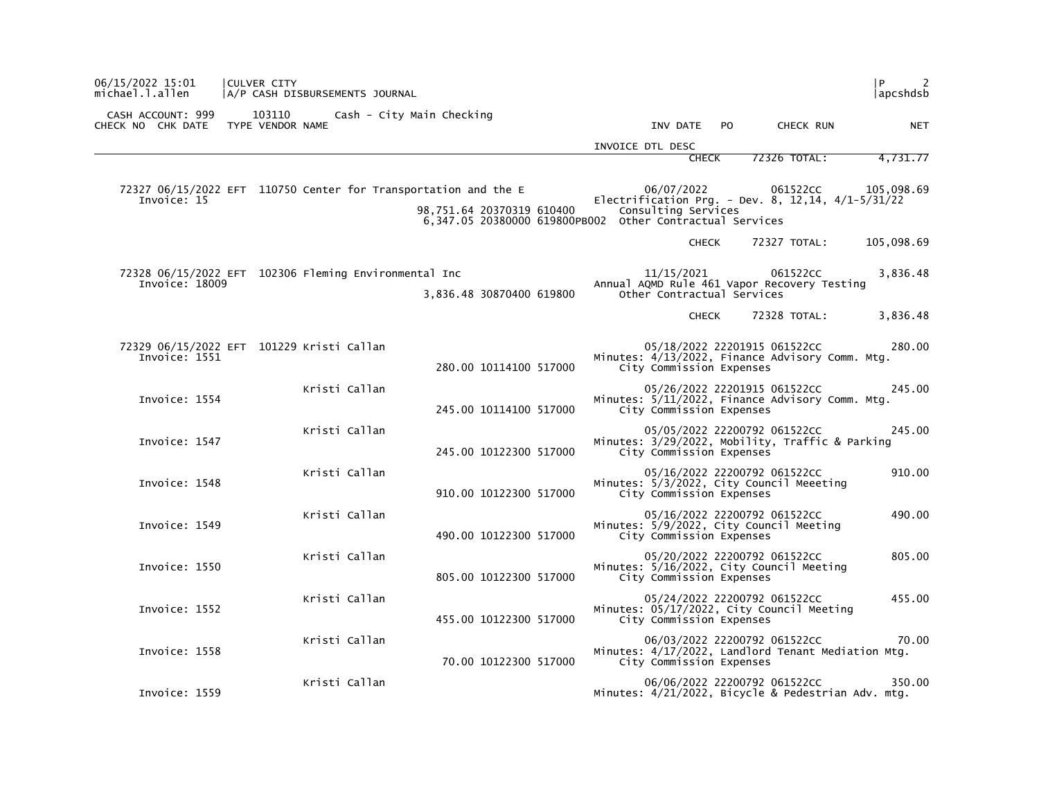| P<br>2<br>  apcshdsb |                                                                                    |     |              |                                                                     |                                                                                       | A/P CASH DISBURSEMENTS JOURNAL | CULVER CITY                | 06/15/2022 15:01<br>michael.l.allen                                            |  |
|----------------------|------------------------------------------------------------------------------------|-----|--------------|---------------------------------------------------------------------|---------------------------------------------------------------------------------------|--------------------------------|----------------------------|--------------------------------------------------------------------------------|--|
| <b>NET</b>           | CHECK RUN                                                                          | PO. |              | INV DATE                                                            | Cash - City Main Checking                                                             |                                | 103110<br>TYPE VENDOR NAME | CASH ACCOUNT: 999<br>CHECK NO CHK DATE                                         |  |
|                      |                                                                                    |     |              | INVOICE DTL DESC                                                    |                                                                                       |                                |                            |                                                                                |  |
| 4,731.77             | 72326 TOTAL:                                                                       |     | <b>CHECK</b> |                                                                     |                                                                                       |                                |                            |                                                                                |  |
| 105.098.69           | 061522CC<br>Electrification Prg. - Dev. 8, 12,14, $4/1-5/31/22$                    |     |              | 06/07/2022<br>Consulting Services                                   | 98,751.64 20370319 610400<br>6,347.05 20380000 619800PB002 other Contractual Services |                                |                            | 72327 06/15/2022 EFT 110750 Center for Transportation and the E<br>Invoice: 15 |  |
| 105,098.69           | 72327 TOTAL:                                                                       |     | <b>CHECK</b> |                                                                     |                                                                                       |                                |                            |                                                                                |  |
| 3,836.48             | 061522CC<br>Annual AQMD Rule 461 Vapor Recovery Testing                            |     |              | 11/15/2021<br>Other Contractual Services                            | 3,836.48 30870400 619800                                                              |                                |                            | 72328 06/15/2022 EFT 102306 Fleming Environmental Inc<br>Invoice: 18009        |  |
| 3,836.48             | 72328 TOTAL:                                                                       |     | <b>CHECK</b> |                                                                     |                                                                                       |                                |                            |                                                                                |  |
| 280.00               | 05/18/2022 22201915 061522CC<br>Minutes: 4/13/2022, Finance Advisory Comm. Mtg.    |     |              | City Commission Expenses                                            | 280.00 10114100 517000                                                                |                                |                            | 72329 06/15/2022 EFT 101229 Kristi Callan<br>Invoice: 1551                     |  |
| 245.00               | 05/26/2022 22201915 061522CC<br>Minutes: 5/11/2022, Finance Advisory Comm. Mtg.    |     |              | City Commission Expenses                                            | 245.00 10114100 517000                                                                | Kristi Callan                  |                            | Invoice: 1554                                                                  |  |
| 245.00               | 05/05/2022 22200792 061522CC<br>Minutes: 3/29/2022, Mobility, Traffic & Parking    |     |              | City Commission Expenses                                            | 245.00 10122300 517000                                                                | Kristi Callan                  |                            | Invoice: 1547                                                                  |  |
| 910.00               | 05/16/2022 22200792 061522CC<br>Minutes: 5/3/2022, City Council Meeeting           |     |              | City Commission Expenses                                            | 910.00 10122300 517000                                                                | Kristi Callan                  |                            | Invoice: 1548                                                                  |  |
| 490.00               | 05/16/2022 22200792 061522CC                                                       |     |              | Minutes: 5/9/2022, City Council Meeting<br>City Commission Expenses | 490.00 10122300 517000                                                                | Kristi Callan                  |                            | Invoice: 1549                                                                  |  |
| 805.00               | 05/20/2022 22200792 061522CC<br>Minutes: 5/16/2022, City Council Meeting           |     |              | City Commission Expenses                                            | 805.00 10122300 517000                                                                | Kristi Callan                  |                            | Invoice: 1550                                                                  |  |
| 455.00               | 05/24/2022 22200792 061522CC<br>Minutes: 05/17/2022, City Council Meeting          |     |              | City Commission Expenses                                            | 455.00 10122300 517000                                                                | Kristi Callan                  |                            | Invoice: 1552                                                                  |  |
| 70.00                | 06/03/2022 22200792 061522CC<br>Minutes: 4/17/2022, Landlord Tenant Mediation Mtg. |     |              | City Commission Expenses                                            | 70.00 10122300 517000                                                                 | Kristi Callan                  |                            | Invoice: 1558                                                                  |  |
| 350.00               | 06/06/2022 22200792 061522CC<br>Minutes: 4/21/2022, Bicycle & Pedestrian Adv. mtg. |     |              |                                                                     |                                                                                       | Kristi Callan                  |                            | Invoice: 1559                                                                  |  |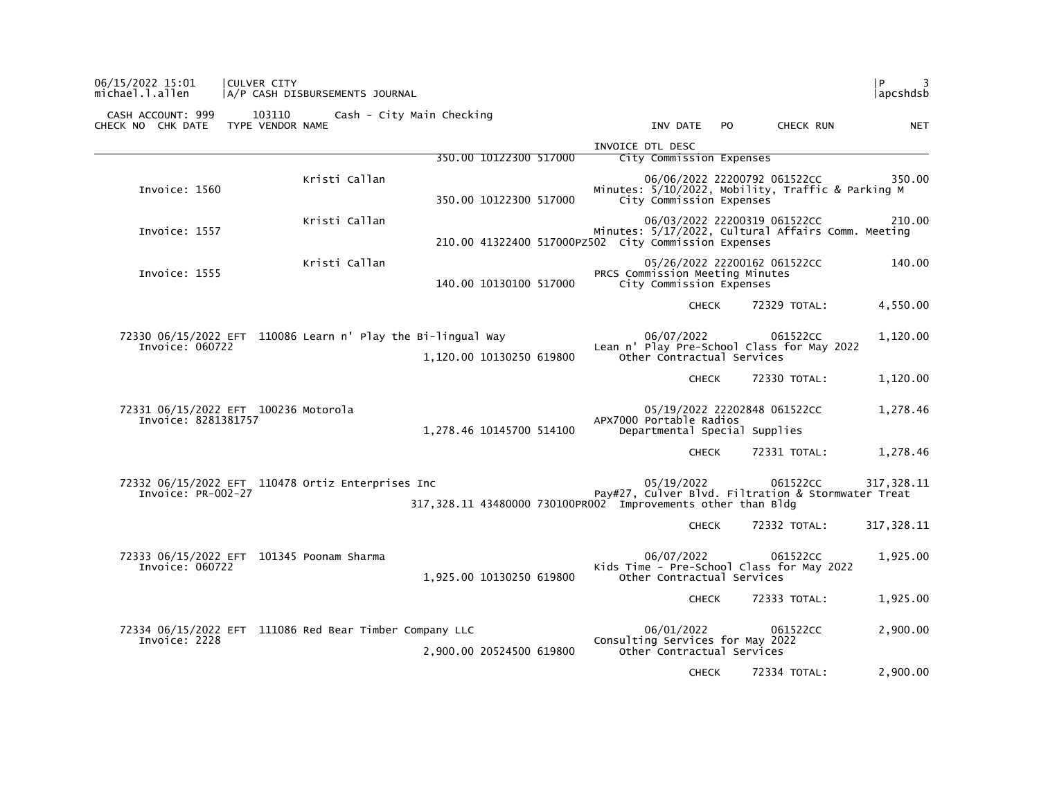| 06/15/2022 15:01<br>michael.l.allen                                             | <b>CULVER CITY</b>         | A/P CASH DISBURSEMENTS JOURNAL |                                                               |                        |  |                                                                              |           |                                                                                   | l P.<br>3<br> apcshdsb                                           |
|---------------------------------------------------------------------------------|----------------------------|--------------------------------|---------------------------------------------------------------|------------------------|--|------------------------------------------------------------------------------|-----------|-----------------------------------------------------------------------------------|------------------------------------------------------------------|
| CASH ACCOUNT: 999<br>CHECK NO CHK DATE                                          | 103110<br>TYPE VENDOR NAME |                                | Cash - City Main Checking                                     |                        |  | INV DATE                                                                     | <b>PO</b> | CHECK RUN                                                                         | <b>NET</b>                                                       |
|                                                                                 |                            |                                |                                                               | 350.00 10122300 517000 |  | INVOICE DTL DESC<br>City Commission Expenses                                 |           |                                                                                   |                                                                  |
| Invoice: 1560                                                                   |                            | Kristi Callan                  |                                                               | 350.00 10122300 517000 |  | City Commission Expenses                                                     |           | 06/06/2022 22200792 061522CC<br>Minutes: 5/10/2022, Mobility, Traffic & Parking M | 350.00                                                           |
| Invoice: 1557                                                                   |                            | Kristi Callan                  |                                                               |                        |  | 210.00 41322400 517000PZ502 City Commission Expenses                         |           | 06/03/2022 22200319 061522CC                                                      | 210.00<br>Minutes: 5/17/2022, Cultural Affairs Comm. Meeting     |
| Invoice: 1555                                                                   |                            | Kristi Callan                  |                                                               | 140.00 10130100 517000 |  | PRCS Commission Meeting Minutes<br>City Commission Expenses                  |           | 05/26/2022 22200162 061522CC                                                      | 140.00                                                           |
|                                                                                 |                            |                                |                                                               |                        |  | <b>CHECK</b>                                                                 |           | 72329 TOTAL:                                                                      | 4,550.00                                                         |
| 72330 06/15/2022 EFT 110086 Learn n' Play the Bi-lingual Way<br>Invoice: 060722 |                            |                                | 1,120.00 10130250 619800                                      |                        |  | 06/07/2022<br>Other Contractual Services                                     |           | 061522CC<br>Lean n' Play Pre-School Class for May 2022                            | 1,120.00                                                         |
|                                                                                 |                            |                                |                                                               |                        |  | <b>CHECK</b>                                                                 |           | 72330 TOTAL:                                                                      | 1,120.00                                                         |
| 72331 06/15/2022 EFT 100236 Motorola<br>Invoice: 8281381757                     |                            |                                | 1,278.46 10145700 514100                                      |                        |  | APX7000 Portable Radios<br>Departmental Special Supplies                     |           | 05/19/2022 22202848 061522CC                                                      | 1,278.46                                                         |
|                                                                                 |                            |                                |                                                               |                        |  | <b>CHECK</b>                                                                 |           | 72331 TOTAL:                                                                      | 1,278.46                                                         |
| 72332 06/15/2022 EFT 110478 Ortiz Enterprises Inc<br>Invoice: PR-002-27         |                            |                                | 317, 328.11 43480000 730100PR002 Improvements other than Bldg |                        |  | 05/19/2022                                                                   |           | 061522CC                                                                          | 317.328.11<br>Pay#27, Culver Blvd. Filtration & Stormwater Treat |
|                                                                                 |                            |                                |                                                               |                        |  | <b>CHECK</b>                                                                 |           | 72332 TOTAL:                                                                      | 317, 328.11                                                      |
| 72333 06/15/2022 EFT 101345 Poonam Sharma<br>Invoice: 060722                    |                            |                                | 1,925.00 10130250 619800                                      |                        |  | 06/07/2022<br>Other Contractual Services                                     |           | 061522CC<br>Kids Time - Pre-School Class for May 2022                             | 1,925.00                                                         |
|                                                                                 |                            |                                |                                                               |                        |  | <b>CHECK</b>                                                                 |           | 72333 TOTAL:                                                                      | 1,925.00                                                         |
| 72334 06/15/2022 EFT 111086 Red Bear Timber Company LLC<br>Invoice: 2228        |                            |                                | 2,900.00 20524500 619800                                      |                        |  | 06/01/2022<br>Consulting Services for May 2022<br>Other Contractual Services |           | 061522CC                                                                          | 2,900.00                                                         |
|                                                                                 |                            |                                |                                                               |                        |  | <b>CHECK</b>                                                                 |           | 72334 TOTAL:                                                                      | 2,900.00                                                         |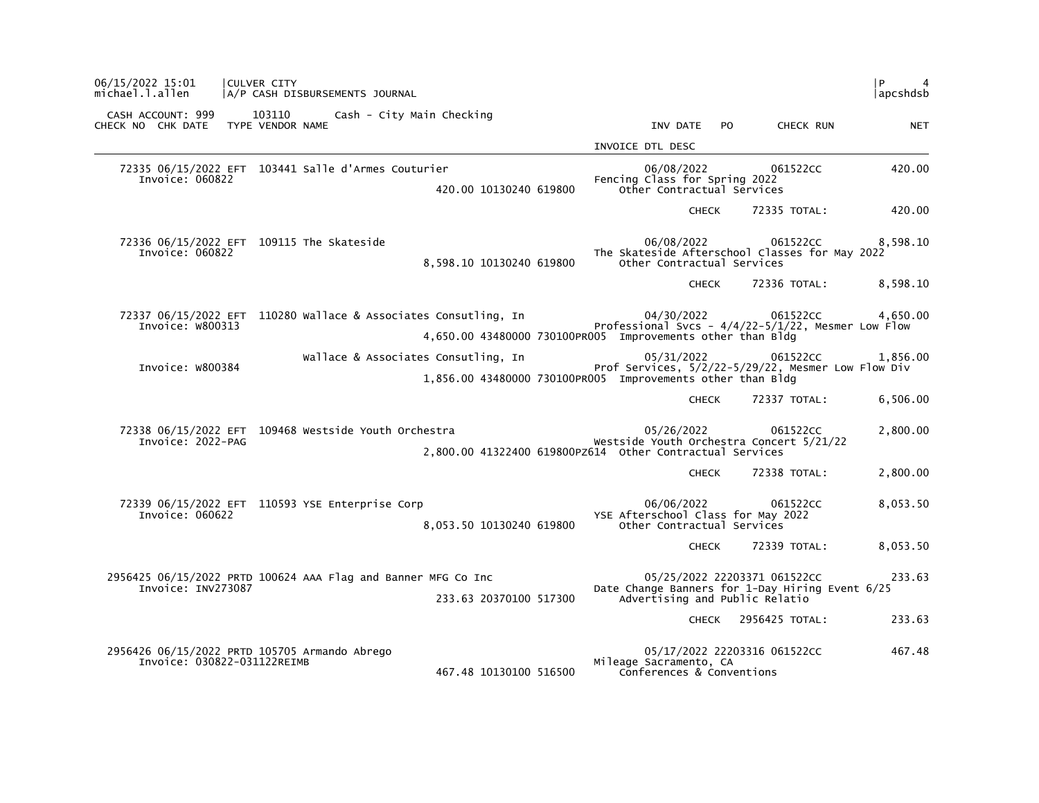| l P<br>4<br> apcshdsb |                              |                                                                                                                                   |                                     | CULVER CITY<br>A/P CASH DISBURSEMENTS JOURNAL                   |                             | 06/15/2022 15:01<br>michael.l.allen                     |
|-----------------------|------------------------------|-----------------------------------------------------------------------------------------------------------------------------------|-------------------------------------|-----------------------------------------------------------------|-----------------------------|---------------------------------------------------------|
| <b>NET</b>            | CHECK RUN                    | INV DATE<br>PO.                                                                                                                   | Cash - City Main Checking           | 103110                                                          |                             | CASH ACCOUNT: 999<br>CHECK NO CHK DATE TYPE VENDOR NAME |
|                       |                              | INVOICE DTL DESC                                                                                                                  |                                     |                                                                 |                             |                                                         |
| 420.00                | 061522CC                     | 06/08/2022<br>Fencing Class for Spring 2022<br>Other Contractual Services                                                         | 420.00 10130240 619800              | 72335 06/15/2022 EFT 103441 Salle d'Armes Couturier             | Invoice: 060822             |                                                         |
| 420.00                | 72335 TOTAL:                 | <b>CHECK</b>                                                                                                                      |                                     |                                                                 |                             |                                                         |
| 8,598.10              | 061522CC                     | 06/08/2022<br>The Skateside Afterschool Classes for May 2022<br>Other Contractual Services                                        | 8,598.10 10130240 619800            | 72336 06/15/2022 EFT 109115 The Skateside                       | Invoice: 060822             |                                                         |
| 8,598.10              | 72336 TOTAL:                 | <b>CHECK</b>                                                                                                                      |                                     |                                                                 |                             |                                                         |
| 4,650.00              | 061522CC                     | 04/30/2022<br>Professional Svcs - $4/4/22-5/1/22$ , Mesmer Low Flow<br>4,650.00 43480000 730100PR005 Improvements other than Bldg |                                     | 72337 06/15/2022 EFT 110280 Wallace & Associates Consutling, In | Invoice: W800313            |                                                         |
| 1,856.00              | 061522CC                     | 05/31/2022<br>Prof Services, 5/2/22-5/29/22, Mesmer Low Flow Div<br>1,856.00 43480000 730100PR005 Improvements other than Bldg    | Wallace & Associates Consutling, In |                                                                 | Invoice: W800384            |                                                         |
| 6,506.00              | 72337 TOTAL:                 | <b>CHECK</b>                                                                                                                      |                                     |                                                                 |                             |                                                         |
| 2,800.00              | 061522CC                     | 05/26/2022<br>Westside Youth Orchestra Concert 5/21/22                                                                            |                                     | 72338 06/15/2022 EFT 109468 Westside Youth Orchestra            | Invoice: 2022-PAG           |                                                         |
| 2,800.00              | 72338 TOTAL:                 | <b>CHECK</b>                                                                                                                      |                                     |                                                                 |                             |                                                         |
| 8,053.50              | 061522CC                     | 06/06/2022<br>YSE Afterschool Class for May 2022<br>Other Contractual Services                                                    | 8,053.50 10130240 619800            | 72339 06/15/2022 EFT 110593 YSE Enterprise Corp                 | Invoice: 060622             |                                                         |
| 8,053.50              | 72339 TOTAL:                 | <b>CHECK</b>                                                                                                                      |                                     |                                                                 |                             |                                                         |
| 233.63                | 05/25/2022 22203371 061522CC | Date Change Banners for 1-Day Hiring Event 6/25<br>Advertising and Public Relatio                                                 | 233.63 20370100 517300              | 2956425 06/15/2022 PRTD 100624 AAA Flag and Banner MFG Co Inc   | Invoice: INV273087          |                                                         |
| 233.63                | 2956425 TOTAL:               | <b>CHECK</b>                                                                                                                      |                                     |                                                                 |                             |                                                         |
| 467.48                | 05/17/2022 22203316 061522CC | Mileage Sacramento, CA<br>Conferences & Conventions                                                                               | 467.48 10130100 516500              | 2956426 06/15/2022 PRTD 105705 Armando Abrego                   | Invoice: 030822-031122REIMB |                                                         |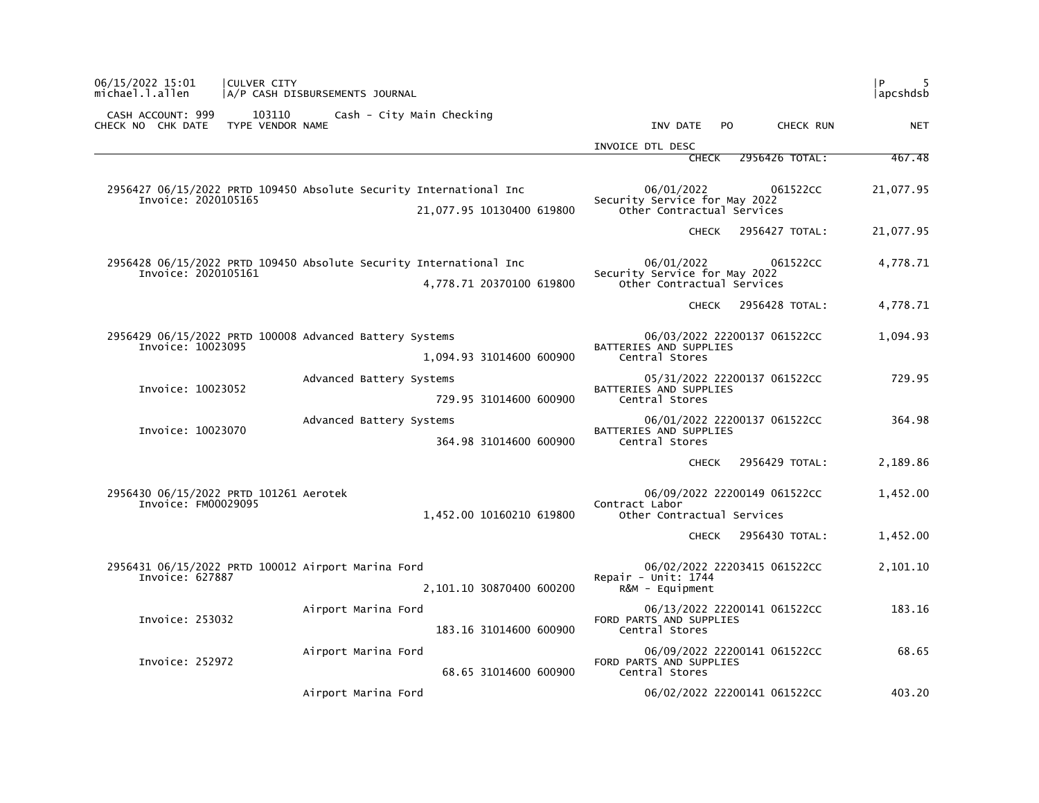| l P<br> apcshdsb |                              |                                                                           |                                                                                                 | A/P CASH DISBURSEMENTS JOURNAL | CULVER CITY                | 06/15/2022 15:01<br>michael.l.allen                                          |
|------------------|------------------------------|---------------------------------------------------------------------------|-------------------------------------------------------------------------------------------------|--------------------------------|----------------------------|------------------------------------------------------------------------------|
| <b>NET</b>       | CHECK RUN                    | INV DATE<br>PO.                                                           |                                                                                                 | Cash - City Main Checking      | 103110<br>TYPE VENDOR NAME | CASH ACCOUNT: 999<br>CHECK NO CHK DATE                                       |
|                  |                              | INVOICE DTL DESC                                                          |                                                                                                 |                                |                            |                                                                              |
| 467.48           | 2956426 TOTAL:               | <b>CHECK</b>                                                              |                                                                                                 |                                |                            |                                                                              |
| 21,077.95        | 061522CC                     | 06/01/2022<br>Security Service for May 2022<br>Other Contractual Services | 2956427 06/15/2022 PRTD 109450 Absolute Security International Inc<br>21,077.95 10130400 619800 |                                |                            | Invoice: 2020105165                                                          |
| 21,077.95        | 2956427 TOTAL:               | <b>CHECK</b>                                                              |                                                                                                 |                                |                            |                                                                              |
| 4,778.71         | 061522CC                     | 06/01/2022<br>Security Service for May 2022<br>Other Contractual Services | 2956428 06/15/2022 PRTD 109450 Absolute Security International Inc<br>4,778.71 20370100 619800  |                                |                            | Invoice: 2020105161                                                          |
| 4,778.71         | 2956428 TOTAL:               | <b>CHECK</b>                                                              |                                                                                                 |                                |                            |                                                                              |
| 1,094.93         | 06/03/2022 22200137 061522CC | BATTERIES AND SUPPLIES<br>Central Stores                                  | 1,094.93 31014600 600900                                                                        |                                |                            | 2956429 06/15/2022 PRTD 100008 Advanced Battery Systems<br>Invoice: 10023095 |
| 729.95           | 05/31/2022 22200137 061522CC | BATTERIES AND SUPPLIES<br>Central Stores                                  | 729.95 31014600 600900                                                                          | Advanced Battery Systems       |                            | Invoice: 10023052                                                            |
| 364.98           | 06/01/2022 22200137 061522CC | BATTERIES AND SUPPLIES<br>Central Stores                                  | 364.98 31014600 600900                                                                          | Advanced Battery Systems       |                            | Invoice: 10023070                                                            |
| 2,189.86         | 2956429 TOTAL:               | <b>CHECK</b>                                                              |                                                                                                 |                                |                            |                                                                              |
| 1,452.00         | 06/09/2022 22200149 061522CC | Contract Labor<br>Other Contractual Services                              | 1,452.00 10160210 619800                                                                        |                                |                            | 2956430 06/15/2022 PRTD 101261 Aerotek<br>Invoice: FM00029095                |
| 1,452.00         | 2956430 TOTAL:               | <b>CHECK</b>                                                              |                                                                                                 |                                |                            |                                                                              |
| 2,101.10         | 06/02/2022 22203415 061522CC | Repair - Unit: $1744$<br>$R\&M - \text{Equi}$                             | 2,101.10 30870400 600200                                                                        |                                |                            | 2956431 06/15/2022 PRTD 100012 Airport Marina Ford<br>Invoice: 627887        |
| 183.16           | 06/13/2022 22200141 061522CC | FORD PARTS AND SUPPLIES<br>Central Stores                                 | 183.16 31014600 600900                                                                          | Airport Marina Ford            |                            | Invoice: 253032                                                              |
| 68.65            | 06/09/2022 22200141 061522CC | FORD PARTS AND SUPPLIES<br>Central Stores                                 | 68.65 31014600 600900                                                                           | Airport Marina Ford            |                            | Invoice: 252972                                                              |
| 403.20           | 06/02/2022 22200141 061522CC |                                                                           |                                                                                                 | Airport Marina Ford            |                            |                                                                              |
|                  |                              |                                                                           |                                                                                                 |                                |                            |                                                                              |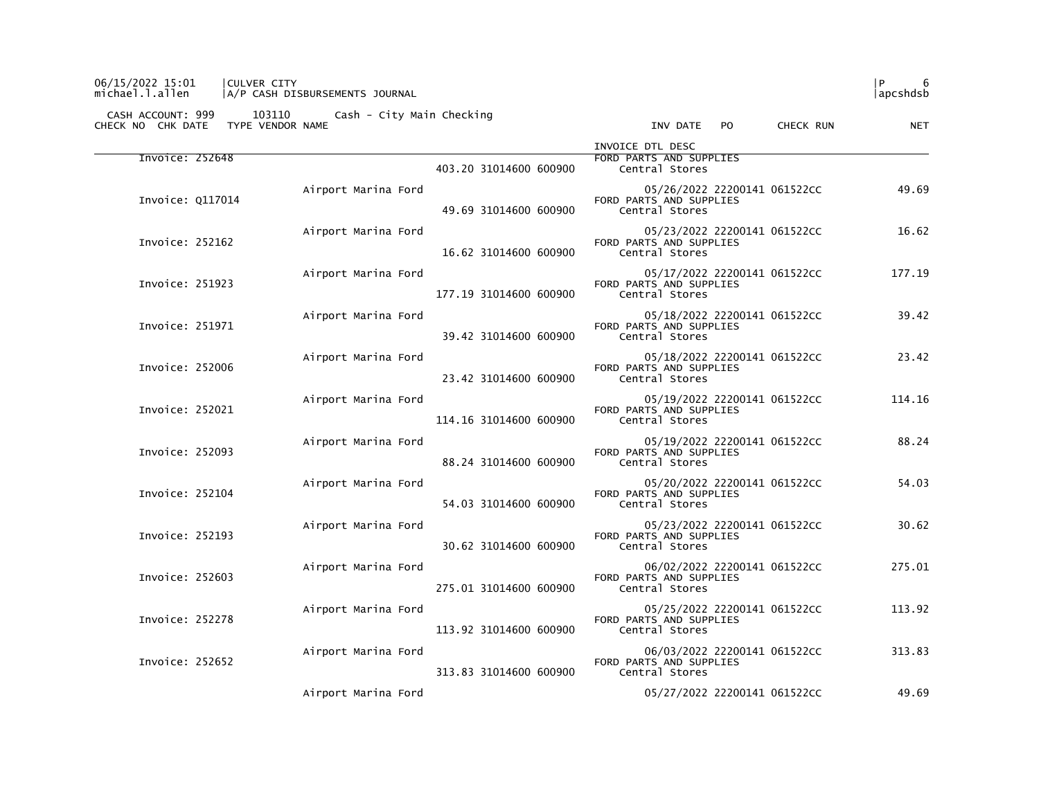## 06/15/2022 15:01 |CULVER CITY |P 6 michael.l.allen |A/P CASH DISBURSEMENTS JOURNAL |apcshdsb

| <b>NET</b> | CHECK RUN | INV DATE PO                                                               |                        |                     | CHECK NO CHK DATE TYPE VENDOR NAME |  |
|------------|-----------|---------------------------------------------------------------------------|------------------------|---------------------|------------------------------------|--|
|            |           | INVOICE DTL DESC<br>FORD PARTS AND SUPPLIES<br>Central Stores             | 403.20 31014600 600900 |                     | Invoice: 252648                    |  |
| 49.69      |           | 05/26/2022 22200141 061522CC<br>FORD PARTS AND SUPPLIES<br>Central Stores | 49.69 31014600 600900  | Airport Marina Ford | Invoice: 0117014                   |  |
| 16.62      |           | 05/23/2022 22200141 061522CC<br>FORD PARTS AND SUPPLIES<br>Central Stores | 16.62 31014600 600900  | Airport Marina Ford | Invoice: 252162                    |  |
| 177.19     |           | 05/17/2022 22200141 061522CC<br>FORD PARTS AND SUPPLIES<br>Central Stores | 177.19 31014600 600900 | Airport Marina Ford | Invoice: 251923                    |  |
| 39.42      |           | 05/18/2022 22200141 061522CC<br>FORD PARTS AND SUPPLIES<br>Central Stores | 39.42 31014600 600900  | Airport Marina Ford | Invoice: 251971                    |  |
| 23.42      |           | 05/18/2022 22200141 061522CC<br>FORD PARTS AND SUPPLIES<br>Central Stores | 23.42 31014600 600900  | Airport Marina Ford | Invoice: 252006                    |  |
| 114.16     |           | 05/19/2022 22200141 061522CC<br>FORD PARTS AND SUPPLIES<br>Central Stores | 114.16 31014600 600900 | Airport Marina Ford | Invoice: 252021                    |  |
| 88.24      |           | 05/19/2022 22200141 061522CC<br>FORD PARTS AND SUPPLIES<br>Central Stores | 88.24 31014600 600900  | Airport Marina Ford | Invoice: 252093                    |  |
| 54.03      |           | 05/20/2022 22200141 061522CC<br>FORD PARTS AND SUPPLIES<br>Central Stores | 54.03 31014600 600900  | Airport Marina Ford | Invoice: 252104                    |  |
| 30.62      |           | 05/23/2022 22200141 061522CC<br>FORD PARTS AND SUPPLIES<br>Central Stores | 30.62 31014600 600900  | Airport Marina Ford | Invoice: 252193                    |  |
| 275.01     |           | 06/02/2022 22200141 061522CC<br>FORD PARTS AND SUPPLIES<br>Central Stores | 275.01 31014600 600900 | Airport Marina Ford | Invoice: 252603                    |  |
| 113.92     |           | 05/25/2022 22200141 061522CC<br>FORD PARTS AND SUPPLIES<br>Central Stores | 113.92 31014600 600900 | Airport Marina Ford | Invoice: 252278                    |  |
| 313.83     |           | 06/03/2022 22200141 061522CC<br>FORD PARTS AND SUPPLIES<br>Central Stores | 313.83 31014600 600900 | Airport Marina Ford | Invoice: 252652                    |  |
| 49.69      |           | 05/27/2022 22200141 061522CC                                              |                        | Airport Marina Ford |                                    |  |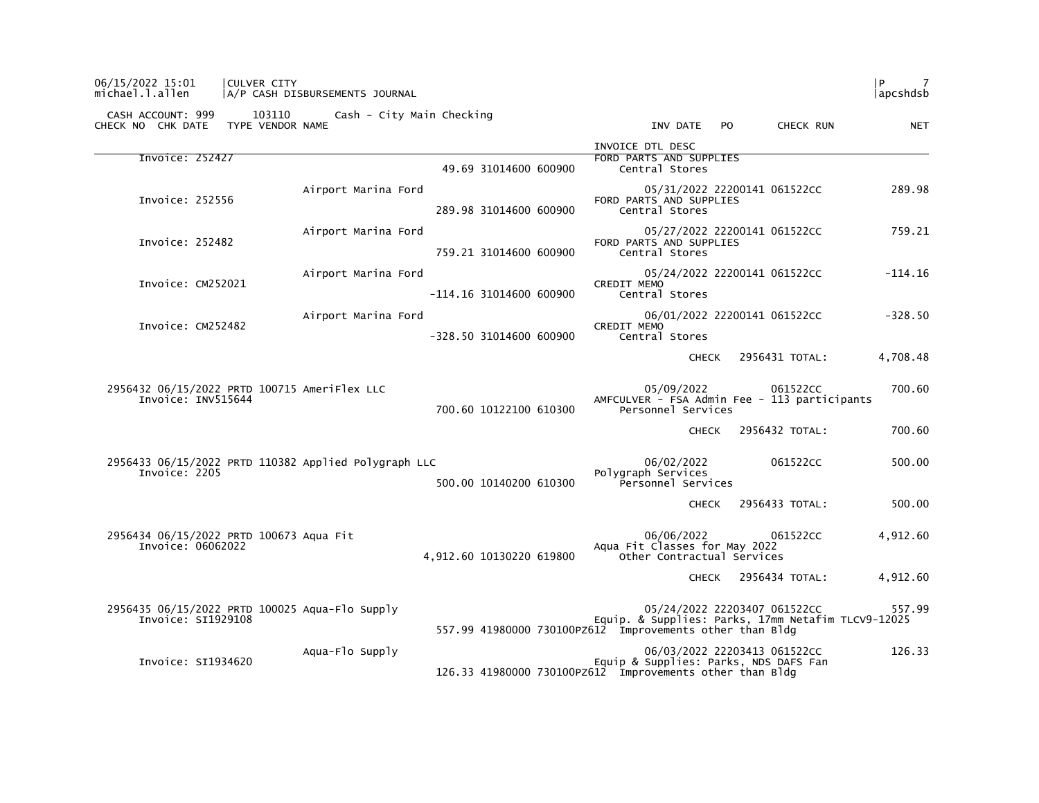| 06/15/2022 15:01<br>michael.l.allen                                  | CULVER CITY | A/P CASH DISBURSEMENTS JOURNAL                       |                           |                                                                                                                |              |                              | l P<br>7<br> apcshdsb |
|----------------------------------------------------------------------|-------------|------------------------------------------------------|---------------------------|----------------------------------------------------------------------------------------------------------------|--------------|------------------------------|-----------------------|
| CASH ACCOUNT: 999<br>CHECK NO CHK DATE TYPE VENDOR NAME              | 103110      | Cash - City Main Checking                            |                           | INV DATE                                                                                                       | PO.          | CHECK RUN                    | <b>NET</b>            |
| Invoice: 252427                                                      |             |                                                      | 49.69 31014600 600900     | INVOICE DTL DESC<br>FORD PARTS AND SUPPLIES<br>Central Stores                                                  |              |                              |                       |
| Invoice: 252556                                                      |             | Airport Marina Ford                                  | 289.98 31014600 600900    | FORD PARTS AND SUPPLIES<br>Central Stores                                                                      |              | 05/31/2022 22200141 061522CC | 289.98                |
| Invoice: 252482                                                      |             | Airport Marina Ford                                  | 759.21 31014600 600900    | FORD PARTS AND SUPPLIES<br>Central Stores                                                                      |              | 05/27/2022 22200141 061522CC | 759.21                |
| Invoice: CM252021                                                    |             | Airport Marina Ford                                  | $-114.16$ 31014600 600900 | <b>CREDIT MEMO</b><br>Central Stores                                                                           |              | 05/24/2022 22200141 061522CC | $-114.16$             |
| Invoice: CM252482                                                    |             | Airport Marina Ford                                  | -328.50 31014600 600900   | <b>CREDIT MEMO</b><br>Central Stores                                                                           |              | 06/01/2022 22200141 061522CC | $-328.50$             |
|                                                                      |             |                                                      |                           |                                                                                                                | <b>CHECK</b> | 2956431 TOTAL:               | 4,708.48              |
| 2956432 06/15/2022 PRTD 100715 AmeriFlex LLC<br>Invoice: INV515644   |             |                                                      | 700.60 10122100 610300    | 05/09/2022<br>AMFCULVER - FSA Admin Fee - 113 participants<br>Personnel Services                               |              | 061522CC                     | 700.60                |
|                                                                      |             |                                                      |                           |                                                                                                                | CHECK        | 2956432 TOTAL:               | 700.60                |
| Invoice: 2205                                                        |             | 2956433 06/15/2022 PRTD 110382 Applied Polygraph LLC | 500.00 10140200 610300    | 06/02/2022<br>Polygraph Services<br>Personnel Services                                                         |              | 061522CC                     | 500.00                |
|                                                                      |             |                                                      |                           |                                                                                                                | <b>CHECK</b> | 2956433 TOTAL:               | 500.00                |
| 2956434 06/15/2022 PRTD 100673 Aqua Fit<br>Invoice: 06062022         |             |                                                      | 4,912.60 10130220 619800  | 06/06/2022<br>Aqua Fit Classes for May 2022<br>Other Contractual Services                                      |              | 061522CC                     | 4,912.60              |
|                                                                      |             |                                                      |                           |                                                                                                                | CHECK        | 2956434 TOTAL:               | 4,912.60              |
| 2956435 06/15/2022 PRTD 100025 Aqua-Flo Supply<br>Invoice: SI1929108 |             |                                                      |                           | Equip. & Supplies: Parks, 17mm Netafim TLCV9-12025<br>557.99 41980000 730100PZ612 Improvements other than Bldg |              | 05/24/2022 22203407 061522CC | 557.99                |
| Invoice: SI1934620                                                   |             | Aqua-Flo Supply                                      |                           | Equip & Supplies: Parks, NDS DAFS Fan<br>126.33 41980000 730100PZ612 Improvements other than Bldg              |              | 06/03/2022 22203413 061522CC | 126.33                |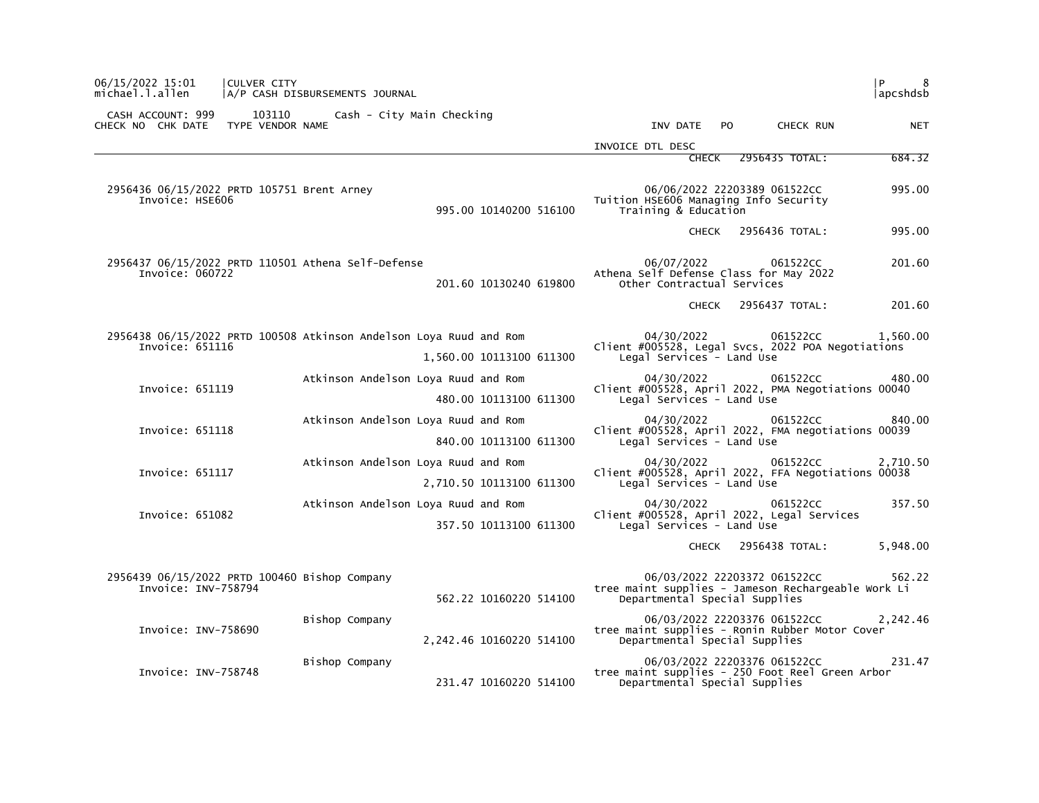| 06/15/2022 15:01<br>michael.l.allen                                   | CULVER CITY                | A/P CASH DISBURSEMENTS JOURNAL      |                          |                                                                                    |              |                                                               | l P.<br>8<br> apcshdsb                                         |
|-----------------------------------------------------------------------|----------------------------|-------------------------------------|--------------------------|------------------------------------------------------------------------------------|--------------|---------------------------------------------------------------|----------------------------------------------------------------|
| CASH ACCOUNT: 999<br>CHECK NO CHK DATE                                | 103110<br>TYPE VENDOR NAME | Cash - City Main Checking           |                          | INV DATE                                                                           | <b>PO</b>    | CHECK RUN                                                     | <b>NET</b>                                                     |
|                                                                       |                            |                                     |                          | INVOICE DTL DESC                                                                   |              |                                                               |                                                                |
|                                                                       |                            |                                     |                          |                                                                                    | CHECK        | 2956435 TOTAL:                                                | 684.32                                                         |
| 2956436 06/15/2022 PRTD 105751 Brent Arney<br>Invoice: HSE606         |                            |                                     | 995.00 10140200 516100   | Tuition HSE606 Managing Info Security<br>Training & Education                      |              | 06/06/2022 22203389 061522CC                                  | 995.00                                                         |
|                                                                       |                            |                                     |                          |                                                                                    | CHECK        | 2956436 TOTAL:                                                | 995.00                                                         |
| 2956437 06/15/2022 PRTD 110501 Athena Self-Defense<br>Invoice: 060722 |                            |                                     | 201.60 10130240 619800   | 06/07/2022<br>Athena Self Defense Class for May 2022<br>Other Contractual Services |              | 061522CC                                                      | 201.60                                                         |
|                                                                       |                            |                                     |                          |                                                                                    | <b>CHECK</b> | 2956437 TOTAL:                                                | 201.60                                                         |
| 2956438 06/15/2022 PRTD 100508 Atkinson Andelson Loya Ruud and Rom    |                            |                                     |                          | 04/30/2022                                                                         |              | 061522CC                                                      | 1,560.00                                                       |
| Invoice: 651116                                                       |                            |                                     | 1,560.00 10113100 611300 | Legal Services - Land Use                                                          |              |                                                               | Client #005528, Legal Svcs, 2022 POA Negotiations              |
|                                                                       |                            | Atkinson Andelson Loya Ruud and Rom |                          | 04/30/2022                                                                         |              | 061522CC                                                      | 480.00                                                         |
| Invoice: 651119                                                       |                            |                                     | 480.00 10113100 611300   | Legal Services - Land Use                                                          |              |                                                               | Client #005528, April 2022, PMA Negotiations 00040             |
| Invoice: 651118                                                       |                            | Atkinson Andelson Loya Ruud and Rom |                          | 04/30/2022                                                                         |              | 061522CC                                                      | 840.00<br>Client #005528, April 2022, FMA negotiations 00039   |
|                                                                       |                            |                                     | 840.00 10113100 611300   | Legal Services - Land Use                                                          |              |                                                               |                                                                |
| Invoice: 651117                                                       |                            | Atkinson Andelson Loya Ruud and Rom |                          | 04/30/2022                                                                         |              | 061522CC                                                      | 2,710.50<br>Client #005528, April 2022, FFA Negotiations 00038 |
|                                                                       |                            |                                     | 2,710.50 10113100 611300 | Legal Services - Land Use                                                          |              |                                                               |                                                                |
| Invoice: 651082                                                       |                            | Atkinson Andelson Loya Ruud and Rom |                          | 04/30/2022<br>Client #005528, April 2022, Legal Services                           |              | 061522CC                                                      | 357.50                                                         |
|                                                                       |                            |                                     | 357.50 10113100 611300   | Legal Services - Land Use                                                          |              |                                                               |                                                                |
|                                                                       |                            |                                     |                          |                                                                                    | <b>CHECK</b> | 2956438 TOTAL:                                                | 5,948.00                                                       |
| 2956439 06/15/2022 PRTD 100460 Bishop Company<br>Invoice: INV-758794  |                            |                                     | 562.22 10160220 514100   |                                                                                    |              | 06/03/2022 22203372 061522CC<br>Departmental Special Supplies | 562.22<br>tree maint supplies - Jameson Rechargeable work Li   |
| Invoice: INV-758690                                                   |                            | Bishop Company                      | 2,242.46 10160220 514100 | tree maint supplies - Ronin Rubber Motor Cover                                     |              | 06/03/2022 22203376 061522CC<br>Departmental Special Supplies | 2,242.46                                                       |
| Invoice: INV-758748                                                   |                            | Bishop Company                      | 231.47 10160220 514100   | tree maint supplies - 250 Foot Reel Green Arbor                                    |              | 06/03/2022 22203376 061522CC<br>Departmental Special Supplies | 231.47                                                         |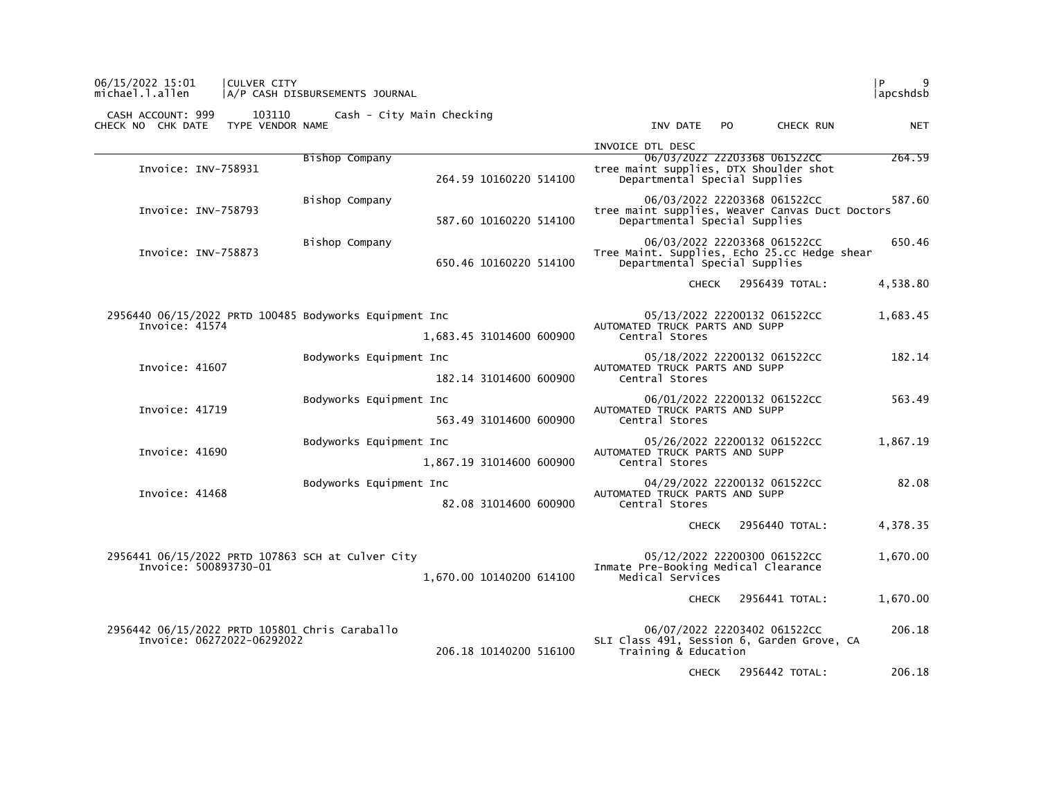| 06/15/2022 15:01<br><b>CULVER CITY</b><br>michael.l.allen                    | A/P CASH DISBURSEMENTS JOURNAL                      | l P<br>9<br> apcshdsb                                                                                                      |
|------------------------------------------------------------------------------|-----------------------------------------------------|----------------------------------------------------------------------------------------------------------------------------|
| CASH ACCOUNT: 999<br>CHECK NO CHK DATE<br>TYPE VENDOR NAME                   | 103110 Cash - City Main Checking                    | INV DATE<br>CHECK RUN<br>PO.<br><b>NET</b>                                                                                 |
|                                                                              |                                                     | INVOICE DTL DESC                                                                                                           |
| Invoice: INV-758931                                                          | Bishop Company<br>264.59 10160220 514100            | 264.59<br>06/03/2022 22203368 061522CC<br>tree maint supplies, DTX Shoulder shot<br>Departmental Special Supplies          |
| Invoice: INV-758793                                                          | Bishop Company<br>587.60 10160220 514100            | 06/03/2022 22203368 061522CC<br>587.60<br>tree maint supplies, Weaver Canvas Duct Doctors<br>Departmental Special Supplies |
| Invoice: INV-758873                                                          | Bishop Company<br>650.46 10160220 514100            | 06/03/2022 22203368 061522CC<br>650.46<br>Tree Maint. Supplies, Echo 25.cc Hedge shear<br>Departmental Special Supplies    |
|                                                                              |                                                     | 4,538.80<br>CHECK 2956439 TOTAL:                                                                                           |
| 2956440 06/15/2022 PRTD 100485 Bodyworks Equipment Inc<br>Invoice: 41574     | 1,683.45 31014600 600900                            | 05/13/2022 22200132 061522CC<br>1,683.45<br>AUTOMATED TRUCK PARTS AND SUPP<br>Central Stores                               |
| Invoice: 41607                                                               | Bodyworks Equipment Inc<br>182.14 31014600 600900   | 182.14<br>05/18/2022 22200132 061522CC<br>AUTOMATED TRUCK PARTS AND SUPP<br>Central Stores                                 |
| Invoice: 41719                                                               | Bodyworks Equipment Inc<br>563.49 31014600 600900   | 06/01/2022 22200132 061522CC<br>563.49<br>AUTOMATED TRUCK PARTS AND SUPP<br>Central Stores                                 |
| Invoice: 41690                                                               | Bodyworks Equipment Inc<br>1,867.19 31014600 600900 | 05/26/2022 22200132 061522CC<br>1,867.19<br>AUTOMATED TRUCK PARTS AND SUPP<br>Central Stores                               |
| Invoice: 41468                                                               | Bodyworks Equipment Inc<br>82.08 31014600 600900    | 82.08<br>04/29/2022 22200132 061522CC<br>AUTOMATED TRUCK PARTS AND SUPP<br>Central Stores                                  |
|                                                                              |                                                     | 4,378.35<br>2956440 TOTAL:<br><b>CHECK</b>                                                                                 |
| 2956441 06/15/2022 PRTD 107863 SCH at Culver City<br>Invoice: 500893730-01   | 1,670.00 10140200 614100                            | 05/12/2022 22200300 061522CC<br>1,670.00<br>Inmate Pre-Booking Medical Clearance<br>Medical Services                       |
|                                                                              |                                                     | 1,670.00<br><b>CHECK</b><br>2956441 TOTAL:                                                                                 |
| 2956442 06/15/2022 PRTD 105801 Chris Caraballo<br>Invoice: 06272022-06292022 | 206.18 10140200 516100                              | 06/07/2022 22203402 061522CC<br>206.18<br>SLI Class 491, Session 6, Garden Grove, CA<br>Training & Education               |
|                                                                              |                                                     | 206.18<br>2956442 TOTAL:<br><b>CHECK</b>                                                                                   |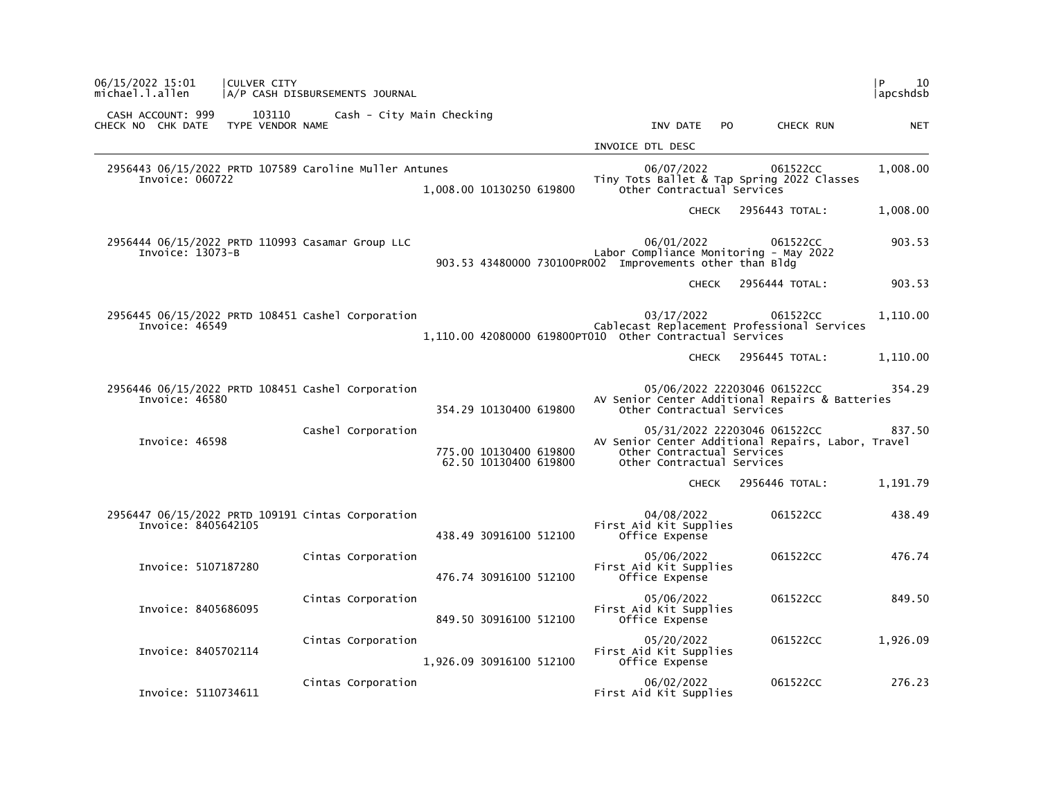| P<br>10<br> apcshdsb |                                                                                    |     |                                                                                                                  |                                                 | A/P CASH DISBURSEMENTS JOURNAL                         | CULVER CITY                | 06/15/2022 15:01<br>michael.l.allen    |  |
|----------------------|------------------------------------------------------------------------------------|-----|------------------------------------------------------------------------------------------------------------------|-------------------------------------------------|--------------------------------------------------------|----------------------------|----------------------------------------|--|
| <b>NET</b>           | CHECK RUN                                                                          | PO. | INV DATE                                                                                                         |                                                 | Cash - City Main Checking                              | 103110<br>TYPE VENDOR NAME | CASH ACCOUNT: 999<br>CHECK NO CHK DATE |  |
|                      |                                                                                    |     | INVOICE DTL DESC                                                                                                 |                                                 |                                                        |                            |                                        |  |
| 1,008.00             | 061522CC<br>Tiny Tots Ballet & Tap Spring 2022 Classes                             |     | 06/07/2022<br>Other Contractual Services                                                                         | 1,008.00 10130250 619800                        | 2956443 06/15/2022 PRTD 107589 Caroline Muller Antunes |                            | Invoice: 060722                        |  |
| 1,008.00             | 2956443 TOTAL:                                                                     |     | <b>CHECK</b>                                                                                                     |                                                 |                                                        |                            |                                        |  |
| 903.53               | 061522CC                                                                           |     | 06/01/2022<br>Labor Compliance Monitoring - May 2022<br>903.53 43480000 730100PR002 Improvements other than Bldg |                                                 | 2956444 06/15/2022 PRTD 110993 Casamar Group LLC       |                            | Invoice: 13073-B                       |  |
| 903.53               | 2956444 TOTAL:                                                                     |     | <b>CHECK</b>                                                                                                     |                                                 |                                                        |                            |                                        |  |
| 1,110.00             | 061522CC<br>Cablecast Replacement Professional Services                            |     | 03/17/2022<br>1,110.00 42080000 619800PT010 Other Contractual Services                                           |                                                 | 2956445 06/15/2022 PRTD 108451 Cashel Corporation      |                            | Invoice: 46549                         |  |
| 1,110.00             | 2956445 TOTAL:                                                                     |     | <b>CHECK</b>                                                                                                     |                                                 |                                                        |                            |                                        |  |
| 354.29               | 05/06/2022 22203046 061522CC<br>AV Senior Center Additional Repairs & Batteries    |     | Other Contractual Services                                                                                       | 354.29 10130400 619800                          | 2956446 06/15/2022 PRTD 108451 Cashel Corporation      |                            | Invoice: 46580                         |  |
| 837.50               | 05/31/2022 22203046 061522CC<br>AV Senior Center Additional Repairs, Labor, Travel |     | Other Contractual Services<br>Other Contractual Services                                                         | 775.00 10130400 619800<br>62.50 10130400 619800 | Cashel Corporation                                     |                            | Invoice: 46598                         |  |
| 1,191.79             | 2956446 TOTAL:                                                                     |     | <b>CHECK</b>                                                                                                     |                                                 |                                                        |                            |                                        |  |
| 438.49               | 061522CC                                                                           |     | 04/08/2022<br>First Aid Kit Supplies<br>Office Expense                                                           | 438.49 30916100 512100                          | 2956447 06/15/2022 PRTD 109191 Cintas Corporation      |                            | Invoice: 8405642105                    |  |
| 476.74               | 061522CC                                                                           |     | 05/06/2022<br>First Aid Kit Supplies<br>Office Expense                                                           | 476.74 30916100 512100                          | Cintas Corporation                                     |                            | Invoice: 5107187280                    |  |
| 849.50               | 061522CC                                                                           |     | 05/06/2022<br>First Aid Kit Supplies<br>Office Expense                                                           | 849.50 30916100 512100                          | Cintas Corporation                                     |                            | Invoice: 8405686095                    |  |
| 1,926.09             | 061522CC                                                                           |     | 05/20/2022<br>First Aid Kit Supplies<br>Office Expense                                                           | 1,926.09 30916100 512100                        | Cintas Corporation                                     |                            | Invoice: 8405702114                    |  |
| 276.23               | 061522CC                                                                           |     | 06/02/2022<br>First Aid Kit Supplies                                                                             |                                                 | Cintas Corporation                                     |                            | Invoice: 5110734611                    |  |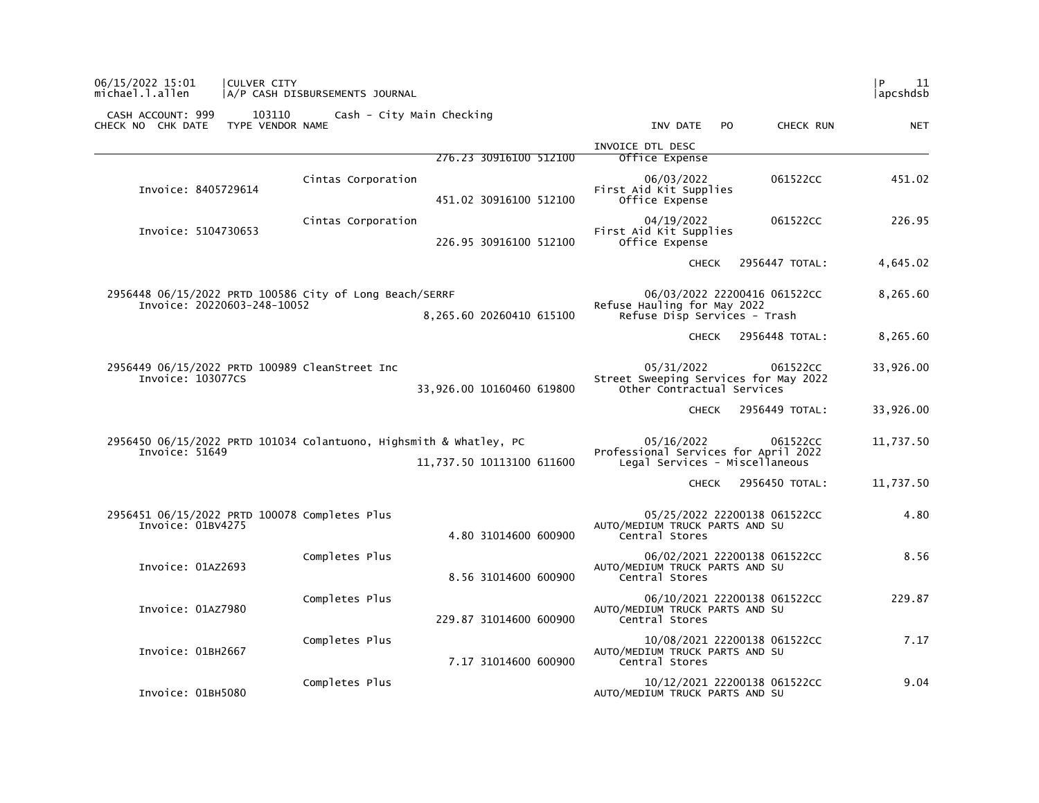| 06/15/2022 15:01<br>CULVER CITY<br>michael.l.allen                                     | A/P CASH DISBURSEMENTS JOURNAL                                                                  |                                                                                                  | P<br>11<br> apcshdsb |
|----------------------------------------------------------------------------------------|-------------------------------------------------------------------------------------------------|--------------------------------------------------------------------------------------------------|----------------------|
| 103110<br>CASH ACCOUNT: 999<br>TYPE VENDOR NAME<br>CHECK NO CHK DATE                   | Cash - City Main Checking                                                                       | INV DATE<br>PO.<br>CHECK RUN                                                                     | <b>NET</b>           |
|                                                                                        | 276.23 30916100 512100                                                                          | INVOICE DTL DESC<br>Office Expense                                                               |                      |
| Invoice: 8405729614                                                                    | Cintas Corporation<br>451.02 30916100 512100                                                    | 06/03/2022<br>061522CC<br>First Aid Kit Supplies<br>Office Expense                               | 451.02               |
| Invoice: 5104730653                                                                    | Cintas Corporation<br>226.95 30916100 512100                                                    | 04/19/2022<br>061522CC<br>First Aid Kit Supplies<br>Office Expense                               | 226.95               |
|                                                                                        |                                                                                                 | <b>CHECK</b><br>2956447 TOTAL:                                                                   | 4,645.02             |
| 2956448 06/15/2022 PRTD 100586 City of Long Beach/SERRF<br>Invoice: 20220603-248-10052 | 8,265.60 20260410 615100                                                                        | 06/03/2022 22200416 061522CC<br>Refuse Hauling for May 2022<br>Refuse Disp Services - Trash      | 8,265.60             |
|                                                                                        |                                                                                                 | 2956448 TOTAL:<br><b>CHECK</b>                                                                   | 8,265.60             |
| 2956449 06/15/2022 PRTD 100989 CleanStreet Inc<br>Invoice: 103077CS                    | 33,926.00 10160460 619800                                                                       | 05/31/2022<br>061522CC<br>Street Sweeping Services for May 2022<br>Other Contractual Services    | 33,926.00            |
|                                                                                        |                                                                                                 | CHECK 2956449 TOTAL:                                                                             | 33,926.00            |
| Invoice: 51649                                                                         | 2956450 06/15/2022 PRTD 101034 Colantuono, Highsmith & whatley, PC<br>11,737.50 10113100 611600 | 05/16/2022<br>061522CC<br>Professional Services for April 2022<br>Legal Services - Miscellaneous | 11,737.50            |
|                                                                                        |                                                                                                 | 2956450 TOTAL:<br><b>CHECK</b>                                                                   | 11,737.50            |
| 2956451 06/15/2022 PRTD 100078 Completes Plus<br>Invoice: 01BV4275                     | 4.80 31014600 600900                                                                            | 05/25/2022 22200138 061522CC<br>AUTO/MEDIUM TRUCK PARTS AND SU<br>Central Stores                 | 4.80                 |
| Invoice: 01AZ2693                                                                      | Completes Plus<br>8.56 31014600 600900                                                          | 06/02/2021 22200138 061522CC<br>AUTO/MEDIUM TRUCK PARTS AND SU<br>Central Stores                 | 8.56                 |
| Invoice: 01AZ7980                                                                      | Completes Plus<br>229.87 31014600 600900                                                        | 06/10/2021 22200138 061522CC<br>AUTO/MEDIUM TRUCK PARTS AND SU<br>Central Stores                 | 229.87               |
| Invoice: 01BH2667                                                                      | Completes Plus<br>7.17 31014600 600900                                                          | 10/08/2021 22200138 061522CC<br>AUTO/MEDIUM TRUCK PARTS AND SU<br>Central Stores                 | 7.17                 |
| Invoice: 01BH5080                                                                      | Completes Plus                                                                                  | 10/12/2021 22200138 061522CC<br>AUTO/MEDIUM TRUCK PARTS AND SU                                   | 9.04                 |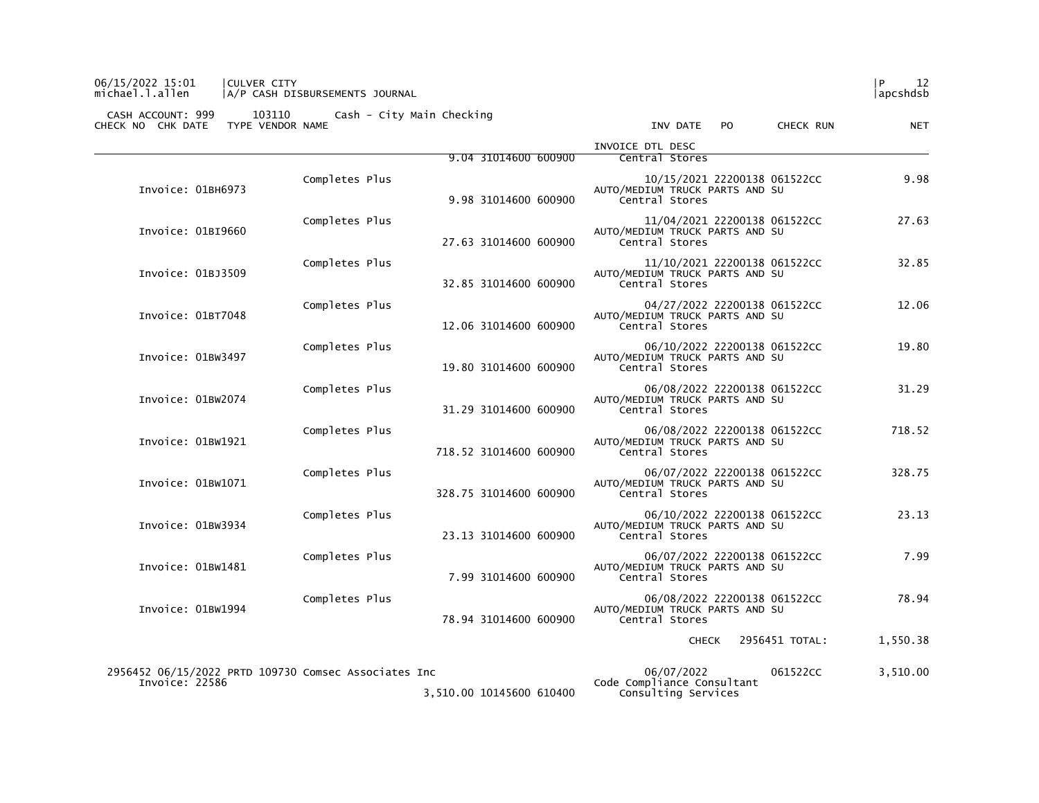## 06/15/2022 15:01 |CULVER CITY |P 12 michael.l.allen |A/P CASH DISBURSEMENTS JOURNAL |apcshdsb

 CASH ACCOUNT: 999 103110 Cash - City Main Checking CHECK NO CHK DATE TYPE VENDOR NAME INV DATE PO CHECK RUN NET

|                                                                        |                |                          | INVOICE DTL DESC                                                                 |          |
|------------------------------------------------------------------------|----------------|--------------------------|----------------------------------------------------------------------------------|----------|
|                                                                        |                | 9.04 31014600 600900     | Central Stores                                                                   |          |
| Invoice: 01BH6973                                                      | Completes Plus | 9.98 31014600 600900     | 10/15/2021 22200138 061522CC<br>AUTO/MEDIUM TRUCK PARTS AND SU<br>Central Stores | 9.98     |
| Invoice: 01BI9660                                                      | Completes Plus | 27.63 31014600 600900    | 11/04/2021 22200138 061522CC<br>AUTO/MEDIUM TRUCK PARTS AND SU<br>Central Stores | 27.63    |
| Invoice: 01BJ3509                                                      | Completes Plus | 32.85 31014600 600900    | 11/10/2021 22200138 061522CC<br>AUTO/MEDIUM TRUCK PARTS AND SU<br>Central Stores | 32.85    |
| Invoice: 01BT7048                                                      | Completes Plus | 12.06 31014600 600900    | 04/27/2022 22200138 061522CC<br>AUTO/MEDIUM TRUCK PARTS AND SU<br>Central Stores | 12.06    |
| Invoice: 01BW3497                                                      | Completes Plus | 19.80 31014600 600900    | 06/10/2022 22200138 061522CC<br>AUTO/MEDIUM TRUCK PARTS AND SU<br>Central Stores | 19.80    |
| Invoice: 01BW2074                                                      | Completes Plus | 31.29 31014600 600900    | 06/08/2022 22200138 061522CC<br>AUTO/MEDIUM TRUCK PARTS AND SU<br>Central Stores | 31.29    |
| Invoice: 01BW1921                                                      | Completes Plus | 718.52 31014600 600900   | 06/08/2022 22200138 061522CC<br>AUTO/MEDIUM TRUCK PARTS AND SU<br>Central Stores | 718.52   |
| Invoice: 01BW1071                                                      | Completes Plus | 328.75 31014600 600900   | 06/07/2022 22200138 061522CC<br>AUTO/MEDIUM TRUCK PARTS AND SU<br>Central Stores | 328.75   |
| Invoice: 01BW3934                                                      | Completes Plus | 23.13 31014600 600900    | 06/10/2022 22200138 061522CC<br>AUTO/MEDIUM TRUCK PARTS AND SU<br>Central Stores | 23.13    |
| Invoice: 01BW1481                                                      | Completes Plus | 7.99 31014600 600900     | 06/07/2022 22200138 061522CC<br>AUTO/MEDIUM TRUCK PARTS AND SU<br>Central Stores | 7.99     |
| Invoice: 01BW1994                                                      | Completes Plus | 78.94 31014600 600900    | 06/08/2022 22200138 061522CC<br>AUTO/MEDIUM TRUCK PARTS AND SU<br>Central Stores | 78.94    |
|                                                                        |                |                          | 2956451 TOTAL:<br>CHECK                                                          | 1,550.38 |
| 2956452 06/15/2022 PRTD 109730 Comsec Associates Inc<br>Invoice: 22586 |                | 3,510.00 10145600 610400 | 06/07/2022<br>061522CC<br>Code Compliance Consultant<br>Consulting Services      | 3,510.00 |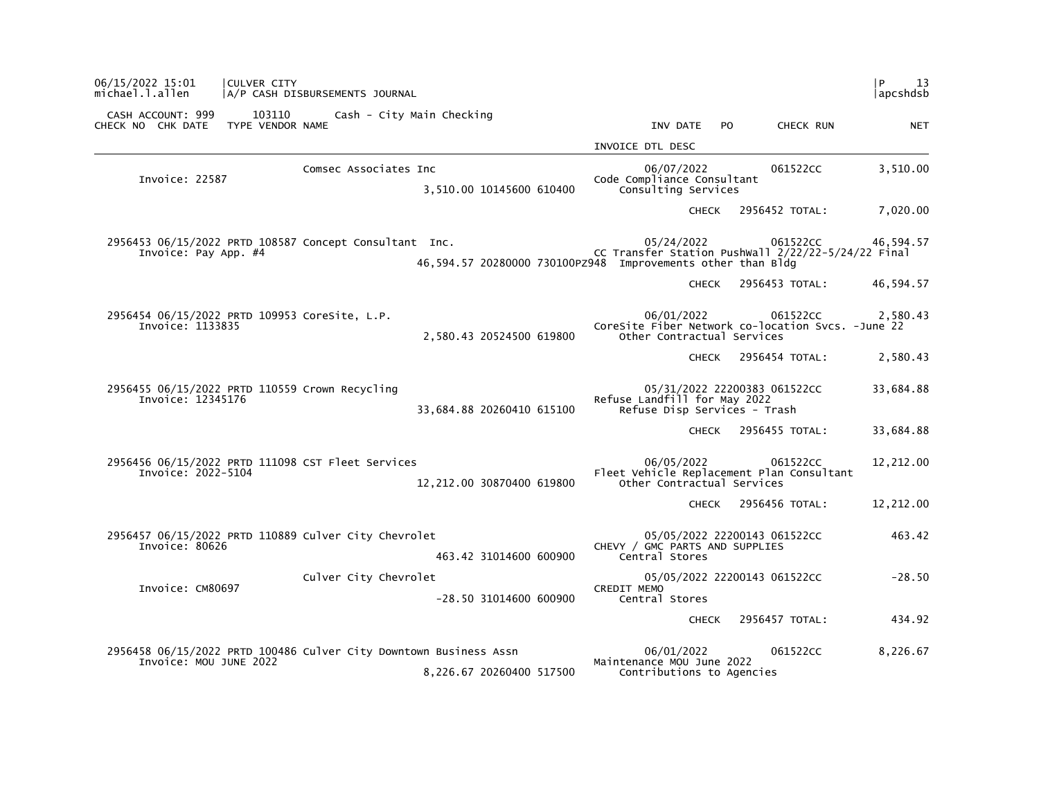| 06/15/2022 15:01<br>CULVER CITY<br>michael.l.allen                             | A/P CASH DISBURSEMENTS JOURNAL                                    |                                                                                                                                             | l P.<br>13<br> apcshdsb |
|--------------------------------------------------------------------------------|-------------------------------------------------------------------|---------------------------------------------------------------------------------------------------------------------------------------------|-------------------------|
| CASH ACCOUNT: 999<br>103110<br>TYPE VENDOR NAME<br>CHECK NO CHK DATE           | Cash - City Main Checking                                         | INV DATE<br>PO.<br>CHECK RUN                                                                                                                | <b>NET</b>              |
|                                                                                |                                                                   | INVOICE DTL DESC                                                                                                                            |                         |
| Invoice: 22587                                                                 | Comsec Associates Inc<br>3,510.00 10145600 610400                 | 06/07/2022<br>061522CC<br>Code Compliance Consultant<br>Consulting Services                                                                 | 3,510.00                |
|                                                                                |                                                                   | 2956452 TOTAL:<br><b>CHECK</b>                                                                                                              | 7,020.00                |
| 2956453 06/15/2022 PRTD 108587 Concept Consultant Inc.<br>Invoice: Pay App. #4 |                                                                   | 05/24/2022<br>061522CC<br>CC Transfer Station Pushwall 2/22/22-5/24/22 Final<br>46,594.57 20280000 730100PZ948 Improvements other than Bldg | 46,594.57               |
|                                                                                |                                                                   | 2956453 TOTAL:<br><b>CHECK</b>                                                                                                              | 46,594.57               |
| 2956454 06/15/2022 PRTD 109953 CoreSite, L.P.<br>Invoice: 1133835              | 2,580.43 20524500 619800                                          | 06/01/2022<br>061522CC<br>CoreSite Fiber Network co-location Svcs. - June 22<br>Other Contractual Services                                  | 2,580.43                |
|                                                                                |                                                                   | 2956454 TOTAL:<br>CHECK                                                                                                                     | 2,580.43                |
| 2956455 06/15/2022 PRTD 110559 Crown Recycling<br>Invoice: 12345176            | 33,684.88 20260410 615100                                         | 05/31/2022 22200383 061522CC<br>Refuse Landfill for May 2022<br>Refuse Disp Services - Trash                                                | 33,684.88               |
|                                                                                |                                                                   | CHECK 2956455 TOTAL:                                                                                                                        | 33,684.88               |
| 2956456 06/15/2022 PRTD 111098 CST Fleet Services<br>Invoice: 2022-5104        | 12,212.00 30870400 619800                                         | 06/05/2022<br>061522CC<br>Fleet Vehicle Replacement Plan Consultant<br>Other Contractual Services                                           | 12,212.00               |
|                                                                                |                                                                   | 2956456 TOTAL:<br>CHECK                                                                                                                     | 12,212.00               |
| 2956457 06/15/2022 PRTD 110889 Culver City Chevrolet<br>Invoice: 80626         | 463.42 31014600 600900                                            | 05/05/2022 22200143 061522CC<br>CHEVY / GMC PARTS AND SUPPLIES<br>Central Stores                                                            | 463.42                  |
| Invoice: CM80697                                                               | Culver City Chevrolet<br>$-28.50$ 31014600 600900                 | 05/05/2022 22200143 061522CC<br><b>CREDIT MEMO</b><br>Central Stores                                                                        | $-28.50$                |
|                                                                                |                                                                   | 2956457 TOTAL:<br><b>CHECK</b>                                                                                                              | 434.92                  |
|                                                                                | 2956458 06/15/2022 PRTD 100486 Culver City Downtown Business Assn | 06/01/2022<br>061522CC                                                                                                                      | 8,226.67                |
| Invoice: MOU JUNE 2022                                                         | 8,226.67 20260400 517500                                          | Maintenance MOU June 2022<br>Contributions to Agencies                                                                                      |                         |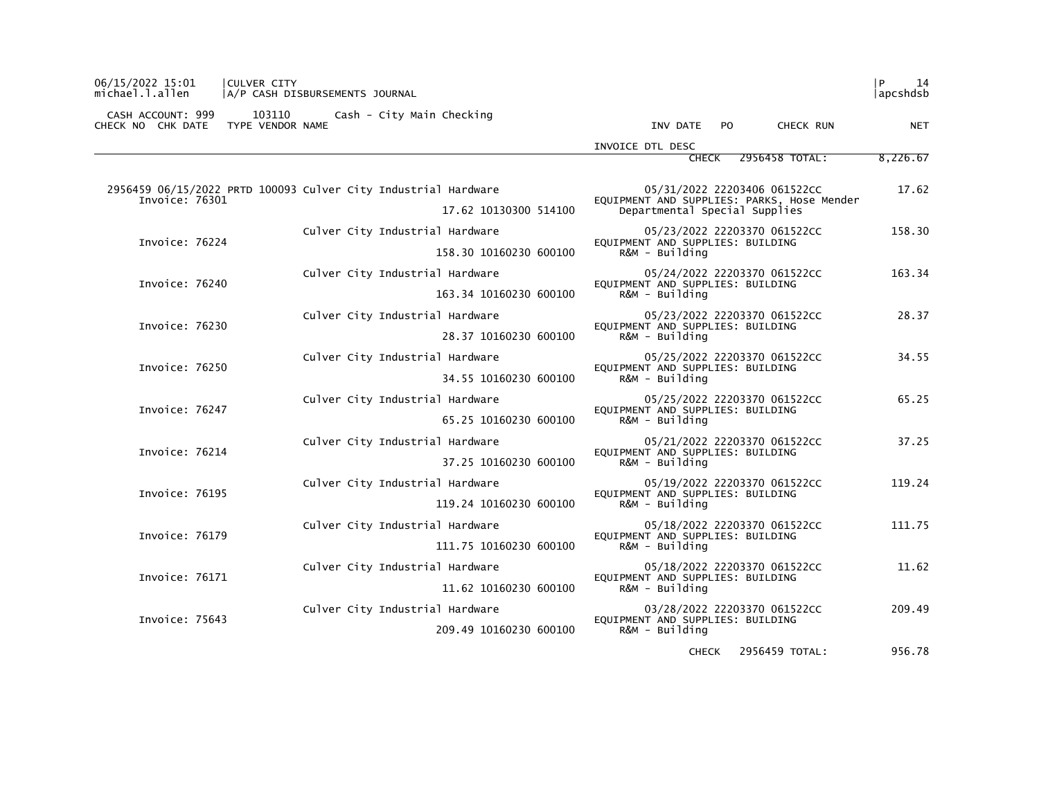| 06/15/2022 15:01<br><b>ICULVER CITY</b><br>michael.l.allen | A/P CASH DISBURSEMENTS JOURNAL                                 | <b>P</b>                                                                    | 14<br> apcshdsb |
|------------------------------------------------------------|----------------------------------------------------------------|-----------------------------------------------------------------------------|-----------------|
| CASH ACCOUNT: 999<br>CHECK NO CHK DATE                     | 103110<br>Cash - City Main Checking<br>TYPE VENDOR NAME        | INV DATE PO<br>CHECK RUN                                                    | <b>NET</b>      |
|                                                            |                                                                | INVOICE DTL DESC                                                            |                 |
|                                                            |                                                                | 2956458 TOTAL:<br><b>CHECK</b>                                              | 8,226.67        |
|                                                            | 2956459 06/15/2022 PRTD 100093 Culver City Industrial Hardware | 05/31/2022 22203406 061522CC                                                | 17.62           |
| Invoice: 76301                                             | 17.62 10130300 514100                                          | EQUIPMENT AND SUPPLIES: PARKS, Hose Mender<br>Departmental Special Supplies |                 |
|                                                            | Culver City Industrial Hardware                                | 05/23/2022 22203370 061522CC                                                | 158.30          |
| Invoice: 76224                                             | 158.30 10160230 600100                                         | EQUIPMENT AND SUPPLIES: BUILDING<br>$R\&M - Bui1$ ding                      |                 |
| Invoice: 76240                                             | Culver City Industrial Hardware                                | 05/24/2022 22203370 061522CC                                                | 163.34          |
|                                                            | 163.34 10160230 600100                                         | EQUIPMENT AND SUPPLIES: BUILDING<br>$R\&M - Bui1$ ding                      |                 |
|                                                            | Culver City Industrial Hardware                                | 05/23/2022 22203370 061522CC                                                | 28.37           |
| Invoice: 76230                                             | 28.37 10160230 600100                                          | EQUIPMENT AND SUPPLIES: BUILDING<br>R&M - Building                          |                 |
| Invoice: 76250                                             | Culver City Industrial Hardware                                | 05/25/2022 22203370 061522CC<br>EQUIPMENT AND SUPPLIES: BUILDING            | 34.55           |
|                                                            | 34.55 10160230 600100                                          | R&M - Building                                                              |                 |
| Invoice: 76247                                             | Culver City Industrial Hardware                                | 05/25/2022 22203370 061522CC<br>EQUIPMENT AND SUPPLIES: BUILDING            | 65.25           |
|                                                            | 65.25 10160230 600100                                          | R&M - Building                                                              |                 |
| Invoice: 76214                                             | Culver City Industrial Hardware                                | 05/21/2022 22203370 061522CC<br>EQUIPMENT AND SUPPLIES: BUILDING            | 37.25           |
|                                                            | 37.25 10160230 600100                                          | R&M - Building                                                              |                 |
| Invoice: 76195                                             | Culver City Industrial Hardware                                | 05/19/2022 22203370 061522CC<br>EQUIPMENT AND SUPPLIES: BUILDING            | 119.24          |
|                                                            | 119.24 10160230 600100                                         | R&M - Building                                                              |                 |
| Invoice: 76179                                             | Culver City Industrial Hardware                                | 05/18/2022 22203370 061522CC<br>EQUIPMENT AND SUPPLIES: BUILDING            | 111.75          |
|                                                            | 111.75 10160230 600100                                         | $R\&M - Bui1$ ding                                                          |                 |
| Invoice: 76171                                             | Culver City Industrial Hardware                                | 05/18/2022 22203370 061522CC<br>EQUIPMENT AND SUPPLIES: BUILDING            | 11.62           |
|                                                            | 11.62 10160230 600100                                          | R&M - Building                                                              |                 |
| Invoice: 75643                                             | Culver City Industrial Hardware                                | 03/28/2022 22203370 061522CC<br>EQUIPMENT AND SUPPLIES: BUILDING            | 209.49          |
|                                                            | 209.49 10160230 600100                                         | $R\&M - Bui1$ ding                                                          |                 |
|                                                            |                                                                | 2956459 TOTAL:<br><b>CHECK</b>                                              | 956.78          |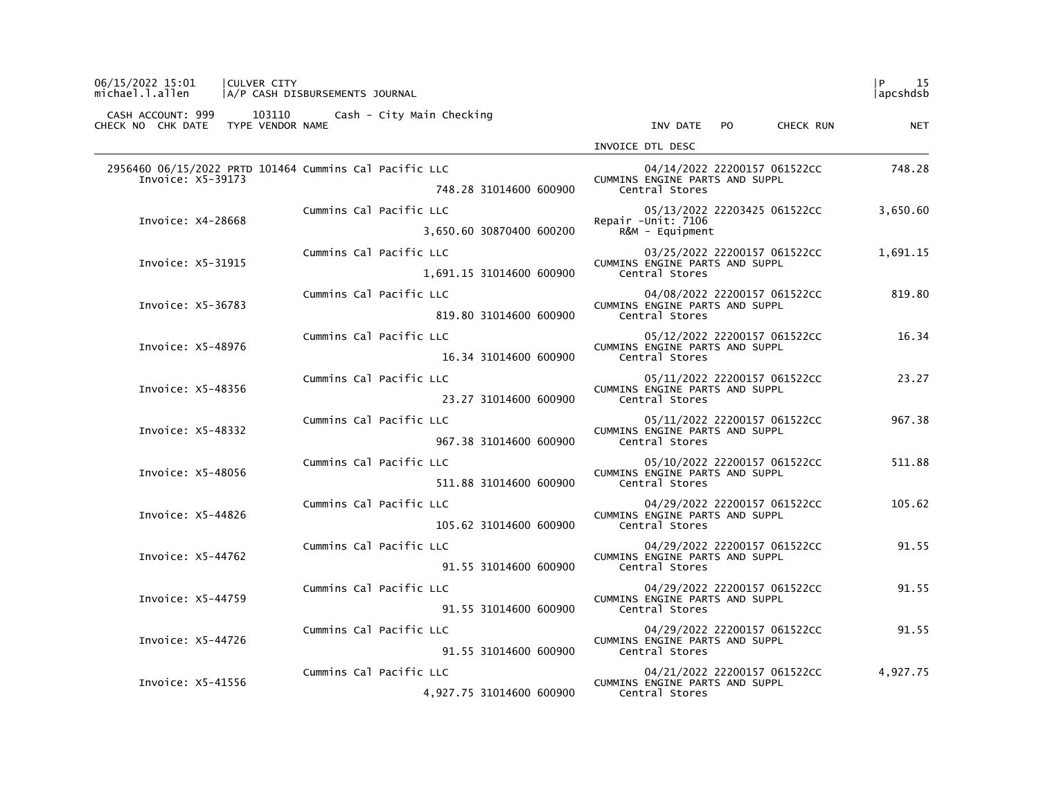| 06/15/2022 15:01                   | <b>CULVER CITY</b><br>michael.l.allen   A/P CASH DISBURSEMENTS JOURNAL |                                       |                                                                | P <br>-15<br>  apcshdsb |
|------------------------------------|------------------------------------------------------------------------|---------------------------------------|----------------------------------------------------------------|-------------------------|
| CHECK NO CHK DATE TYPE VENDOR NAME | CASH ACCOUNT: 999 103110 Cash - City Main Checking                     |                                       | INV DATE PO CHECK RUN                                          | <b>NET</b>              |
|                                    |                                                                        |                                       | INVOICE DTL DESC                                               |                         |
|                                    | 2956460 06/15/2022 PRTD 101464 Cummins Cal Pacific LLC                 |                                       | 04/14/2022 22200157 061522CC                                   | 748.28                  |
| Invoice: X5-39173                  |                                                                        | 748.28 31014600 600900                | CUMMINS ENGINE PARTS AND SUPPL<br>Central Stores               |                         |
|                                    |                                                                        | Cummins Cal Pacific LLC               | 05/13/2022 22203425 061522CC                                   | 3,650.60                |
| Invoice: X4-28668                  |                                                                        | 3,650.60 30870400 600200              | Repair - Unit: 7106<br>$R&M - \text{Equi}$ pment               |                         |
| Invoice: X5-31915                  |                                                                        | Cummins Cal Pacific LLC               | 03/25/2022 22200157 061522CC<br>CUMMINS ENGINE PARTS AND SUPPL | 1,691.15                |
|                                    |                                                                        | 1,691.15 31014600 600900              | Central Stores                                                 |                         |
| Invoice: X5-36783                  |                                                                        | Cummins Cal Pacific LLC               | 04/08/2022 22200157 061522CC<br>CUMMINS ENGINE PARTS AND SUPPL | 819.80                  |
|                                    |                                                                        | 819.80 31014600 600900                | Central Stores                                                 |                         |
| Invoice: X5-48976                  |                                                                        | Cummins Cal Pacific LLC               | 05/12/2022 22200157 061522CC<br>CUMMINS ENGINE PARTS AND SUPPL | 16.34                   |
|                                    |                                                                        | 16.34 31014600 600900 Central Stores  |                                                                |                         |
| Invoice: X5-48356                  |                                                                        | Cummins Cal Pacific LLC               | 05/11/2022 22200157 061522CC<br>CUMMINS ENGINE PARTS AND SUPPL | 23.27                   |
|                                    |                                                                        | 23.27 31014600 600900                 | Central Stores                                                 |                         |
| Invoice: X5-48332                  |                                                                        | Cummins Cal Pacific LLC               | 05/11/2022 22200157 061522CC<br>CUMMINS ENGINE PARTS AND SUPPL | 967.38                  |
|                                    |                                                                        | 967.38 31014600 600900 Central Stores |                                                                |                         |
| Invoice: X5-48056                  |                                                                        | Cummins Cal Pacific LLC               | 05/10/2022 22200157 061522CC<br>CUMMINS ENGINE PARTS AND SUPPL | 511.88                  |
|                                    |                                                                        | 511.88 31014600 600900                | Central Stores                                                 |                         |
| Invoice: X5-44826                  |                                                                        | Cummins Cal Pacific LLC               | 04/29/2022 22200157 061522CC<br>CUMMINS ENGINE PARTS AND SUPPL | 105.62                  |
|                                    |                                                                        | 105.62 31014600 600900                | Central Stores                                                 |                         |
| Invoice: X5-44762                  |                                                                        | Cummins Cal Pacific LLC               | 04/29/2022 22200157 061522CC<br>CUMMINS ENGINE PARTS AND SUPPL | 91.55                   |
|                                    |                                                                        | 91.55 31014600 600900                 | Central Stores                                                 |                         |
| Invoice: X5-44759                  |                                                                        | Cummins Cal Pacific LLC               | 04/29/2022 22200157 061522CC<br>CUMMINS ENGINE PARTS AND SUPPL | 91.55                   |
|                                    |                                                                        | 91.55 31014600 600900                 | Central Stores                                                 |                         |
| Invoice: X5-44726                  |                                                                        | Cummins Cal Pacific LLC               | 04/29/2022 22200157 061522CC<br>CUMMINS ENGINE PARTS AND SUPPL | 91.55                   |
|                                    |                                                                        | 91.55 31014600 600900                 | Central Stores                                                 |                         |
| Invoice: X5-41556                  |                                                                        | Cummins Cal Pacific LLC               | 04/21/2022 22200157 061522CC<br>CUMMINS ENGINE PARTS AND SUPPL | 4,927.75                |
|                                    |                                                                        | 4,927.75 31014600 600900              | Central Stores                                                 |                         |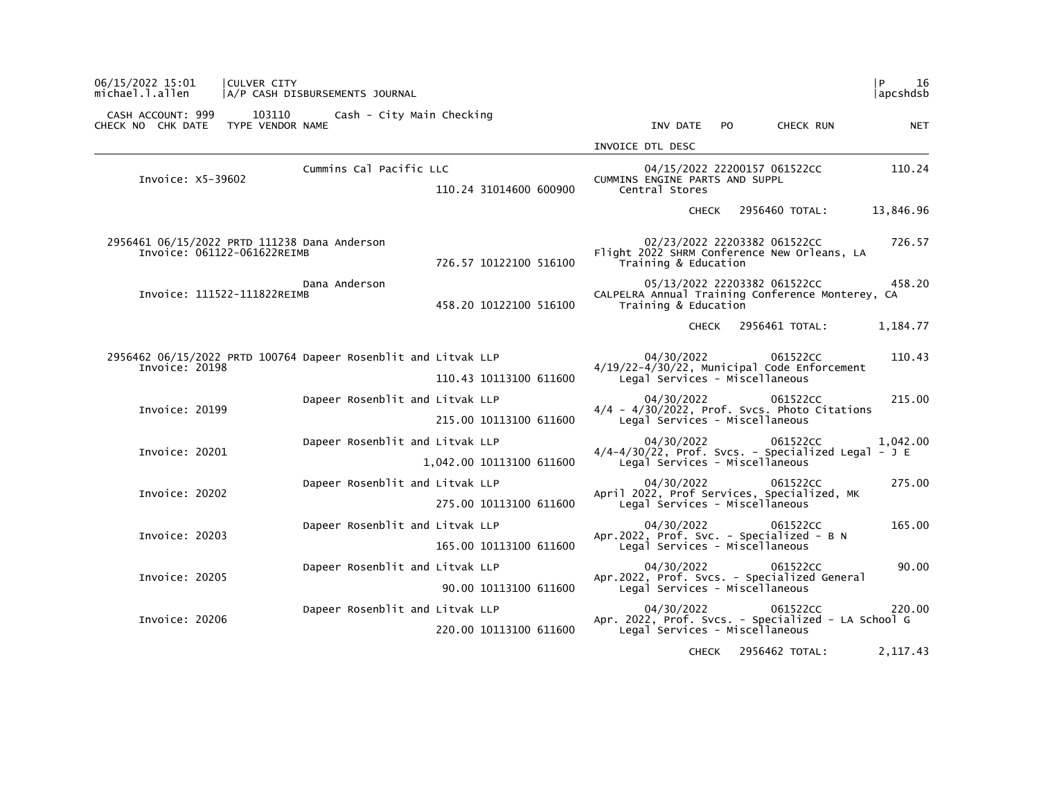| 06/15/2022 15:01<br>michael.l.allen    | <b>CULVER CITY</b><br>A/P CASH DISBURSEMENTS JOURNAL           |                          |                                                                                    |                              | 16<br>P<br>apcshdsb |
|----------------------------------------|----------------------------------------------------------------|--------------------------|------------------------------------------------------------------------------------|------------------------------|---------------------|
| CASH ACCOUNT: 999<br>CHECK NO CHK DATE | 103110<br>Cash - City Main Checking<br>TYPE VENDOR NAME        |                          | INV DATE<br>PO.                                                                    | CHECK RUN                    | <b>NET</b>          |
|                                        |                                                                |                          | INVOICE DTL DESC                                                                   |                              |                     |
|                                        | Cummins Cal Pacific LLC                                        |                          |                                                                                    | 04/15/2022 22200157 061522CC | 110.24              |
| Invoice: X5-39602                      |                                                                | 110.24 31014600 600900   | CUMMINS ENGINE PARTS AND SUPPL<br>Central Stores                                   |                              |                     |
|                                        |                                                                |                          | <b>CHECK</b>                                                                       | 2956460 TOTAL:               | 13,846.96           |
|                                        | 2956461 06/15/2022 PRTD 111238 Dana Anderson                   |                          |                                                                                    | 02/23/2022 22203382 061522CC | 726.57              |
| Invoice: 061122-061622REIMB            |                                                                | 726.57 10122100 516100   | Flight 2022 SHRM Conference New Orleans, LA<br>Training & Education                |                              |                     |
| Invoice: 111522-111822REIMB            | Dana Anderson                                                  | 458.20 10122100 516100   | CALPELRA Annual Training Conference Monterey, CA<br>Training & Education           | 05/13/2022 22203382 061522CC | 458.20              |
|                                        |                                                                |                          | CHECK                                                                              | 2956461 TOTAL:               | 1,184.77            |
|                                        | 2956462 06/15/2022 PRTD 100764 Dapeer Rosenblit and Litvak LLP |                          | 04/30/2022                                                                         | 061522CC                     | 110.43              |
| Invoice: 20198                         |                                                                | 110.43 10113100 611600   | $4/19/22 - 4/30/22$ , Municipal Code Enforcement<br>Legal Services - Miscellaneous |                              |                     |
| Invoice: 20199                         | Dapeer Rosenblit and Litvak LLP                                |                          | 04/30/2022<br>$4/4$ - $4/30/2022$ , Prof. Svcs. Photo Citations                    | 061522CC                     | 215.00              |
|                                        |                                                                | 215.00 10113100 611600   | Legal Services - Miscellaneous                                                     |                              |                     |
| Invoice: 20201                         | Dapeer Rosenblit and Litvak LLP                                |                          | 04/30/2022<br>$4/4-4/30/22$ , Prof. Svcs. - Specialized Legal - J E                | 061522CC                     | 1,042.00            |
|                                        |                                                                | 1,042.00 10113100 611600 | Legal Services - Miscellaneous                                                     |                              |                     |
| Invoice: 20202                         | Dapeer Rosenblit and Litvak LLP                                |                          | 04/30/2022<br>April 2022, Prof Services, Specialized, MK                           | 061522CC                     | 275.00              |
|                                        |                                                                | 275.00 10113100 611600   | Legal Services - Miscellaneous                                                     |                              |                     |
| Invoice: 20203                         | Dapeer Rosenblit and Litvak LLP                                |                          | 04/30/2022<br>Apr.2022, Prof. Svc. - Specialized - B N                             | 061522CC                     | 165.00              |
|                                        |                                                                | 165.00 10113100 611600   | Legal Services - Miscellaneous                                                     |                              |                     |
| Invoice: 20205                         | Dapeer Rosenblit and Litvak LLP                                |                          | 04/30/2022<br>Apr.2022, Prof. Svcs. - Specialized General                          | 061522CC                     | 90.00               |
|                                        |                                                                | 90.00 10113100 611600    | Legal Services - Miscellaneous                                                     |                              |                     |
| Invoice: 20206                         | Dapeer Rosenblit and Litvak LLP                                |                          | 04/30/2022<br>Apr. 2022, Prof. Svcs. - Specialized - LA School G                   | 061522CC                     | 220.00              |
|                                        |                                                                | 220.00 10113100 611600   | Legal Services - Miscellaneous                                                     |                              |                     |
|                                        |                                                                |                          | <b>CHECK</b>                                                                       | 2956462 TOTAL:               | 2, 117.43           |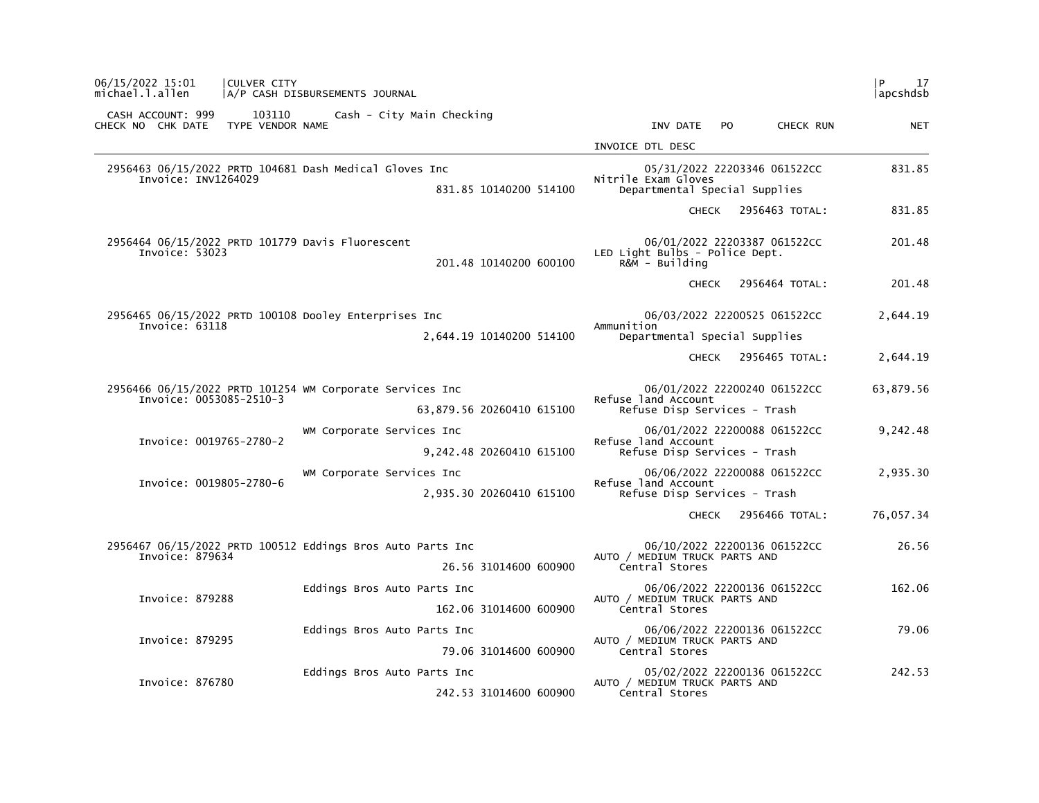| 06/15/2022 15:01<br>michael.l.allen                                                                     | CULVER CITY                | A/P CASH DISBURSEMENTS JOURNAL                             |                                                                                      |                                                                                     |                              | l P<br>17<br> apcshdsb |
|---------------------------------------------------------------------------------------------------------|----------------------------|------------------------------------------------------------|--------------------------------------------------------------------------------------|-------------------------------------------------------------------------------------|------------------------------|------------------------|
| CASH ACCOUNT: 999<br>CHECK NO CHK DATE                                                                  | 103110<br>TYPE VENDOR NAME | Cash - City Main Checking                                  |                                                                                      | INV DATE                                                                            | PO.<br>CHECK RUN             | <b>NET</b>             |
|                                                                                                         |                            |                                                            |                                                                                      | INVOICE DTL DESC                                                                    |                              |                        |
| 2956463 06/15/2022 PRTD 104681 Dash Medical Gloves Inc<br>Invoice: INV1264029<br>831.85 10140200 514100 |                            |                                                            | 05/31/2022 22203346 061522CC<br>Nitrile Exam Gloves<br>Departmental Special Supplies |                                                                                     | 831.85                       |                        |
|                                                                                                         |                            |                                                            |                                                                                      |                                                                                     | CHECK 2956463 TOTAL:         | 831.85                 |
| Invoice: 53023                                                                                          |                            | 2956464 06/15/2022 PRTD 101779 Davis Fluorescent           | 201.48 10140200 600100                                                               | LED Light Bulbs - Police Dept.<br>$R\&M - Bui1$ ding                                | 06/01/2022 22203387 061522CC | 201.48                 |
|                                                                                                         |                            |                                                            |                                                                                      | <b>CHECK</b>                                                                        | 2956464 TOTAL:               | 201.48                 |
| Invoice: 63118                                                                                          |                            | 2956465 06/15/2022 PRTD 100108 Dooley Enterprises Inc      |                                                                                      | Ammunition                                                                          | 06/03/2022 22200525 061522CC | 2,644.19               |
|                                                                                                         |                            |                                                            | 2,644.19 10140200 514100                                                             | Departmental Special Supplies                                                       |                              |                        |
|                                                                                                         |                            |                                                            |                                                                                      |                                                                                     | CHECK 2956465 TOTAL:         | 2,644.19               |
| 2956466 06/15/2022 PRTD 101254 WM Corporate Services Inc<br>Invoice: 0053085-2510-3                     |                            |                                                            |                                                                                      | 06/01/2022 22200240 061522CC<br>Refuse land Account                                 |                              | 63,879.56              |
|                                                                                                         |                            |                                                            | 63,879.56 20260410 615100                                                            | Refuse Disp Services - Trash                                                        |                              |                        |
| Invoice: 0019765-2780-2                                                                                 |                            | WM Corporate Services Inc<br>9,242.48 20260410 615100      |                                                                                      | 06/01/2022 22200088 061522CC<br>Refuse land Account<br>Refuse Disp Services - Trash |                              | 9,242.48               |
|                                                                                                         |                            |                                                            |                                                                                      |                                                                                     |                              |                        |
|                                                                                                         | Invoice: 0019805-2780-6    | WM Corporate Services Inc<br>2,935.30 20260410 615100      |                                                                                      | 06/06/2022 22200088 061522CC<br>Refuse land Account<br>Refuse Disp Services - Trash |                              | 2,935.30               |
|                                                                                                         |                            |                                                            |                                                                                      |                                                                                     |                              |                        |
|                                                                                                         |                            |                                                            |                                                                                      |                                                                                     | CHECK 2956466 TOTAL:         | 76,057.34              |
|                                                                                                         |                            | 2956467 06/15/2022 PRTD 100512 Eddings Bros Auto Parts Inc |                                                                                      | 06/10/2022 22200136 061522CC                                                        | 26.56                        |                        |
| Invoice: 879634                                                                                         |                            | 26.56 31014600 600900                                      |                                                                                      | AUTO / MEDIUM TRUCK PARTS AND<br>Central Stores                                     |                              |                        |
|                                                                                                         |                            | Eddings Bros Auto Parts Inc                                |                                                                                      | 06/06/2022 22200136 061522CC                                                        | 162.06                       |                        |
| Invoice: 879288                                                                                         |                            | 162.06 31014600 600900                                     |                                                                                      | AUTO / MEDIUM TRUCK PARTS AND<br>Central Stores                                     |                              |                        |
| Invoice: 879295                                                                                         |                            | Eddings Bros Auto Parts Inc                                |                                                                                      |                                                                                     | 06/06/2022 22200136 061522CC | 79.06                  |
|                                                                                                         |                            | 79.06 31014600 600900                                      |                                                                                      | AUTO / MEDIUM TRUCK PARTS AND<br>Central Stores                                     |                              |                        |
|                                                                                                         |                            | Eddings Bros Auto Parts Inc                                |                                                                                      |                                                                                     | 05/02/2022 22200136 061522CC | 242.53                 |
| Invoice: 876780                                                                                         |                            |                                                            | 242.53 31014600 600900                                                               | AUTO / MEDIUM TRUCK PARTS AND<br>Central Stores                                     |                              |                        |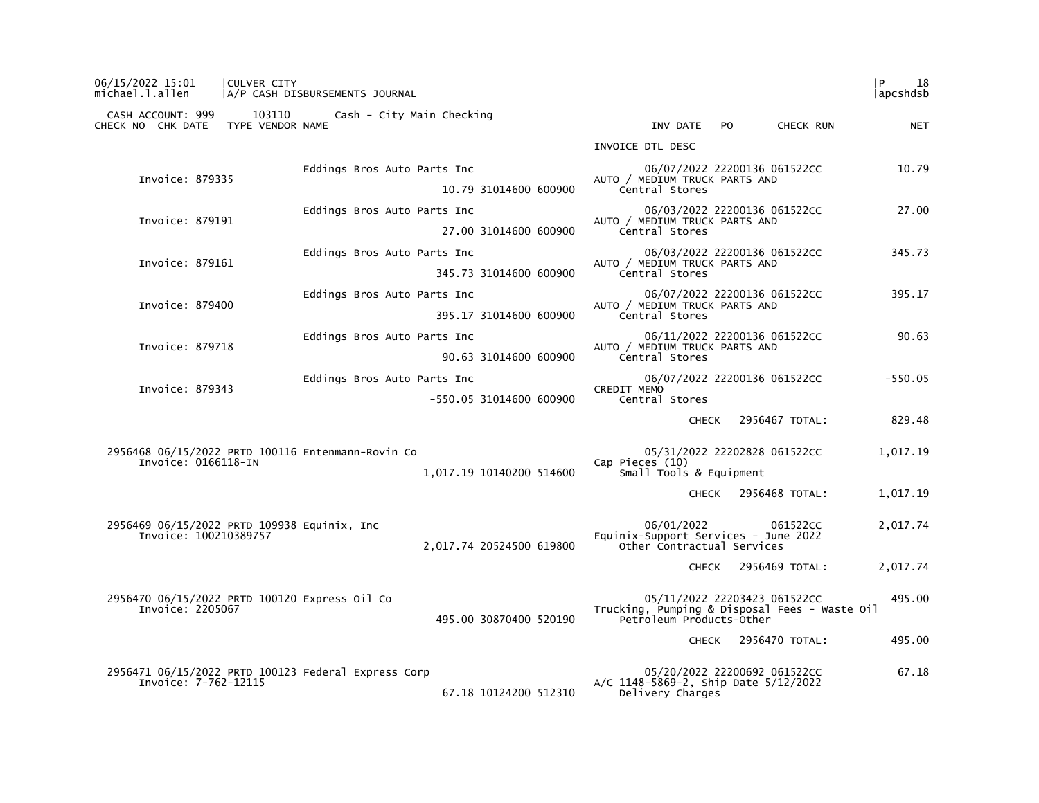| INV DATE<br>P <sub>O</sub><br>CHECK RUN<br><b>NET</b>                                             |
|---------------------------------------------------------------------------------------------------|
| INVOICE DTL DESC                                                                                  |
| 10.79<br>06/07/2022 22200136 061522CC<br>AUTO / MEDIUM TRUCK PARTS AND                            |
| Central Stores                                                                                    |
| 06/03/2022 22200136 061522CC<br>27.00<br>AUTO / MEDIUM TRUCK PARTS AND                            |
| Central Stores                                                                                    |
| 06/03/2022 22200136 061522CC<br>345.73<br>AUTO / MEDIUM TRUCK PARTS AND                           |
| Central Stores                                                                                    |
| 06/07/2022 22200136 061522CC<br>395.17<br>AUTO / MEDIUM TRUCK PARTS AND                           |
| Central Stores                                                                                    |
| 06/11/2022 22200136 061522CC<br>90.63<br>AUTO / MEDIUM TRUCK PARTS AND                            |
| Central Stores                                                                                    |
| 06/07/2022 22200136 061522CC<br>$-550.05$<br><b>CREDIT MEMO</b>                                   |
| Central Stores                                                                                    |
| 829.48<br>2956467 TOTAL:<br><b>CHECK</b>                                                          |
| 05/31/2022 22202828 061522CC<br>1,017.19                                                          |
| Cap Pieces (10)<br>Small Tools & Equipment                                                        |
| CHECK 2956468 TOTAL:<br>1,017.19                                                                  |
| 06/01/2022<br>2,017.74<br>061522CC                                                                |
| Equinix-Support Services - June 2022<br>Other Contractual Services                                |
| 2956469 TOTAL:<br>2,017.74<br><b>CHECK</b>                                                        |
| 05/11/2022 22203423 061522CC<br>495.00                                                            |
| Trucking, Pumping & Disposal Fees - Waste Oil<br>Petroleum Products-Other                         |
| 495.00<br>2956470 TOTAL:<br>CHECK                                                                 |
|                                                                                                   |
| 05/20/2022 22200692 061522CC<br>67.18<br>A/C 1148-5869-2, Ship Date 5/12/2022<br>Delivery Charges |
|                                                                                                   |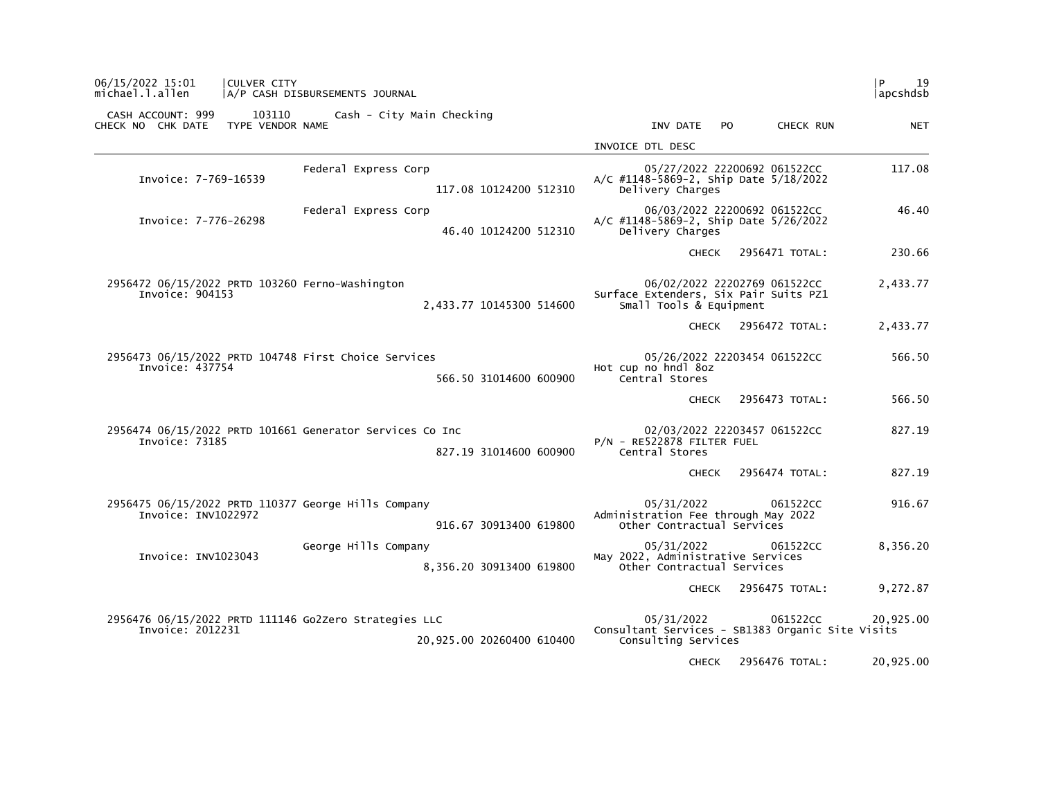| 06/15/2022 15:01<br>CULVER CITY<br>michael.l.allen                         | A/P CASH DISBURSEMENTS JOURNAL                   |                                                                                                   | l P<br>19<br> apcshdsb |
|----------------------------------------------------------------------------|--------------------------------------------------|---------------------------------------------------------------------------------------------------|------------------------|
| CASH ACCOUNT: 999<br>103110<br>TYPE VENDOR NAME<br>CHECK NO CHK DATE       | Cash - City Main Checking                        | INV DATE<br>CHECK RUN<br>PO.                                                                      | NET                    |
|                                                                            |                                                  | INVOICE DTL DESC                                                                                  |                        |
| Invoice: 7-769-16539                                                       | Federal Express Corp<br>117.08 10124200 512310   | 05/27/2022 22200692 061522CC<br>A/C #1148-5869-2, Ship Date 5/18/2022<br>Delivery Charges         | 117.08                 |
| Invoice: 7-776-26298                                                       | Federal Express Corp<br>46.40 10124200 512310    | 06/03/2022 22200692 061522CC<br>A/C #1148-5869-2, Ship Date 5/26/2022<br>Delivery Charges         | 46.40                  |
|                                                                            |                                                  | 2956471 TOTAL:<br><b>CHECK</b>                                                                    | 230.66                 |
| 2956472 06/15/2022 PRTD 103260 Ferno-Washington<br>Invoice: 904153         | 2,433.77 10145300 514600                         | 06/02/2022 22202769 061522CC<br>Surface Extenders, Six Pair Suits PZ1<br>Small Tools & Equipment  | 2,433.77               |
|                                                                            |                                                  | 2956472 TOTAL:<br><b>CHECK</b>                                                                    | 2,433.77               |
| 2956473 06/15/2022 PRTD 104748 First Choice Services<br>Invoice: 437754    | 566.50 31014600 600900                           | 05/26/2022 22203454 061522CC<br>Hot cup no hndl 8oz<br>Central Stores                             | 566.50                 |
|                                                                            |                                                  | 2956473 TOTAL:<br><b>CHECK</b>                                                                    | 566.50                 |
| 2956474 06/15/2022 PRTD 101661 Generator Services Co Inc<br>Invoice: 73185 | 827.19 31014600 600900                           | 02/03/2022 22203457 061522CC<br>P/N - RE522878 FILTER FUEL<br>Central Stores                      | 827.19                 |
|                                                                            |                                                  | 2956474 TOTAL:<br><b>CHECK</b>                                                                    | 827.19                 |
| 2956475 06/15/2022 PRTD 110377 George Hills Company<br>Invoice: INV1022972 | 916.67 30913400 619800                           | 05/31/2022<br>061522CC<br>Administration Fee through May 2022<br>Other Contractual Services       | 916.67                 |
| Invoice: INV1023043                                                        | George Hills Company<br>8,356.20 30913400 619800 | 05/31/2022<br>061522CC<br>May 2022, Administrative Services<br>Other Contractual Services         | 8,356.20               |
|                                                                            |                                                  | 2956475 TOTAL:<br>CHECK                                                                           | 9,272.87               |
| 2956476 06/15/2022 PRTD 111146 Go2Zero Strategies LLC<br>Invoice: 2012231  | 20,925.00 20260400 610400                        | 05/31/2022<br>061522CC<br>Consultant Services - SB1383 Organic Site Visits<br>Consulting Services | 20,925.00              |
|                                                                            |                                                  | CHECK 2956476 TOTAL:                                                                              | 20,925.00              |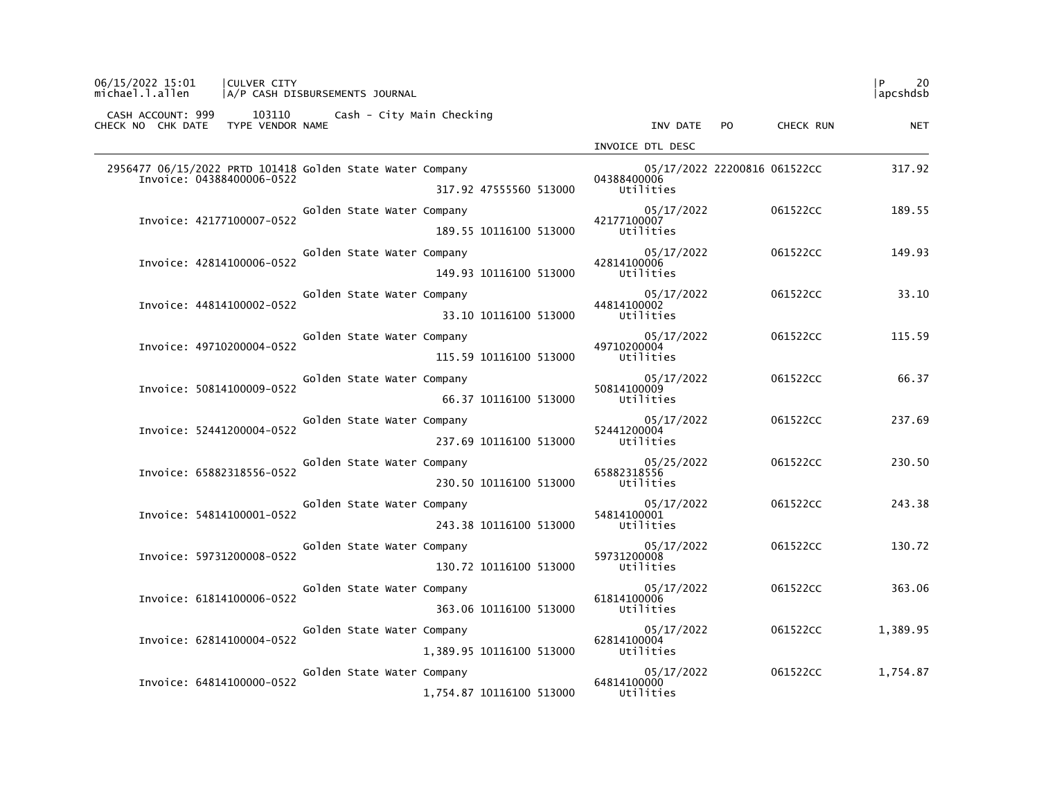| 06/15/2022 15:01<br><b>CULVER CITY</b><br>michael.l.allen<br> A/P CASH DISBURSEMENTS JOURNAL |                                        |                              | l P<br>20<br> apcshdsb |
|----------------------------------------------------------------------------------------------|----------------------------------------|------------------------------|------------------------|
| CASH ACCOUNT: 999 103110 Cash - City Main Checking<br>CHECK NO CHK DATE<br>TYPE VENDOR NAME  | INV DATE                               | PO.<br>CHECK RUN             | <b>NET</b>             |
|                                                                                              | INVOICE DTL DESC                       |                              |                        |
| 2956477 06/15/2022 PRTD 101418 Golden State Water Company                                    |                                        | 05/17/2022 22200816 061522CC | 317.92                 |
| Invoice: 04388400006-0522<br>317.92 47555560 513000                                          | 04388400006<br>Utilities               |                              |                        |
| Golden State Water Company<br>Invoice: 42177100007-0522                                      | 05/17/2022<br>42177100007              | 061522CC                     | 189.55                 |
| 189.55 10116100 513000                                                                       | Utilities                              |                              |                        |
| Golden State Water Company<br>Invoice: 42814100006-0522                                      | 05/17/2022<br>42814100006              | 061522CC                     | 149.93                 |
| 149.93 10116100 513000                                                                       | Utilities                              |                              |                        |
| Golden State Water Company<br>Invoice: 44814100002-0522                                      | 05/17/2022<br>44814100002              | 061522CC                     | 33.10                  |
| 33.10 10116100 513000                                                                        | Utilities                              |                              |                        |
| Golden State Water Company<br>Invoice: 49710200004-0522                                      | 05/17/2022<br>49710200004              | 061522CC                     | 115.59                 |
| 115.59 10116100 513000                                                                       | Utilities                              |                              |                        |
| Golden State Water Company<br>Invoice: 50814100009-0522                                      | 05/17/2022<br>50814100009              | 061522CC                     | 66.37                  |
| 66.37 10116100 513000                                                                        | Utilities                              |                              |                        |
| Golden State Water Company<br>Invoice: 52441200004-0522                                      | 05/17/2022<br>52441200004              | 061522CC                     | 237.69                 |
| 237.69 10116100 513000                                                                       | Utilities                              |                              |                        |
| Golden State Water Company<br>Invoice: 65882318556-0522                                      | 05/25/2022<br>65882318556              | 061522CC                     | 230.50                 |
| 230.50 10116100 513000                                                                       | Utilities                              |                              | 243.38                 |
| Golden State Water Company<br>Invoice: 54814100001-0522<br>243.38 10116100 513000            | 05/17/2022<br>54814100001<br>Utilities | 061522CC                     |                        |
| Golden State Water Company                                                                   | 05/17/2022                             | 061522CC                     | 130.72                 |
| Invoice: 59731200008-0522<br>130.72 10116100 513000                                          | 59731200008<br>Utilities               |                              |                        |
| Golden State Water Company                                                                   | 05/17/2022                             | 061522CC                     | 363.06                 |
| Invoice: 61814100006-0522<br>363.06 10116100 513000                                          | 61814100006<br>Utilities               |                              |                        |
| Golden State Water Company                                                                   | 05/17/2022                             | 061522CC                     | 1,389.95               |
| Invoice: 62814100004-0522<br>1,389.95 10116100 513000                                        | 62814100004<br>Utilities               |                              |                        |
| Golden State Water Company                                                                   | 05/17/2022                             | 061522CC                     | 1,754.87               |
| Invoice: 64814100000-0522<br>1,754.87 10116100 513000                                        | 64814100000<br>Utilities               |                              |                        |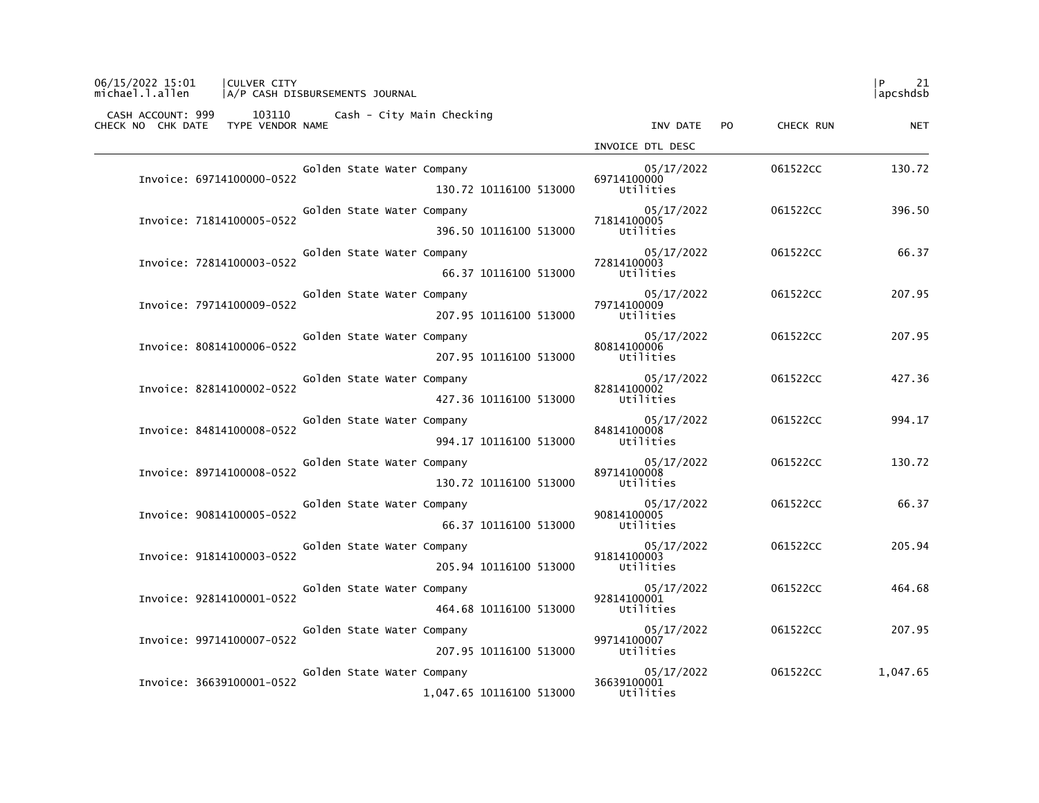| 06/15/2022 15:01<br><b>CULVER CITY</b><br>michael.l.allen<br>A/P CASH DISBURSEMENTS JOURNAL |                                        |           | l P<br>21<br> apcshdsb |
|---------------------------------------------------------------------------------------------|----------------------------------------|-----------|------------------------|
| CASH ACCOUNT: 999 103110 Cash - City Main Checking<br>CHECK NO CHK DATE<br>TYPE VENDOR NAME | INV DATE<br>PO.                        | CHECK RUN | <b>NET</b>             |
|                                                                                             | INVOICE DTL DESC                       |           |                        |
| Golden State Water Company                                                                  | 05/17/2022                             | 061522CC  | 130.72                 |
| Invoice: 69714100000-0522<br>130.72 10116100 513000                                         | 69714100000<br>Utilities               |           |                        |
| Golden State Water Company                                                                  | 05/17/2022                             | 061522CC  | 396.50                 |
| Invoice: 71814100005-0522<br>396.50 10116100 513000                                         | 71814100005<br>Utilities               |           |                        |
| Golden State Water Company<br>Invoice: 72814100003-0522                                     | 05/17/2022<br>72814100003              | 061522CC  | 66.37                  |
| 66.37 10116100 513000                                                                       | Utilities                              |           |                        |
| Golden State Water Company<br>Invoice: 79714100009-0522                                     | 05/17/2022<br>79714100009              | 061522CC  | 207.95                 |
| 207.95 10116100 513000                                                                      | Utilities                              |           |                        |
| Golden State Water Company<br>Invoice: 80814100006-0522                                     | 05/17/2022<br>80814100006              | 061522CC  | 207.95                 |
| 207.95 10116100 513000                                                                      | Utilities                              |           |                        |
| Golden State Water Company<br>Invoice: 82814100002-0522                                     | 05/17/2022<br>82814100002              | 061522CC  | 427.36                 |
| 427.36 10116100 513000                                                                      | Utilities                              |           |                        |
| Golden State Water Company<br>Invoice: 84814100008-0522                                     | 05/17/2022<br>84814100008              | 061522CC  | 994.17                 |
| 994.17 10116100 513000                                                                      | Utilities                              |           |                        |
| Golden State Water Company<br>Invoice: 89714100008-0522                                     | 05/17/2022<br>89714100008              | 061522CC  | 130.72                 |
| 130.72 10116100 513000                                                                      | Utilities                              |           |                        |
| Golden State Water Company<br>Invoice: 90814100005-0522                                     | 05/17/2022<br>90814100005              | 061522CC  | 66.37                  |
| 66.37 10116100 513000                                                                       | Utilities                              |           |                        |
| Golden State Water Company<br>Invoice: 91814100003-0522                                     | 05/17/2022<br>91814100003              | 061522CC  | 205.94                 |
| 205.94 10116100 513000                                                                      | Utilities                              |           |                        |
| Golden State Water Company<br>Invoice: 92814100001-0522<br>464.68 10116100 513000           | 05/17/2022<br>92814100001<br>Utilities | 061522CC  | 464.68                 |
| Golden State Water Company                                                                  | 05/17/2022                             | 061522CC  | 207.95                 |
| Invoice: 99714100007-0522<br>207.95 10116100 513000                                         | 99714100007<br>Utilities               |           |                        |
| Golden State Water Company                                                                  | 05/17/2022                             | 061522CC  | 1,047.65               |
| Invoice: 36639100001-0522<br>1,047.65 10116100 513000                                       | 36639100001<br>Utilities               |           |                        |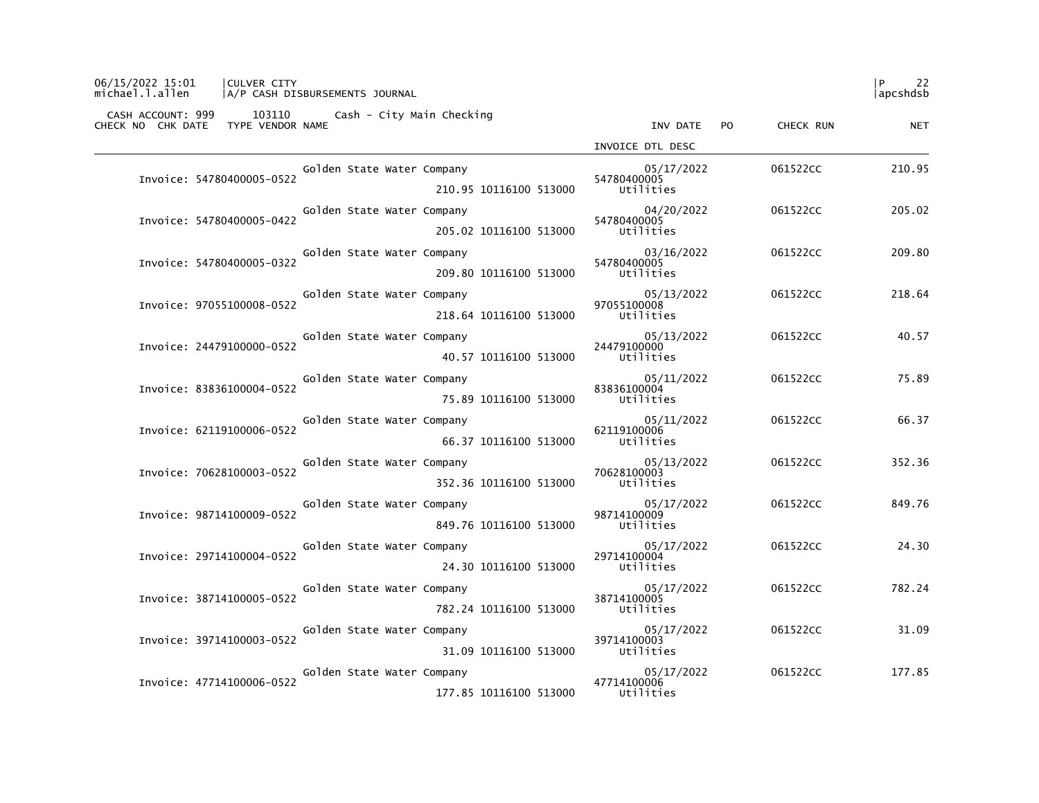| 06/15/2022 15:01<br><b>CULVER CITY</b><br>michael.l.allen<br>A/P CASH DISBURSEMENTS JOURNAL    |                           |           | l P<br>22<br> apcshdsb |
|------------------------------------------------------------------------------------------------|---------------------------|-----------|------------------------|
| CASH ACCOUNT: 999<br>103110 Cash - City Main Checking<br>CHECK NO CHK DATE<br>TYPE VENDOR NAME | INV DATE<br>PO.           | CHECK RUN | <b>NET</b>             |
|                                                                                                | INVOICE DTL DESC          |           |                        |
| Golden State Water Company                                                                     | 05/17/2022                | 061522CC  | 210.95                 |
| Invoice: 54780400005-0522<br>210.95 10116100 513000                                            | 54780400005<br>Utilities  |           |                        |
| Golden State Water Company                                                                     | 04/20/2022                | 061522CC  | 205.02                 |
| Invoice: 54780400005-0422<br>205.02 10116100 513000                                            | 54780400005<br>Utilities  |           |                        |
| Golden State Water Company                                                                     | 03/16/2022                | 061522CC  | 209.80                 |
| Invoice: 54780400005-0322<br>209.80 10116100 513000                                            | 54780400005<br>Utilities  |           |                        |
| Golden State Water Company<br>Invoice: 97055100008-0522                                        | 05/13/2022<br>97055100008 | 061522CC  | 218.64                 |
| 218.64 10116100 513000                                                                         | Utilities                 |           |                        |
| Golden State Water Company<br>Invoice: 24479100000-0522                                        | 05/13/2022<br>24479100000 | 061522CC  | 40.57                  |
| 40.57 10116100 513000                                                                          | Utilities                 |           |                        |
| Golden State Water Company<br>Invoice: 83836100004-0522                                        | 05/11/2022<br>83836100004 | 061522CC  | 75.89                  |
| 75.89 10116100 513000                                                                          | Utilities                 |           |                        |
| Golden State Water Company<br>Invoice: 62119100006-0522                                        | 05/11/2022<br>62119100006 | 061522CC  | 66.37                  |
| 66.37 10116100 513000                                                                          | Utilities                 |           |                        |
| Golden State Water Company<br>Invoice: 70628100003-0522                                        | 05/13/2022<br>70628100003 | 061522CC  | 352.36                 |
| 352.36 10116100 513000                                                                         | Utilities                 |           |                        |
| Golden State Water Company<br>Invoice: 98714100009-0522                                        | 05/17/2022<br>98714100009 | 061522CC  | 849.76                 |
| 849.76 10116100 513000                                                                         | Utilities                 |           |                        |
| Golden State Water Company<br>Invoice: 29714100004-0522                                        | 05/17/2022<br>29714100004 | 061522CC  | 24.30                  |
| 24.30 10116100 513000                                                                          | Utilities                 |           |                        |
| Golden State Water Company<br>Invoice: 38714100005-0522                                        | 05/17/2022<br>38714100005 | 061522CC  | 782.24                 |
| 782.24 10116100 513000                                                                         | Utilities                 |           |                        |
| Golden State Water Company<br>Invoice: 39714100003-0522                                        | 05/17/2022<br>39714100003 | 061522CC  | 31.09                  |
| 31.09 10116100 513000                                                                          | Utilities                 |           |                        |
| Golden State Water Company<br>Invoice: 47714100006-0522                                        | 05/17/2022<br>47714100006 | 061522CC  | 177.85                 |
| 177.85 10116100 513000                                                                         | Utilities                 |           |                        |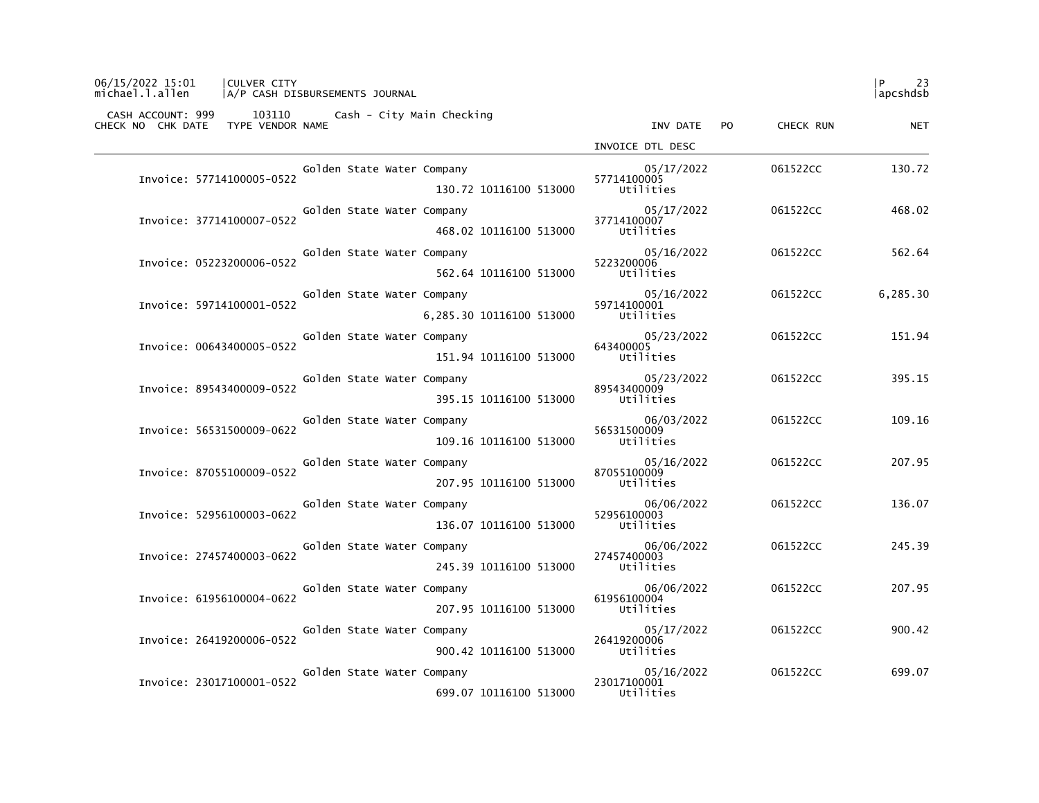| 06/15/2022 15:01<br><b>CULVER CITY</b><br>michael.l.allen<br>A/P CASH DISBURSEMENTS JOURNAL |                            |                           | l P<br>23<br> apcshdsb  |
|---------------------------------------------------------------------------------------------|----------------------------|---------------------------|-------------------------|
| CASH ACCOUNT: 999 103110<br>CHECK NO CHK DATE<br>TYPE VENDOR NAME                           | Cash - City Main Checking  | INV DATE<br>PO.           | CHECK RUN<br><b>NET</b> |
|                                                                                             |                            | INVOICE DTL DESC          |                         |
|                                                                                             | Golden State Water Company | 05/17/2022                | 061522CC<br>130.72      |
| Invoice: 57714100005-0522                                                                   | 130.72 10116100 513000     | 57714100005<br>Utilities  |                         |
|                                                                                             | Golden State Water Company | 05/17/2022                | 061522CC<br>468.02      |
| Invoice: 37714100007-0522                                                                   | 468.02 10116100 513000     | 37714100007<br>Utilities  |                         |
|                                                                                             | Golden State Water Company | 05/16/2022                | 061522CC<br>562.64      |
| Invoice: 05223200006-0522                                                                   | 562.64 10116100 513000     | 5223200006<br>Utilities   |                         |
| Invoice: 59714100001-0522                                                                   | Golden State Water Company | 05/16/2022<br>59714100001 | 6,285.30<br>061522CC    |
|                                                                                             | 6,285.30 10116100 513000   | Utilities                 |                         |
| Invoice: 00643400005-0522                                                                   | Golden State Water Company | 05/23/2022<br>643400005   | 151.94<br>061522CC      |
|                                                                                             | 151.94 10116100 513000     | Utilities                 |                         |
| Invoice: 89543400009-0522                                                                   | Golden State Water Company | 05/23/2022<br>89543400009 | 395.15<br>061522CC      |
|                                                                                             | 395.15 10116100 513000     | Utilities                 |                         |
| Invoice: 56531500009-0622                                                                   | Golden State Water Company | 06/03/2022<br>56531500009 | 109.16<br>061522CC      |
|                                                                                             | 109.16 10116100 513000     | Utilities                 |                         |
| Invoice: 87055100009-0522                                                                   | Golden State Water Company | 05/16/2022<br>87055100009 | 207.95<br>061522CC      |
|                                                                                             | 207.95 10116100 513000     | Utilities                 |                         |
| Invoice: 52956100003-0622                                                                   | Golden State Water Company | 06/06/2022<br>52956100003 | 136.07<br>061522CC      |
|                                                                                             | 136.07 10116100 513000     | Utilities                 |                         |
| Invoice: 27457400003-0622                                                                   | Golden State Water Company | 06/06/2022<br>27457400003 | 245.39<br>061522CC      |
|                                                                                             | 245.39 10116100 513000     | Utilities                 |                         |
| Invoice: 61956100004-0622                                                                   | Golden State Water Company | 06/06/2022<br>61956100004 | 207.95<br>061522CC      |
|                                                                                             | 207.95 10116100 513000     | Utilities                 |                         |
| Invoice: 26419200006-0522                                                                   | Golden State Water Company | 05/17/2022<br>26419200006 | 061522CC<br>900.42      |
|                                                                                             | 900.42 10116100 513000     | Utilities                 |                         |
| Invoice: 23017100001-0522                                                                   | Golden State Water Company | 05/16/2022<br>23017100001 | 061522CC<br>699.07      |
|                                                                                             | 699.07 10116100 513000     | Utilities                 |                         |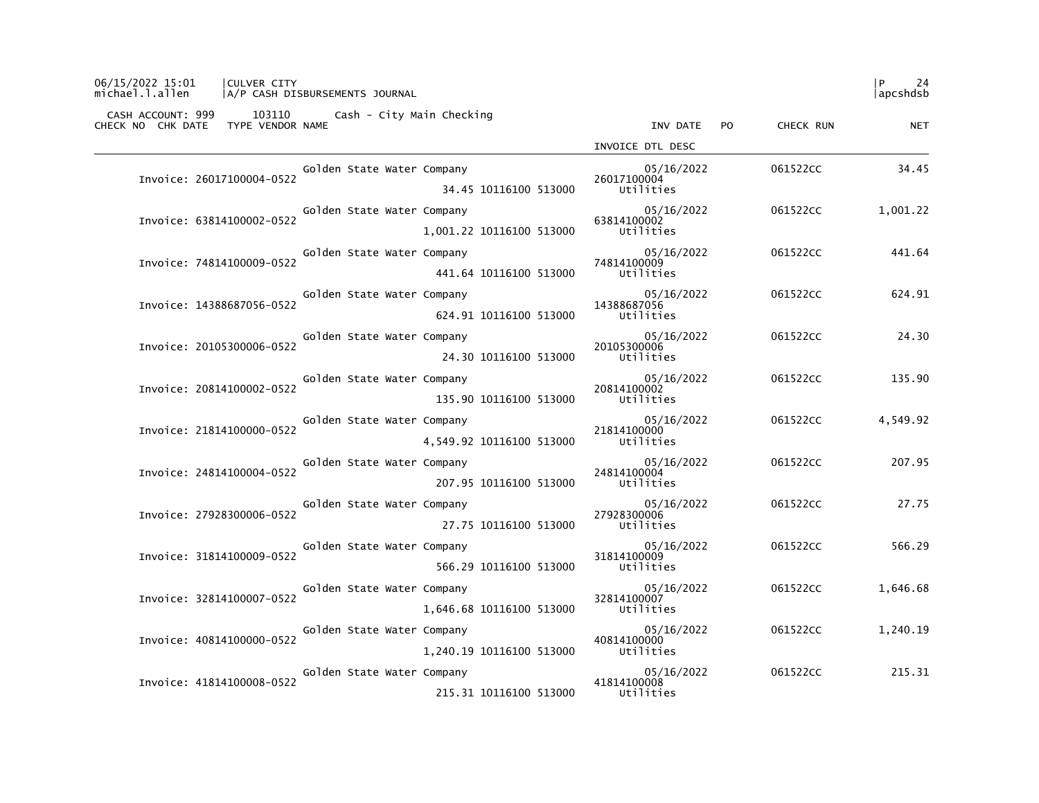| 06/15/2022 15:01<br><b>CULVER CITY</b><br>michael.l.allen | A/P CASH DISBURSEMENTS JOURNAL                     |                           |           | P<br>24<br> apcshdsb |
|-----------------------------------------------------------|----------------------------------------------------|---------------------------|-----------|----------------------|
| CHECK NO CHK DATE<br>TYPE VENDOR NAME                     | CASH ACCOUNT: 999 103110 Cash - City Main Checking | INV DATE<br>PO.           | CHECK RUN | <b>NET</b>           |
|                                                           |                                                    | INVOICE DTL DESC          |           |                      |
|                                                           | Golden State Water Company                         | 05/16/2022                | 061522CC  | 34.45                |
| Invoice: 26017100004-0522                                 | 34.45 10116100 513000                              | 26017100004<br>Utilities  |           |                      |
|                                                           | Golden State Water Company                         | 05/16/2022                | 061522CC  | 1,001.22             |
| Invoice: 63814100002-0522                                 | 1.001.22 10116100 513000                           | 63814100002<br>Utilities  |           |                      |
|                                                           | Golden State Water Company                         | 05/16/2022                | 061522CC  | 441.64               |
| Invoice: 74814100009-0522                                 | 441.64 10116100 513000                             | 74814100009<br>Utilities  |           |                      |
|                                                           | Golden State Water Company                         | 05/16/2022                | 061522CC  | 624.91               |
| Invoice: 14388687056-0522                                 | 624.91 10116100 513000                             | 14388687056<br>Utilities  |           |                      |
| Invoice: 20105300006-0522                                 | Golden State Water Company                         | 05/16/2022<br>20105300006 | 061522CC  | 24.30                |
|                                                           | 24.30 10116100 513000                              | Utilities                 |           |                      |
| Invoice: 20814100002-0522                                 | Golden State Water Company                         | 05/16/2022<br>20814100002 | 061522CC  | 135.90               |
|                                                           | 135.90 10116100 513000                             | Utilities                 |           |                      |
| Invoice: 21814100000-0522                                 | Golden State Water Company                         | 05/16/2022<br>21814100000 | 061522CC  | 4,549.92             |
|                                                           | 4,549.92 10116100 513000                           | Utilities                 |           |                      |
| Invoice: 24814100004-0522                                 | Golden State Water Company                         | 05/16/2022<br>24814100004 | 061522CC  | 207.95               |
|                                                           | 207.95 10116100 513000                             | Utilities                 |           |                      |
| Invoice: 27928300006-0522                                 | Golden State Water Company                         | 05/16/2022<br>27928300006 | 061522CC  | 27.75                |
|                                                           | 27.75 10116100 513000                              | Utilities                 |           |                      |
| Invoice: 31814100009-0522                                 | Golden State Water Company                         | 05/16/2022<br>31814100009 | 061522CC  | 566.29               |
|                                                           | 566.29 10116100 513000                             | Utilities                 |           |                      |
| Invoice: 32814100007-0522                                 | Golden State Water Company                         | 05/16/2022<br>32814100007 | 061522CC  | 1,646.68             |
|                                                           | 1,646.68 10116100 513000                           | Utilities                 |           |                      |
| Invoice: 40814100000-0522                                 | Golden State Water Company                         | 05/16/2022<br>40814100000 | 061522CC  | 1,240.19             |
|                                                           | 1,240.19 10116100 513000                           | Utilities                 |           |                      |
| Invoice: 41814100008-0522                                 | Golden State Water Company                         | 05/16/2022<br>41814100008 | 061522CC  | 215.31               |
|                                                           | 215.31 10116100 513000                             | Utilities                 |           |                      |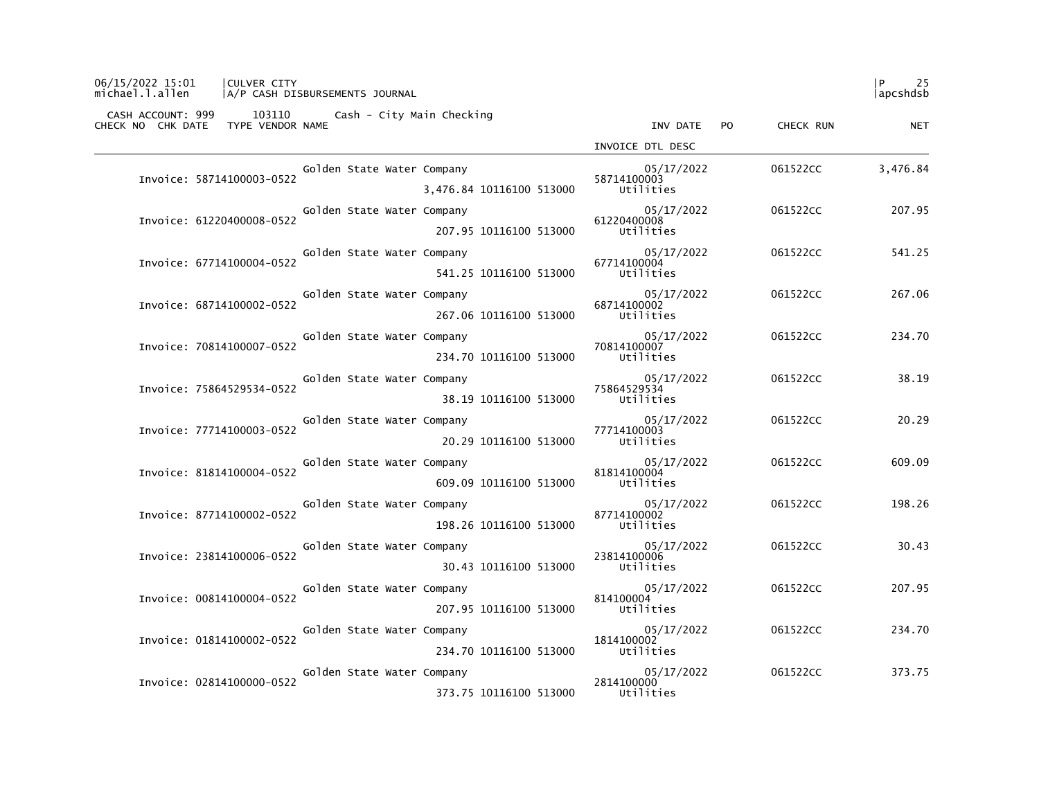| 06/15/2022 15:01<br><b>CULVER CITY</b><br>michael.l.allen<br>A/P CASH DISBURSEMENTS JOURNAL |                           |           | l P<br>25<br> apcshdsb |
|---------------------------------------------------------------------------------------------|---------------------------|-----------|------------------------|
| CASH ACCOUNT: 999 103110 Cash - City Main Checking<br>CHECK NO CHK DATE<br>TYPE VENDOR NAME | INV DATE<br>PO.           | CHECK RUN | <b>NET</b>             |
|                                                                                             | INVOICE DTL DESC          |           |                        |
| Golden State Water Company                                                                  | 05/17/2022                | 061522CC  | 3,476.84               |
| Invoice: 58714100003-0522<br>3,476.84 10116100 513000                                       | 58714100003<br>Utilities  |           |                        |
| Golden State Water Company                                                                  | 05/17/2022                | 061522CC  | 207.95                 |
| Invoice: 61220400008-0522<br>207.95 10116100 513000                                         | 61220400008<br>Utilities  |           |                        |
| Golden State Water Company                                                                  | 05/17/2022                | 061522CC  | 541.25                 |
| Invoice: 67714100004-0522<br>541.25 10116100 513000                                         | 67714100004<br>Utilities  |           |                        |
| Golden State Water Company<br>Invoice: 68714100002-0522                                     | 05/17/2022<br>68714100002 | 061522CC  | 267.06                 |
| 267.06 10116100 513000                                                                      | Utilities                 |           |                        |
| Golden State Water Company<br>Invoice: 70814100007-0522                                     | 05/17/2022<br>70814100007 | 061522CC  | 234.70                 |
| 234.70 10116100 513000                                                                      | Utilities                 |           |                        |
| Golden State Water Company<br>Invoice: 75864529534-0522                                     | 05/17/2022<br>75864529534 | 061522CC  | 38.19                  |
| 38.19 10116100 513000                                                                       | Utilities                 |           |                        |
| Golden State Water Company<br>Invoice: 77714100003-0522                                     | 05/17/2022<br>77714100003 | 061522CC  | 20.29                  |
| 20.29 10116100 513000                                                                       | Utilities                 |           |                        |
| Golden State Water Company<br>Invoice: 81814100004-0522                                     | 05/17/2022<br>81814100004 | 061522CC  | 609.09                 |
| 609.09 10116100 513000                                                                      | Utilities                 |           |                        |
| Golden State Water Company<br>Invoice: 87714100002-0522                                     | 05/17/2022<br>87714100002 | 061522CC  | 198.26                 |
| 198.26 10116100 513000                                                                      | Utilities                 |           |                        |
| Golden State Water Company<br>Invoice: 23814100006-0522                                     | 05/17/2022<br>23814100006 | 061522CC  | 30.43                  |
| 30.43 10116100 513000                                                                       | Utilities                 |           |                        |
| Golden State Water Company<br>Invoice: 00814100004-0522                                     | 05/17/2022<br>814100004   | 061522CC  | 207.95                 |
| 207.95 10116100 513000                                                                      | Utilities                 |           |                        |
| Golden State Water Company<br>Invoice: 01814100002-0522                                     | 05/17/2022<br>1814100002  | 061522CC  | 234.70                 |
| 234.70 10116100 513000                                                                      | Utilities                 |           |                        |
| Golden State Water Company<br>Invoice: 02814100000-0522                                     | 05/17/2022<br>2814100000  | 061522CC  | 373.75                 |
| 373.75 10116100 513000                                                                      | Utilities                 |           |                        |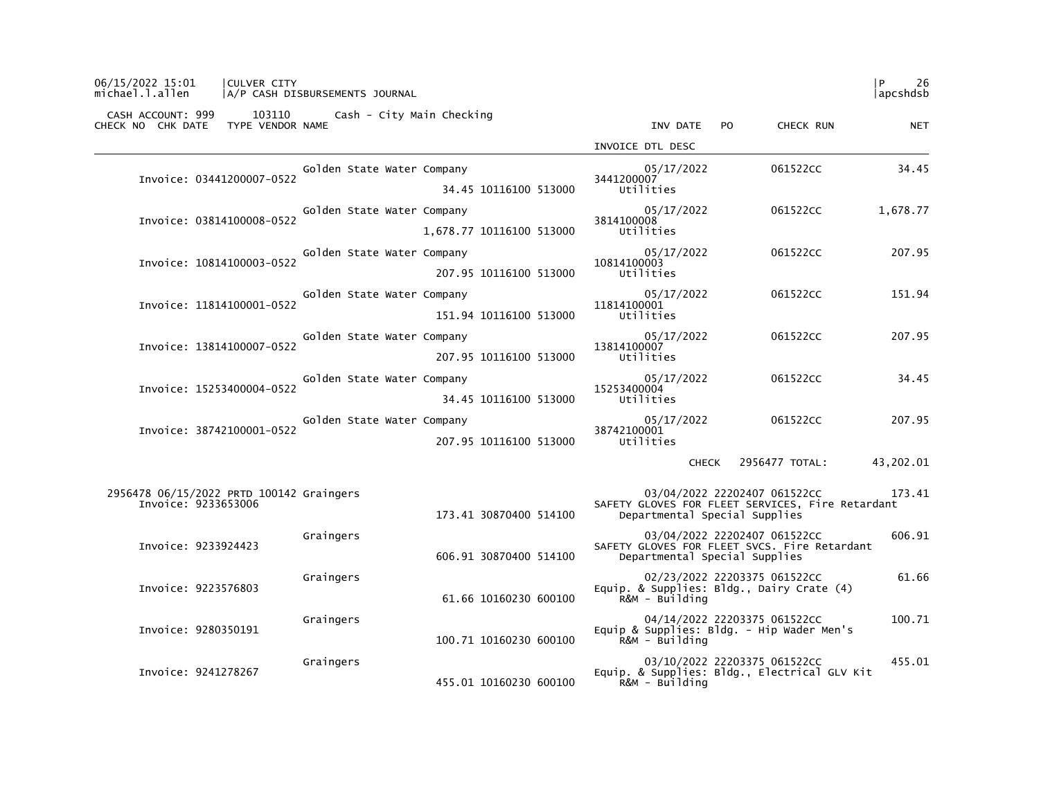| CASH ACCOUNT: 999<br>CHECK NO CHK DATE                          | 103110<br>TYPE VENDOR NAME | Cash - City Main Checking  |                          | INV DATE                                                                                                      | PO. | CHECK RUN                    | NET       |
|-----------------------------------------------------------------|----------------------------|----------------------------|--------------------------|---------------------------------------------------------------------------------------------------------------|-----|------------------------------|-----------|
|                                                                 |                            |                            |                          | INVOICE DTL DESC                                                                                              |     |                              |           |
| Invoice: 03441200007-0522                                       |                            | Golden State Water Company | 34.45 10116100 513000    | 05/17/2022<br>3441200007<br>Utilities                                                                         |     | 061522CC                     | 34.45     |
| Invoice: 03814100008-0522                                       |                            | Golden State Water Company | 1,678.77 10116100 513000 | 05/17/2022<br>3814100008<br>Utilities                                                                         |     | 061522CC                     | 1,678.77  |
| Invoice: 10814100003-0522                                       |                            | Golden State Water Company | 207.95 10116100 513000   | 05/17/2022<br>10814100003<br>Utilities                                                                        |     | 061522CC                     | 207.95    |
| Invoice: 11814100001-0522                                       |                            | Golden State Water Company | 151.94 10116100 513000   | 05/17/2022<br>11814100001<br>Utilities                                                                        |     | 061522CC                     | 151.94    |
| Invoice: 13814100007-0522                                       |                            | Golden State Water Company | 207.95 10116100 513000   | 05/17/2022<br>13814100007<br>Utilities                                                                        |     | 061522CC                     | 207.95    |
| Invoice: 15253400004-0522                                       |                            | Golden State Water Company | 34.45 10116100 513000    | 05/17/2022<br>15253400004<br>Utilities                                                                        |     | 061522CC                     | 34.45     |
| Invoice: 38742100001-0522                                       |                            | Golden State Water Company | 207.95 10116100 513000   | 05/17/2022<br>38742100001<br>Utilities                                                                        |     | 061522CC                     | 207.95    |
|                                                                 |                            |                            |                          |                                                                                                               |     | CHECK 2956477 TOTAL:         | 43,202.01 |
| 2956478 06/15/2022 PRTD 100142 Graingers<br>Invoice: 9233653006 |                            |                            | 173.41 30870400 514100   | SAFETY GLOVES FOR FLEET SERVICES, Fire Retardant<br>Departmental Special Supplies                             |     | 03/04/2022 22202407 061522CC | 173.41    |
| Invoice: 9233924423                                             |                            | Graingers                  | 606.91 30870400 514100   | 03/04/2022 22202407 061522CC<br>SAFETY GLOVES FOR FLEET SVCS. Fire Retardant<br>Departmental Special Supplies |     |                              | 606.91    |
| Invoice: 9223576803                                             |                            | Graingers                  | 61.66 10160230 600100    | 02/23/2022 22203375 061522CC<br>Equip. & Supplies: Bldg., Dairy Crate (4)<br>R&M - Building                   |     |                              | 61.66     |
| Invoice: 9280350191                                             |                            | Graingers                  | 100.71 10160230 600100   | 04/14/2022 22203375 061522CC<br>Equip & Supplies: Bldg. - Hip Wader Men's<br>$R$ &M - Building                |     |                              | 100.71    |
| Invoice: 9241278267                                             |                            | Graingers                  | 455.01 10160230 600100   | 03/10/2022 22203375 061522CC<br>Equip. & Supplies: Bldg., Electrical GLV Kit<br>$R\&M - Bui1$ ding            |     |                              | 455.01    |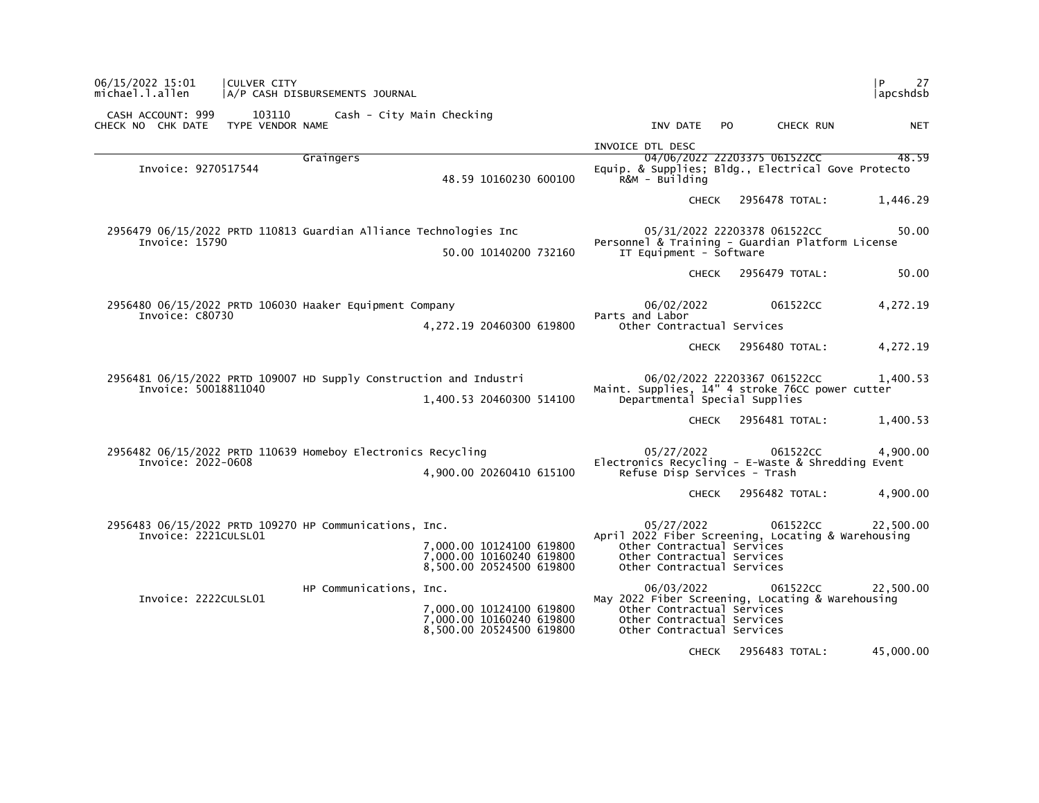| 06/15/2022 15:01<br>michael.l.allen                                                        | <b>ICULVER CITY</b> | A/P CASH DISBURSEMENTS JOURNAL   |                                                                                  |                                                                                                 |     |                              | P<br>27<br> apcshdsb |
|--------------------------------------------------------------------------------------------|---------------------|----------------------------------|----------------------------------------------------------------------------------|-------------------------------------------------------------------------------------------------|-----|------------------------------|----------------------|
| CASH ACCOUNT: 999<br>CHECK NO CHK DATE TYPE VENDOR NAME                                    |                     | 103110 Cash - City Main Checking |                                                                                  | INV DATE                                                                                        | PO. | CHECK RUN                    | <b>NET</b>           |
|                                                                                            |                     |                                  |                                                                                  | INVOICE DTL DESC                                                                                |     |                              |                      |
| Invoice: 9270517544                                                                        |                     | Graingers                        | 48.59 10160230 600100                                                            | Equip. & Supplies; Bldg., Electrical Gove Protecto<br>R&M - Building                            |     | 04/06/2022 22203375 061522CC | 48.59                |
|                                                                                            |                     |                                  |                                                                                  | <b>CHECK</b>                                                                                    |     | 2956478 TOTAL:               | 1,446.29             |
| 2956479 06/15/2022 PRTD 110813 Guardian Alliance Technologies Inc<br>Invoice: 15790        |                     |                                  | 50.00 10140200 732160                                                            | Personnel & Training - Guardian Platform License<br>IT Equipment - Software                     |     | 05/31/2022 22203378 061522CC | 50.00                |
|                                                                                            |                     |                                  |                                                                                  | <b>CHECK</b>                                                                                    |     | 2956479 TOTAL:               | 50.00                |
| 2956480 06/15/2022 PRTD 106030 Haaker Equipment Company<br>Invoice: C80730                 |                     |                                  | 4,272.19 20460300 619800                                                         | 06/02/2022<br>Parts and Labor<br>Other Contractual Services                                     |     | 061522CC                     | 4,272.19             |
|                                                                                            |                     |                                  |                                                                                  | <b>CHECK</b>                                                                                    |     | 2956480 TOTAL:               | 4,272.19             |
| 2956481 06/15/2022 PRTD 109007 HD Supply Construction and Industri<br>Invoice: 50018811040 |                     |                                  | 1,400.53 20460300 514100                                                         | Maint. Supplies, 14" 4 stroke 76CC power cutter<br>Departmental Special Supplies                |     | 06/02/2022 22203367 061522CC | 1,400.53             |
|                                                                                            |                     |                                  |                                                                                  | CHECK                                                                                           |     | 2956481 TOTAL:               | 1,400.53             |
| 2956482 06/15/2022 PRTD 110639 Homeboy Electronics Recycling<br>Invoice: 2022-0608         |                     |                                  | 4,900.00 20260410 615100                                                         | 05/27/2022<br>Electronics Recycling - E-Waste & Shredding Event<br>Refuse Disp Services - Trash |     | 061522CC                     | 4,900.00             |
|                                                                                            |                     |                                  |                                                                                  | CHECK                                                                                           |     | 2956482 TOTAL:               | 4,900.00             |
| 2956483 06/15/2022 PRTD 109270 HP Communications, Inc.<br>Invoice: 2221CULSL01             |                     |                                  |                                                                                  | 05/27/2022<br>April 2022 Fiber Screening, Locating & Warehousing                                |     | 061522CC                     | 22,500.00            |
|                                                                                            |                     |                                  | 7,000.00 10124100 619800<br>7,000.00 10160240 619800<br>8,500.00 20524500 619800 | Other Contractual Services<br>Other Contractual Services<br>Other Contractual Services          |     |                              |                      |
| Invoice: 2222CULSL01                                                                       |                     | HP Communications, Inc.          |                                                                                  | 06/03/2022<br>May 2022 Fiber Screening, Locating & Warehousing                                  |     | 061522CC                     | 22,500.00            |
|                                                                                            |                     |                                  | 7,000.00 10124100 619800<br>7,000.00 10160240 619800<br>8,500.00 20524500 619800 | Other Contractual Services<br>Other Contractual Services<br>Other Contractual Services          |     |                              |                      |
|                                                                                            |                     |                                  |                                                                                  | <b>CHECK</b>                                                                                    |     | 2956483 TOTAL:               | 45,000.00            |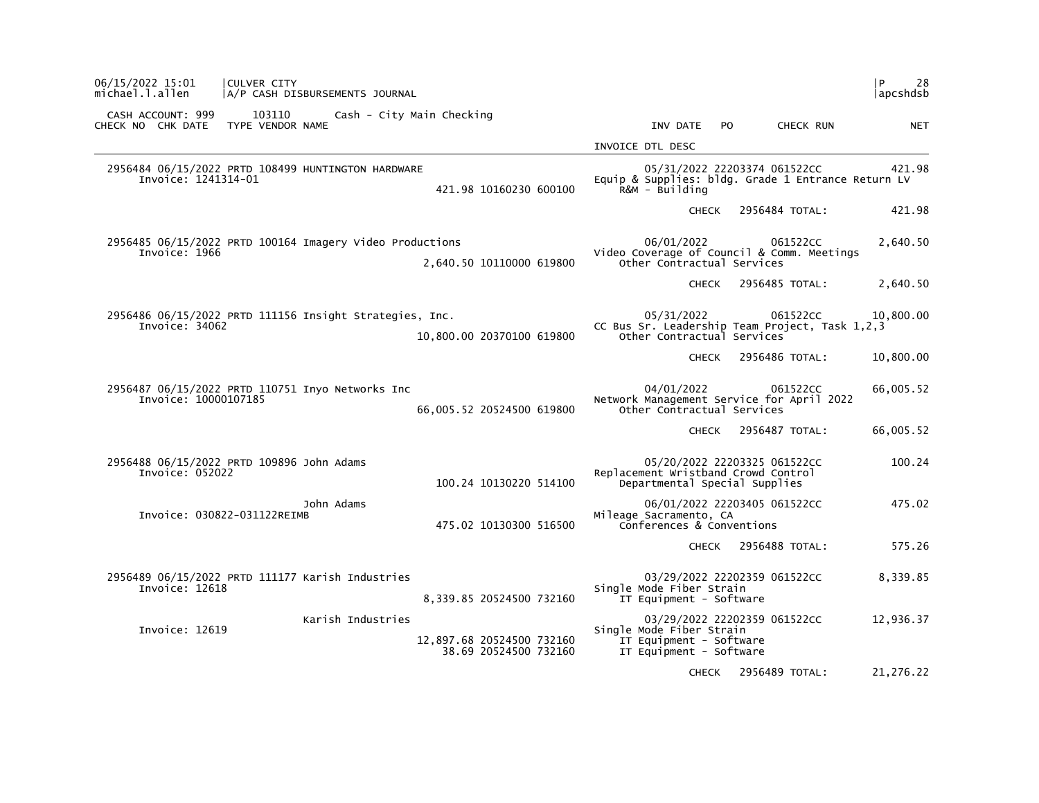| 06/15/2022 15:01<br>michael.l.allen                          | CULVER CITY<br>A/P CASH DISBURSEMENTS JOURNAL            |                                                    |                                                                                            |                                |           | l P<br>28<br> apcshdsb |
|--------------------------------------------------------------|----------------------------------------------------------|----------------------------------------------------|--------------------------------------------------------------------------------------------|--------------------------------|-----------|------------------------|
| CASH ACCOUNT: 999<br>CHECK NO CHK DATE                       | 103110<br>TYPE VENDOR NAME                               | Cash - City Main Checking                          | INV DATE                                                                                   | PO.                            | CHECK RUN | <b>NET</b>             |
|                                                              |                                                          |                                                    | INVOICE DTL DESC                                                                           |                                |           |                        |
| Invoice: 1241314-01                                          | 2956484 06/15/2022 PRTD 108499 HUNTINGTON HARDWARE       | 421.98 10160230 600100                             | Equip & Supplies: bldg. Grade 1 Entrance Return LV<br>R&M - Building                       | 05/31/2022 22203374 061522CC   |           | 421.98                 |
|                                                              |                                                          |                                                    | <b>CHECK</b>                                                                               | 2956484 TOTAL:                 |           | 421.98                 |
| Invoice: 1966                                                | 2956485 06/15/2022 PRTD 100164 Imagery Video Productions | 2,640.50 10110000 619800                           | 06/01/2022<br>Video Coverage of Council & Comm. Meetings<br>Other Contractual Services     |                                | 061522CC  | 2,640.50               |
|                                                              |                                                          |                                                    | <b>CHECK</b>                                                                               | 2956485 TOTAL:                 |           | 2,640.50               |
| Invoice: 34062                                               | 2956486 06/15/2022 PRTD 111156 Insight Strategies, Inc.  | 10,800.00 20370100 619800                          | 05/31/2022<br>CC Bus Sr. Leadership Team Project, Task 1,2,3<br>Other Contractual Services |                                | 061522CC  | 10,800.00              |
|                                                              |                                                          |                                                    |                                                                                            | 2956486 TOTAL:<br><b>CHECK</b> |           | 10,800.00              |
| Invoice: 10000107185                                         | 2956487 06/15/2022 PRTD 110751 Inyo Networks Inc         | 66,005.52 20524500 619800                          | 04/01/2022<br>Network Management Service for April 2022<br>Other Contractual Services      |                                | 061522CC  | 66,005.52              |
|                                                              |                                                          |                                                    |                                                                                            | CHECK 2956487 TOTAL:           |           | 66,005.52              |
| 2956488 06/15/2022 PRTD 109896 John Adams<br>Invoice: 052022 |                                                          | 100.24 10130220 514100                             | Replacement Wristband Crowd Control<br>Departmental Special Supplies                       | 05/20/2022 22203325 061522CC   |           | 100.24                 |
| Invoice: 030822-031122REIMB                                  | John Adams                                               | 475.02 10130300 516500                             | Mileage Sacramento, CA<br>Conferences & Conventions                                        | 06/01/2022 22203405 061522CC   |           | 475.02                 |
|                                                              |                                                          |                                                    |                                                                                            | CHECK 2956488 TOTAL:           |           | 575.26                 |
| Invoice: 12618                                               | 2956489 06/15/2022 PRTD 111177 Karish Industries         | 8,339.85 20524500 732160                           | Single Mode Fiber Strain<br>IT Equipment - Software                                        | 03/29/2022 22202359 061522CC   |           | 8,339.85               |
| Invoice: 12619                                               | Karish Industries                                        | 12,897.68 20524500 732160<br>38.69 20524500 732160 | Single Mode Fiber Strain<br>IT Equipment - Software<br>IT Equipment - Software             | 03/29/2022 22202359 061522CC   |           | 12,936.37              |
|                                                              |                                                          |                                                    | <b>CHECK</b>                                                                               | 2956489 TOTAL:                 |           | 21,276.22              |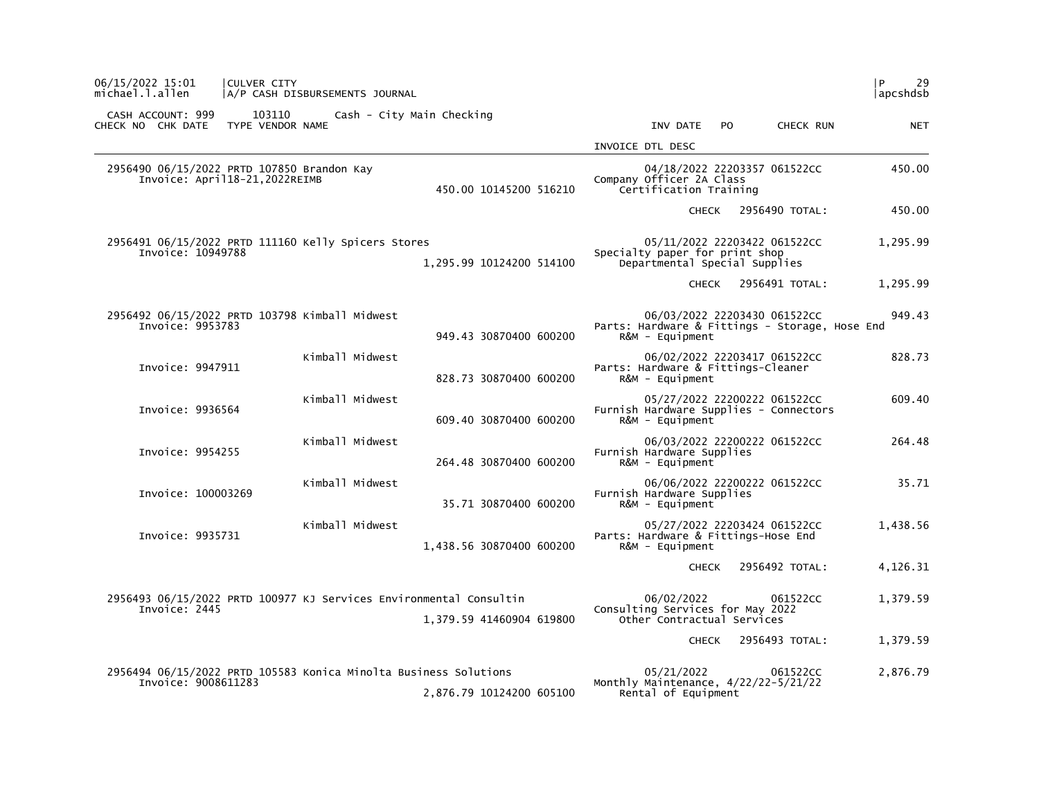| 06/15/2022 15:01<br> CULVER CITY<br>michael.l.allen                                     | A/P CASH DISBURSEMENTS JOURNAL |                           |                                                                                                              | P<br>29<br> apcshdsb |
|-----------------------------------------------------------------------------------------|--------------------------------|---------------------------|--------------------------------------------------------------------------------------------------------------|----------------------|
| CASH ACCOUNT: 999<br>CHECK NO CHK DATE                                                  | 103110<br>TYPE VENDOR NAME     | Cash - City Main Checking | INV DATE<br>PO.<br>CHECK RUN                                                                                 | <b>NET</b>           |
|                                                                                         |                                |                           | INVOICE DTL DESC                                                                                             |                      |
| 2956490 06/15/2022 PRTD 107850 Brandon Kay<br>Invoice: April18-21, 2022REIMB            |                                | 450.00 10145200 516210    | 04/18/2022 22203357 061522CC<br>Company Officer 2A Class<br>Certification Training                           | 450.00               |
|                                                                                         |                                |                           | 2956490 TOTAL:<br><b>CHECK</b>                                                                               | 450.00               |
| 2956491 06/15/2022 PRTD 111160 Kelly Spicers Stores<br>Invoice: 10949788                |                                | 1,295.99 10124200 514100  | 05/11/2022 22203422 061522CC<br>Specialty paper for print shop<br>Departmental Special Supplies              | 1,295.99             |
|                                                                                         |                                |                           | 2956491 TOTAL:<br><b>CHECK</b>                                                                               | 1,295.99             |
| 2956492 06/15/2022 PRTD 103798 Kimball Midwest<br>Invoice: 9953783                      |                                | 949.43 30870400 600200    | 06/03/2022 22203430 061522CC<br>Parts: Hardware & Fittings - Storage, Hose End<br>$R\&M - \text{Equi}$ pment | 949.43               |
| Invoice: 9947911                                                                        | Kimball Midwest                | 828.73 30870400 600200    | 06/02/2022 22203417 061522CC<br>Parts: Hardware & Fittings-Cleaner<br>R&M - Equipment                        | 828.73               |
| Invoice: 9936564                                                                        | Kimball Midwest                | 609.40 30870400 600200    | 05/27/2022 22200222 061522CC<br>Furnish Hardware Supplies - Connectors<br>$R&M - \text{Equi}$ pment          | 609.40               |
| Invoice: 9954255                                                                        | Kimball Midwest                | 264.48 30870400 600200    | 06/03/2022 22200222 061522CC<br>Furnish Hardware Supplies<br>$R\&M - \text{Equi}$                            | 264.48               |
| Invoice: 100003269                                                                      | Kimball Midwest                | 35.71 30870400 600200     | 06/06/2022 22200222 061522CC<br>Furnish Hardware Supplies<br>R&M - Equipment                                 | 35.71                |
| Invoice: 9935731                                                                        | Kimball Midwest                | 1,438.56 30870400 600200  | 05/27/2022 22203424 061522CC<br>Parts: Hardware & Fittings-Hose End<br>$R\&M - \text{Equi}$ pment            | 1,438.56             |
|                                                                                         |                                |                           | 2956492 TOTAL:<br><b>CHECK</b>                                                                               | 4,126.31             |
| 2956493 06/15/2022 PRTD 100977 KJ Services Environmental Consultin<br>Invoice: 2445     |                                | 1,379.59 41460904 619800  | 06/02/2022<br>061522CC<br>Consulting Services for May 2022<br>Other Contractual Services                     | 1,379.59             |
|                                                                                         |                                |                           | 2956493 TOTAL:<br><b>CHECK</b>                                                                               | 1,379.59             |
| 2956494 06/15/2022 PRTD 105583 Konica Minolta Business Solutions<br>Invoice: 9008611283 |                                | 2,876.79 10124200 605100  | 05/21/2022<br>061522CC<br>Monthly Maintenance, 4/22/22-5/21/22<br>Rental of Equipment                        | 2,876.79             |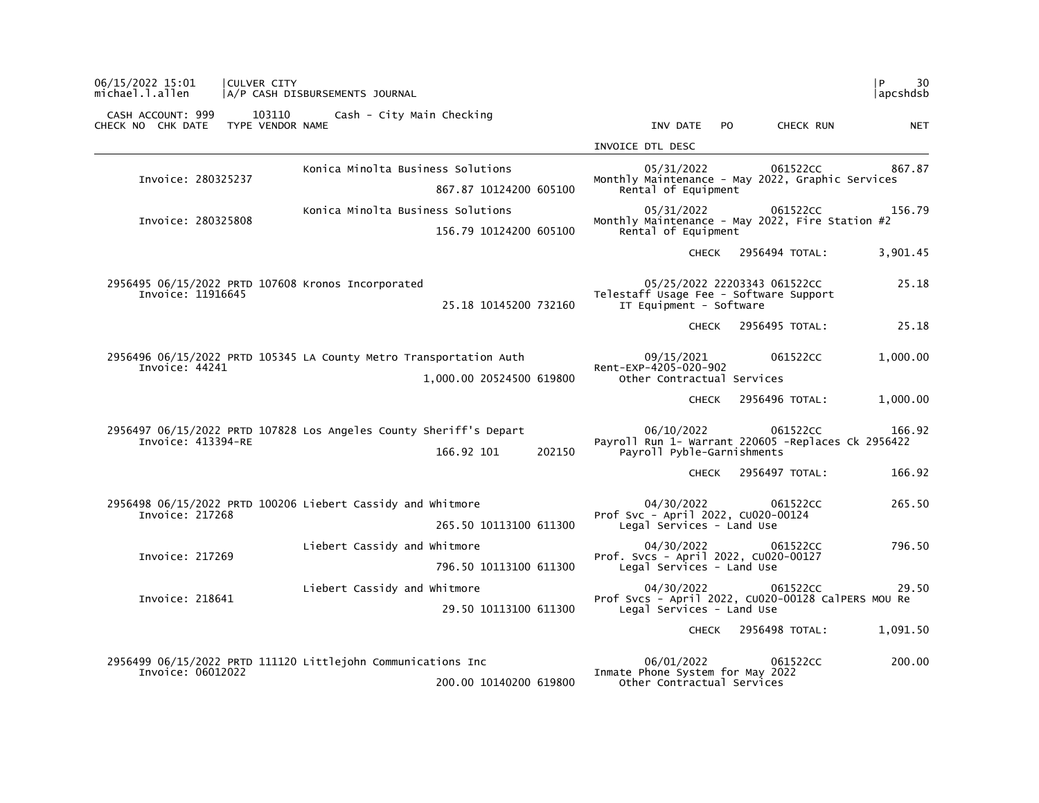| l P.<br>30<br> apcshdsb |                                                    |                                                                   |  |                          | A/P CASH DISBURSEMENTS JOURNAL                                     | <b>CULVER CITY</b>         |                                                                         | 06/15/2022 15:01<br>michael.l.allen |
|-------------------------|----------------------------------------------------|-------------------------------------------------------------------|--|--------------------------|--------------------------------------------------------------------|----------------------------|-------------------------------------------------------------------------|-------------------------------------|
| <b>NET</b>              | CHECK RUN                                          | INV DATE<br>PO.                                                   |  |                          | Cash - City Main Checking                                          | 103110<br>TYPE VENDOR NAME | CASH ACCOUNT: 999<br>CHECK NO CHK DATE                                  |                                     |
|                         |                                                    | INVOICE DTL DESC                                                  |  |                          |                                                                    |                            |                                                                         |                                     |
| 867.87                  | 061522CC                                           | 05/31/2022                                                        |  |                          | Konica Minolta Business Solutions                                  |                            |                                                                         |                                     |
|                         | Monthly Maintenance - May 2022, Graphic Services   | Rental of Equipment                                               |  | 867.87 10124200 605100   |                                                                    |                            | Invoice: 280325237                                                      |                                     |
| 156.79                  | 05/31/2022<br>061522CC                             |                                                                   |  |                          | Konica Minolta Business Solutions                                  |                            |                                                                         |                                     |
|                         | Monthly Maintenance - May 2022, Fire Station #2    | Rental of Equipment                                               |  | 156.79 10124200 605100   |                                                                    |                            | Invoice: 280325808                                                      |                                     |
| 3,901.45                | 2956494 TOTAL:                                     | <b>CHECK</b>                                                      |  |                          |                                                                    |                            |                                                                         |                                     |
| 25.18                   | Telestaff Usage Fee - Software Support             | 05/25/2022 22203343 061522CC<br>IT Equipment - Software           |  | 25.18 10145200 732160    |                                                                    |                            | 2956495 06/15/2022 PRTD 107608 Kronos Incorporated<br>Invoice: 11916645 |                                     |
| 25.18                   | 2956495 TOTAL:                                     | <b>CHECK</b>                                                      |  |                          |                                                                    |                            |                                                                         |                                     |
| 1,000.00                | 061522CC                                           | 09/15/2021                                                        |  |                          | 2956496 06/15/2022 PRTD 105345 LA County Metro Transportation Auth |                            |                                                                         |                                     |
|                         |                                                    | Rent-EXP-4205-020-902<br>Other Contractual Services               |  | 1,000.00 20524500 619800 |                                                                    |                            | Invoice: 44241                                                          |                                     |
| 1,000.00                | 2956496 TOTAL:                                     | <b>CHECK</b>                                                      |  |                          |                                                                    |                            |                                                                         |                                     |
| 166.92                  | 061522CC                                           | 06/10/2022                                                        |  |                          | 2956497 06/15/2022 PRTD 107828 Los Angeles County Sheriff's Depart |                            |                                                                         |                                     |
|                         | Payroll Run 1- Warrant 220605 -Replaces Ck 2956422 | Payroll Pyble-Garnishments                                        |  | 166.92 101<br>202150     |                                                                    |                            | Invoice: 413394-RE                                                      |                                     |
| 166.92                  | 2956497 TOTAL:                                     | <b>CHECK</b>                                                      |  |                          |                                                                    |                            |                                                                         |                                     |
| 265.50                  | 061522CC                                           | 04/30/2022                                                        |  |                          | 2956498 06/15/2022 PRTD 100206 Liebert Cassidy and Whitmore        |                            |                                                                         |                                     |
|                         |                                                    | Prof Svc - April 2022, CU020-00124<br>Legal Services - Land Use   |  | 265.50 10113100 611300   |                                                                    |                            | Invoice: 217268                                                         |                                     |
| 796.50                  | 061522CC                                           | 04/30/2022                                                        |  |                          | Liebert Cassidy and Whitmore                                       |                            |                                                                         |                                     |
|                         |                                                    | Prof. Svcs - April 2022, CU020-00127<br>Legal Services - Land Use |  | 796.50 10113100 611300   |                                                                    |                            | Invoice: 217269                                                         |                                     |
| 29.50                   | 061522CC                                           | 04/30/2022                                                        |  |                          | Liebert Cassidy and Whitmore                                       |                            |                                                                         |                                     |
|                         | Prof Svcs - April 2022, CU020-00128 CalPERS MOU Re | Legal Services - Land Use                                         |  | 29.50 10113100 611300    |                                                                    |                            | Invoice: 218641                                                         |                                     |
| 1,091.50                | 2956498 TOTAL:                                     | <b>CHECK</b>                                                      |  |                          |                                                                    |                            |                                                                         |                                     |
| 200.00                  | 061522CC                                           | 06/01/2022                                                        |  |                          | 2956499 06/15/2022 PRTD 111120 Littlejohn Communications Inc       |                            |                                                                         |                                     |
|                         |                                                    | Inmate Phone System for May 2022<br>Other Contractual Services    |  | 200.00 10140200 619800   |                                                                    |                            | Invoice: 06012022                                                       |                                     |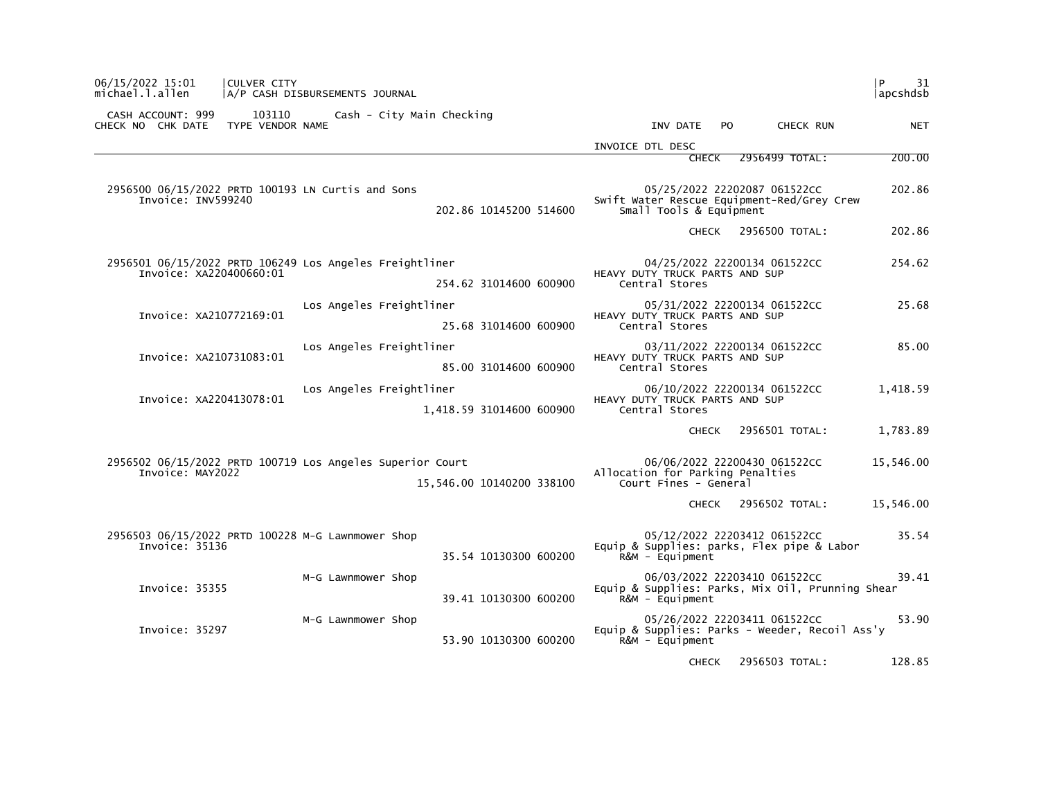| 06/15/2022 15:01<br>michael.l.allen                     | CULVER CITY | A/P CASH DISBURSEMENTS JOURNAL                            |                           |                                                           |                                                                                  | l P<br>31<br>apcshdsb |
|---------------------------------------------------------|-------------|-----------------------------------------------------------|---------------------------|-----------------------------------------------------------|----------------------------------------------------------------------------------|-----------------------|
| CASH ACCOUNT: 999<br>CHECK NO CHK DATE TYPE VENDOR NAME | 103110      | Cash - City Main Checking                                 |                           | INV DATE                                                  | PO.<br>CHECK RUN                                                                 | <b>NET</b>            |
|                                                         |             |                                                           |                           | INVOICE DTL DESC                                          |                                                                                  |                       |
|                                                         |             |                                                           |                           | <b>CHECK</b>                                              | 2956499 TOTAL:                                                                   | 200.00                |
| Invoice: INV599240                                      |             | 2956500 06/15/2022 PRTD 100193 LN Curtis and Sons         | 202.86 10145200 514600    | Small Tools & Equipment                                   | 05/25/2022 22202087 061522CC<br>Swift Water Rescue Equipment-Red/Grey Crew       | 202.86                |
|                                                         |             |                                                           |                           |                                                           | CHECK 2956500 TOTAL:                                                             | 202.86                |
| Invoice: XA220400660:01                                 |             | 2956501 06/15/2022 PRTD 106249 Los Angeles Freightliner   | 254.62 31014600 600900    | HEAVY DUTY TRUCK PARTS AND SUP<br>Central Stores          | 04/25/2022 22200134 061522CC                                                     | 254.62                |
| Invoice: XA210772169:01                                 |             | Los Angeles Freightliner                                  | 25.68 31014600 600900     | HEAVY DUTY TRUCK PARTS AND SUP<br>Central Stores          | 05/31/2022 22200134 061522CC                                                     | 25.68                 |
| Invoice: XA210731083:01                                 |             | Los Angeles Freightliner                                  | 85.00 31014600 600900     | HEAVY DUTY TRUCK PARTS AND SUP<br>Central Stores          | 03/11/2022 22200134 061522CC                                                     | 85.00                 |
| Invoice: XA220413078:01                                 |             | Los Angeles Freightliner                                  | 1,418.59 31014600 600900  | HEAVY DUTY TRUCK PARTS AND SUP<br>Central Stores          | 06/10/2022 22200134 061522CC                                                     | 1,418.59              |
|                                                         |             |                                                           |                           |                                                           | CHECK 2956501 TOTAL:                                                             | 1,783.89              |
| Invoice: MAY2022                                        |             | 2956502 06/15/2022 PRTD 100719 Los Angeles Superior Court | 15,546.00 10140200 338100 | Allocation for Parking Penalties<br>Court Fines - General | 06/06/2022 22200430 061522CC                                                     | 15,546.00             |
|                                                         |             |                                                           |                           |                                                           | CHECK 2956502 TOTAL:                                                             | 15,546.00             |
| Invoice: 35136                                          |             | 2956503 06/15/2022 PRTD 100228 M-G Lawnmower Shop         | 35.54 10130300 600200     | $R&M - \text{Equi}$ pment                                 | 05/12/2022 22203412 061522CC<br>Equip & Supplies: parks, Flex pipe & Labor       | 35.54                 |
| Invoice: 35355                                          |             | M-G Lawnmower Shop                                        | 39.41 10130300 600200     | $R&M - \text{Equi}$ pment                                 | 06/03/2022 22203410 061522CC<br>Equip & Supplies: Parks, Mix Oil, Prunning Shear | 39.41                 |
| Invoice: 35297                                          |             | M-G Lawnmower Shop                                        | 53.90 10130300 600200     | $R\&M - \text{Equi}$                                      | 05/26/2022 22203411 061522CC<br>Equip & Supplies: Parks - Weeder, Recoil Ass'y   | 53.90                 |
|                                                         |             |                                                           |                           |                                                           | CHECK 2956503 TOTAL:                                                             | 128.85                |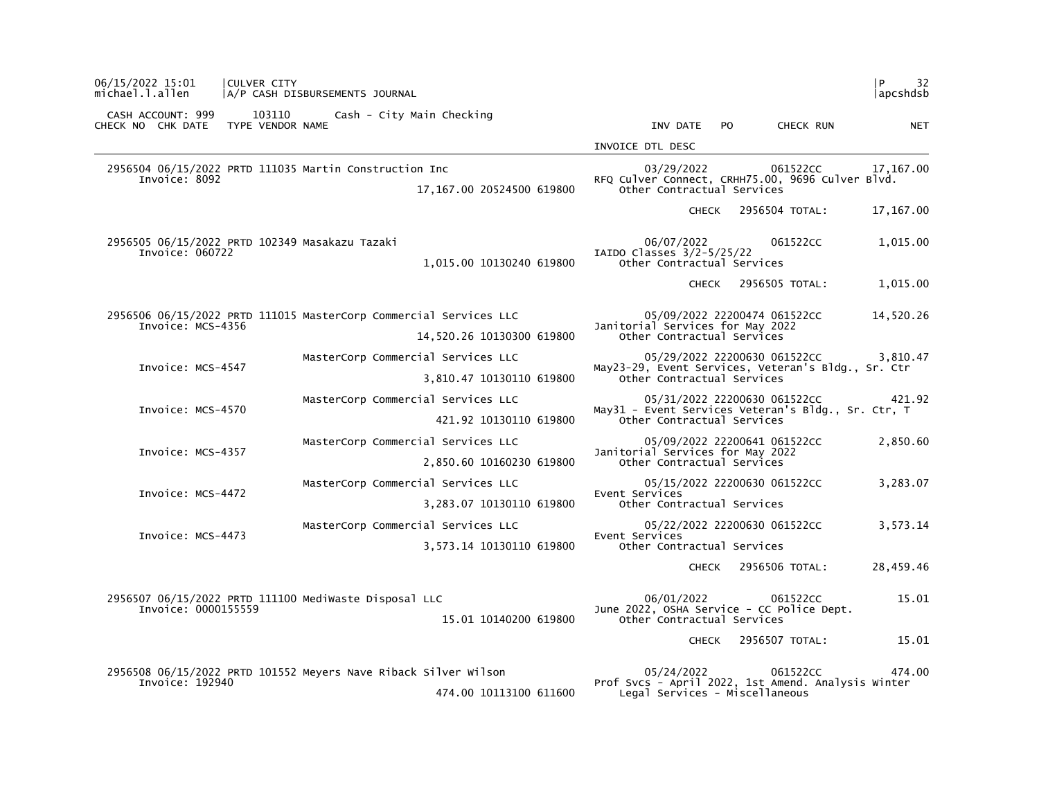| 06/15/2022 15:01<br>michael.l.allen    | CULVER CITY<br>A/P CASH DISBURSEMENTS JOURNAL                                       | 32<br>l P<br> apcshdsb                                                                                                 |
|----------------------------------------|-------------------------------------------------------------------------------------|------------------------------------------------------------------------------------------------------------------------|
| CASH ACCOUNT: 999<br>CHECK NO CHK DATE | 103110<br>Cash - City Main Checking<br>TYPE VENDOR NAME                             | INV DATE<br>PO.<br>CHECK RUN<br><b>NET</b>                                                                             |
|                                        |                                                                                     | INVOICE DTL DESC                                                                                                       |
| Invoice: 8092                          | 2956504 06/15/2022 PRTD 111035 Martin Construction Inc<br>17,167.00 20524500 619800 | 061522CC<br>03/29/2022<br>17, 167.00<br>RFQ Culver Connect, CRHH75.00, 9696 Culver Blvd.<br>Other Contractual Services |
|                                        |                                                                                     | 2956504 TOTAL:<br>17,167.00<br>CHECK                                                                                   |
| Invoice: 060722                        | 2956505 06/15/2022 PRTD 102349 Masakazu Tazaki<br>1,015.00 10130240 619800          | 06/07/2022<br>061522CC<br>1,015.00<br>IAIDO Classes 3/2-5/25/22<br>Other Contractual Services                          |
|                                        |                                                                                     | 2956505 TOTAL:<br>1,015.00<br>CHECK                                                                                    |
|                                        | 2956506 06/15/2022 PRTD 111015 MasterCorp Commercial Services LLC                   | 05/09/2022 22200474 061522CC<br>14,520.26                                                                              |
| Invoice: MCS-4356                      | 14,520.26 10130300 619800                                                           | Janitorial Services for May 2022<br>Other Contractual Services                                                         |
| Invoice: MCS-4547                      | MasterCorp Commercial Services LLC                                                  | 05/29/2022 22200630 061522CC<br>3,810.47<br>May23-29, Event Services, Veteran's Bldg., Sr. Ctr                         |
|                                        | 3,810.47 10130110 619800                                                            | Other Contractual Services                                                                                             |
| Invoice: MCS-4570                      | MasterCorp Commercial Services LLC                                                  | 421.92<br>05/31/2022 22200630 061522CC<br>May31 - Event Services Veteran's Bldg., Sr. Ctr, T                           |
|                                        | 421.92 10130110 619800                                                              | Other Contractual Services                                                                                             |
| Invoice: MCS-4357                      | MasterCorp Commercial Services LLC                                                  | 05/09/2022 22200641 061522CC<br>2,850.60<br>Janitorial Services for May 2022                                           |
|                                        | 2,850.60 10160230 619800                                                            | Other Contractual Services                                                                                             |
| Invoice: MCS-4472                      | MasterCorp Commercial Services LLC                                                  | 05/15/2022 22200630 061522CC<br>3,283.07<br>Event Services                                                             |
|                                        | 3, 283.07 10130110 619800                                                           | Other Contractual Services                                                                                             |
| Invoice: MCS-4473                      | MasterCorp Commercial Services LLC                                                  | 3,573.14<br>05/22/2022 22200630 061522CC<br>Event Services                                                             |
|                                        | 3,573.14 10130110 619800                                                            | Other Contractual Services                                                                                             |
|                                        |                                                                                     | 28,459.46<br>CHECK 2956506 TOTAL:                                                                                      |
| Invoice: 0000155559                    | 2956507 06/15/2022 PRTD 111100 Mediwaste Disposal LLC<br>15.01 10140200 619800      | 06/01/2022<br>061522CC<br>15.01<br>June 2022, OSHA Service - CC Police Dept.<br>Other Contractual Services             |
|                                        |                                                                                     | 2956507 TOTAL:<br>15.01<br><b>CHECK</b>                                                                                |
|                                        | 2956508 06/15/2022 PRTD 101552 Meyers Nave Riback Silver Wilson                     | 474.00<br>05/24/2022<br>061522CC                                                                                       |
| Invoice: 192940                        | 474.00 10113100 611600                                                              | Prof Svcs - April 2022, 1st Amend. Analysis Winter<br>Legal Services - Miscellaneous                                   |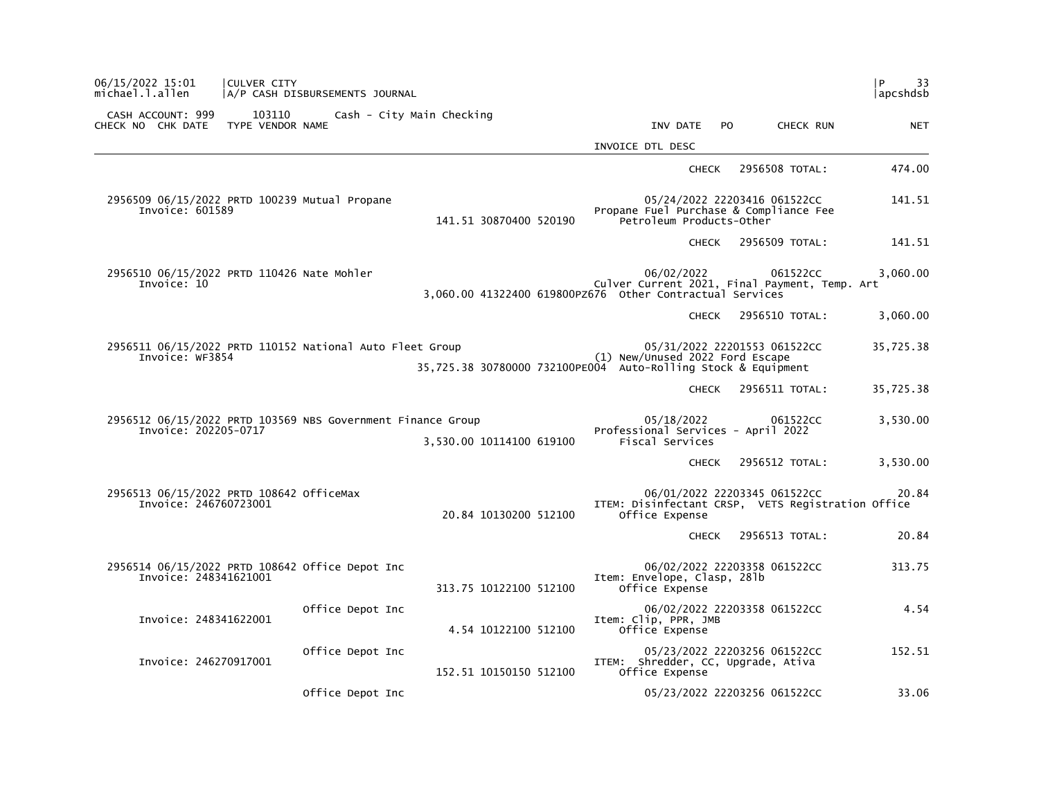| 06/15/2022 15:01<br>michael.l.allen                                                 | <b>CULVER CITY</b>         | A/P CASH DISBURSEMENTS JOURNAL |                                                               |                      |                  |                                                                                      |     |                                                           | $\mathsf{P}$<br>33<br> apcshdsb |
|-------------------------------------------------------------------------------------|----------------------------|--------------------------------|---------------------------------------------------------------|----------------------|------------------|--------------------------------------------------------------------------------------|-----|-----------------------------------------------------------|---------------------------------|
| CASH ACCOUNT: 999<br>CHECK NO CHK DATE                                              | 103110<br>TYPE VENDOR NAME |                                | Cash - City Main Checking                                     |                      |                  | INV DATE                                                                             | PO. | CHECK RUN                                                 | <b>NET</b>                      |
|                                                                                     |                            |                                |                                                               |                      | INVOICE DTL DESC |                                                                                      |     |                                                           |                                 |
|                                                                                     |                            |                                |                                                               |                      |                  | <b>CHECK</b>                                                                         |     | 2956508 TOTAL:                                            | 474.00                          |
| 2956509 06/15/2022 PRTD 100239 Mutual Propane<br>Invoice: 601589                    |                            |                                | 141.51 30870400 520190                                        |                      |                  | 05/24/2022 22203416 061522CC<br>Petroleum Products-Other                             |     | Propane Fuel Purchase & Compliance Fee                    | 141.51                          |
|                                                                                     |                            |                                |                                                               |                      |                  | <b>CHECK</b>                                                                         |     | 2956509 TOTAL:                                            | 141.51                          |
| 2956510 06/15/2022 PRTD 110426 Nate Mohler<br>Invoice: 10                           |                            |                                |                                                               |                      |                  | 06/02/2022                                                                           |     | 061522CC<br>Culver Current 2021, Final Payment, Temp. Art | 3,060.00                        |
|                                                                                     |                            |                                |                                                               |                      |                  | <b>CHECK</b>                                                                         |     | 2956510 TOTAL:                                            | 3,060.00                        |
| 2956511 06/15/2022 PRTD 110152 National Auto Fleet Group<br>Invoice: WF3854         |                            |                                | 35,725.38 30780000 732100PE004 Auto-Rolling Stock & Equipment |                      |                  | 05/31/2022 22201553 061522CC<br>(1) New/Unused 2022 Ford Escape                      |     |                                                           | 35,725.38                       |
|                                                                                     |                            |                                |                                                               |                      |                  | <b>CHECK</b>                                                                         |     | 2956511 TOTAL:                                            | 35,725.38                       |
| 2956512 06/15/2022 PRTD 103569 NBS Government Finance Group<br>Invoice: 202205-0717 |                            |                                | 3,530.00 10114100 619100                                      |                      |                  | 05/18/2022<br>Professional Services - April 2022<br>Fiscal Services                  |     | 061522CC                                                  | 3,530.00                        |
|                                                                                     |                            |                                |                                                               |                      |                  | <b>CHECK</b>                                                                         |     | 2956512 TOTAL:                                            | 3,530.00                        |
| 2956513 06/15/2022 PRTD 108642 OfficeMax<br>Invoice: 246760723001                   |                            |                                | 20.84 10130200 512100                                         |                      |                  | 06/01/2022 22203345 061522CC<br>Office Expense                                       |     | ITEM: Disinfectant CRSP, VETS Registration Office         | 20.84                           |
|                                                                                     |                            |                                |                                                               |                      |                  | <b>CHECK</b>                                                                         |     | 2956513 TOTAL:                                            | 20.84                           |
| 2956514 06/15/2022 PRTD 108642 Office Depot Inc<br>Invoice: 248341621001            |                            |                                | 313.75 10122100 512100                                        |                      |                  | 06/02/2022 22203358 061522CC<br>Item: Envelope, Clasp, 281b<br>Office Expense        |     |                                                           | 313.75                          |
| Invoice: 248341622001                                                               |                            | Office Depot Inc               |                                                               | 4.54 10122100 512100 |                  | 06/02/2022 22203358 061522CC<br>Item: Clip, PPR, JMB<br>Office Expense               |     |                                                           | 4.54                            |
| Invoice: 246270917001                                                               |                            | Office Depot Inc               | 152.51 10150150 512100                                        |                      |                  | 05/23/2022 22203256 061522CC<br>ITEM: Shredder, CC, Upgrade, Ativa<br>Office Expense |     |                                                           | 152.51                          |
|                                                                                     |                            | Office Depot Inc               |                                                               |                      |                  | 05/23/2022 22203256 061522CC                                                         |     |                                                           | 33.06                           |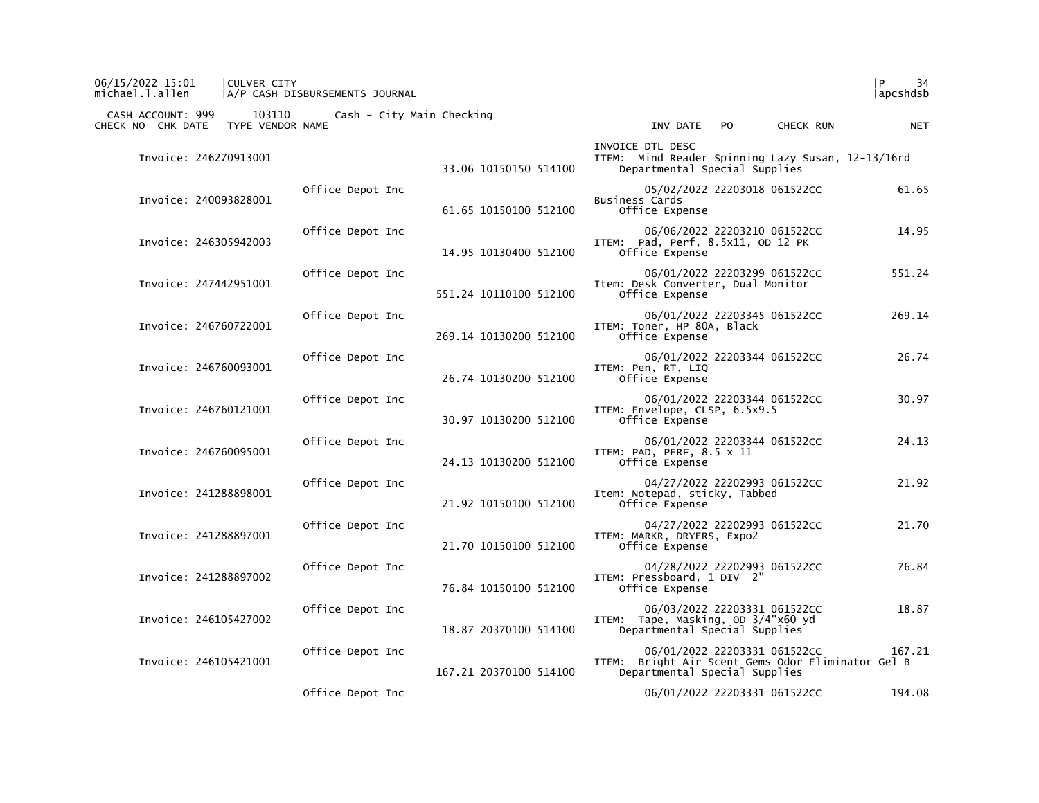## 06/15/2022 15:01 |CULVER CITY |P 34 michael.l.allen |A/P CASH DISBURSEMENTS JOURNAL |apcshdsb

| <b>NET</b> | CHECK RUN                                                                   | PO. | INV DATE                                                            |                        |                  | TYPE VENDOR NAME      | CHECK NO CHK DATE |
|------------|-----------------------------------------------------------------------------|-----|---------------------------------------------------------------------|------------------------|------------------|-----------------------|-------------------|
|            | ITEM: Mind Reader Spinning Lazy Susan, 12-13/16rd                           |     | INVOICE DTL DESC<br>Departmental Special Supplies                   | 33.06 10150150 514100  |                  | Invoice: 246270913001 |                   |
| 61.65      | 05/02/2022 22203018 061522CC                                                |     | Business Cards<br>Office Expense                                    | 61.65 10150100 512100  | Office Depot Inc | Invoice: 240093828001 |                   |
| 14.95      | 06/06/2022 22203210 061522CC                                                |     | ITEM: Pad, Perf, 8.5x11, OD 12 PK<br>Office Expense                 | 14.95 10130400 512100  | Office Depot Inc | Invoice: 246305942003 |                   |
| 551.24     | 06/01/2022 22203299 061522CC                                                |     | Item: Desk Converter, Dual Monitor<br>Office Expense                | 551.24 10110100 512100 | Office Depot Inc | Invoice: 247442951001 |                   |
| 269.14     | 06/01/2022 22203345 061522CC                                                |     | ITEM: Toner, HP 80A, Black<br>Office Expense                        | 269.14 10130200 512100 | Office Depot Inc | Invoice: 246760722001 |                   |
| 26.74      | 06/01/2022 22203344 061522CC                                                |     | ITEM: Pen, RT, LIQ<br>Office Expense                                | 26.74 10130200 512100  | Office Depot Inc | Invoice: 246760093001 |                   |
| 30.97      | 06/01/2022 22203344 061522CC                                                |     | ITEM: Envelope, CLSP, 6.5x9.5<br>Office Expense                     | 30.97 10130200 512100  | Office Depot Inc | Invoice: 246760121001 |                   |
| 24.13      | 06/01/2022 22203344 061522CC                                                |     | ITEM: PAD, PERF, 8.5 x 11<br>Office Expense                         | 24.13 10130200 512100  | Office Depot Inc | Invoice: 246760095001 |                   |
| 21.92      | 04/27/2022 22202993 061522CC                                                |     | Item: Notepad, sticky, Tabbed<br>Office Expense                     | 21.92 10150100 512100  | Office Depot Inc | Invoice: 241288898001 |                   |
| 21.70      | 04/27/2022 22202993 061522CC                                                |     | ITEM: MARKR, DRYERS, Expo2<br>Office Expense                        | 21.70 10150100 512100  | Office Depot Inc | Invoice: 241288897001 |                   |
| 76.84      | 04/28/2022 22202993 061522CC                                                |     | ITEM: Pressboard, 1 DIV 2"<br>Office Expense                        | 76.84 10150100 512100  | Office Depot Inc | Invoice: 241288897002 |                   |
| 18.87      | 06/03/2022 22203331 061522CC                                                |     | ITEM: Tape, Masking, OD 3/4"x60 yd<br>Departmental Special Supplies | 18.87 20370100 514100  | Office Depot Inc | Invoice: 246105427002 |                   |
| 167.21     | 06/01/2022 22203331 061522CC<br>Bright Air Scent Gems Odor Eliminator Gel B |     | ITEM:<br>Departmental Special Supplies                              | 167.21 20370100 514100 | Office Depot Inc | Invoice: 246105421001 |                   |
| 194.08     | 06/01/2022 22203331 061522CC                                                |     |                                                                     |                        | Office Depot Inc |                       |                   |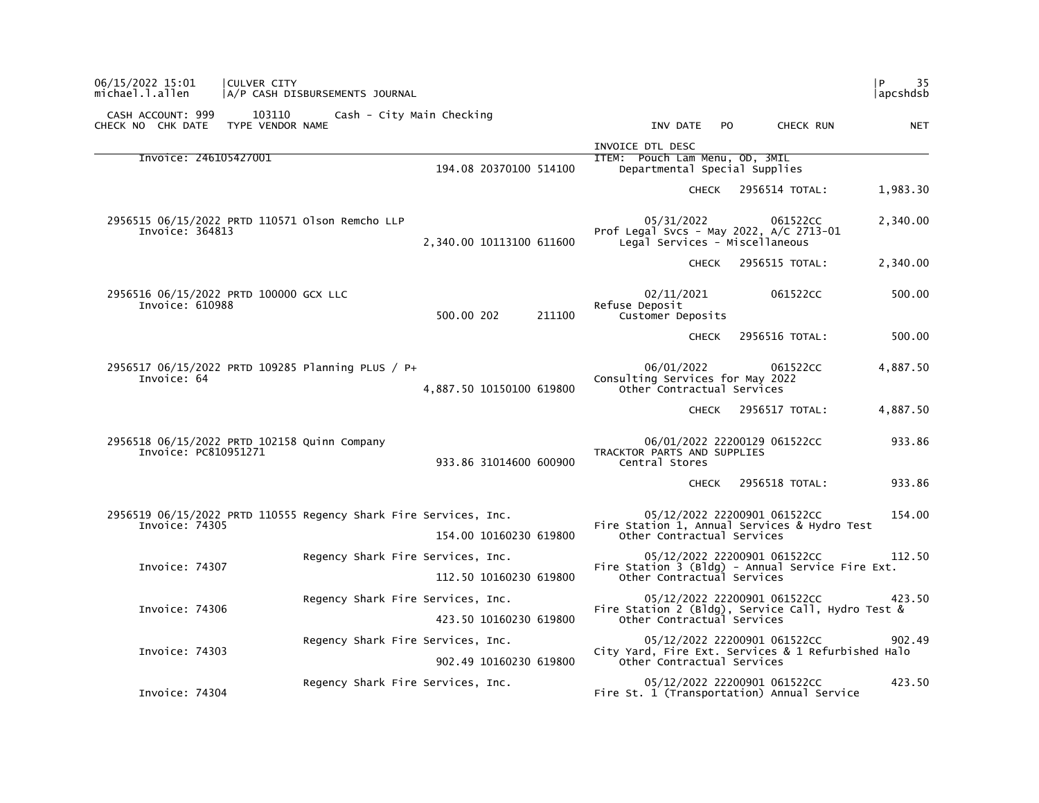| CASH ACCOUNT: 999<br>103110<br>CHECK NO CHK DATE<br>TYPE VENDOR NAME               | Cash - City Main Checking         |                          | INV DATE<br>PO<br>CHECK RUN                                                                                      | <b>NET</b> |
|------------------------------------------------------------------------------------|-----------------------------------|--------------------------|------------------------------------------------------------------------------------------------------------------|------------|
|                                                                                    |                                   |                          | INVOICE DTL DESC                                                                                                 |            |
| Invoice: 246105427001                                                              |                                   | 194.08 20370100 514100   | ITEM: Pouch Lam Menu, OD, 3MIL<br>Departmental Special Supplies                                                  |            |
|                                                                                    |                                   |                          | 2956514 TOTAL:<br>CHECK                                                                                          | 1,983.30   |
| 2956515 06/15/2022 PRTD 110571 01son Remcho LLP<br>Invoice: 364813                 |                                   | 2,340.00 10113100 611600 | 05/31/2022<br>061522CC<br>Prof Legal Svcs - May 2022, A/C 2713-01<br>Legal Services - Miscellaneous              | 2,340.00   |
|                                                                                    |                                   |                          | <b>CHECK</b><br>2956515 TOTAL:                                                                                   | 2,340.00   |
| 2956516 06/15/2022 PRTD 100000 GCX LLC<br>Invoice: 610988                          |                                   | 500.00 202<br>211100     | 02/11/2021<br>061522CC<br>Refuse Deposit<br>Customer Deposits                                                    | 500.00     |
|                                                                                    |                                   |                          | 2956516 TOTAL:<br><b>CHECK</b>                                                                                   | 500.00     |
| 2956517 06/15/2022 PRTD 109285 Planning PLUS / P+<br>Invoice: 64                   |                                   | 4,887.50 10150100 619800 | 06/01/2022<br>061522CC<br>Consulting Services for May 2022<br>Other Contractual Services                         | 4,887.50   |
|                                                                                    |                                   |                          | <b>CHECK</b><br>2956517 TOTAL:                                                                                   | 4,887.50   |
| 2956518 06/15/2022 PRTD 102158 Quinn Company<br>Invoice: PC810951271               |                                   | 933.86 31014600 600900   | 06/01/2022 22200129 061522CC<br>TRACKTOR PARTS AND SUPPLIES<br>Central Stores                                    | 933.86     |
|                                                                                    |                                   |                          | 2956518 TOTAL:<br><b>CHECK</b>                                                                                   | 933.86     |
| 2956519 06/15/2022 PRTD 110555 Regency Shark Fire Services, Inc.<br>Invoice: 74305 |                                   | 154.00 10160230 619800   | 05/12/2022 22200901 061522CC<br>Fire Station 1, Annual Services & Hydro Test<br>Other Contractual Services       | 154.00     |
| Invoice: 74307                                                                     | Regency Shark Fire Services, Inc. | 112.50 10160230 619800   | 05/12/2022 22200901 061522CC<br>Fire Station 3 (Bldg) - Annual Service Fire Ext.<br>Other Contractual Services   | 112.50     |
| Invoice: 74306                                                                     | Regency Shark Fire Services, Inc. | 423.50 10160230 619800   | 05/12/2022 22200901 061522CC<br>Fire Station 2 (Bldg), Service Call, Hydro Test &<br>Other Contractual Services  | 423.50     |
| Invoice: 74303                                                                     | Regency Shark Fire Services, Inc. | 902.49 10160230 619800   | 05/12/2022 22200901 061522CC<br>City Yard, Fire Ext. Services & 1 Refurbished Halo<br>Other Contractual Services | 902.49     |
| Invoice: 74304                                                                     | Regency Shark Fire Services, Inc. |                          | 05/12/2022 22200901 061522CC<br>Fire St. 1 (Transportation) Annual Service                                       | 423.50     |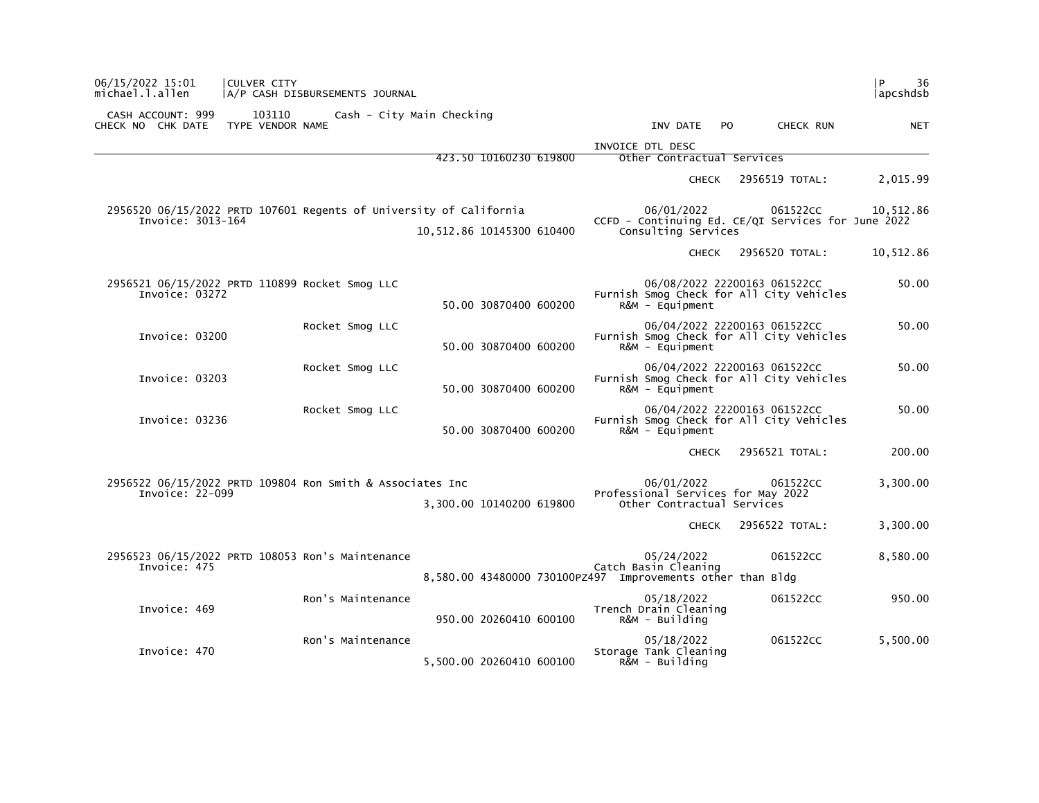| 36<br>P<br> apcshdsb                                                              |                                                                                |                                                            | CULVER CITY<br>A/P CASH DISBURSEMENTS JOURNAL                      | 06/15/2022 15:01<br>michael.l.allen    |
|-----------------------------------------------------------------------------------|--------------------------------------------------------------------------------|------------------------------------------------------------|--------------------------------------------------------------------|----------------------------------------|
| PO.<br>CHECK RUN<br><b>NET</b>                                                    | INV DATE                                                                       |                                                            | 103110<br>Cash - City Main Checking<br>TYPE VENDOR NAME            | CASH ACCOUNT: 999<br>CHECK NO CHK DATE |
|                                                                                   | INVOICE DTL DESC                                                               | 423.50 10160230 619800                                     |                                                                    |                                        |
|                                                                                   | Other Contractual Services                                                     |                                                            |                                                                    |                                        |
| 2,015.99<br>2956519 TOTAL:                                                        | <b>CHECK</b>                                                                   |                                                            |                                                                    |                                        |
| 061522CC<br>10,512.86<br>CCFD - Continuing Ed. CE/QI Services for June 2022       | 06/01/2022<br>Consulting Services                                              | 10,512.86 10145300 610400                                  | 2956520 06/15/2022 PRTD 107601 Regents of University of California | Invoice: 3013-164                      |
| 10,512.86<br>2956520 TOTAL:                                                       | <b>CHECK</b>                                                                   |                                                            |                                                                    |                                        |
| 06/08/2022 22200163 061522CC<br>50.00<br>Furnish Smog Check for All City Vehicles | $R\&M - \text{Equi}$                                                           | 50.00 30870400 600200                                      | 2956521 06/15/2022 PRTD 110899 Rocket Smog LLC                     | Invoice: 03272                         |
| 50.00<br>06/04/2022 22200163 061522CC<br>Furnish Smog Check for All City Vehicles | $R&M - \text{Equi}$ pment                                                      | 50.00 30870400 600200                                      | Rocket Smog LLC                                                    | Invoice: 03200                         |
| 06/04/2022 22200163 061522CC<br>50.00<br>Furnish Smog Check for All City Vehicles | R&M - Equipment                                                                | 50.00 30870400 600200                                      | Rocket Smog LLC                                                    | Invoice: 03203                         |
| 06/04/2022 22200163 061522CC<br>50.00<br>Furnish Smog Check for All City Vehicles | $R&M - \text{Equi}$ pment                                                      | 50.00 30870400 600200                                      | Rocket Smog LLC                                                    | Invoice: 03236                         |
| 2956521 TOTAL:<br>200.00                                                          | <b>CHECK</b>                                                                   |                                                            |                                                                    |                                        |
| 3,300.00<br>061522CC                                                              | 06/01/2022<br>Professional Services for May 2022<br>Other Contractual Services | 3,300.00 10140200 619800                                   | 2956522 06/15/2022 PRTD 109804 Ron Smith & Associates Inc          | Invoice: 22-099                        |
| 2956522 TOTAL:<br>3,300.00                                                        | <b>CHECK</b>                                                                   |                                                            |                                                                    |                                        |
| 061522CC<br>8,580.00                                                              | 05/24/2022<br>Catch Basin Cleaning                                             | 8,580.00 43480000 730100PZ497 Improvements other than Bldg | 2956523 06/15/2022 PRTD 108053 Ron's Maintenance                   | Invoice: 475                           |
| 950.00<br>061522CC                                                                | 05/18/2022<br>Trench Drain Cleaning<br>$R\&M - Bui1$ ding                      | 950.00 20260410 600100                                     | Ron's Maintenance                                                  | Invoice: 469                           |
| 061522CC<br>5,500.00                                                              | 05/18/2022<br>Storage Tank Cleaning<br>R&M - Building                          | 5,500.00 20260410 600100                                   | Ron's Maintenance                                                  | Invoice: 470                           |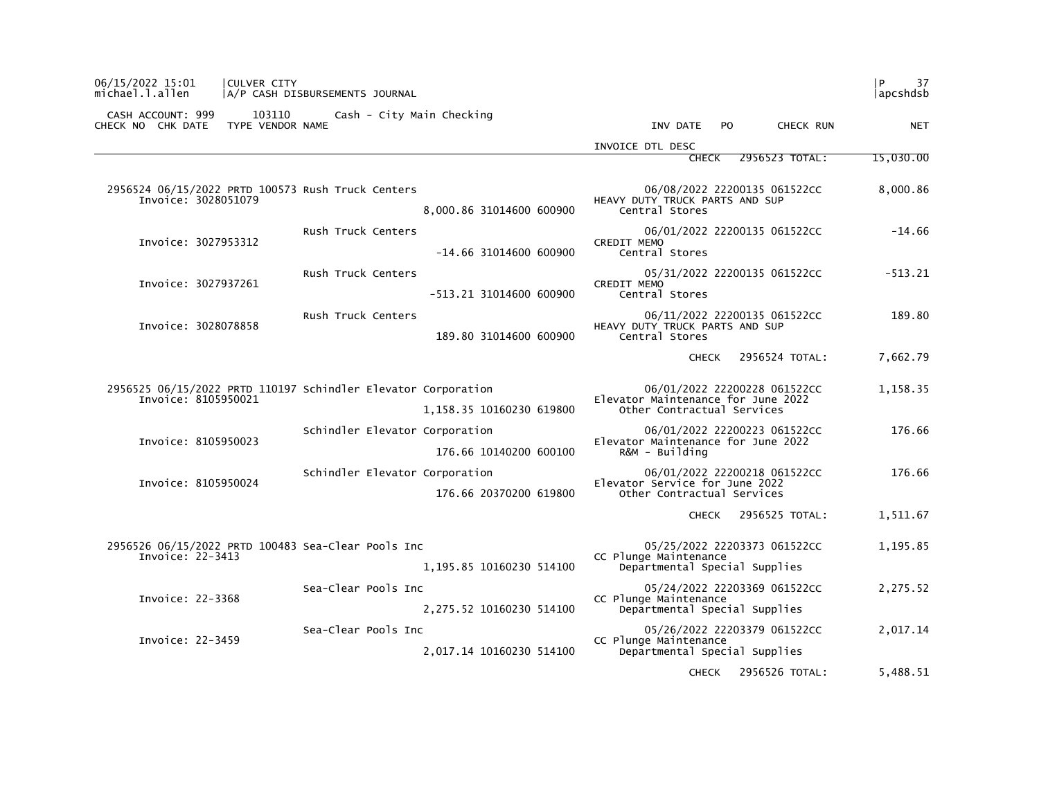| 06/15/2022 15:01<br>michael.l.allen                                                  | CULVER CITY<br>A/P CASH DISBURSEMENTS JOURNAL |                                |                          |                                                                  |                              | 37<br>l P.<br> apcshdsb |
|--------------------------------------------------------------------------------------|-----------------------------------------------|--------------------------------|--------------------------|------------------------------------------------------------------|------------------------------|-------------------------|
| CASH ACCOUNT: 999<br>CHECK NO CHK DATE                                               | 103110<br>TYPE VENDOR NAME                    | Cash - City Main Checking      |                          | INV DATE                                                         | PO.<br>CHECK RUN             | <b>NET</b>              |
|                                                                                      |                                               |                                |                          | INVOICE DTL DESC                                                 |                              |                         |
|                                                                                      |                                               |                                |                          | <b>CHECK</b>                                                     | 2956523 TOTAL:               | 15,030.00               |
| 2956524 06/15/2022 PRTD 100573 Rush Truck Centers<br>Invoice: 3028051079             |                                               |                                | 8,000.86 31014600 600900 | HEAVY DUTY TRUCK PARTS AND SUP<br>Central Stores                 | 06/08/2022 22200135 061522CC | 8,000.86                |
| Invoice: 3027953312                                                                  |                                               | Rush Truck Centers             | -14.66 31014600 600900   | CREDIT MEMO<br>Central Stores                                    | 06/01/2022 22200135 061522CC | $-14.66$                |
|                                                                                      |                                               |                                |                          |                                                                  |                              |                         |
| Invoice: 3027937261                                                                  |                                               | Rush Truck Centers             | -513.21 31014600 600900  | CREDIT MEMO<br>Central Stores                                    | 05/31/2022 22200135 061522CC | $-513.21$               |
| Invoice: 3028078858                                                                  |                                               | Rush Truck Centers             | 189.80 31014600 600900   | HEAVY DUTY TRUCK PARTS AND SUP<br>Central Stores                 | 06/11/2022 22200135 061522CC | 189.80                  |
|                                                                                      |                                               |                                |                          | <b>CHECK</b>                                                     | 2956524 TOTAL:               | 7,662.79                |
| 2956525 06/15/2022 PRTD 110197 Schindler Elevator Corporation<br>Invoice: 8105950021 |                                               |                                | 1,158.35 10160230 619800 | Elevator Maintenance for June 2022<br>Other Contractual Services | 06/01/2022 22200228 061522CC | 1,158.35                |
|                                                                                      |                                               | Schindler Elevator Corporation |                          |                                                                  | 06/01/2022 22200223 061522CC | 176.66                  |
| Invoice: 8105950023                                                                  |                                               |                                | 176.66 10140200 600100   | Elevator Maintenance for June 2022<br>$R&M - Building$           |                              |                         |
|                                                                                      |                                               | Schindler Elevator Corporation |                          |                                                                  | 06/01/2022 22200218 061522CC | 176.66                  |
| Invoice: 8105950024                                                                  |                                               |                                | 176.66 20370200 619800   | Elevator Service for June 2022<br>Other Contractual Services     |                              |                         |
|                                                                                      |                                               |                                |                          | <b>CHECK</b>                                                     | 2956525 TOTAL:               | 1,511.67                |
| 2956526 06/15/2022 PRTD 100483 Sea-Clear Pools Inc<br>Invoice: 22-3413               |                                               |                                | 1,195.85 10160230 514100 | CC Plunge Maintenance<br>Departmental Special Supplies           | 05/25/2022 22203373 061522CC | 1,195.85                |
| Invoice: 22-3368                                                                     |                                               | Sea-Clear Pools Inc            | 2,275.52 10160230 514100 | CC Plunge Maintenance<br>Departmental Special Supplies           | 05/24/2022 22203369 061522CC | 2,275.52                |
| Invoice: 22-3459                                                                     |                                               | Sea-Clear Pools Inc            | 2,017.14 10160230 514100 | CC Plunge Maintenance<br>Departmental Special Supplies           | 05/26/2022 22203379 061522CC | 2,017.14                |
|                                                                                      |                                               |                                |                          | <b>CHECK</b>                                                     | 2956526 TOTAL:               | 5,488.51                |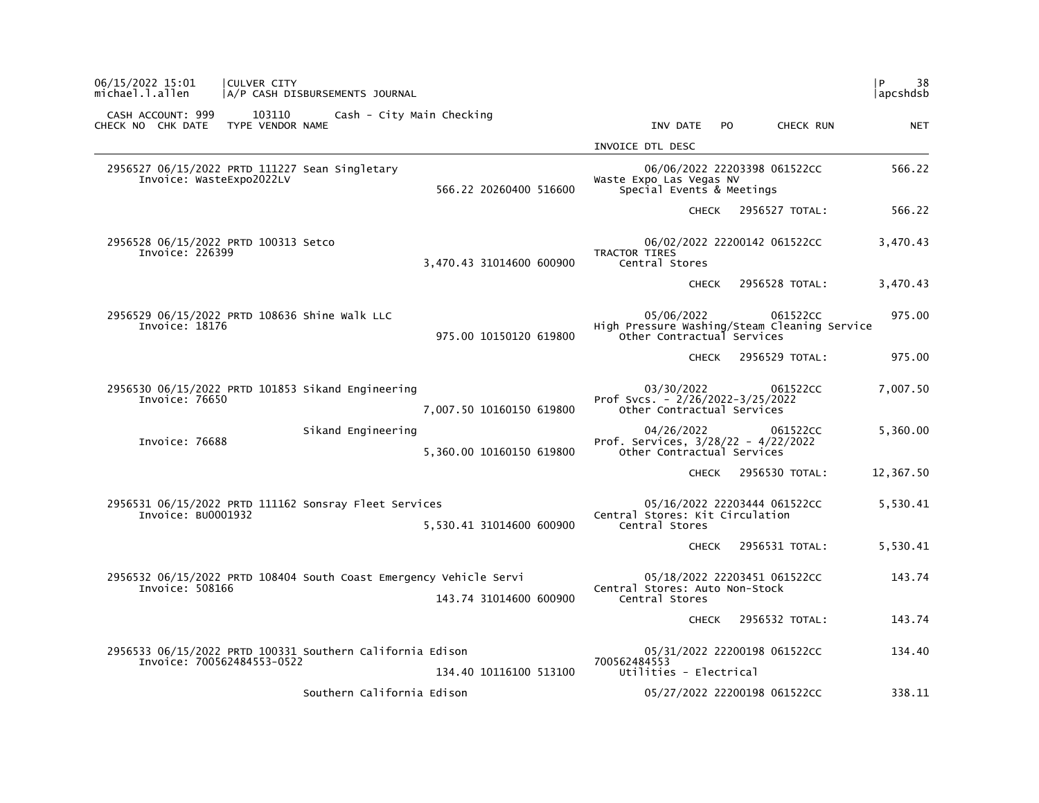| P<br>38<br> apcshdsb |                |                                                                                          |                          | A/P CASH DISBURSEMENTS JOURNAL                                     | CULVER CITY                          |                                                                 | 06/15/2022 15:01<br>michael.l.allen    |  |  |
|----------------------|----------------|------------------------------------------------------------------------------------------|--------------------------|--------------------------------------------------------------------|--------------------------------------|-----------------------------------------------------------------|----------------------------------------|--|--|
| <b>NET</b>           | CHECK RUN      | INV DATE<br>PO.                                                                          |                          | Cash - City Main Checking                                          | 103110<br>TYPE VENDOR NAME           |                                                                 | CASH ACCOUNT: 999<br>CHECK NO CHK DATE |  |  |
|                      |                | INVOICE DTL DESC                                                                         |                          |                                                                    |                                      |                                                                 |                                        |  |  |
| 566.22               |                | 06/06/2022 22203398 061522CC<br>Waste Expo Las Vegas NV<br>Special Events & Meetings     | 566.22 20260400 516600   | 2956527 06/15/2022 PRTD 111227 Sean Singletary                     |                                      |                                                                 | Invoice: WasteExpo2022LV               |  |  |
| 566.22               | 2956527 TOTAL: | <b>CHECK</b>                                                                             |                          |                                                                    |                                      |                                                                 |                                        |  |  |
| 3,470.43             |                | 06/02/2022 22200142 061522CC<br>TRACTOR TIRES<br>Central Stores                          | 3,470.43 31014600 600900 |                                                                    | 2956528 06/15/2022 PRTD 100313 Setco |                                                                 | Invoice: 226399                        |  |  |
| 3,470.43             | 2956528 TOTAL: | <b>CHECK</b>                                                                             |                          |                                                                    |                                      |                                                                 |                                        |  |  |
| 975.00               | 061522CC       | 05/06/2022<br>High Pressure Washing/Steam Cleaning Service<br>Other Contractual Services | 975.00 10150120 619800   |                                                                    |                                      | 2956529 06/15/2022 PRTD 108636 Shine Walk LLC<br>Invoice: 18176 |                                        |  |  |
| 975.00               | 2956529 TOTAL: | <b>CHECK</b>                                                                             |                          |                                                                    |                                      |                                                                 |                                        |  |  |
| 7,007.50             | 061522CC       | 03/30/2022<br>Prof Svcs. - 2/26/2022-3/25/2022<br>Other Contractual Services             | 7,007.50 10160150 619800 | 2956530 06/15/2022 PRTD 101853 Sikand Engineering                  |                                      |                                                                 | Invoice: 76650                         |  |  |
| 5,360.00             | 061522CC       | 04/26/2022<br>Prof. Services, $3/28/22 - 4/22/2022$<br>Other Contractual Services        | 5,360.00 10160150 619800 | Sikand Engineering                                                 |                                      |                                                                 | Invoice: 76688                         |  |  |
| 12,367.50            | 2956530 TOTAL: | <b>CHECK</b>                                                                             |                          |                                                                    |                                      |                                                                 |                                        |  |  |
| 5,530.41             |                | 05/16/2022 22203444 061522CC<br>Central Stores: Kit Circulation<br>Central Stores        | 5,530.41 31014600 600900 | 2956531 06/15/2022 PRTD 111162 Sonsray Fleet Services              |                                      |                                                                 | Invoice: BU0001932                     |  |  |
| 5,530.41             | 2956531 TOTAL: | <b>CHECK</b>                                                                             |                          |                                                                    |                                      |                                                                 |                                        |  |  |
| 143.74               |                | 05/18/2022 22203451 061522CC<br>Central Stores: Auto Non-Stock<br>Central Stores         | 143.74 31014600 600900   | 2956532 06/15/2022 PRTD 108404 South Coast Emergency Vehicle Servi |                                      |                                                                 | Invoice: 508166                        |  |  |
| 143.74               | 2956532 TOTAL: | <b>CHECK</b>                                                                             |                          |                                                                    |                                      |                                                                 |                                        |  |  |
| 134.40               |                | 05/31/2022 22200198 061522CC<br>700562484553<br>Utilities - Electrical                   | 134.40 10116100 513100   | 2956533 06/15/2022 PRTD 100331 Southern California Edison          | Invoice: 700562484553-0522           |                                                                 |                                        |  |  |
| 338.11               |                | 05/27/2022 22200198 061522CC                                                             |                          | Southern California Edison                                         |                                      |                                                                 |                                        |  |  |
|                      |                |                                                                                          |                          |                                                                    |                                      |                                                                 |                                        |  |  |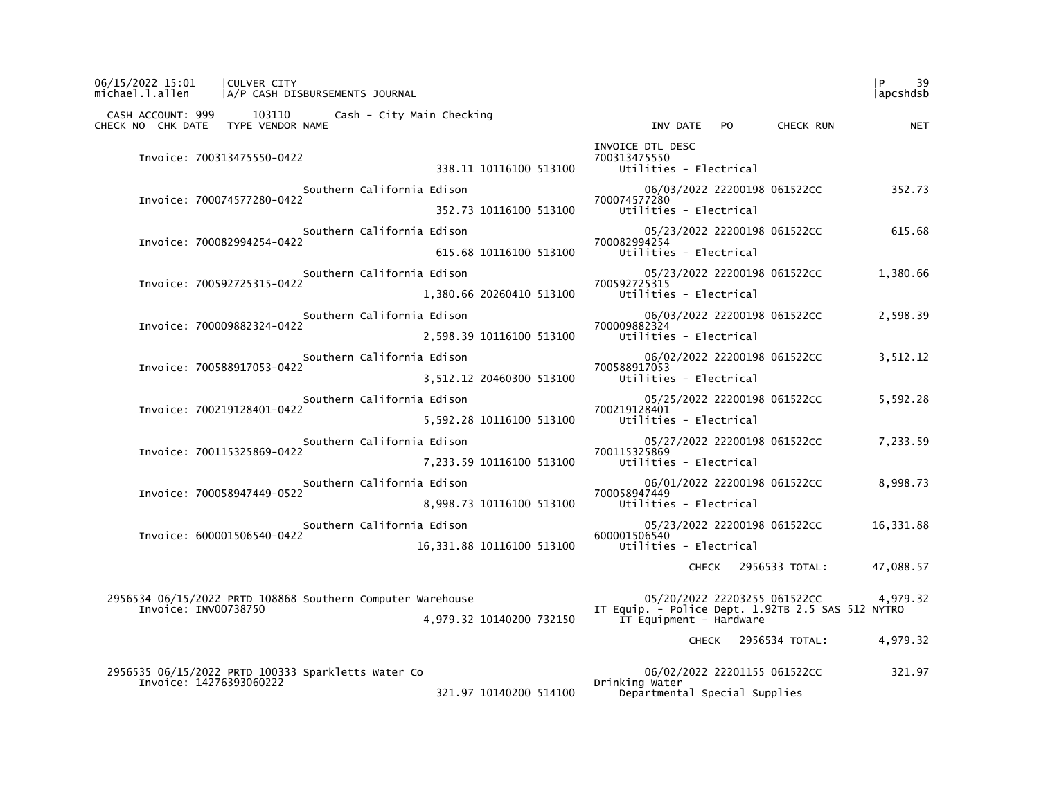| 06/15/2022 15:01<br>CULVER CITY<br>michael.l.allen<br> A/P CASH DISBURSEMENTS JOURNAL       |                                                                              | 39<br>P<br>lapcshdsb |  |
|---------------------------------------------------------------------------------------------|------------------------------------------------------------------------------|----------------------|--|
| CASH ACCOUNT: 999 103110 Cash - City Main Checking<br>TYPE VENDOR NAME<br>CHECK NO CHK DATE | INV DATE PO<br>CHECK RUN                                                     | <b>NET</b>           |  |
|                                                                                             | INVOICE DTL DESC                                                             |                      |  |
| Invoice: 700313475550-0422<br>338.11 10116100 513100                                        | 700313475550<br>Utilities - Electrical                                       |                      |  |
| Southern California Edison                                                                  | 06/03/2022 22200198 061522CC                                                 | 352.73               |  |
| Invoice: 700074577280-0422<br>352.73 10116100 513100                                        | 700074577280<br>Utilities - Electrical                                       |                      |  |
| Southern California Edison                                                                  | 05/23/2022 22200198 061522CC                                                 | 615.68               |  |
| Invoice: 700082994254-0422<br>615.68 10116100 513100                                        | 700082994254<br>Utilities - Electrical                                       |                      |  |
| Southern California Edison                                                                  | 05/23/2022 22200198 061522CC                                                 | 1,380.66             |  |
| Invoice: 700592725315-0422<br>1,380.66 20260410 513100                                      | 700592725315<br>Utilities - Electrical                                       |                      |  |
| Southern California Edison                                                                  | 06/03/2022 22200198 061522CC                                                 | 2,598.39             |  |
| Invoice: 700009882324-0422<br>2,598.39 10116100 513100                                      | 700009882324<br>Utilities - Electrical                                       |                      |  |
| Southern California Edison                                                                  | 06/02/2022 22200198 061522CC                                                 | 3,512.12             |  |
| Invoice: 700588917053-0422<br>3,512.12 20460300 513100                                      | 700588917053<br>Utilities - Electrical                                       |                      |  |
| Southern California Edison                                                                  | 05/25/2022 22200198 061522CC                                                 | 5,592.28             |  |
| Invoice: 700219128401-0422<br>5,592.28 10116100 513100                                      | 700219128401<br>Utilities - Electrical                                       |                      |  |
| Southern California Edison                                                                  | 05/27/2022 22200198 061522CC                                                 | 7,233.59             |  |
| Invoice: 700115325869-0422<br>7,233.59 10116100 513100                                      | 700115325869<br>Utilities - Electrical                                       |                      |  |
| Southern California Edison                                                                  | 06/01/2022 22200198 061522CC                                                 | 8,998.73             |  |
| Invoice: 700058947449-0522<br>8,998.73 10116100 513100                                      | 700058947449<br>Utilities - Electrical                                       |                      |  |
| Southern California Edison                                                                  | 05/23/2022 22200198 061522CC                                                 | 16,331.88            |  |
| Invoice: 600001506540-0422<br>16,331.88 10116100 513100                                     | 600001506540<br>Utilities - Electrical                                       |                      |  |
|                                                                                             | CHECK 2956533 TOTAL:                                                         | 47,088.57            |  |
| 2956534 06/15/2022 PRTD 108868 Southern Computer Warehouse                                  | 05/20/2022 22203255 061522CC 4,979.32                                        |                      |  |
| Invoice: INV00738750<br>4,979.32 10140200 732150                                            | IT Equip. - Police Dept. 1.92TB 2.5 SAS 512 NYTRO<br>IT Equipment - Hardware |                      |  |
|                                                                                             | CHECK 2956534 TOTAL:                                                         | 4,979.32             |  |
| 2956535 06/15/2022 PRTD 100333 Sparkletts Water Co                                          | 06/02/2022 22201155 061522CC                                                 | 321.97               |  |
| Invoice: 14276393060222<br>321.97 10140200 514100                                           | Drinking Water<br>Departmental Special Supplies                              |                      |  |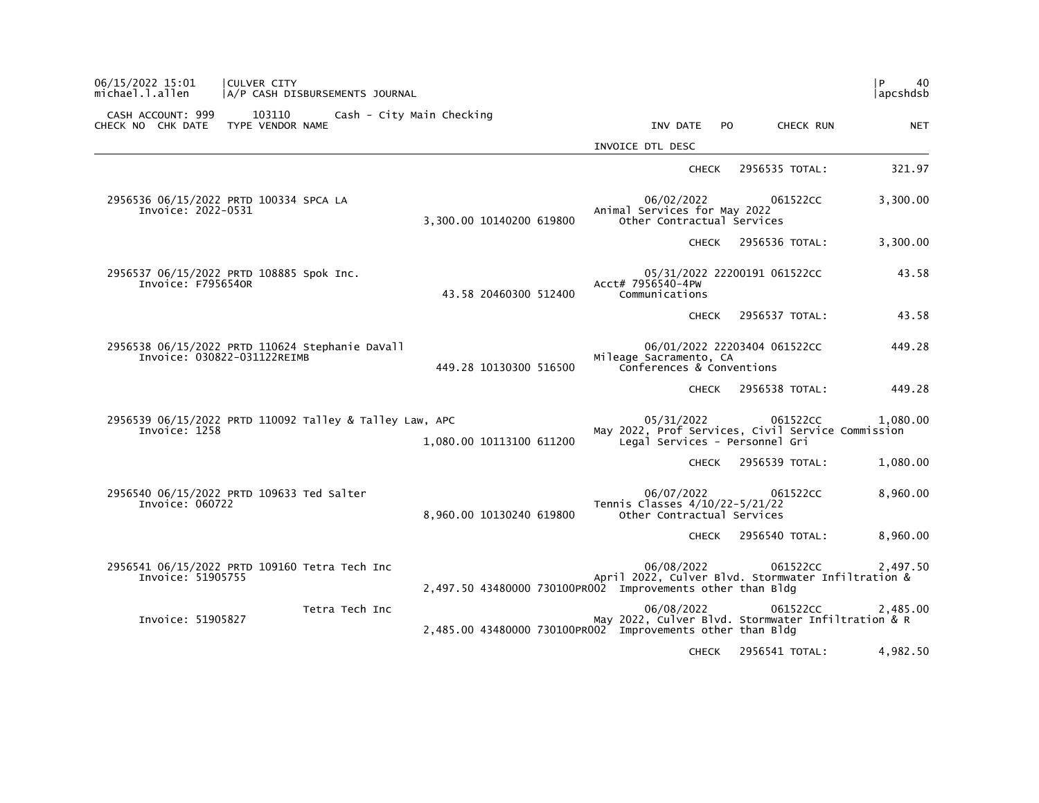| $\mathsf{P}$<br>40<br>apcshdsb |                              |                                                                                                                                |                          |                           |                | <b>CULVER CITY</b><br>A/P CASH DISBURSEMENTS JOURNAL                           |                                        | 06/15/2022 15:01<br>michael.l.allen |
|--------------------------------|------------------------------|--------------------------------------------------------------------------------------------------------------------------------|--------------------------|---------------------------|----------------|--------------------------------------------------------------------------------|----------------------------------------|-------------------------------------|
| <b>NET</b>                     | CHECK RUN                    | INV DATE<br>PO.                                                                                                                |                          | Cash - City Main Checking |                | 103110<br>TYPE VENDOR NAME                                                     | CASH ACCOUNT: 999<br>CHECK NO CHK DATE |                                     |
|                                |                              | INVOICE DTL DESC                                                                                                               |                          |                           |                |                                                                                |                                        |                                     |
| 321.97                         | 2956535 TOTAL:               | <b>CHECK</b>                                                                                                                   |                          |                           |                |                                                                                |                                        |                                     |
| 3,300.00                       | 061522CC                     | 06/02/2022<br>Animal Services for May 2022<br>Other Contractual Services                                                       | 3,300.00 10140200 619800 |                           |                | 2956536 06/15/2022 PRTD 100334 SPCA LA                                         | Invoice: 2022-0531                     |                                     |
| 3,300.00                       | 2956536 TOTAL:               | <b>CHECK</b>                                                                                                                   |                          |                           |                |                                                                                |                                        |                                     |
| 43.58                          | 05/31/2022 22200191 061522CC | Acct# 7956540-4PW<br>Communications                                                                                            | 43.58 20460300 512400    |                           |                | 2956537 06/15/2022 PRTD 108885 Spok Inc.                                       | Invoice: F7956540R                     |                                     |
| 43.58                          | 2956537 TOTAL:               | <b>CHECK</b>                                                                                                                   |                          |                           |                |                                                                                |                                        |                                     |
| 449.28                         | 06/01/2022 22203404 061522CC | Mileage Sacramento, CA<br>Conferences & Conventions                                                                            | 449.28 10130300 516500   |                           |                | 2956538 06/15/2022 PRTD 110624 Stephanie DaVall<br>Invoice: 030822-031122REIMB |                                        |                                     |
| 449.28                         | 2956538 TOTAL:               | <b>CHECK</b>                                                                                                                   |                          |                           |                |                                                                                |                                        |                                     |
| 1,080.00                       | 061522CC                     | 05/31/2022<br>May 2022, Prof Services, Civil Service Commission<br>Legal Services - Personnel Gri                              | 1,080.00 10113100 611200 |                           |                | 2956539 06/15/2022 PRTD 110092 Talley & Talley Law, APC                        | Invoice: 1258                          |                                     |
| 1,080.00                       | 2956539 TOTAL:               | <b>CHECK</b>                                                                                                                   |                          |                           |                |                                                                                |                                        |                                     |
| 8,960.00                       | 061522CC                     | 06/07/2022<br>Tennis Classes 4/10/22-5/21/22<br>Other Contractual Services                                                     | 8,960.00 10130240 619800 |                           |                | 2956540 06/15/2022 PRTD 109633 Ted Salter                                      | Invoice: 060722                        |                                     |
| 8,960.00                       | 2956540 TOTAL:               | <b>CHECK</b>                                                                                                                   |                          |                           |                |                                                                                |                                        |                                     |
| 2,497.50                       | 061522CC                     | 06/08/2022<br>April 2022, Culver Blvd. Stormwater Infiltration &<br>2,497.50 43480000 730100PR002 Improvements other than Bldg |                          |                           |                | 2956541 06/15/2022 PRTD 109160 Tetra Tech Inc                                  | Invoice: 51905755                      |                                     |
| 2,485.00                       | 061522CC                     | 06/08/2022<br>May 2022, Culver Blvd. Stormwater Infiltration & R<br>2,485.00 43480000 730100PR002 Improvements other than Bldg |                          |                           | Tetra Tech Inc |                                                                                | Invoice: 51905827                      |                                     |
| 4,982.50                       | 2956541 TOTAL:               | <b>CHECK</b>                                                                                                                   |                          |                           |                |                                                                                |                                        |                                     |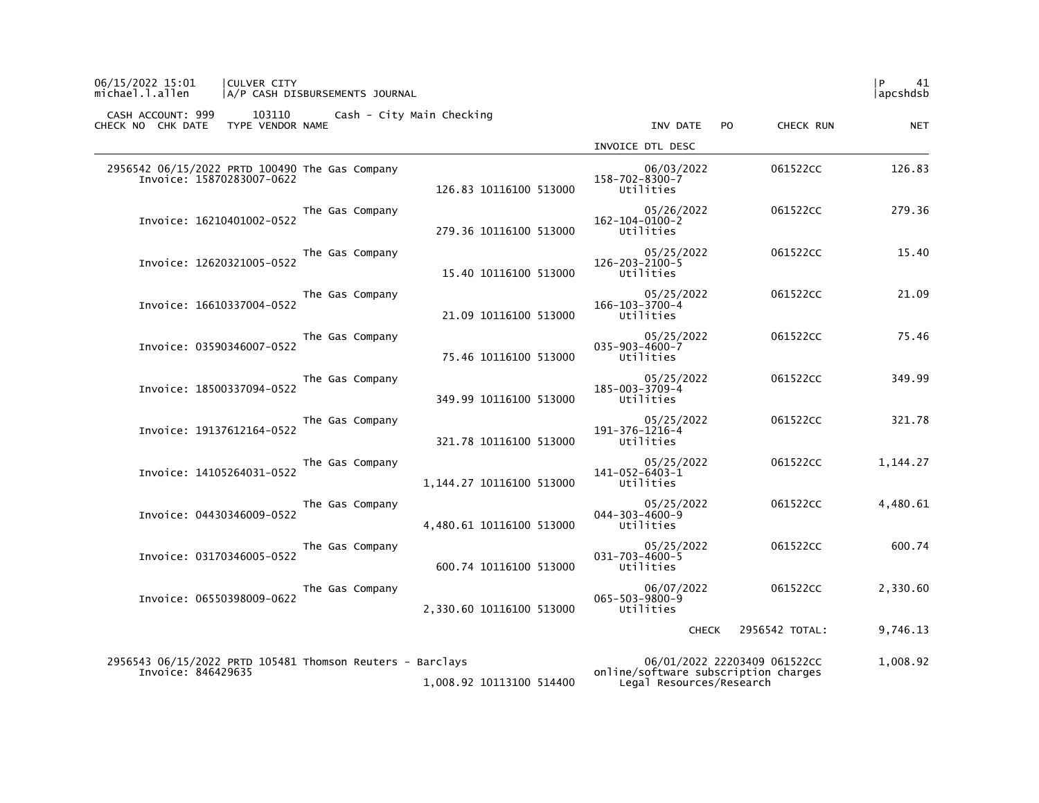| michael.l.allen<br>A/P CASH DISBURSEMENTS JOURNAL                                                           | apcshdsb                                                                                                     |            |
|-------------------------------------------------------------------------------------------------------------|--------------------------------------------------------------------------------------------------------------|------------|
| CASH ACCOUNT: 999<br>103110<br>Cash - City Main Checking<br>TYPE VENDOR NAME<br>CHECK NO CHK DATE           | INV DATE<br>CHECK RUN<br>P <sub>0</sub>                                                                      | <b>NET</b> |
|                                                                                                             | INVOICE DTL DESC                                                                                             |            |
| 2956542 06/15/2022 PRTD 100490 The Gas Company<br>Invoice: 15870283007-0622<br>126.83 10116100 513000       | 06/03/2022<br>061522CC<br>$158 - 702 - 8300 - 7$<br>Utilities                                                | 126.83     |
| The Gas Company<br>Invoice: 16210401002-0522<br>279.36 10116100 513000                                      | 05/26/2022<br>061522CC<br>$162 - 104 - 0100 - 2$<br>Utilities                                                | 279.36     |
| The Gas Company<br>Invoice: 12620321005-0522<br>15.40 10116100 513000                                       | 05/25/2022<br>061522CC<br>$126 - 203 - 2100 - 5$<br>Utilities                                                | 15.40      |
| The Gas Company<br>Invoice: 16610337004-0522<br>21.09 10116100 513000                                       | 05/25/2022<br>061522CC<br>$166 - 103 - 3700 - 4$<br>Utilities                                                | 21.09      |
| The Gas Company<br>Invoice: 03590346007-0522<br>75.46 10116100 513000                                       | 05/25/2022<br>061522CC<br>$035 - 903 - 4600 - 7$<br>Utilities                                                | 75.46      |
| The Gas Company<br>Invoice: 18500337094-0522<br>349.99 10116100 513000                                      | 05/25/2022<br>061522CC<br>185-003-3709-4<br>Utilities                                                        | 349.99     |
| The Gas Company<br>Invoice: 19137612164-0522<br>321.78 10116100 513000                                      | 05/25/2022<br>061522CC<br>191-376-1216-4<br>Utilities                                                        | 321.78     |
| The Gas Company<br>Invoice: 14105264031-0522<br>1,144.27 10116100 513000                                    | 061522CC<br>05/25/2022<br>1,144.27<br>141-052-6403-1<br>Utilities                                            |            |
| The Gas Company<br>Invoice: 04430346009-0522<br>4,480.61 10116100 513000                                    | 4,480.61<br>05/25/2022<br>061522CC<br>$044 - 303 - 4600 - 9$<br>Utilities                                    |            |
| The Gas Company<br>Invoice: 03170346005-0522<br>600.74 10116100 513000                                      | 05/25/2022<br>061522CC<br>$031 - 703 - 4600 - 5$<br>Utilities                                                | 600.74     |
| The Gas Company<br>Invoice: 06550398009-0622<br>2,330.60 10116100 513000                                    | 06/07/2022<br>061522CC<br>2,330.60<br>$065 - 503 - 9800 - 9$<br>Utilities                                    |            |
|                                                                                                             | 9,746.13<br>2956542 TOTAL:<br><b>CHECK</b>                                                                   |            |
| 2956543 06/15/2022 PRTD 105481 Thomson Reuters - Barclays<br>Invoice: 846429635<br>1.008.92 10113100 514400 | 06/01/2022 22203409 061522CC<br>1,008.92<br>online/software subscription charges<br>Legal Resources/Research |            |

06/15/2022 15:01 |CULVER CITY |P 41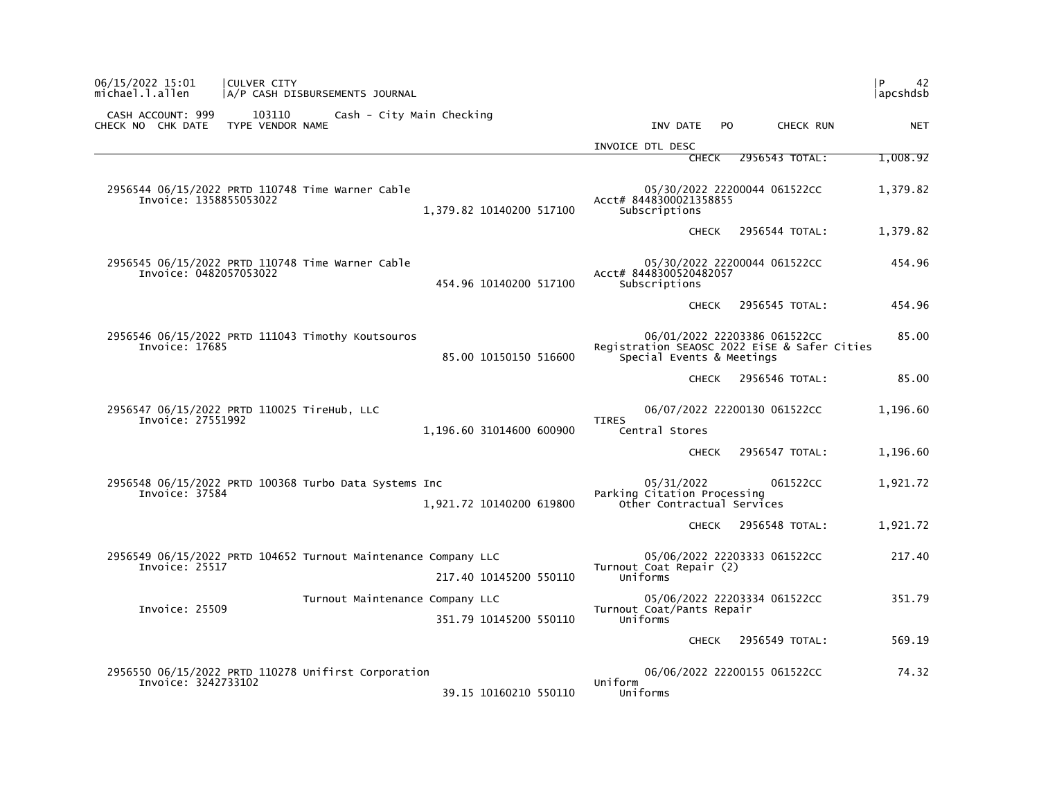| 06/15/2022 15:01<br>CULVER CITY<br>michael.l.allen<br>A/P CASH DISBURSEMENTS JOURNAL                       | l P<br>42<br> apcshdsb                                                                                             |
|------------------------------------------------------------------------------------------------------------|--------------------------------------------------------------------------------------------------------------------|
| CASH ACCOUNT: 999<br>103110<br>Cash - City Main Checking<br>CHECK NO CHK DATE<br>TYPE VENDOR NAME          | INV DATE<br>P <sub>O</sub><br>CHECK RUN<br><b>NET</b>                                                              |
|                                                                                                            | INVOICE DTL DESC                                                                                                   |
|                                                                                                            | 2956543 TOTAL:<br>1,008.92<br><b>CHECK</b>                                                                         |
| 2956544 06/15/2022 PRTD 110748 Time Warner Cable<br>Invoice: 1358855053022<br>1,379.82 10140200 517100     | 05/30/2022 22200044 061522CC<br>1,379.82<br>Acct# 8448300021358855<br>Subscriptions                                |
|                                                                                                            | 2956544 TOTAL:<br>1,379.82<br><b>CHECK</b>                                                                         |
| 2956545 06/15/2022 PRTD 110748 Time Warner Cable<br>Invoice: 0482057053022<br>454.96 10140200 517100       | 05/30/2022 22200044 061522CC<br>454.96<br>Acct# 8448300520482057<br>Subscriptions                                  |
|                                                                                                            | 2956545 TOTAL:<br>454.96<br><b>CHECK</b>                                                                           |
| 2956546 06/15/2022 PRTD 111043 Timothy Koutsouros<br>Invoice: 17685<br>85.00 10150150 516600               | 85.00<br>06/01/2022 22203386 061522CC<br>Registration SEAOSC 2022 EiSE & Safer Cities<br>Special Events & Meetings |
|                                                                                                            | 85.00<br>2956546 TOTAL:<br><b>CHECK</b>                                                                            |
| 2956547 06/15/2022 PRTD 110025 TireHub, LLC<br>Invoice: 27551992<br>1,196.60 31014600 600900               | 06/07/2022 22200130 061522CC<br>1,196.60<br><b>TIRES</b><br>Central Stores                                         |
|                                                                                                            | 2956547 TOTAL:<br>1,196.60<br><b>CHECK</b>                                                                         |
| 2956548 06/15/2022 PRTD 100368 Turbo Data Systems Inc<br>Invoice: 37584<br>1,921.72 10140200 619800        | 05/31/2022<br>061522CC<br>1,921.72<br>Parking Citation Processing<br>Other Contractual Services                    |
|                                                                                                            | 2956548 TOTAL:<br>1,921.72<br><b>CHECK</b>                                                                         |
| 2956549 06/15/2022 PRTD 104652 Turnout Maintenance Company LLC<br>Invoice: 25517<br>217.40 10145200 550110 | 05/06/2022 22203333 061522CC<br>217.40<br>Turnout Coat Repair (2)<br>Uniforms                                      |
| Turnout Maintenance Company LLC                                                                            | 05/06/2022 22203334 061522CC<br>351.79                                                                             |
| Invoice: 25509<br>351.79 10145200 550110                                                                   | Turnout Coat/Pants Repair<br>Uniforms                                                                              |
|                                                                                                            | 2956549 TOTAL:<br>569.19<br><b>CHECK</b>                                                                           |
| 2956550 06/15/2022 PRTD 110278 Unifirst Corporation<br>Invoice: 3242733102<br>39.15 10160210 550110        | 06/06/2022 22200155 061522CC<br>74.32<br>Uniform<br>Uniforms                                                       |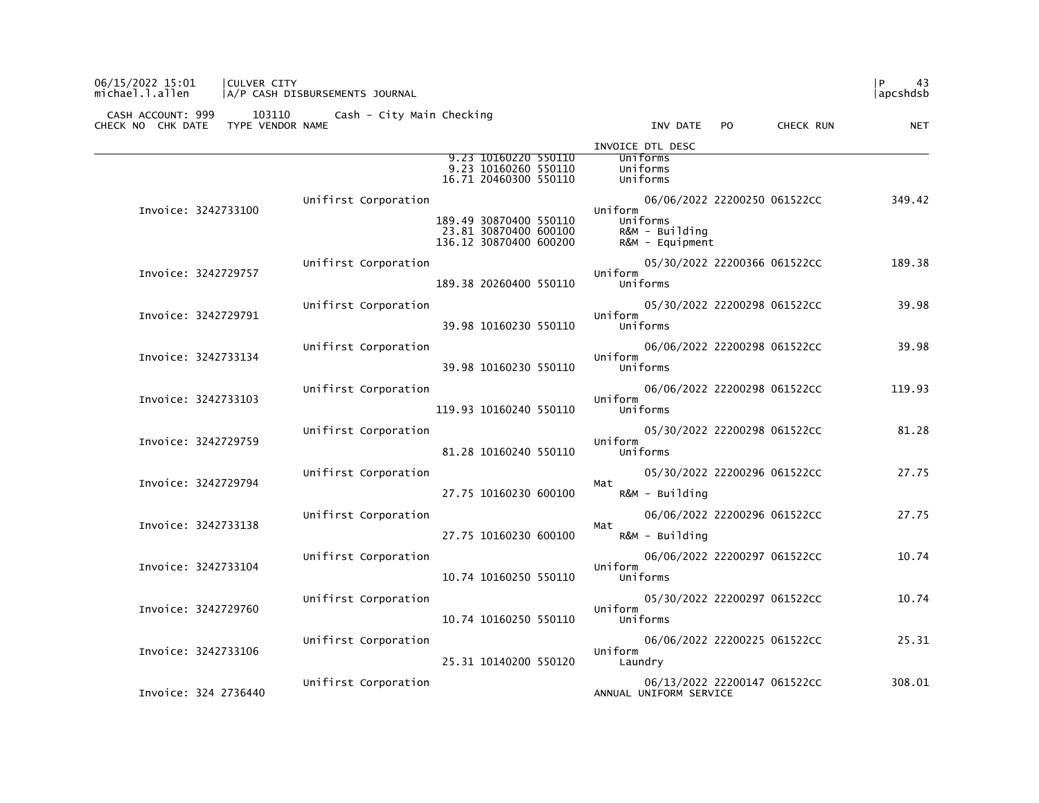## 06/15/2022 15:01 |CULVER CITY |P 43 michael.l.allen |A/P CASH DISBURSEMENTS JOURNAL |apcshdsb

|                      | 9.23 10160220 550110<br>9.23 10160260 550110                                                                               | INVOICE DTL DESC<br>Uniforms<br>Uniforms                                                                       |
|----------------------|----------------------------------------------------------------------------------------------------------------------------|----------------------------------------------------------------------------------------------------------------|
| Invoice: 3242733100  | 16.71 20460300 550110<br>Unifirst Corporation<br>189.49 30870400 550110<br>23.81 30870400 600100<br>136.12 30870400 600200 | Uniforms<br>349.42<br>06/06/2022 22200250 061522CC<br>Uniform<br>Uniforms<br>R&M - Building<br>R&M - Equipment |
| Invoice: 3242729757  | Unifirst Corporation<br>189.38 20260400 550110                                                                             | 189.38<br>05/30/2022 22200366 061522CC<br>Uniform<br>Uniforms                                                  |
| Invoice: 3242729791  | Unifirst Corporation<br>39.98 10160230 550110                                                                              | 05/30/2022 22200298 061522CC<br>39.98<br>Uniform<br>Uniforms                                                   |
| Invoice: 3242733134  | Unifirst Corporation<br>39.98 10160230 550110                                                                              | 39.98<br>06/06/2022 22200298 061522CC<br>Uniform<br>Uniforms                                                   |
| Invoice: 3242733103  | Unifirst Corporation<br>119.93 10160240 550110                                                                             | 06/06/2022 22200298 061522CC<br>119.93<br>Uniform<br>Uniforms                                                  |
| Invoice: 3242729759  | Unifirst Corporation<br>81.28 10160240 550110                                                                              | 81.28<br>05/30/2022 22200298 061522CC<br>Uniform<br>Uniforms                                                   |
| Invoice: 3242729794  | Unifirst Corporation<br>27.75 10160230 600100                                                                              | 27.75<br>05/30/2022 22200296 061522CC<br>Mat<br>R&M - Building                                                 |
| Invoice: 3242733138  | Unifirst Corporation<br>27.75 10160230 600100                                                                              | 27.75<br>06/06/2022 22200296 061522CC<br>Mat<br>R&M - Building                                                 |
| Invoice: 3242733104  | Unifirst Corporation<br>10.74 10160250 550110                                                                              | 10.74<br>06/06/2022 22200297 061522CC<br>Uniform<br>Uniforms                                                   |
| Invoice: 3242729760  | Unifirst Corporation<br>10.74 10160250 550110                                                                              | 10.74<br>05/30/2022 22200297 061522CC<br>Uniform<br>Uniforms                                                   |
| Invoice: 3242733106  | Unifirst Corporation<br>25.31 10140200 550120                                                                              | 25.31<br>06/06/2022 22200225 061522CC<br>Uniform<br>Laundry                                                    |
| Invoice: 324 2736440 | Unifirst Corporation                                                                                                       | 308.01<br>06/13/2022 22200147 061522CC<br>ANNUAL UNIFORM SERVICE                                               |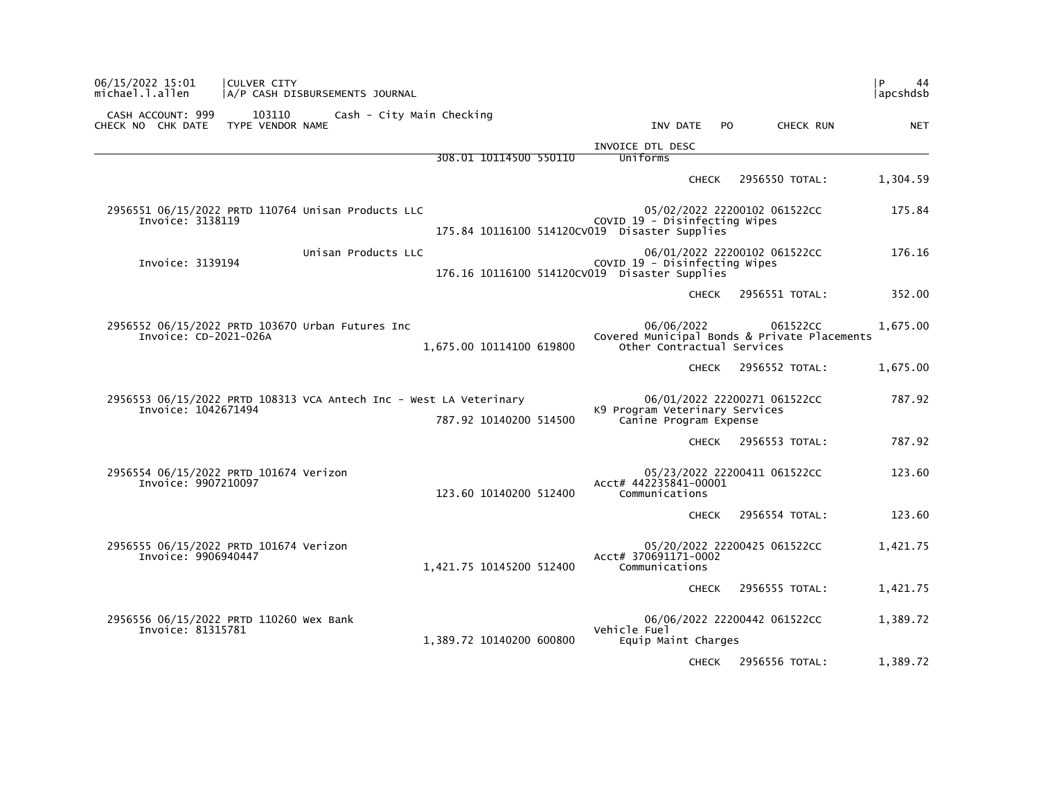| 06/15/2022 15:01<br>michael.l.allen    | CULVER CITY<br>A/P CASH DISBURSEMENTS JOURNAL                      |                           |                                                                                |                                                                                        | l P<br>44<br> apcshdsb |
|----------------------------------------|--------------------------------------------------------------------|---------------------------|--------------------------------------------------------------------------------|----------------------------------------------------------------------------------------|------------------------|
| CASH ACCOUNT: 999<br>CHECK NO CHK DATE | 103110<br>TYPE VENDOR NAME                                         | Cash - City Main Checking | INV DATE                                                                       | CHECK RUN<br>PO.                                                                       | <b>NET</b>             |
|                                        |                                                                    |                           | INVOICE DTL DESC                                                               |                                                                                        |                        |
|                                        |                                                                    | 308.01 10114500 550110    | Uniforms                                                                       |                                                                                        |                        |
|                                        |                                                                    |                           |                                                                                | <b>CHECK</b><br>2956550 TOTAL:                                                         | 1,304.59               |
| Invoice: 3138119                       | 2956551 06/15/2022 PRTD 110764 Unisan Products LLC                 |                           | COVID 19 - Disinfecting Wipes<br>175.84 10116100 514120CV019 Disaster Supplies | 05/02/2022 22200102 061522CC                                                           | 175.84                 |
| Invoice: 3139194                       | Unisan Products LLC                                                |                           | COVID 19 - Disinfecting Wipes<br>176.16 10116100 514120CV019 Disaster Supplies | 06/01/2022 22200102 061522CC                                                           | 176.16                 |
|                                        |                                                                    |                           |                                                                                | <b>CHECK</b><br>2956551 TOTAL:                                                         | 352.00                 |
| Invoice: CD-2021-026A                  | 2956552 06/15/2022 PRTD 103670 Urban Futures Inc                   | 1,675.00 10114100 619800  | 06/06/2022                                                                     | 061522CC<br>Covered Municipal Bonds & Private Placements<br>Other Contractual Services | 1.675.00               |
|                                        |                                                                    |                           |                                                                                | 2956552 TOTAL:<br><b>CHECK</b>                                                         | 1,675.00               |
| Invoice: 1042671494                    | 2956553 06/15/2022 PRTD 108313 VCA Antech Inc - West LA Veterinary | 787.92 10140200 514500    | K9 Program Veterinary Services<br>Canine Program Expense                       | 06/01/2022 22200271 061522CC                                                           | 787.92                 |
|                                        |                                                                    |                           |                                                                                | 2956553 TOTAL:<br><b>CHECK</b>                                                         | 787.92                 |
| Invoice: 9907210097                    | 2956554 06/15/2022 PRTD 101674 Verizon                             | 123.60 10140200 512400    | Acct# 442235841-00001<br>Communications                                        | 05/23/2022 22200411 061522CC                                                           | 123.60                 |
|                                        |                                                                    |                           |                                                                                | 2956554 TOTAL:<br><b>CHECK</b>                                                         | 123.60                 |
| Invoice: 9906940447                    | 2956555 06/15/2022 PRTD 101674 Verizon                             | 1,421.75 10145200 512400  | Acct# 370691171-0002<br>Communications                                         | 05/20/2022 22200425 061522CC                                                           | 1,421.75               |
|                                        |                                                                    |                           |                                                                                | 2956555 TOTAL:<br><b>CHECK</b>                                                         | 1,421.75               |
|                                        | 2956556 06/15/2022 PRTD 110260 Wex Bank                            |                           |                                                                                | 06/06/2022 22200442 061522CC                                                           | 1,389.72               |
| Invoice: 81315781                      |                                                                    | 1,389.72 10140200 600800  | Vehicle Fuel<br>Equip Maint Charges                                            |                                                                                        |                        |
|                                        |                                                                    |                           |                                                                                | <b>CHECK</b><br>2956556 TOTAL:                                                         | 1.389.72               |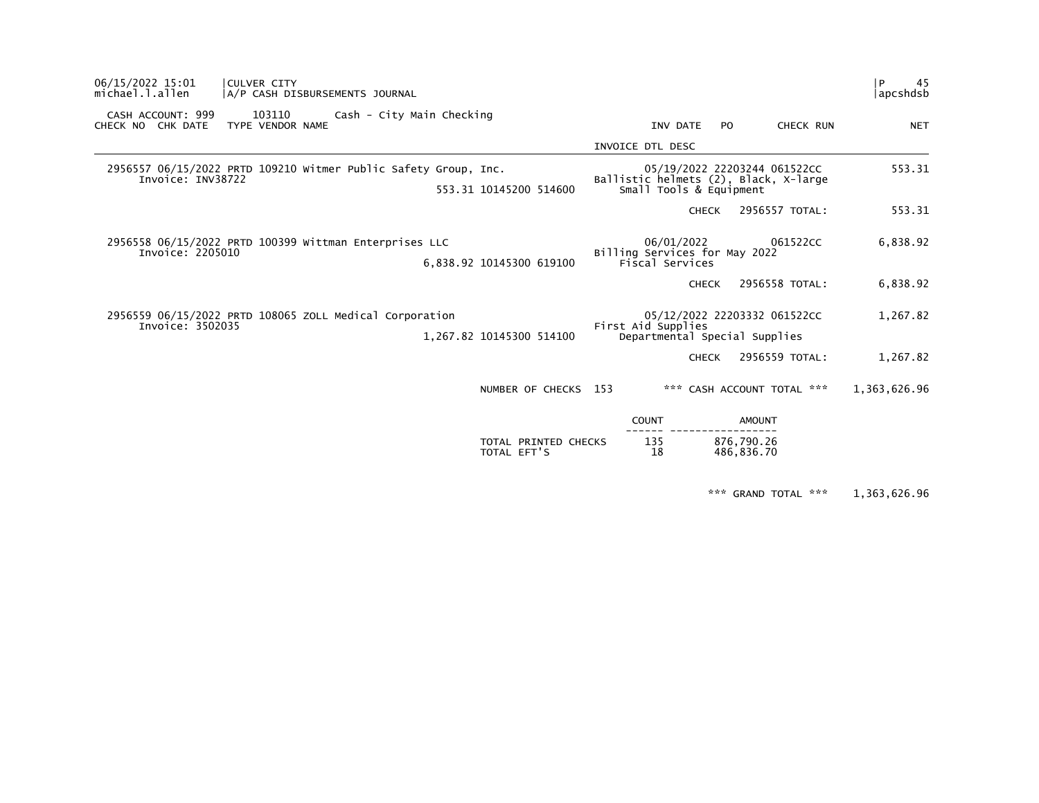| 06/15/2022 15:01<br>michael.l.allen                                                  | CULVER CITY                | A/P CASH DISBURSEMENTS JOURNAL |                           |                                                                |                                                                  |                              |                              | 45<br>l P<br>  apcshdsb |
|--------------------------------------------------------------------------------------|----------------------------|--------------------------------|---------------------------|----------------------------------------------------------------|------------------------------------------------------------------|------------------------------|------------------------------|-------------------------|
| CASH ACCOUNT: 999<br>CHECK NO CHK DATE                                               | 103110<br>TYPE VENDOR NAME |                                | Cash - City Main Checking |                                                                | INV DATE                                                         | PO.                          | CHECK RUN                    | <b>NET</b>              |
|                                                                                      |                            |                                |                           |                                                                | INVOICE DTL DESC                                                 |                              |                              |                         |
| 2956557 06/15/2022 PRTD 109210 Witmer Public Safety Group, Inc.<br>Invoice: INV38722 |                            |                                |                           | 553.31 10145200 514600                                         | Ballistic helmets (2), Black, X-large<br>Small Tools & Equipment |                              | 05/19/2022 22203244 061522CC | 553.31                  |
|                                                                                      |                            |                                |                           |                                                                |                                                                  | <b>CHECK</b>                 | 2956557 TOTAL:               | 553.31                  |
| 2956558 06/15/2022 PRTD 100399 Wittman Enterprises LLC<br>Invoice: 2205010           |                            |                                | 6,838.92 10145300 619100  | 06/01/2022<br>Billing Services for May 2022<br>Fiscal Services |                                                                  | 061522CC                     | 6,838.92                     |                         |
|                                                                                      |                            |                                |                           |                                                                |                                                                  | <b>CHECK</b>                 | 2956558 TOTAL:               | 6,838.92                |
| 2956559 06/15/2022 PRTD 108065 ZOLL Medical Corporation<br>Invoice: 3502035          |                            |                                | 1,267.82 10145300 514100  | First Aid Supplies<br>Departmental Special Supplies            |                                                                  | 05/12/2022 22203332 061522CC | 1,267.82                     |                         |
|                                                                                      |                            |                                |                           |                                                                |                                                                  | <b>CHECK</b>                 | 2956559 TOTAL:               | 1,267.82                |
|                                                                                      |                            |                                |                           | NUMBER OF CHECKS 153                                           |                                                                  |                              | *** CASH ACCOUNT TOTAL ***   | 1,363,626.96            |
|                                                                                      |                            |                                |                           |                                                                | <b>COUNT</b>                                                     |                              | <b>AMOUNT</b>                |                         |
|                                                                                      |                            |                                |                           | TOTAL PRINTED CHECKS<br>TOTAL EFT'S                            | 135<br>18                                                        |                              | 876,790.26<br>486,836.70     |                         |

\*\*\* GRAND TOTAL \*\*\* 1,363,626.96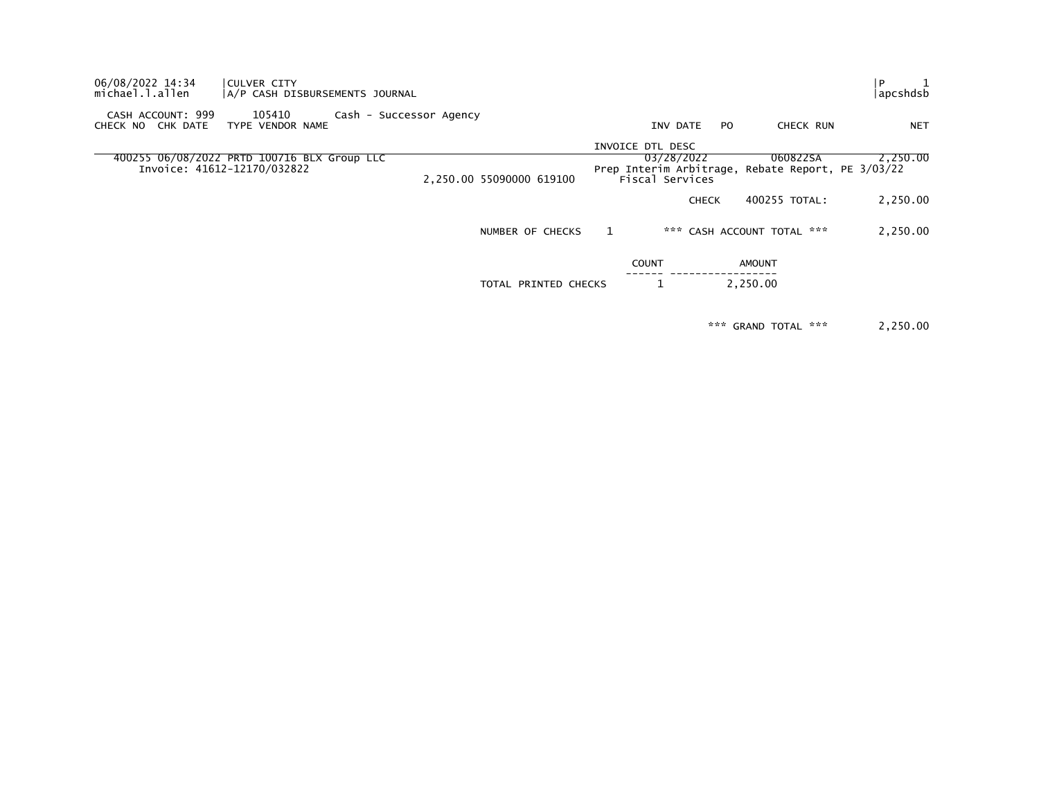| 06/08/2022 14:34<br>michael.l.allen       | CULVER CITY<br> A/P CASH DISBURSEMENTS JOURNAL                             |                         |                          |                                            |              |     |                                       | l P<br>  apcshdsb |
|-------------------------------------------|----------------------------------------------------------------------------|-------------------------|--------------------------|--------------------------------------------|--------------|-----|---------------------------------------|-------------------|
| CASH ACCOUNT: 999<br>CHECK NO<br>CHK DATE | 105410<br>TYPE VENDOR NAME                                                 | Cash - Successor Agency |                          |                                            | INV DATE     | PO. | CHECK RUN                             | <b>NET</b>        |
|                                           |                                                                            |                         |                          | INVOICE DTL DESC                           |              |     |                                       |                   |
|                                           | 400255 06/08/2022 PRTD 100716 BLX Group LLC<br>Invoice: 41612-12170/032822 |                         | 2,250.00 55090000 619100 | Prep Interim Arbitrage,<br>Fiscal Services | 03/28/2022   |     | 060822SA<br>Rebate Report, PE 3/03/22 | 2.250.00          |
|                                           |                                                                            |                         |                          |                                            | <b>CHECK</b> |     | 400255 TOTAL:                         | 2,250.00          |
|                                           |                                                                            |                         | NUMBER OF CHECKS         |                                            |              |     | *** CASH ACCOUNT TOTAL ***            | 2,250.00          |
|                                           |                                                                            |                         |                          | <b>COUNT</b>                               |              |     | <b>AMOUNT</b>                         |                   |
|                                           |                                                                            |                         | TOTAL PRINTED CHECKS     |                                            |              |     | 2,250.00                              |                   |
|                                           |                                                                            |                         |                          |                                            |              |     |                                       |                   |

\*\*\* GRAND TOTAL \*\*\* 2,250.00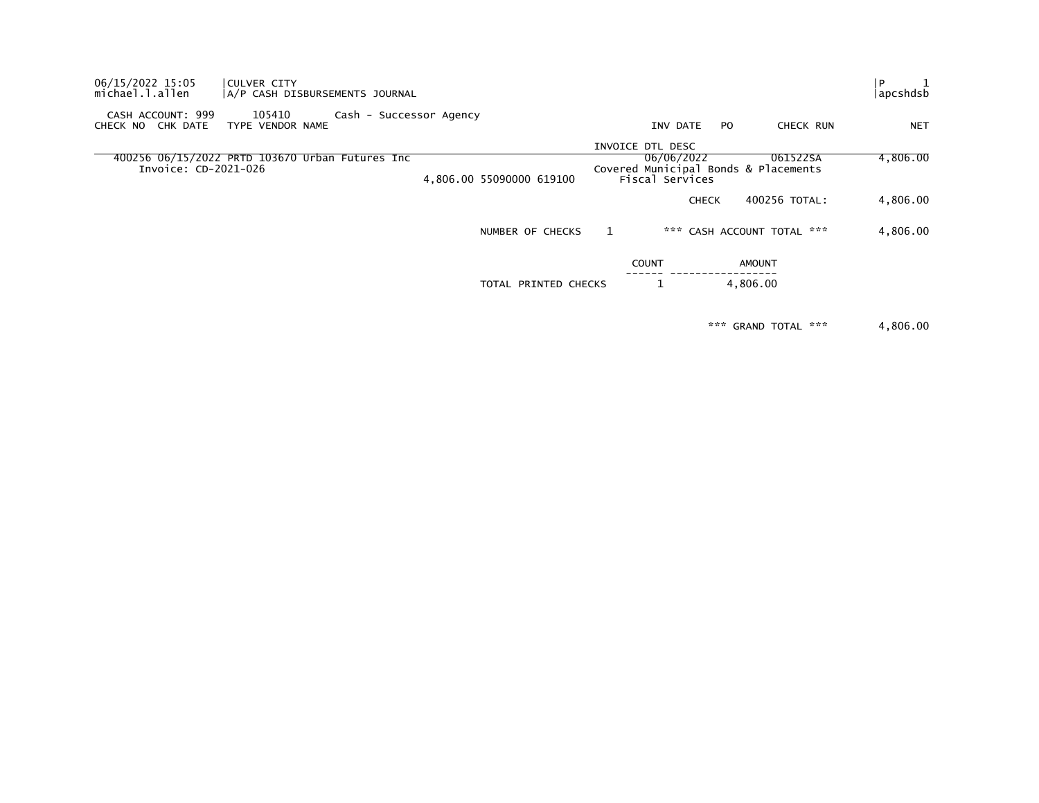| 06/15/2022 15:05<br>CULVER CITY<br>michael.l.allen                      | A/P CASH DISBURSEMENTS JOURNAL |                          |                                                                                           |                            |               | $\mathbf{1}$<br>i P<br>apcshdsb |
|-------------------------------------------------------------------------|--------------------------------|--------------------------|-------------------------------------------------------------------------------------------|----------------------------|---------------|---------------------------------|
| 105410<br>CASH ACCOUNT: 999<br>CHK DATE<br>CHECK NO<br>TYPE VENDOR NAME | Cash - Successor Agency        |                          | INV DATE                                                                                  | PO.                        | CHECK RUN     | <b>NET</b>                      |
| 400256 06/15/2022 PRTD 103670 Urban Futures Inc<br>Invoice: CD-2021-026 |                                | 4,806.00 55090000 619100 | INVOICE DTL DESC<br>06/06/2022<br>Covered Municipal Bonds & Placements<br>Fiscal Services |                            | 061522SA      | 4,806.00                        |
|                                                                         |                                |                          |                                                                                           | <b>CHECK</b>               | 400256 TOTAL: | 4,806.00                        |
|                                                                         |                                | NUMBER OF CHECKS         | 1                                                                                         | *** CASH ACCOUNT TOTAL *** |               | 4,806.00                        |
|                                                                         |                                |                          | <b>COUNT</b>                                                                              | AMOUNT                     |               |                                 |
|                                                                         |                                | TOTAL PRINTED CHECKS     |                                                                                           | 4,806.00                   |               |                                 |
|                                                                         |                                |                          |                                                                                           |                            |               |                                 |

\*\*\* GRAND TOTAL \*\*\* 4,806.00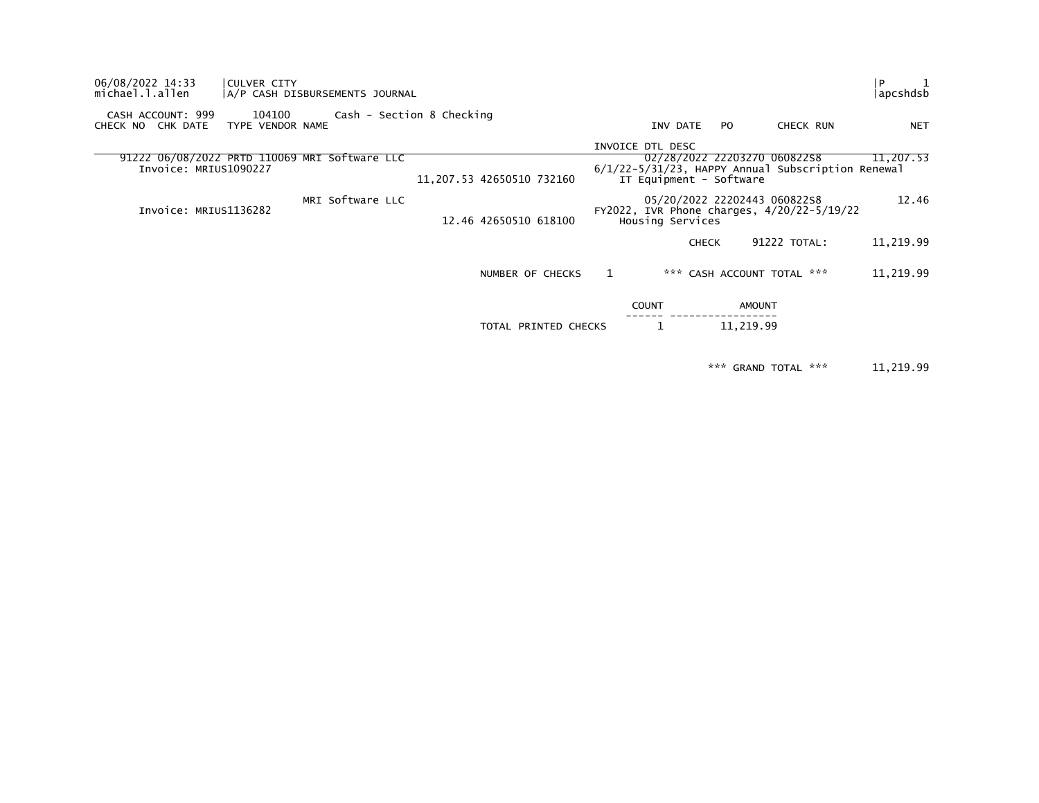| 06/08/2022 14:33<br>CULVER CITY<br>michael.l.allen                     | A/P CASH DISBURSEMENTS JOURNAL |                           |                  |                         |                                                                                   | $\mathbf{1}$<br>l P<br> apcshdsb |
|------------------------------------------------------------------------|--------------------------------|---------------------------|------------------|-------------------------|-----------------------------------------------------------------------------------|----------------------------------|
| 104100<br>CASH ACCOUNT: 999<br>CHECK NO CHK DATE<br>TYPE VENDOR NAME   | Cash - Section 8 Checking      |                           |                  | INV DATE<br>PO.         | CHECK RUN                                                                         | <b>NET</b>                       |
| 91222 06/08/2022 PRTD 110069 MRI Software LLC<br>Invoice: MRIUS1090227 |                                | 11,207.53 42650510 732160 | INVOICE DTL DESC | IT Equipment - Software | 02/28/2022 22203270 06082258<br>6/1/22-5/31/23, HAPPY Annual Subscription Renewal | 11,207.53                        |
| Invoice: MRIUS1136282                                                  | MRI Software LLC               | 12.46 42650510 618100     | Housing Services |                         | 05/20/2022 22202443 06082258<br>FY2022, IVR Phone charges, 4/20/22-5/19/22        | 12.46                            |
|                                                                        |                                |                           |                  | <b>CHECK</b>            | 91222 TOTAL:                                                                      | 11,219.99                        |
|                                                                        |                                | NUMBER OF CHECKS          |                  |                         | *** CASH ACCOUNT TOTAL ***                                                        | 11,219.99                        |
|                                                                        |                                |                           | <b>COUNT</b>     |                         | <b>AMOUNT</b>                                                                     |                                  |
|                                                                        |                                | TOTAL PRINTED CHECKS      |                  |                         | 11,219.99                                                                         |                                  |

\*\*\* GRAND TOTAL \*\*\* 11,219.99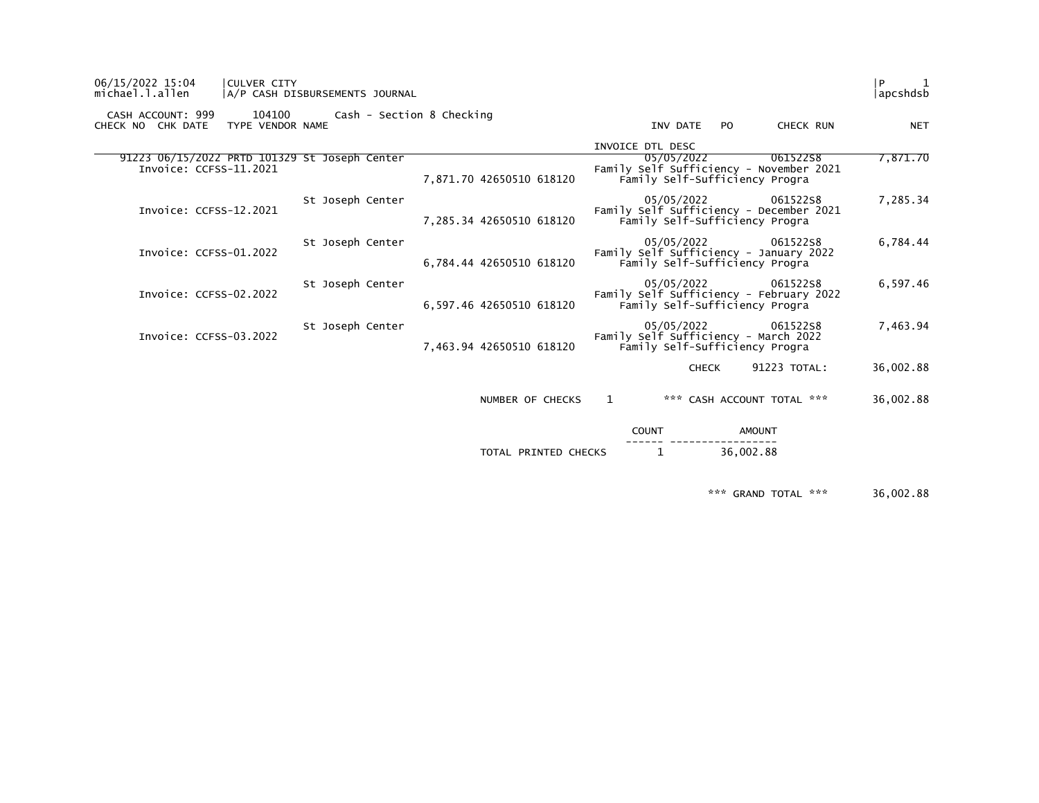| 06/15/2022 15:04<br>michael.l.allen                                     | CULVER CITY<br> A/P CASH DISBURSEMENTS JOURNAL |                  |                           |                          |   |                                              |              |               |                                                     | P<br> apcshdsb |
|-------------------------------------------------------------------------|------------------------------------------------|------------------|---------------------------|--------------------------|---|----------------------------------------------|--------------|---------------|-----------------------------------------------------|----------------|
| CASH ACCOUNT: 999<br>CHECK NO CHK DATE                                  | 104100<br>TYPE VENDOR NAME                     |                  | Cash - Section 8 Checking |                          |   | INV DATE                                     |              | PO.           | CHECK RUN                                           | <b>NET</b>     |
|                                                                         |                                                |                  |                           |                          |   | INVOICE DTL DESC                             |              |               |                                                     |                |
| 91223 06/15/2022 PRTD 101329 St Joseph Center<br>Invoice: CCFSS-11.2021 |                                                |                  |                           | 7,871.70 42650510 618120 |   | 05/05/2022<br>Family Self-Sufficiency Progra |              |               | 06152258<br>Family Self Sufficiency - November 2021 | 7,871.70       |
| Invoice: CCFSS-12.2021                                                  |                                                | St Joseph Center |                           | 7,285.34 42650510 618120 |   | 05/05/2022<br>Family Self-Sufficiency Progra |              |               | 06152258<br>Family Self Sufficiency - December 2021 | 7,285.34       |
| Invoice: CCFSS-01.2022                                                  |                                                | St Joseph Center |                           | 6,784.44 42650510 618120 |   | 05/05/2022<br>Family Self-Sufficiency Progra |              |               | 06152258<br>Family Self Sufficiency - January 2022  | 6,784.44       |
| Invoice: CCFSS-02.2022                                                  |                                                | St Joseph Center |                           | 6,597.46 42650510 618120 |   | 05/05/2022<br>Family Self-Sufficiency Progra |              |               | 06152258<br>Family Self Sufficiency - February 2022 | 6,597.46       |
| Invoice: CCFSS-03.2022                                                  |                                                | St Joseph Center |                           | 7,463.94 42650510 618120 |   | 05/05/2022<br>Family Self-Sufficiency Progra |              |               | 06152258<br>Family Self Sufficiency - March 2022    | 7,463.94       |
|                                                                         |                                                |                  |                           |                          |   |                                              | <b>CHECK</b> |               | 91223 TOTAL:                                        | 36,002.88      |
|                                                                         |                                                |                  |                           | NUMBER OF CHECKS         | 1 |                                              |              |               | *** CASH ACCOUNT TOTAL ***                          | 36,002.88      |
|                                                                         |                                                |                  |                           |                          |   | <b>COUNT</b>                                 |              | <b>AMOUNT</b> |                                                     |                |
|                                                                         |                                                |                  |                           | TOTAL PRINTED CHECKS     |   | 1                                            |              | 36,002.88     |                                                     |                |

\*\*\* GRAND TOTAL \*\*\* 36,002.88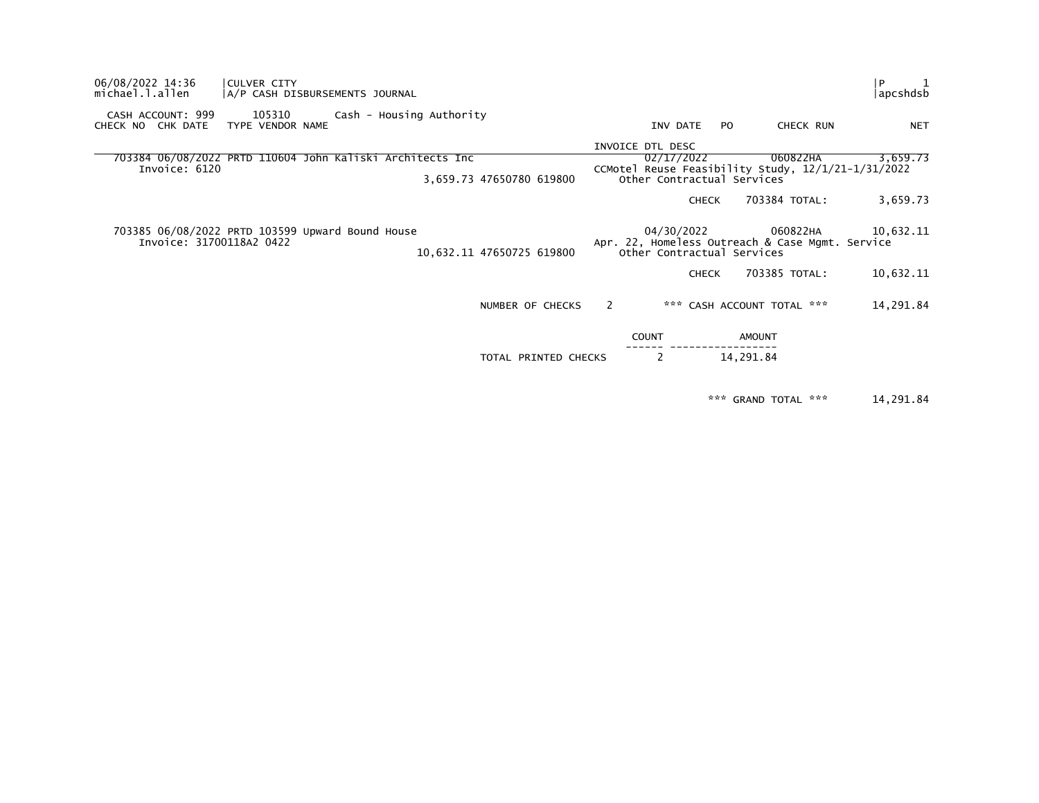| 06/08/2022 14:36<br>michael.l.allen                                          | CULVER CITY                | A/P CASH DISBURSEMENTS JOURNAL |                          |                           |   |                                          |              |                                                             | P<br> apcshdsb                                                 |
|------------------------------------------------------------------------------|----------------------------|--------------------------------|--------------------------|---------------------------|---|------------------------------------------|--------------|-------------------------------------------------------------|----------------------------------------------------------------|
| CASH ACCOUNT: 999<br>CHECK NO CHK DATE                                       | 105310<br>TYPE VENDOR NAME |                                | Cash - Housing Authority |                           |   | INV DATE                                 | PO.          | CHECK RUN                                                   | <b>NET</b>                                                     |
|                                                                              |                            |                                |                          |                           |   | INVOICE DTL DESC                         |              |                                                             |                                                                |
| 703384 06/08/2022 PRTD 110604 John Kaliski Architects Inc<br>Invoice: 6120   |                            |                                |                          | 3,659.73 47650780 619800  |   | 02/17/2022<br>Other Contractual Services |              | 060822HA                                                    | 3,659.73<br>CCMotel Reuse Feasibility Study, 12/1/21-1/31/2022 |
|                                                                              |                            |                                |                          |                           |   |                                          | <b>CHECK</b> | 703384 TOTAL:                                               | 3,659.73                                                       |
| 703385 06/08/2022 PRTD 103599 Upward Bound House<br>Invoice: 31700118A2 0422 |                            |                                |                          | 10,632.11 47650725 619800 |   | 04/30/2022<br>Other Contractual Services |              | 060822HA<br>Apr. 22, Homeless Outreach & Case Mgmt. Service | 10,632.11                                                      |
|                                                                              |                            |                                |                          |                           |   |                                          | <b>CHECK</b> | 703385 TOTAL:                                               | 10,632.11                                                      |
|                                                                              |                            |                                |                          | NUMBER OF CHECKS          | 2 |                                          |              | *** CASH ACCOUNT TOTAL ***                                  | 14,291.84                                                      |
|                                                                              |                            |                                |                          |                           |   | <b>COUNT</b>                             |              | AMOUNT                                                      |                                                                |
|                                                                              |                            |                                |                          | TOTAL PRINTED CHECKS      |   | 2                                        |              | 14,291.84                                                   |                                                                |
|                                                                              |                            |                                |                          |                           |   |                                          |              |                                                             |                                                                |

\*\*\* GRAND TOTAL \*\*\* 14,291.84